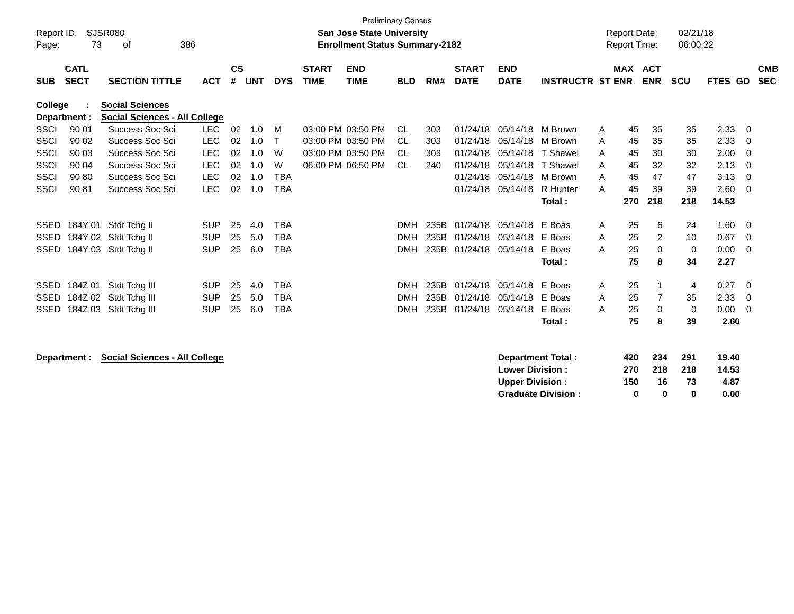| Page:          | <b>Preliminary Census</b><br><b>SJSR080</b><br>02/21/18<br>Report ID:<br><b>San Jose State University</b><br><b>Report Date:</b><br>73<br>386<br><b>Enrollment Status Summary-2182</b><br><b>Report Time:</b><br>06:00:22<br>οf |                                                                |            |                    |            |            |                             |                           |            |      |                             |                           |                         |   |     |                   |            |                |          |                          |
|----------------|---------------------------------------------------------------------------------------------------------------------------------------------------------------------------------------------------------------------------------|----------------------------------------------------------------|------------|--------------------|------------|------------|-----------------------------|---------------------------|------------|------|-----------------------------|---------------------------|-------------------------|---|-----|-------------------|------------|----------------|----------|--------------------------|
| <b>SUB</b>     | <b>CATL</b><br><b>SECT</b>                                                                                                                                                                                                      | <b>SECTION TITTLE</b>                                          | <b>ACT</b> | $\mathsf{cs}$<br># | <b>UNT</b> | <b>DYS</b> | <b>START</b><br><b>TIME</b> | <b>END</b><br><b>TIME</b> | <b>BLD</b> | RM#  | <b>START</b><br><b>DATE</b> | <b>END</b><br><b>DATE</b> | <b>INSTRUCTR ST ENR</b> |   | MAX | ACT<br><b>ENR</b> | <b>SCU</b> | <b>FTES GD</b> |          | <b>CMB</b><br><b>SEC</b> |
| <b>College</b> | Department :                                                                                                                                                                                                                    | <b>Social Sciences</b><br><b>Social Sciences - All College</b> |            |                    |            |            |                             |                           |            |      |                             |                           |                         |   |     |                   |            |                |          |                          |
| <b>SSCI</b>    | 90 01                                                                                                                                                                                                                           | Success Soc Sci                                                | <b>LEC</b> | 02                 | 1.0        | M          |                             | 03:00 PM 03:50 PM         | CL.        | 303  |                             | 01/24/18 05/14/18 M Brown |                         | A | 45  | 35                | 35         | 2.33           | 0        |                          |
| SSCI           | 90 02                                                                                                                                                                                                                           | Success Soc Sci                                                | <b>LEC</b> | 02                 | 1.0        | T          |                             | 03:00 PM 03:50 PM         | CL         | 303  | 01/24/18                    | 05/14/18                  | M Brown                 | A | 45  | 35                | 35         | 2.33           | $\Omega$ |                          |
| SSCI           | 90 03                                                                                                                                                                                                                           | Success Soc Sci                                                | <b>LEC</b> | 02                 | 1.0        | W          |                             | 03:00 PM 03:50 PM         | CL         | 303  | 01/24/18                    | 05/14/18                  | T Shawel                | A | 45  | 30                | 30         | 2.00           | $\Omega$ |                          |
| <b>SSCI</b>    | 90 04                                                                                                                                                                                                                           | Success Soc Sci                                                | <b>LEC</b> | 02                 | 1.0        | W          |                             | 06:00 PM 06:50 PM         | <b>CL</b>  | 240  | 01/24/18                    | 05/14/18                  | T Shawel                | A | 45  | 32                | 32         | 2.13           | $\Omega$ |                          |
| <b>SSCI</b>    | 90 80                                                                                                                                                                                                                           | Success Soc Sci                                                | <b>LEC</b> | 02                 | 1.0        | <b>TBA</b> |                             |                           |            |      | 01/24/18                    | 05/14/18 M Brown          |                         | A | 45  | 47                | 47         | 3.13           | $\Omega$ |                          |
| <b>SSCI</b>    | 90 81                                                                                                                                                                                                                           | Success Soc Sci                                                | <b>LEC</b> | 02                 | 1.0        | <b>TBA</b> |                             |                           |            |      | 01/24/18                    | 05/14/18                  | R Hunter                | A | 45  | 39                | 39         | 2.60           | $\Omega$ |                          |
|                |                                                                                                                                                                                                                                 |                                                                |            |                    |            |            |                             |                           |            |      |                             |                           | Total:                  |   | 270 | 218               | 218        | 14.53          |          |                          |
| SSED           | 184Y 01                                                                                                                                                                                                                         | Stdt Tchg II                                                   | <b>SUP</b> | 25                 | 4.0        | TBA        |                             |                           | <b>DMH</b> | 235B | 01/24/18                    | 05/14/18 E Boas           |                         | A | 25  | 6                 | 24         | 1.60           | 0        |                          |
| <b>SSED</b>    |                                                                                                                                                                                                                                 | 184Y 02 Stdt Tchg II                                           | <b>SUP</b> | 25                 | 5.0        | <b>TBA</b> |                             |                           | <b>DMH</b> | 235B | 01/24/18                    | 05/14/18                  | E Boas                  | A | 25  | 2                 | 10         | 0.67           | $\Omega$ |                          |
| <b>SSED</b>    |                                                                                                                                                                                                                                 | 184Y 03 Stdt Tchg II                                           | <b>SUP</b> | 25                 | 6.0        | <b>TBA</b> |                             |                           | <b>DMH</b> | 235B | 01/24/18                    | 05/14/18                  | E Boas                  | A | 25  | $\mathbf 0$       | 0          | 0.00           | $\Omega$ |                          |
|                |                                                                                                                                                                                                                                 |                                                                |            |                    |            |            |                             |                           |            |      |                             |                           | Total:                  |   | 75  | 8                 | 34         | 2.27           |          |                          |
| SSED           | 184Z 01                                                                                                                                                                                                                         | Stdt Tchg III                                                  | <b>SUP</b> | 25                 | 4.0        | <b>TBA</b> |                             |                           | <b>DMH</b> | 235B | 01/24/18                    | 05/14/18                  | E Boas                  | A | 25  | $\mathbf 1$       | 4          | 0.27           | 0        |                          |
| SSED           | 184Z 02                                                                                                                                                                                                                         | Stdt Tchg III                                                  | <b>SUP</b> | 25                 | 5.0        | <b>TBA</b> |                             |                           | <b>DMH</b> | 235B | 01/24/18                    | 05/14/18                  | E Boas                  | A | 25  | 7                 | 35         | 2.33           | $\Omega$ |                          |
| <b>SSED</b>    |                                                                                                                                                                                                                                 | 184Z 03 Stdt Tchg III                                          | <b>SUP</b> | 25                 | 6.0        | TBA        |                             |                           | <b>DMH</b> | 235B | 01/24/18                    | 05/14/18                  | E Boas                  | A | 25  | 0                 | 0          | 0.00           | $\Omega$ |                          |
|                |                                                                                                                                                                                                                                 |                                                                |            |                    |            |            |                             |                           |            |      |                             |                           | Total :                 |   | 75  | 8                 | 39         | 2.60           |          |                          |
|                |                                                                                                                                                                                                                                 |                                                                |            |                    |            |            |                             |                           |            |      |                             |                           |                         |   |     |                   |            |                |          |                          |

**Department : Social Sciences - All College** 

| <b>Department Total:</b>  | 420 | 234 | 291 | 19.40 |
|---------------------------|-----|-----|-----|-------|
| <b>Lower Division:</b>    | 270 | 218 | 218 | 14.53 |
| <b>Upper Division:</b>    | 150 | 16  | 73  | 4.87  |
| <b>Graduate Division:</b> | o   | n   | o   | 0.00  |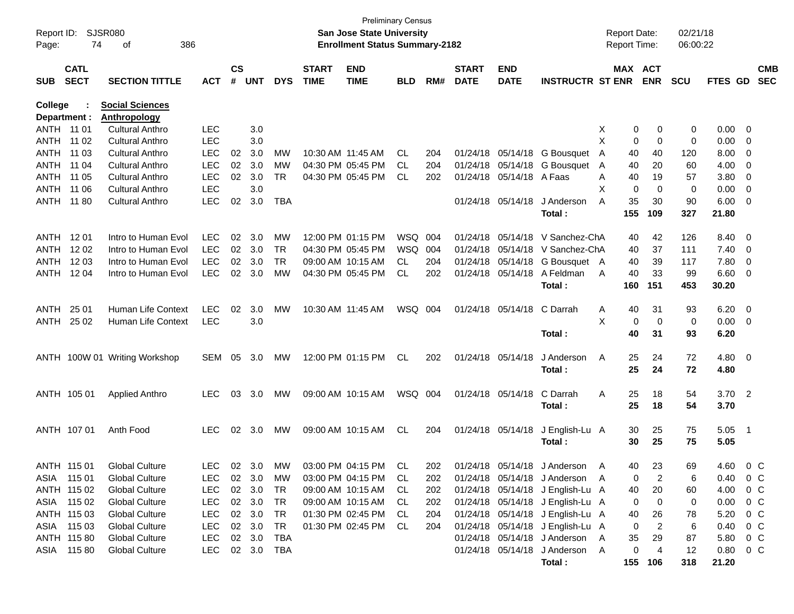| Page:                          | Report ID: SJSR080<br>74   | 386<br>of                                     |              |                    |            |            |                             | San Jose State University<br><b>Enrollment Status Summary-2182</b> | Preliminary Census |     |                             |                           |                                  |   | <b>Report Date:</b><br><b>Report Time:</b> |                       | 02/21/18<br>06:00:22 |                        |                          |                          |
|--------------------------------|----------------------------|-----------------------------------------------|--------------|--------------------|------------|------------|-----------------------------|--------------------------------------------------------------------|--------------------|-----|-----------------------------|---------------------------|----------------------------------|---|--------------------------------------------|-----------------------|----------------------|------------------------|--------------------------|--------------------------|
| <b>SUB</b>                     | <b>CATL</b><br><b>SECT</b> | <b>SECTION TITTLE</b>                         | <b>ACT</b>   | $\mathsf{cs}$<br># | <b>UNT</b> | <b>DYS</b> | <b>START</b><br><b>TIME</b> | <b>END</b><br><b>TIME</b>                                          | <b>BLD</b>         | RM# | <b>START</b><br><b>DATE</b> | <b>END</b><br><b>DATE</b> | <b>INSTRUCTR ST ENR</b>          |   |                                            | MAX ACT<br><b>ENR</b> | <b>SCU</b>           | FTES GD                |                          | <b>CMB</b><br><b>SEC</b> |
|                                |                            |                                               |              |                    |            |            |                             |                                                                    |                    |     |                             |                           |                                  |   |                                            |                       |                      |                        |                          |                          |
| <b>College</b><br>Department : |                            | <b>Social Sciences</b><br><b>Anthropology</b> |              |                    |            |            |                             |                                                                    |                    |     |                             |                           |                                  |   |                                            |                       |                      |                        |                          |                          |
| ANTH 11 01                     |                            | <b>Cultural Anthro</b>                        | <b>LEC</b>   |                    | 3.0        |            |                             |                                                                    |                    |     |                             |                           |                                  | X | 0                                          | 0                     | 0                    | 0.00                   | $\overline{\mathbf{0}}$  |                          |
| ANTH                           | 11 02                      | Cultural Anthro                               | <b>LEC</b>   |                    | 3.0        |            |                             |                                                                    |                    |     |                             |                           |                                  | X | 0                                          | 0                     | 0                    | 0.00                   | $\overline{\mathbf{0}}$  |                          |
| ANTH                           | 11 03                      | Cultural Anthro                               | <b>LEC</b>   | 02                 | 3.0        | МW         | 10:30 AM 11:45 AM           |                                                                    | CL                 | 204 |                             | 01/24/18 05/14/18         | G Bousquet                       | A | 40                                         | 40                    | 120                  | 8.00                   | 0                        |                          |
| ANTH                           | 11 04                      | <b>Cultural Anthro</b>                        | <b>LEC</b>   | 02                 | 3.0        | MW         |                             | 04:30 PM 05:45 PM                                                  | CL.                | 204 |                             |                           | 01/24/18 05/14/18 G Bousquet     | A | 40                                         | 20                    | 60                   | 4.00                   | 0                        |                          |
| ANTH                           | 11 05                      | <b>Cultural Anthro</b>                        | <b>LEC</b>   | 02                 | 3.0        | TR         |                             | 04:30 PM 05:45 PM                                                  | CL.                | 202 |                             | 01/24/18 05/14/18 A Faas  |                                  | A | 40                                         | 19                    | 57                   | 3.80                   | $\mathbf 0$              |                          |
| ANTH                           | 11 06                      | <b>Cultural Anthro</b>                        | <b>LEC</b>   |                    | 3.0        |            |                             |                                                                    |                    |     |                             |                           |                                  | Х | 0                                          | 0                     | 0                    | 0.00                   | $\overline{\mathbf{0}}$  |                          |
| ANTH                           | 11 80                      | <b>Cultural Anthro</b>                        | <b>LEC</b>   | 02                 | 3.0        | <b>TBA</b> |                             |                                                                    |                    |     |                             | 01/24/18 05/14/18         | J Anderson                       | A | 35                                         | 30                    | 90                   | 6.00                   | 0                        |                          |
|                                |                            |                                               |              |                    |            |            |                             |                                                                    |                    |     |                             |                           | Total :                          |   | 155                                        | 109                   | 327                  | 21.80                  |                          |                          |
|                                |                            |                                               |              |                    |            |            |                             |                                                                    |                    |     |                             |                           |                                  |   |                                            |                       |                      |                        |                          |                          |
| ANTH                           | 12 01                      | Intro to Human Evol                           | <b>LEC</b>   | 02                 | 3.0        | MW         |                             | 12:00 PM 01:15 PM                                                  | WSQ 004            |     |                             | 01/24/18 05/14/18         | V Sanchez-ChA                    |   | 40                                         | 42                    | 126                  | 8.40                   | $\overline{\mathbf{0}}$  |                          |
| ANTH                           | 12 02                      | Intro to Human Evol                           | <b>LEC</b>   | $02\,$             | 3.0        | TR         |                             | 04:30 PM 05:45 PM                                                  | WSQ                | 004 |                             |                           | 01/24/18 05/14/18 V Sanchez-ChA  |   | 40                                         | 37                    | 111                  | 7.40                   | $\overline{\mathbf{0}}$  |                          |
| ANTH                           | 12 03                      | Intro to Human Evol                           | <b>LEC</b>   | 02                 | 3.0        | <b>TR</b>  |                             | 09:00 AM 10:15 AM                                                  | CL.                | 204 |                             | 01/24/18 05/14/18         | G Bousquet A                     |   | 40                                         | 39                    | 117                  | 7.80                   | $\overline{\mathbf{0}}$  |                          |
| ANTH                           | 12 04                      | Intro to Human Evol                           | <b>LEC</b>   | $02\,$             | 3.0        | MW         |                             | 04:30 PM 05:45 PM                                                  | <b>CL</b>          | 202 |                             | 01/24/18 05/14/18         | A Feldman                        | A | 40                                         | 33                    | 99                   | 6.60                   | $\overline{\mathbf{0}}$  |                          |
|                                |                            |                                               |              |                    |            |            |                             |                                                                    |                    |     |                             |                           | Total:                           |   | 160                                        | 151                   | 453                  | 30.20                  |                          |                          |
| ANTH                           | 25 01                      | <b>Human Life Context</b>                     | <b>LEC</b>   | 02                 | 3.0        | MW         | 10:30 AM 11:45 AM           |                                                                    | WSQ 004            |     |                             | 01/24/18 05/14/18         | C Darrah                         | A | 40                                         | 31                    | 93                   | 6.20                   | $\overline{\phantom{0}}$ |                          |
| ANTH                           | 25 02                      | Human Life Context                            | <b>LEC</b>   |                    | 3.0        |            |                             |                                                                    |                    |     |                             |                           |                                  | X | 0                                          | 0                     | 0                    | 0.00                   | $\overline{\phantom{0}}$ |                          |
|                                |                            |                                               |              |                    |            |            |                             |                                                                    |                    |     |                             |                           | Total:                           |   | 40                                         | 31                    | 93                   | 6.20                   |                          |                          |
|                                |                            | ANTH 100W 01 Writing Workshop                 | SEM          | 05                 | 3.0        | МW         |                             | 12:00 PM 01:15 PM                                                  | <b>CL</b>          | 202 |                             | 01/24/18 05/14/18         | J Anderson                       | Α | 25                                         | 24                    | 72                   | $4.80\ 0$              |                          |                          |
|                                |                            |                                               |              |                    |            |            |                             |                                                                    |                    |     |                             |                           | Total :                          |   | 25                                         | 24                    | 72                   | 4.80                   |                          |                          |
|                                | ANTH 105 01                | <b>Applied Anthro</b>                         | <b>LEC</b>   | 03                 | 3.0        | МW         |                             | 09:00 AM 10:15 AM                                                  | WSQ 004            |     |                             | 01/24/18 05/14/18         | C Darrah                         | Α | 25                                         | 18                    | 54                   | 3.702                  |                          |                          |
|                                |                            |                                               |              |                    |            |            |                             |                                                                    |                    |     |                             |                           | Total :                          |   | 25                                         | 18                    | 54                   | 3.70                   |                          |                          |
|                                |                            |                                               |              |                    |            |            |                             |                                                                    |                    |     |                             |                           |                                  |   |                                            |                       |                      |                        |                          |                          |
|                                | ANTH 107 01                | Anth Food                                     | <b>LEC</b>   | 02                 | 3.0        | МW         |                             | 09:00 AM 10:15 AM                                                  | CL                 | 204 |                             | 01/24/18 05/14/18         | J English-Lu A                   |   | 30                                         | 25                    | 75                   | 5.05                   | - 1                      |                          |
|                                |                            |                                               |              |                    |            |            |                             |                                                                    |                    |     |                             |                           | Total:                           |   | 30                                         | 25                    | 75                   | 5.05                   |                          |                          |
|                                | ANTH 115 01                | Global Culture                                | $LEC$ 02 3.0 |                    |            | MW         |                             | 03:00 PM 04:15 PM                                                  | .CL                | 202 |                             |                           | 01/24/18 05/14/18 J Anderson     | A | 40                                         | 23                    | 69                   | 4.60                   | 0 C                      |                          |
|                                | ASIA 115 01                | <b>Global Culture</b>                         | <b>LEC</b>   |                    | 02 3.0     | МW         |                             | 03:00 PM 04:15 PM                                                  | CL.                | 202 |                             |                           | 01/24/18 05/14/18 J Anderson A   |   | 0                                          | $\overline{c}$        | 6                    | $0.40 \quad 0 \quad C$ |                          |                          |
|                                | ANTH 115 02                | <b>Global Culture</b>                         | <b>LEC</b>   |                    | 02 3.0     | TR         |                             | 09:00 AM 10:15 AM                                                  | CL.                | 202 |                             |                           | 01/24/18 05/14/18 J English-Lu A |   | 40                                         | 20                    | 60                   | 4.00                   | $0\,$ C                  |                          |
|                                | ASIA 115 02                | <b>Global Culture</b>                         | <b>LEC</b>   |                    | 02 3.0     | TR         |                             | 09:00 AM 10:15 AM                                                  | CL.                | 202 |                             |                           | 01/24/18 05/14/18 J English-Lu A |   | 0                                          | 0                     | 0                    | 0.00                   | $0\,$ C                  |                          |
|                                | ANTH 115 03                | <b>Global Culture</b>                         | <b>LEC</b>   |                    | 02 3.0     | TR         |                             | 01:30 PM 02:45 PM                                                  | CL.                | 204 |                             |                           | 01/24/18 05/14/18 J English-Lu A |   | 40                                         | 26                    | 78                   | 5.20                   | $0\,$ C                  |                          |
|                                | ASIA 115 03                | <b>Global Culture</b>                         | <b>LEC</b>   |                    | 02 3.0     | TR         |                             | 01:30 PM 02:45 PM                                                  | CL.                | 204 |                             |                           | 01/24/18 05/14/18 J English-Lu A |   | 0                                          | 2                     | 6                    | 0.40                   | $0\,$ C                  |                          |
|                                | ANTH 115 80                | <b>Global Culture</b>                         | LEC          |                    | 02 3.0     | TBA        |                             |                                                                    |                    |     |                             |                           | 01/24/18 05/14/18 J Anderson A   |   | 35                                         | 29                    | 87                   | 5.80                   | $0\,$ C                  |                          |
|                                | ASIA 11580                 | <b>Global Culture</b>                         | <b>LEC</b>   |                    | 02 3.0 TBA |            |                             |                                                                    |                    |     |                             |                           | 01/24/18 05/14/18 J Anderson A   |   | 0                                          | 4                     | 12                   | $0.80 \t 0 \t C$       |                          |                          |
|                                |                            |                                               |              |                    |            |            |                             |                                                                    |                    |     |                             |                           | Total:                           |   |                                            | 155 106               | 318                  | 21.20                  |                          |                          |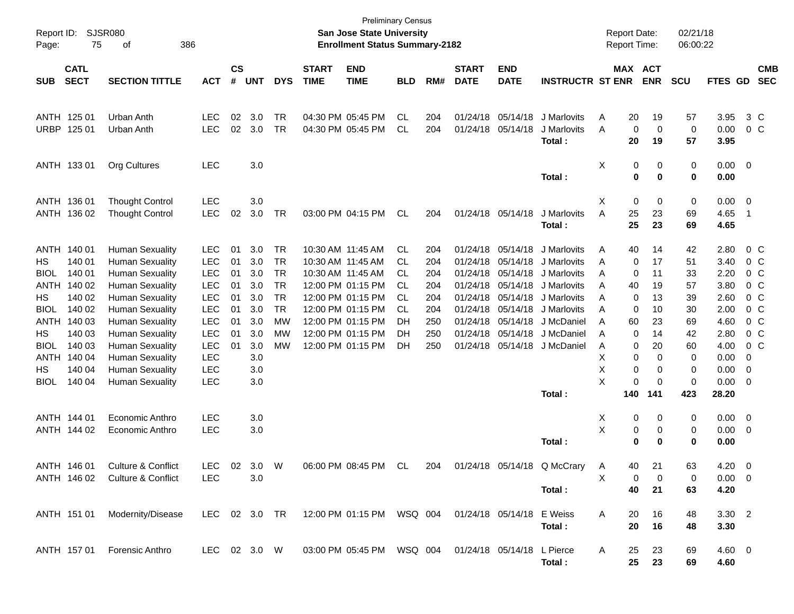| Report ID:<br>Page: | 75                         | SJSR080<br>386<br>οf           |              |                    |            | <b>Preliminary Census</b><br>San Jose State University<br><b>Enrollment Status Summary-2182</b> |                             |                                                          |            |     |                             | <b>Report Date:</b><br><b>Report Time:</b> |                         |   | 02/21/18<br>06:00:22 |                       |            |                |                         |                          |
|---------------------|----------------------------|--------------------------------|--------------|--------------------|------------|-------------------------------------------------------------------------------------------------|-----------------------------|----------------------------------------------------------|------------|-----|-----------------------------|--------------------------------------------|-------------------------|---|----------------------|-----------------------|------------|----------------|-------------------------|--------------------------|
| <b>SUB</b>          | <b>CATL</b><br><b>SECT</b> | <b>SECTION TITTLE</b>          | <b>ACT</b>   | $\mathsf{cs}$<br># | <b>UNT</b> | <b>DYS</b>                                                                                      | <b>START</b><br><b>TIME</b> | <b>END</b><br><b>TIME</b>                                | <b>BLD</b> | RM# | <b>START</b><br><b>DATE</b> | <b>END</b><br><b>DATE</b>                  | <b>INSTRUCTR ST ENR</b> |   |                      | MAX ACT<br><b>ENR</b> | <b>SCU</b> | FTES GD        |                         | <b>CMB</b><br><b>SEC</b> |
|                     |                            |                                |              |                    |            |                                                                                                 |                             |                                                          |            |     |                             |                                            |                         |   |                      |                       |            |                |                         |                          |
|                     | ANTH 125 01                | Urban Anth                     | <b>LEC</b>   | 02                 | 3.0        | TR                                                                                              |                             | 04:30 PM 05:45 PM                                        | CL         | 204 |                             | 01/24/18 05/14/18                          | J Marlovits             | A | 20                   | 19                    | 57         | 3.95           | 3 C                     |                          |
| URBP                | 125 01                     | Urban Anth                     | <b>LEC</b>   | 02                 | 3.0        | <b>TR</b>                                                                                       |                             | 04:30 PM 05:45 PM                                        | CL         | 204 | 01/24/18 05/14/18           |                                            | J Marlovits             | Α | 0                    | 0                     | 0          | 0.00           | 0 <sup>o</sup>          |                          |
|                     |                            |                                |              |                    |            |                                                                                                 |                             |                                                          |            |     |                             |                                            | Total:                  |   | 20                   | 19                    | 57         | 3.95           |                         |                          |
|                     | ANTH 133 01                | Org Cultures                   | LEC          |                    | 3.0        |                                                                                                 |                             |                                                          |            |     |                             |                                            |                         | х | 0                    | 0                     | 0          | 0.00           | $\overline{\mathbf{0}}$ |                          |
|                     |                            |                                |              |                    |            |                                                                                                 |                             |                                                          |            |     |                             |                                            | Total:                  |   | 0                    | 0                     | 0          | 0.00           |                         |                          |
|                     | ANTH 136 01                | <b>Thought Control</b>         | <b>LEC</b>   |                    | 3.0        |                                                                                                 |                             |                                                          |            |     |                             |                                            |                         | х | 0                    | 0                     | 0          | 0.00           | $\overline{0}$          |                          |
|                     | ANTH 136 02                | <b>Thought Control</b>         | LEC          | 02                 | 3.0        | <b>TR</b>                                                                                       |                             | 03:00 PM 04:15 PM                                        | CL         | 204 |                             | 01/24/18 05/14/18                          | J Marlovits             | A | 25                   | 23                    | 69         | 4.65           | $\overline{1}$          |                          |
|                     |                            |                                |              |                    |            |                                                                                                 |                             |                                                          |            |     |                             |                                            | Total:                  |   | 25                   | 23                    | 69         | 4.65           |                         |                          |
|                     | ANTH 140 01                | <b>Human Sexuality</b>         | <b>LEC</b>   | 01                 | 3.0        | <b>TR</b>                                                                                       | 10:30 AM 11:45 AM           |                                                          | CL.        | 204 |                             | 01/24/18 05/14/18                          | J Marlovits             | A | 40                   | 14                    | 42         | 2.80           | $0\,$ C                 |                          |
| <b>HS</b>           | 140 01                     | <b>Human Sexuality</b>         | <b>LEC</b>   | 01                 | 3.0        | <b>TR</b>                                                                                       | 10:30 AM 11:45 AM           |                                                          | CL.        | 204 |                             | 01/24/18 05/14/18                          | J Marlovits             | Α | 0                    | 17                    | 51         | 3.40           | $0\,$ C                 |                          |
| <b>BIOL</b>         | 140 01                     | <b>Human Sexuality</b>         | LEC          | 01                 | 3.0        | <b>TR</b>                                                                                       | 10:30 AM 11:45 AM           |                                                          | CL         | 204 |                             | 01/24/18 05/14/18                          | J Marlovits             | Α | 0                    | 11                    | 33         | 2.20           |                         | 0 <sup>o</sup>           |
| ANTH                | 140 02                     | <b>Human Sexuality</b>         | LEC          | 01                 | 3.0        | <b>TR</b>                                                                                       |                             | 12:00 PM 01:15 PM                                        | CL         | 204 |                             | 01/24/18 05/14/18                          | J Marlovits             | Α | 40                   | 19                    | 57         | 3.80           |                         | 0 <sup>o</sup>           |
| HS.                 | 140 02                     | <b>Human Sexuality</b>         | <b>LEC</b>   | 01                 | 3.0        | <b>TR</b>                                                                                       |                             | 12:00 PM 01:15 PM                                        | CL         | 204 | 01/24/18                    | 05/14/18                                   | J Marlovits             | Α | 0                    | 13                    | 39         | 2.60           |                         | 0 <sup>o</sup>           |
| <b>BIOL</b>         | 140 02                     | <b>Human Sexuality</b>         | LEC          | 01                 | 3.0        | <b>TR</b>                                                                                       |                             | 12:00 PM 01:15 PM                                        | CL         | 204 |                             | 01/24/18 05/14/18                          | J Marlovits             | A | 0                    | 10                    | 30         | 2.00           |                         | 0 <sup>o</sup>           |
| ANTH                | 140 03                     | <b>Human Sexuality</b>         | LEC          | 01                 | 3.0        | MW                                                                                              |                             | 12:00 PM 01:15 PM                                        | DH         | 250 |                             | 01/24/18 05/14/18                          | J McDaniel              | A | 60                   | 23                    | 69         | 4.60           |                         | 0 <sup>o</sup>           |
| HS.                 | 140 03                     | <b>Human Sexuality</b>         | <b>LEC</b>   | 01                 | 3.0        | MW                                                                                              |                             | 12:00 PM 01:15 PM                                        | DH         | 250 | 01/24/18                    | 05/14/18                                   | J McDaniel              | A | 0                    | 14                    | 42         | 2.80           |                         | 0 <sup>o</sup>           |
| <b>BIOL</b>         | 140 03                     | <b>Human Sexuality</b>         | <b>LEC</b>   | 01                 | 3.0        | MW                                                                                              |                             | 12:00 PM 01:15 PM                                        | DH         | 250 |                             | 01/24/18 05/14/18                          | J McDaniel              | A | 0                    | 20                    | 60         | 4.00           | 0 <sup>o</sup>          |                          |
| ANTH                | 140 04                     | <b>Human Sexuality</b>         | <b>LEC</b>   |                    | 3.0        |                                                                                                 |                             |                                                          |            |     |                             |                                            |                         | Х | 0                    | 0                     | 0          | 0.00           | 0                       |                          |
| HS.                 | 140 04                     | <b>Human Sexuality</b>         | <b>LEC</b>   |                    | 3.0        |                                                                                                 |                             |                                                          |            |     |                             |                                            |                         | Χ | 0                    | 0                     | 0          | 0.00           | 0                       |                          |
| <b>BIOL</b>         | 140 04                     | <b>Human Sexuality</b>         | <b>LEC</b>   |                    | 3.0        |                                                                                                 |                             |                                                          |            |     |                             |                                            |                         | Χ | 0                    | 0                     | 0          | 0.00           | 0                       |                          |
|                     |                            |                                |              |                    |            |                                                                                                 |                             |                                                          |            |     |                             |                                            | Total:                  |   | 140                  | 141                   | 423        | 28.20          |                         |                          |
|                     | ANTH 144 01                | Economic Anthro                | <b>LEC</b>   |                    | 3.0        |                                                                                                 |                             |                                                          |            |     |                             |                                            |                         | Х | 0                    | 0                     | 0          | 0.00           | $\overline{0}$          |                          |
|                     | ANTH 144 02                | Economic Anthro                | LEC          |                    | 3.0        |                                                                                                 |                             |                                                          |            |     |                             |                                            |                         | Χ | 0                    | 0                     | 0          | 0.00           | 0                       |                          |
|                     |                            |                                |              |                    |            |                                                                                                 |                             |                                                          |            |     |                             |                                            | Total:                  |   | 0                    | 0                     | 0          | 0.00           |                         |                          |
|                     | ANTH 146 01                | Culture & Conflict             | <b>LEC</b>   | 02                 | 3.O        | W                                                                                               |                             | 06:00 PM 08:45 PM                                        | CL         | 204 |                             | 01/24/18 05/14/18                          | Q McCrary               | A | 40.                  | 21                    | 63         | 4.20           | $\Omega$                |                          |
|                     |                            | ANTH 146 02 Culture & Conflict | <b>LEC</b>   |                    | 3.0        |                                                                                                 |                             |                                                          |            |     |                             |                                            |                         | X | 0                    | 0                     | 0          | $0.00 \quad 0$ |                         |                          |
|                     |                            |                                |              |                    |            |                                                                                                 |                             |                                                          |            |     |                             |                                            | Total:                  |   | 40                   | 21                    | 63         | 4.20           |                         |                          |
|                     | ANTH 151 01                | Modernity/Disease              |              |                    |            |                                                                                                 |                             |                                                          |            |     |                             |                                            |                         | A | 20                   | 16                    | 48         | $3.30\ 2$      |                         |                          |
|                     |                            |                                |              |                    |            |                                                                                                 |                             |                                                          |            |     |                             |                                            | Total:                  |   | 20                   | 16                    | 48         | 3.30           |                         |                          |
|                     | ANTH 157 01                | Forensic Anthro                | LEC 02 3.0 W |                    |            |                                                                                                 |                             | 03:00 PM 05:45 PM  WSQ 004  01/24/18  05/14/18  L Pierce |            |     |                             |                                            |                         | A | 25                   | 23                    | 69         | $4.60 \quad 0$ |                         |                          |
|                     |                            |                                |              |                    |            |                                                                                                 |                             |                                                          |            |     |                             |                                            | Total:                  |   | 25                   | 23                    | 69         | 4.60           |                         |                          |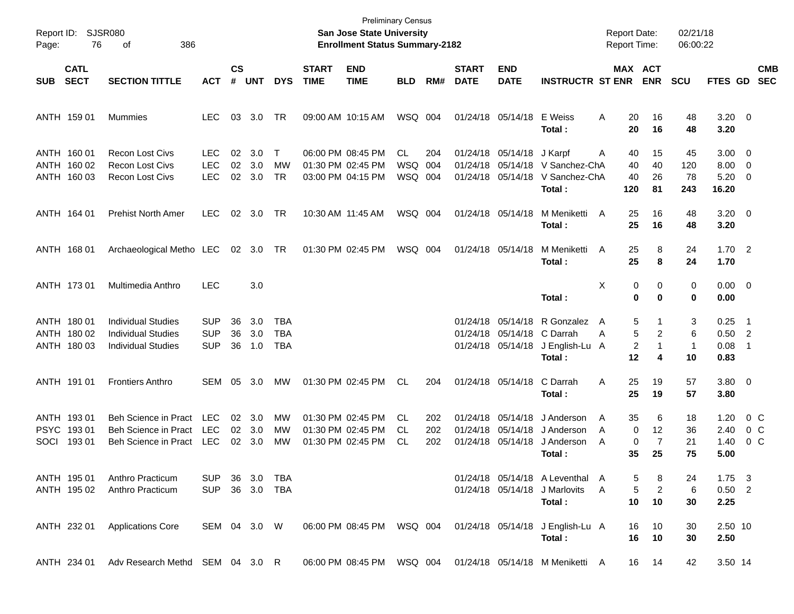| Page:       | Report ID: SJSR080<br>76                  | 386<br>οf                                                                           |                                        |                    |                   |                                 |                             | <b>Preliminary Census</b><br>San Jose State University<br><b>Enrollment Status Summary-2182</b> |                              |                   |                             |                                                             |                                                                            |             |                              | <b>Report Date:</b><br><b>Report Time:</b> | 02/21/18<br>06:00:22         |                                            |                                            |                          |
|-------------|-------------------------------------------|-------------------------------------------------------------------------------------|----------------------------------------|--------------------|-------------------|---------------------------------|-----------------------------|-------------------------------------------------------------------------------------------------|------------------------------|-------------------|-----------------------------|-------------------------------------------------------------|----------------------------------------------------------------------------|-------------|------------------------------|--------------------------------------------|------------------------------|--------------------------------------------|--------------------------------------------|--------------------------|
| <b>SUB</b>  | <b>CATL</b><br><b>SECT</b>                | <b>SECTION TITTLE</b>                                                               | <b>ACT</b>                             | $\mathsf{cs}$<br># | <b>UNT</b>        | <b>DYS</b>                      | <b>START</b><br><b>TIME</b> | <b>END</b><br><b>TIME</b>                                                                       | <b>BLD</b>                   | RM#               | <b>START</b><br><b>DATE</b> | <b>END</b><br><b>DATE</b>                                   | <b>INSTRUCTR ST ENR</b>                                                    |             |                              | MAX ACT<br><b>ENR</b>                      | <b>SCU</b>                   | <b>FTES GD</b>                             |                                            | <b>CMB</b><br><b>SEC</b> |
|             | ANTH 159 01                               | Mummies                                                                             | <b>LEC</b>                             | 03                 | 3.0               | TR                              |                             | 09:00 AM 10:15 AM                                                                               | WSQ 004                      |                   |                             | 01/24/18 05/14/18                                           | E Weiss<br>Total:                                                          | A           | 20<br>20                     | 16<br>16                                   | 48<br>48                     | $3.20 \ 0$<br>3.20                         |                                            |                          |
|             | ANTH 160 01<br>ANTH 160 02<br>ANTH 160 03 | <b>Recon Lost Civs</b><br><b>Recon Lost Civs</b><br><b>Recon Lost Civs</b>          | LEC.<br><b>LEC</b><br><b>LEC</b>       | 02<br>02<br>02     | 3.0<br>3.0<br>3.0 | $\mathsf{T}$<br>МW<br><b>TR</b> |                             | 06:00 PM 08:45 PM<br>01:30 PM 02:45 PM<br>03:00 PM 04:15 PM                                     | CL.<br><b>WSQ</b><br>WSQ 004 | 204<br>004        |                             | 01/24/18 05/14/18<br>01/24/18 05/14/18                      | J Karpf<br>01/24/18 05/14/18 V Sanchez-ChA<br>V Sanchez-ChA<br>Total:      | A           | 40<br>40<br>40<br>120        | 15<br>40<br>26<br>81                       | 45<br>120<br>78<br>243       | $3.00 \ 0$<br>8.00<br>$5.20 \t 0$<br>16.20 | $\overline{\phantom{0}}$                   |                          |
|             | ANTH 164 01                               | <b>Prehist North Amer</b>                                                           | <b>LEC</b>                             | 02 <sub>o</sub>    | 3.0               | TR                              |                             | 10:30 AM 11:45 AM                                                                               | WSQ 004                      |                   |                             | 01/24/18 05/14/18                                           | M Meniketti<br>Total:                                                      | A           | 25<br>25                     | 16<br>16                                   | 48<br>48                     | $3.20 \ 0$<br>3.20                         |                                            |                          |
|             | ANTH 168 01                               | Archaeological Metho LEC 02 3.0 TR                                                  |                                        |                    |                   |                                 |                             | 01:30 PM 02:45 PM                                                                               | WSQ 004                      |                   |                             | 01/24/18 05/14/18                                           | M Meniketti<br>Total:                                                      | A           | 25<br>25                     | 8<br>8                                     | 24<br>24                     | 1.702<br>1.70                              |                                            |                          |
|             | ANTH 173 01                               | Multimedia Anthro                                                                   | <b>LEC</b>                             |                    | 3.0               |                                 |                             |                                                                                                 |                              |                   |                             |                                                             | Total:                                                                     | X           | 0<br>0                       | 0<br>0                                     | 0<br>0                       | $0.00 \t 0$<br>0.00                        |                                            |                          |
|             | ANTH 180 01<br>ANTH 180 02<br>ANTH 180 03 | <b>Individual Studies</b><br><b>Individual Studies</b><br><b>Individual Studies</b> | <b>SUP</b><br><b>SUP</b><br><b>SUP</b> | 36<br>36<br>36     | 3.0<br>3.0<br>1.0 | TBA<br><b>TBA</b><br>TBA        |                             |                                                                                                 |                              |                   |                             | 01/24/18 05/14/18<br>01/24/18 05/14/18<br>01/24/18 05/14/18 | R Gonzalez<br>C Darrah<br>J English-Lu<br>Total:                           | A<br>A<br>A | 5<br>5<br>2<br>12            | 1<br>$\overline{2}$<br>1<br>4              | 3<br>6<br>$\mathbf{1}$<br>10 | 0.25<br>$0.50$ 2<br>0.08<br>0.83           | $\overline{\phantom{1}}$<br>$\overline{1}$ |                          |
|             | ANTH 191 01                               | <b>Frontiers Anthro</b>                                                             | SEM                                    | 05                 | 3.0               | MW                              |                             | 01:30 PM 02:45 PM                                                                               | CL.                          | 204               |                             | 01/24/18 05/14/18                                           | C Darrah<br>Total:                                                         | Α           | 25<br>25                     | 19<br>19                                   | 57<br>57                     | 3.80 0<br>3.80                             |                                            |                          |
| <b>SOCI</b> | ANTH 193 01<br>PSYC 19301<br>19301        | Beh Science in Pract<br><b>Beh Science in Pract</b><br><b>Beh Science in Pract</b>  | LEC<br><b>LEC</b><br>LEC               | 02<br>02<br>02     | 3.0<br>3.0<br>3.0 | MW<br>МW<br>МW                  |                             | 01:30 PM 02:45 PM<br>01:30 PM 02:45 PM<br>01:30 PM 02:45 PM                                     | CL.<br>CL<br><b>CL</b>       | 202<br>202<br>202 |                             | 01/24/18 05/14/18<br>01/24/18 05/14/18<br>01/24/18 05/14/18 | J Anderson<br>J Anderson<br>J Anderson<br>Total :                          | A<br>A<br>A | 35<br>$\mathbf 0$<br>0<br>35 | 6<br>12<br>$\overline{7}$<br>25            | 18<br>36<br>21<br>75         | 1.20<br>2.40<br>1.40<br>5.00               | 0 C<br>0 <sup>o</sup>                      | $0\,$ C                  |
|             | ANTH 195 01<br>ANTH 195 02                | Anthro Practicum<br>Anthro Practicum                                                | <b>SUP</b><br>SUP                      |                    |                   | 36 3.0 TBA<br>36 3.0 TBA        |                             |                                                                                                 |                              |                   |                             |                                                             | 01/24/18 05/14/18 A Leventhal A<br>01/24/18 05/14/18 J Marlovits<br>Total: | A           | 5<br>5<br>10                 | 8<br>$\overline{c}$<br>10                  | 24<br>6<br>30                | $1.75 \t3$<br>$0.50$ 2<br>2.25             |                                            |                          |
|             | ANTH 232 01                               | <b>Applications Core</b>                                                            | SEM 04 3.0 W                           |                    |                   |                                 |                             | 06:00 PM 08:45 PM WSQ 004                                                                       |                              |                   |                             |                                                             | 01/24/18 05/14/18 J English-Lu A<br>Total:                                 |             | 16<br>16                     | 10<br>10                                   | 30<br>30                     | 2.50 10<br>2.50                            |                                            |                          |
|             | ANTH 234 01                               | Adv Research Methd SEM 04 3.0 R                                                     |                                        |                    |                   |                                 |                             | 06:00 PM 08:45 PM WSQ 004                                                                       |                              |                   |                             |                                                             | 01/24/18 05/14/18 M Meniketti A                                            |             |                              | 16 14                                      | 42                           | 3.50 14                                    |                                            |                          |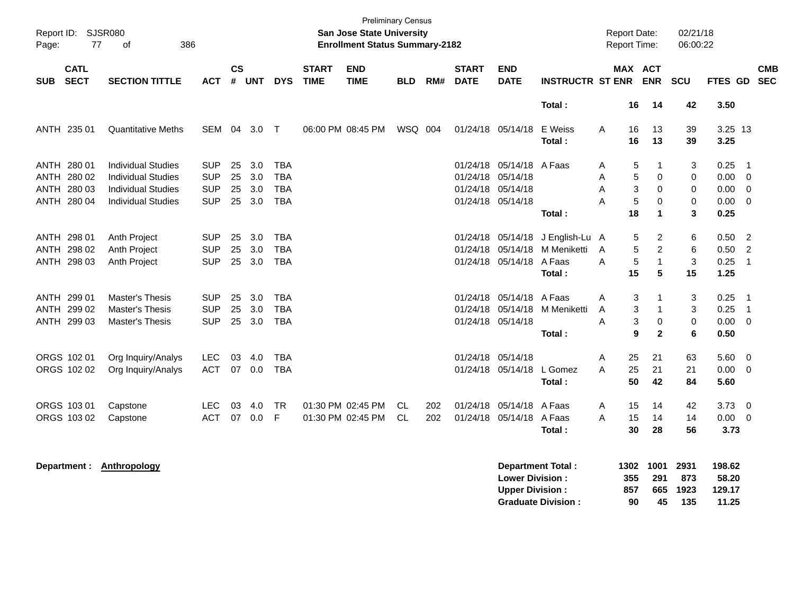| Report ID: SJSR080<br>77<br>386<br>οf<br>Page: |                            |                                                                                     |                                        |                |                      |                                        |                             | <b>Preliminary Census</b><br><b>San Jose State University</b><br><b>Enrollment Status Summary-2182</b> |            |            |                               |                                                             |                                                       | <b>Report Date:</b> |                          | <b>Report Time:</b>                                 | 02/21/18<br>06:00:22       |                                    |                                                                                     |            |
|------------------------------------------------|----------------------------|-------------------------------------------------------------------------------------|----------------------------------------|----------------|----------------------|----------------------------------------|-----------------------------|--------------------------------------------------------------------------------------------------------|------------|------------|-------------------------------|-------------------------------------------------------------|-------------------------------------------------------|---------------------|--------------------------|-----------------------------------------------------|----------------------------|------------------------------------|-------------------------------------------------------------------------------------|------------|
| <b>SUB</b>                                     | <b>CATL</b><br><b>SECT</b> | <b>SECTION TITTLE</b>                                                               | <b>ACT</b>                             | <b>CS</b><br># | <b>UNT</b>           | <b>DYS</b>                             | <b>START</b><br><b>TIME</b> | <b>END</b><br><b>TIME</b>                                                                              | <b>BLD</b> | RM#        | <b>START</b><br><b>DATE</b>   | <b>END</b><br><b>DATE</b>                                   | <b>INSTRUCTR ST ENR</b>                               |                     |                          | MAX ACT<br><b>ENR</b>                               | SCU                        | FTES GD SEC                        |                                                                                     | <b>CMB</b> |
|                                                |                            |                                                                                     |                                        |                |                      |                                        |                             |                                                                                                        |            |            |                               |                                                             | Total:                                                |                     | 16                       | 14                                                  | 42                         | 3.50                               |                                                                                     |            |
| ANTH 235 01                                    |                            | <b>Quantitative Meths</b>                                                           | SEM 04 3.0                             |                |                      | $\top$                                 |                             | 06:00 PM 08:45 PM                                                                                      | WSQ 004    |            |                               | 01/24/18 05/14/18                                           | E Weiss<br>Total:                                     | Α                   | 16<br>16                 | 13<br>13                                            | 39<br>39                   | 3.25 13<br>3.25                    |                                                                                     |            |
| ANTH 280 01<br>ANTH 280 02<br>ANTH 280 03      |                            | <b>Individual Studies</b><br><b>Individual Studies</b><br><b>Individual Studies</b> | <b>SUP</b><br><b>SUP</b><br><b>SUP</b> | 25<br>25<br>25 | 3.0<br>3.0<br>3.0    | <b>TBA</b><br><b>TBA</b><br><b>TBA</b> |                             |                                                                                                        |            |            | 01/24/18<br>01/24/18 05/14/18 | 05/14/18<br>01/24/18 05/14/18                               | A Faas                                                | Α<br>A<br>A         | 5<br>5<br>3              | 1<br>0<br>0                                         | 3<br>0<br>$\mathbf 0$      | 0.25<br>0.00<br>0.00               | $\overline{\phantom{0}}$ 1<br>$\overline{0}$<br>$\overline{\mathbf{0}}$             |            |
| ANTH 280 04                                    |                            | <b>Individual Studies</b>                                                           | <b>SUP</b>                             | 25             | 3.0                  | <b>TBA</b>                             |                             |                                                                                                        |            |            |                               | 01/24/18 05/14/18                                           | Total:                                                | A                   | 5<br>18                  | $\Omega$<br>$\mathbf{1}$                            | $\mathbf 0$<br>3           | 0.00<br>0.25                       | - 0                                                                                 |            |
| ANTH 298 01<br>ANTH 298 02<br>ANTH 298 03      |                            | Anth Project<br>Anth Project<br>Anth Project                                        | <b>SUP</b><br><b>SUP</b><br><b>SUP</b> | 25<br>25<br>25 | 3.0<br>3.0<br>3.0    | <b>TBA</b><br><b>TBA</b><br>TBA        |                             |                                                                                                        |            |            |                               | 01/24/18 05/14/18<br>01/24/18 05/14/18<br>01/24/18 05/14/18 | J English-Lu A<br>M Meniketti<br>A Faas<br>Total:     | A<br>A              | 5<br>5<br>5<br>15        | $\overline{\mathbf{c}}$<br>$\overline{2}$<br>1<br>5 | 6<br>6<br>$\sqrt{3}$<br>15 | 0.50<br>0.50<br>0.25<br>1.25       | $\overline{2}$<br>$\overline{2}$<br>$\overline{\phantom{0}}$                        |            |
| ANTH 299 01<br>ANTH 299 02<br>ANTH 299 03      |                            | <b>Master's Thesis</b><br><b>Master's Thesis</b><br>Master's Thesis                 | <b>SUP</b><br><b>SUP</b><br><b>SUP</b> | 25<br>25       | 3.0<br>3.0<br>25 3.0 | <b>TBA</b><br><b>TBA</b><br><b>TBA</b> |                             |                                                                                                        |            |            | 01/24/18<br>01/24/18          | 05/14/18 A Faas<br>01/24/18 05/14/18                        | 05/14/18 M Meniketti<br>Total:                        | A<br>A<br>A         | 3<br>3<br>3<br>9         | 1<br>$\mathbf{1}$<br>$\mathbf 0$<br>$\mathbf{2}$    | 3<br>3<br>$\mathbf 0$<br>6 | 0.25<br>0.25<br>0.00<br>0.50       | $\overline{\phantom{0}}$ 1<br>$\overline{\phantom{0}}$ 1<br>$\overline{\mathbf{0}}$ |            |
| ORGS 102 01<br>ORGS 102 02                     |                            | Org Inquiry/Analys<br>Org Inquiry/Analys                                            | <b>LEC</b><br><b>ACT</b>               | 03<br>07       | 4.0<br>0.0           | <b>TBA</b><br>TBA                      |                             |                                                                                                        |            |            | 01/24/18                      | 05/14/18<br>01/24/18 05/14/18 L Gomez                       | Total:                                                | A<br>A              | 25<br>25<br>50           | 21<br>21<br>42                                      | 63<br>21<br>84             | 5.60<br>0.00<br>5.60               | $\overline{0}$<br>$\overline{\mathbf{0}}$                                           |            |
| ORGS 103 01<br>ORGS 103 02                     |                            | Capstone<br>Capstone                                                                | <b>LEC</b><br><b>ACT</b>               | 03<br>07       | 4.0<br>0.0           | <b>TR</b><br>F                         |                             | 01:30 PM 02:45 PM<br>01:30 PM 02:45 PM                                                                 | CL.<br>CL. | 202<br>202 |                               | 01/24/18 05/14/18 A Faas<br>01/24/18 05/14/18               | A Faas<br>Total:                                      | A<br>A              | 15<br>15<br>30           | 14<br>14<br>28                                      | 42<br>14<br>56             | 3.73<br>$0.00 \t 0$<br>3.73        | - 0                                                                                 |            |
| Department :                                   |                            | <b>Anthropology</b>                                                                 |                                        |                |                      |                                        |                             |                                                                                                        |            |            |                               | <b>Lower Division:</b><br><b>Upper Division:</b>            | <b>Department Total:</b><br><b>Graduate Division:</b> |                     | 1302<br>355<br>857<br>90 | 1001<br>291<br>665<br>45                            | 2931<br>873<br>1923<br>135 | 198.62<br>58.20<br>129.17<br>11.25 |                                                                                     |            |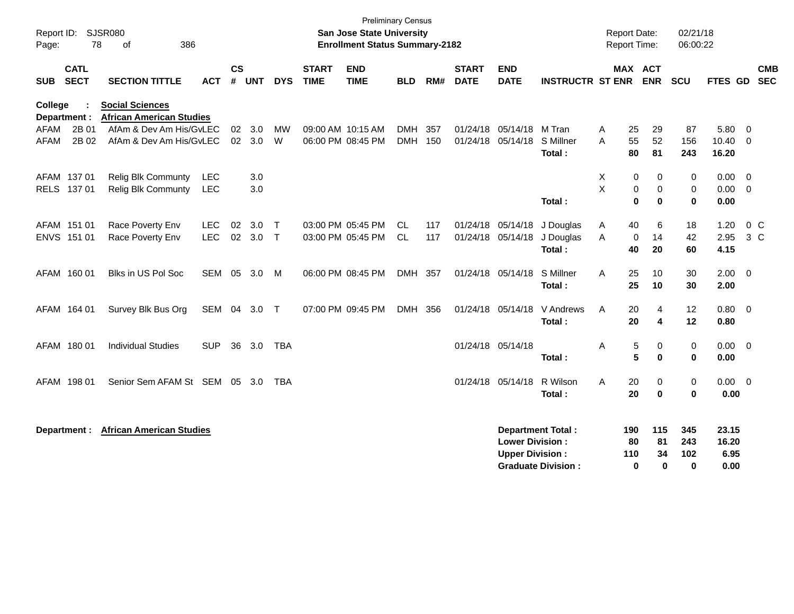| Report ID:<br>Page: | 78                         | <b>SJSR080</b><br>386<br>οf                               |                          |                             |               |                        |                             | <b>Preliminary Census</b><br><b>San Jose State University</b><br><b>Enrollment Status Summary-2182</b> |                          |            |                             |                                                  |                                                       | <b>Report Date:</b><br>Report Time: |                                             | 02/21/18<br>06:00:22   |                                    |                          |
|---------------------|----------------------------|-----------------------------------------------------------|--------------------------|-----------------------------|---------------|------------------------|-----------------------------|--------------------------------------------------------------------------------------------------------|--------------------------|------------|-----------------------------|--------------------------------------------------|-------------------------------------------------------|-------------------------------------|---------------------------------------------|------------------------|------------------------------------|--------------------------|
| <b>SUB</b>          | <b>CATL</b><br><b>SECT</b> | <b>SECTION TITTLE</b>                                     | <b>ACT</b>               | $\mathsf{cs}$<br>$\pmb{\#}$ | <b>UNT</b>    | <b>DYS</b>             | <b>START</b><br><b>TIME</b> | <b>END</b><br><b>TIME</b>                                                                              | <b>BLD</b>               | RM#        | <b>START</b><br><b>DATE</b> | <b>END</b><br><b>DATE</b>                        | <b>INSTRUCTR ST ENR</b>                               |                                     | MAX ACT<br><b>ENR</b>                       | SCU                    | FTES GD                            | <b>CMB</b><br><b>SEC</b> |
| College             | Department :               | <b>Social Sciences</b><br><b>African American Studies</b> |                          |                             |               |                        |                             |                                                                                                        |                          |            |                             |                                                  |                                                       |                                     |                                             |                        |                                    |                          |
| AFAM<br><b>AFAM</b> | 2B 01<br>2B 02             | AfAm & Dev Am His/GvLEC<br>AfAm & Dev Am His/GyLEC        |                          | 02<br>02                    | 3.0<br>3.0    | MW<br>W                |                             | 09:00 AM 10:15 AM<br>06:00 PM 08:45 PM                                                                 | <b>DMH</b><br><b>DMH</b> | 357<br>150 |                             | 01/24/18 05/14/18 M Tran<br>01/24/18 05/14/18    | S Millner<br>Total:                                   | A<br>A<br>80                        | 29<br>25<br>55<br>52<br>81                  | 87<br>156<br>243       | 5.80 0<br>$10.40 \quad 0$<br>16.20 |                          |
|                     | AFAM 137 01<br>RELS 137 01 | <b>Relig Blk Communty</b><br><b>Relig Blk Communty</b>    | LEC<br><b>LEC</b>        |                             | 3.0<br>3.0    |                        |                             |                                                                                                        |                          |            |                             |                                                  | Total:                                                | X<br>X                              | 0<br>0<br>0<br>$\mathbf 0$<br>$\bf{0}$<br>0 | 0<br>0<br>0            | $0.00 \t 0$<br>$0.00 \t 0$<br>0.00 |                          |
|                     | AFAM 151 01<br>ENVS 151 01 | Race Poverty Env<br>Race Poverty Env                      | <b>LEC</b><br><b>LEC</b> | 02                          | 3.0<br>02 3.0 | $\top$<br>$\mathsf{T}$ |                             | 03:00 PM 05:45 PM<br>03:00 PM 05:45 PM                                                                 | <b>CL</b><br>CL          | 117<br>117 |                             | 01/24/18 05/14/18<br>01/24/18 05/14/18           | J Douglas<br>J Douglas<br>Total:                      | A<br>A                              | 40<br>6<br>14<br>$\mathbf 0$<br>40<br>20    | 18<br>42<br>60         | 1.20<br>2.95<br>4.15               | $0\,C$<br>$3\,C$         |
|                     | AFAM 160 01                | Blks in US Pol Soc                                        | <b>SEM</b>               | 05                          | 3.0           | M                      |                             | 06:00 PM 08:45 PM                                                                                      | <b>DMH</b>               | 357        |                             | 01/24/18 05/14/18                                | S Millner<br>Total:                                   | A                                   | 25<br>10<br>25<br>10                        | 30<br>30               | $2.00 \t 0$<br>2.00                |                          |
|                     | AFAM 164 01                | Survey Blk Bus Org                                        | SEM 04 3.0               |                             |               | $\top$                 |                             | 07:00 PM 09:45 PM                                                                                      | <b>DMH</b>               | 356        |                             | 01/24/18 05/14/18                                | V Andrews<br>Total:                                   | A                                   | 20<br>4<br>20<br>4                          | 12<br>12               | 0.80 0<br>0.80                     |                          |
|                     | AFAM 180 01                | <b>Individual Studies</b>                                 | <b>SUP</b>               | 36                          | 3.0           | <b>TBA</b>             |                             |                                                                                                        |                          |            |                             | 01/24/18 05/14/18                                | Total:                                                | Α                                   | $\,$ 5 $\,$<br>0<br>5<br>0                  | 0<br>0                 | $0.00 \t 0$<br>0.00                |                          |
|                     | AFAM 198 01                | Senior Sem AFAM St SEM 05                                 |                          |                             | 3.0           | TBA                    |                             |                                                                                                        |                          |            |                             | 01/24/18 05/14/18                                | R Wilson<br>Total:                                    | A                                   | 20<br>$\mathbf 0$<br>20<br>$\mathbf 0$      | 0<br>0                 | $0.00 \t 0$<br>0.00                |                          |
|                     | Department :               | <b>African American Studies</b>                           |                          |                             |               |                        |                             |                                                                                                        |                          |            |                             | <b>Lower Division:</b><br><b>Upper Division:</b> | <b>Department Total:</b><br><b>Graduate Division:</b> | 190<br>80<br>110                    | 115<br>81<br>34<br>0<br>$\mathbf 0$         | 345<br>243<br>102<br>0 | 23.15<br>16.20<br>6.95<br>0.00     |                          |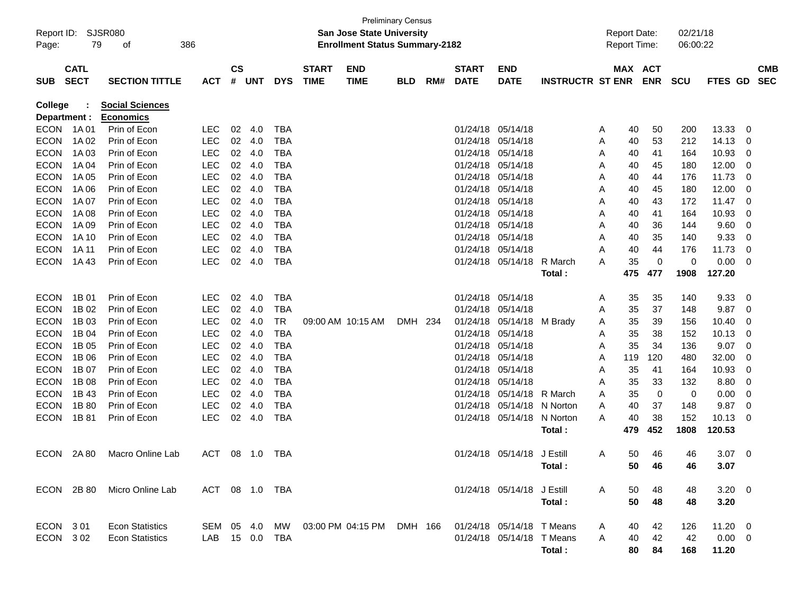| Page:                          | Report ID: SJSR080<br>79   | 386<br>οf                                        |                              |                    |            |            |                             | <b>San Jose State University</b><br><b>Enrollment Status Summary-2182</b> | <b>Preliminary Census</b> |     |                             |                            |                         |   | <b>Report Date:</b><br><b>Report Time:</b> |            | 02/21/18<br>06:00:22 |              |     |                          |
|--------------------------------|----------------------------|--------------------------------------------------|------------------------------|--------------------|------------|------------|-----------------------------|---------------------------------------------------------------------------|---------------------------|-----|-----------------------------|----------------------------|-------------------------|---|--------------------------------------------|------------|----------------------|--------------|-----|--------------------------|
| <b>SUB</b>                     | <b>CATL</b><br><b>SECT</b> | <b>SECTION TITTLE</b>                            | <b>ACT</b>                   | $\mathsf{cs}$<br># | <b>UNT</b> | <b>DYS</b> | <b>START</b><br><b>TIME</b> | <b>END</b><br><b>TIME</b>                                                 | <b>BLD</b>                | RM# | <b>START</b><br><b>DATE</b> | <b>END</b><br><b>DATE</b>  | <b>INSTRUCTR ST ENR</b> |   | MAX ACT                                    | <b>ENR</b> | <b>SCU</b>           | FTES GD      |     | <b>CMB</b><br><b>SEC</b> |
| <b>College</b><br>Department : |                            | <b>Social Sciences</b><br><b>Economics</b>       |                              |                    |            |            |                             |                                                                           |                           |     |                             |                            |                         |   |                                            |            |                      |              |     |                          |
| <b>ECON</b>                    | 1A 01                      | Prin of Econ                                     | <b>LEC</b>                   | 02                 | 4.0        | <b>TBA</b> |                             |                                                                           |                           |     | 01/24/18 05/14/18           |                            |                         | A | 40                                         | 50         | 200                  | 13.33        | 0   |                          |
| <b>ECON</b>                    | 1A 02                      | Prin of Econ                                     | <b>LEC</b>                   | 02 <sub>o</sub>    | 4.0        | <b>TBA</b> |                             |                                                                           |                           |     | 01/24/18                    | 05/14/18                   |                         | A | 40                                         | 53         | 212                  | 14.13        | 0   |                          |
| <b>ECON</b>                    | 1A 03                      | Prin of Econ                                     | <b>LEC</b>                   | 02                 | 4.0        | TBA        |                             |                                                                           |                           |     | 01/24/18                    | 05/14/18                   |                         | A | 40                                         | 41         | 164                  | 10.93        | 0   |                          |
| <b>ECON</b>                    | 1A 04                      | Prin of Econ                                     | <b>LEC</b>                   | 02 <sub>o</sub>    | 4.0        | TBA        |                             |                                                                           |                           |     | 01/24/18                    | 05/14/18                   |                         | A | 40                                         | 45         | 180                  | 12.00        | 0   |                          |
| <b>ECON</b>                    | 1A 05                      | Prin of Econ                                     | <b>LEC</b>                   | 02 <sub>2</sub>    | 4.0        | <b>TBA</b> |                             |                                                                           |                           |     | 01/24/18                    | 05/14/18                   |                         | A | 40                                         | 44         | 176                  | 11.73        | 0   |                          |
| <b>ECON</b>                    | 1A 06                      | Prin of Econ                                     | <b>LEC</b>                   | 02 <sub>o</sub>    | 4.0        | <b>TBA</b> |                             |                                                                           |                           |     | 01/24/18                    | 05/14/18                   |                         | A | 40                                         | 45         | 180                  | 12.00        | 0   |                          |
| <b>ECON</b>                    | 1A 07                      | Prin of Econ                                     | <b>LEC</b>                   | 02 <sub>o</sub>    | 4.0        | TBA        |                             |                                                                           |                           |     | 01/24/18                    | 05/14/18                   |                         | A | 40                                         | 43         | 172                  | 11.47        | - 0 |                          |
| <b>ECON</b>                    | 1A 08                      | Prin of Econ                                     | <b>LEC</b>                   | 02 <sub>2</sub>    | 4.0        | <b>TBA</b> |                             |                                                                           |                           |     | 01/24/18                    | 05/14/18                   |                         | A | 40                                         | 41         | 164                  | 10.93        | 0   |                          |
| <b>ECON</b>                    | 1A 09                      | Prin of Econ                                     | <b>LEC</b>                   | 02 <sub>o</sub>    | 4.0        | <b>TBA</b> |                             |                                                                           |                           |     | 01/24/18                    | 05/14/18                   |                         | A | 40                                         | 36         | 144                  | 9.60         | 0   |                          |
| <b>ECON</b>                    | 1A 10                      | Prin of Econ                                     | <b>LEC</b>                   | 02 <sub>o</sub>    | 4.0        | TBA        |                             |                                                                           |                           |     | 01/24/18                    | 05/14/18                   |                         | A | 40                                         | 35         | 140                  | 9.33         | 0   |                          |
| <b>ECON</b>                    | 1A 11                      | Prin of Econ                                     | <b>LEC</b>                   | 02                 | 4.0        | <b>TBA</b> |                             |                                                                           |                           |     | 01/24/18                    | 05/14/18                   |                         | A | 40                                         | 44         | 176                  | 11.73        | 0   |                          |
| <b>ECON</b>                    | 1A43                       | Prin of Econ                                     | <b>LEC</b>                   | 02                 | 4.0        | <b>TBA</b> |                             |                                                                           |                           |     | 01/24/18                    | 05/14/18                   | R March                 | A | 35                                         | 0          | 0                    | 0.00         | 0   |                          |
|                                |                            |                                                  |                              |                    |            |            |                             |                                                                           |                           |     |                             |                            | Total:                  |   | 475                                        | 477        | 1908                 | 127.20       |     |                          |
| <b>ECON</b>                    | 1B 01                      | Prin of Econ                                     | <b>LEC</b>                   | 02                 | 4.0        | <b>TBA</b> |                             |                                                                           |                           |     | 01/24/18 05/14/18           |                            |                         | A | 35                                         | 35         | 140                  | 9.33         | 0   |                          |
| <b>ECON</b>                    | 1B 02                      | Prin of Econ                                     | <b>LEC</b>                   | 02                 | 4.0        | <b>TBA</b> |                             |                                                                           |                           |     | 01/24/18                    | 05/14/18                   |                         | A | 35                                         | 37         | 148                  | 9.87         | 0   |                          |
| <b>ECON</b>                    | 1B 03                      | Prin of Econ                                     | <b>LEC</b>                   | 02                 | 4.0        | <b>TR</b>  |                             | 09:00 AM 10:15 AM                                                         | DMH 234                   |     | 01/24/18                    | 05/14/18                   | M Brady                 | A | 35                                         | 39         | 156                  | 10.40        | 0   |                          |
| <b>ECON</b>                    | 1B 04                      | Prin of Econ                                     | <b>LEC</b>                   | 02 <sub>o</sub>    | 4.0        | <b>TBA</b> |                             |                                                                           |                           |     | 01/24/18                    | 05/14/18                   |                         | A | 35                                         | 38         | 152                  | 10.13        | 0   |                          |
| <b>ECON</b>                    | 1B 05                      | Prin of Econ                                     | <b>LEC</b>                   | 02                 | 4.0        | <b>TBA</b> |                             |                                                                           |                           |     | 01/24/18                    | 05/14/18                   |                         | A | 35                                         | 34         | 136                  | 9.07         | 0   |                          |
| <b>ECON</b>                    | 1B 06                      | Prin of Econ                                     | <b>LEC</b>                   | 02 <sub>o</sub>    | 4.0        | <b>TBA</b> |                             |                                                                           |                           |     | 01/24/18                    | 05/14/18                   |                         | A | 119                                        | 120        | 480                  | 32.00        | 0   |                          |
| <b>ECON</b>                    | 1B 07                      | Prin of Econ                                     | <b>LEC</b>                   | 02 <sub>o</sub>    | 4.0        | TBA        |                             |                                                                           |                           |     | 01/24/18                    | 05/14/18                   |                         | A | 35                                         | 41         | 164                  | 10.93        | 0   |                          |
| <b>ECON</b>                    | 1B 08                      | Prin of Econ                                     | <b>LEC</b>                   | 02 <sub>o</sub>    | 4.0        | <b>TBA</b> |                             |                                                                           |                           |     | 01/24/18                    | 05/14/18                   |                         | A | 35                                         | 33         | 132                  | 8.80         | 0   |                          |
| <b>ECON</b>                    | 1B 43                      | Prin of Econ                                     | <b>LEC</b>                   | 02 <sub>2</sub>    | 4.0        | <b>TBA</b> |                             |                                                                           |                           |     | 01/24/18                    | 05/14/18                   | R March                 | A | 35                                         | 0          | 0                    | 0.00         | 0   |                          |
| <b>ECON</b>                    | 1B 80                      | Prin of Econ                                     | <b>LEC</b>                   | 02                 | 4.0        | <b>TBA</b> |                             |                                                                           |                           |     | 01/24/18                    | 05/14/18                   | N Norton                | A | 40                                         | 37         | 148                  | 9.87         | 0   |                          |
| <b>ECON</b>                    | 1B 81                      | Prin of Econ                                     | <b>LEC</b>                   |                    | 02 4.0     | <b>TBA</b> |                             |                                                                           |                           |     |                             | 01/24/18 05/14/18          | N Norton                | A | 40                                         | 38         | 152                  | 10.13        | 0   |                          |
|                                |                            |                                                  |                              |                    |            |            |                             |                                                                           |                           |     |                             |                            | Total:                  |   | 479                                        | 452        | 1808                 | 120.53       |     |                          |
|                                |                            |                                                  |                              |                    |            |            |                             |                                                                           |                           |     |                             |                            |                         |   |                                            |            |                      |              |     |                          |
| <b>ECON</b>                    | 2A 80                      | Macro Online Lab                                 | <b>ACT</b>                   | 08                 | 1.0        | TBA        |                             |                                                                           |                           |     |                             | 01/24/18 05/14/18          | J Estill                | A | 50                                         | 46         | 46                   | 3.07         | - 0 |                          |
|                                |                            |                                                  |                              |                    |            |            |                             |                                                                           |                           |     |                             |                            | Total:                  |   | 50                                         | 46         | 46                   | 3.07         |     |                          |
|                                | ECON 2B80                  | Micro Online Lab                                 | ACT 08 1.0 TBA               |                    |            |            |                             |                                                                           |                           |     |                             | 01/24/18 05/14/18 J Estill |                         | A | 50                                         | 48         | 48                   | $3.20 \ 0$   |     |                          |
|                                |                            |                                                  |                              |                    |            |            |                             |                                                                           |                           |     |                             |                            | Total:                  |   | 50                                         | 48         | 48                   | 3.20         |     |                          |
| ECON 301                       |                            |                                                  |                              |                    |            |            |                             |                                                                           |                           |     |                             |                            |                         |   |                                            |            |                      | $11.20 \t 0$ |     |                          |
| ECON 302                       |                            | <b>Econ Statistics</b><br><b>Econ Statistics</b> | SEM 05 4.0<br>LAB 15 0.0 TBA |                    |            | MW         |                             | 03:00 PM 04:15 PM DMH 166                                                 |                           |     |                             | 01/24/18 05/14/18 T Means  |                         | A | 40                                         | 42         | 126<br>42            | $0.00 \t 0$  |     |                          |
|                                |                            |                                                  |                              |                    |            |            |                             |                                                                           |                           |     |                             | 01/24/18 05/14/18 T Means  |                         | A | 40                                         | 42         |                      |              |     |                          |
|                                |                            |                                                  |                              |                    |            |            |                             |                                                                           |                           |     |                             |                            | Total:                  |   | 80                                         | 84         | 168                  | 11.20        |     |                          |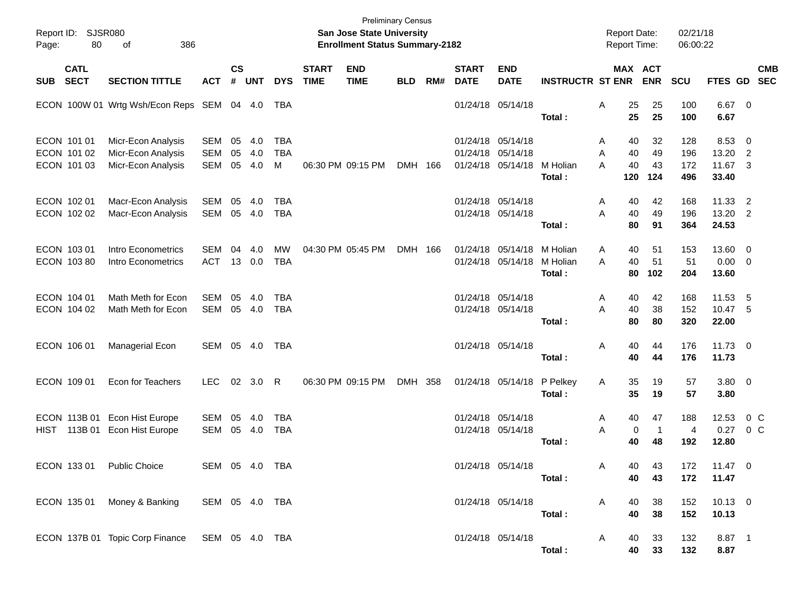| <b>Preliminary Census</b><br>Report ID: SJSR080<br><b>San Jose State University</b><br><b>Enrollment Status Summary-2182</b><br>386<br>Page:<br>80<br>of |                                           |                                                                |                          |                |                   |                               |                             |                           |            |     |                             | <b>Report Date:</b><br>Report Time:                                  |                                | 02/21/18<br>06:00:22                 |                            |                              |                                   |                           |            |
|----------------------------------------------------------------------------------------------------------------------------------------------------------|-------------------------------------------|----------------------------------------------------------------|--------------------------|----------------|-------------------|-------------------------------|-----------------------------|---------------------------|------------|-----|-----------------------------|----------------------------------------------------------------------|--------------------------------|--------------------------------------|----------------------------|------------------------------|-----------------------------------|---------------------------|------------|
| <b>SUB</b>                                                                                                                                               | <b>CATL</b><br><b>SECT</b>                | <b>SECTION TITTLE</b>                                          | <b>ACT</b>               | <b>CS</b><br># | <b>UNT</b>        | <b>DYS</b>                    | <b>START</b><br><b>TIME</b> | <b>END</b><br><b>TIME</b> | <b>BLD</b> | RM# | <b>START</b><br><b>DATE</b> | <b>END</b><br><b>DATE</b>                                            | <b>INSTRUCTR ST ENR</b>        | MAX ACT                              | <b>ENR</b>                 | <b>SCU</b>                   | FTES GD SEC                       |                           | <b>CMB</b> |
|                                                                                                                                                          |                                           | ECON 100W 01 Wrtg Wsh/Econ Reps SEM 04 4.0                     |                          |                |                   | TBA                           |                             |                           |            |     |                             | 01/24/18 05/14/18                                                    | Total:                         | 25<br>Α<br>25                        | 25<br>25                   | 100<br>100                   | $6.67$ 0<br>6.67                  |                           |            |
|                                                                                                                                                          | ECON 101 01<br>ECON 101 02<br>ECON 101 03 | Micr-Econ Analysis<br>Micr-Econ Analysis<br>Micr-Econ Analysis | SEM<br><b>SEM</b><br>SEM | 05<br>05<br>05 | 4.0<br>4.0<br>4.0 | <b>TBA</b><br><b>TBA</b><br>м |                             | 06:30 PM 09:15 PM         | DMH 166    |     |                             | 01/24/18 05/14/18<br>01/24/18 05/14/18<br>01/24/18 05/14/18 M Holian | Total:                         | 40<br>A<br>40<br>A<br>40<br>A<br>120 | 32<br>49<br>43<br>124      | 128<br>196<br>172<br>496     | 8.53<br>13.20<br>11.67 3<br>33.40 | - 0<br>$\overline{2}$     |            |
|                                                                                                                                                          | ECON 102 01<br>ECON 102 02                | Macr-Econ Analysis<br>Macr-Econ Analysis                       | SEM<br>SEM               | 05             | 4.0<br>05 4.0     | <b>TBA</b><br><b>TBA</b>      |                             |                           |            |     |                             | 01/24/18 05/14/18<br>01/24/18 05/14/18                               | Total:                         | A<br>40<br>A<br>40<br>80             | 42<br>49<br>91             | 168<br>196<br>364            | 11.33<br>13.20 2<br>24.53         | $\overline{2}$            |            |
|                                                                                                                                                          | ECON 103 01<br>ECON 103 80                | Intro Econometrics<br>Intro Econometrics                       | SEM<br><b>ACT</b>        | 04             | 4.0<br>13 0.0     | MW<br><b>TBA</b>              |                             | 04:30 PM 05:45 PM         | DMH 166    |     |                             | 01/24/18 05/14/18<br>01/24/18 05/14/18                               | M Holian<br>M Holian<br>Total: | 40<br>A<br>40<br>A<br>80             | 51<br>51<br>102            | 153<br>51<br>204             | 13.60 0<br>$0.00 \t 0$<br>13.60   |                           |            |
|                                                                                                                                                          | ECON 104 01<br>ECON 104 02                | Math Meth for Econ<br>Math Meth for Econ                       | SEM<br>SEM               | 05             | 4.0<br>05 4.0     | <b>TBA</b><br><b>TBA</b>      |                             |                           |            |     |                             | 01/24/18 05/14/18<br>01/24/18 05/14/18                               | Total:                         | A<br>40<br>A<br>40<br>80             | 42<br>38<br>80             | 168<br>152<br>320            | 11.53<br>10.47 5<br>22.00         | - 5                       |            |
|                                                                                                                                                          | ECON 106 01                               | Managerial Econ                                                | SEM 05 4.0               |                |                   | TBA                           |                             |                           |            |     |                             | 01/24/18 05/14/18                                                    | Total:                         | Α<br>40<br>40                        | 44<br>44                   | 176<br>176                   | 11.73 0<br>11.73                  |                           |            |
|                                                                                                                                                          | ECON 109 01                               | Econ for Teachers                                              | <b>LEC</b>               |                | 02 3.0            | R                             |                             | 06:30 PM 09:15 PM         | DMH 358    |     |                             | 01/24/18 05/14/18                                                    | P Pelkey<br>Total:             | 35<br>A<br>35                        | 19<br>19                   | 57<br>57                     | $3.80\ 0$<br>3.80                 |                           |            |
|                                                                                                                                                          |                                           | ECON 113B 01 Econ Hist Europe<br>HIST 113B 01 Econ Hist Europe | SEM<br>SEM               | 05             | 4.0<br>05 4.0     | <b>TBA</b><br><b>TBA</b>      |                             |                           |            |     |                             | 01/24/18 05/14/18<br>01/24/18 05/14/18                               | Total:                         | 40<br>A<br>A<br>0<br>40              | 47<br>$\overline{1}$<br>48 | 188<br>$\overline{4}$<br>192 | 12.53<br>0.27<br>12.80            | $0\,$ C<br>0 <sup>o</sup> |            |
|                                                                                                                                                          |                                           | ECON 133 01 Public Choice                                      | SEM 05 4.0 TBA           |                |                   |                               |                             |                           |            |     |                             | 01/24/18 05/14/18                                                    | Total :                        | 40<br>Α<br>40                        | 43<br>43                   | 172<br>172                   | $11.47$ 0<br>11.47                |                           |            |
|                                                                                                                                                          |                                           | ECON 135 01 Money & Banking                                    | SEM 05 4.0 TBA           |                |                   |                               |                             |                           |            |     |                             | 01/24/18 05/14/18                                                    | Total:                         | A<br>40<br>40                        | 38<br>38                   | 152<br>152                   | $10.13$ 0<br>10.13                |                           |            |
|                                                                                                                                                          |                                           | ECON 137B 01 Topic Corp Finance SEM 05 4.0 TBA                 |                          |                |                   |                               |                             |                           |            |     |                             | 01/24/18 05/14/18                                                    | Total:                         | 40<br>A<br>40                        | 33<br>33                   | 132<br>132                   | 8.87 1<br>8.87                    |                           |            |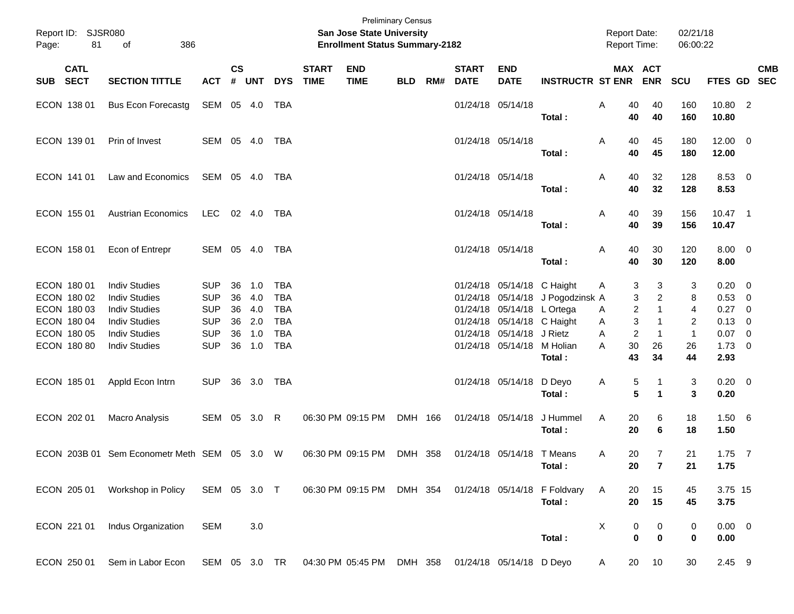| <b>Preliminary Census</b><br>Report ID: SJSR080<br><b>San Jose State University</b><br>81<br>386<br><b>Enrollment Status Summary-2182</b><br>of<br>Page: |                            |                                              |                          |                    |            |                          |                             |                           |            |     |                             |                               | <b>Report Date:</b><br><b>Report Time:</b> |                   | 02/21/18<br>06:00:22                                  |                   |                       |                                           |  |
|----------------------------------------------------------------------------------------------------------------------------------------------------------|----------------------------|----------------------------------------------|--------------------------|--------------------|------------|--------------------------|-----------------------------|---------------------------|------------|-----|-----------------------------|-------------------------------|--------------------------------------------|-------------------|-------------------------------------------------------|-------------------|-----------------------|-------------------------------------------|--|
|                                                                                                                                                          | <b>CATL</b><br>SUB SECT    | <b>SECTION TITTLE</b>                        | <b>ACT</b>               | $\mathsf{cs}$<br># | <b>UNT</b> | <b>DYS</b>               | <b>START</b><br><b>TIME</b> | <b>END</b><br><b>TIME</b> | <b>BLD</b> | RM# | <b>START</b><br><b>DATE</b> | <b>END</b><br><b>DATE</b>     | <b>INSTRUCTR ST ENR</b>                    |                   | MAX ACT<br><b>ENR</b>                                 | SCU               | FTES GD SEC           | <b>CMB</b>                                |  |
|                                                                                                                                                          | ECON 138 01                | <b>Bus Econ Forecastg</b>                    | SEM 05 4.0               |                    |            | TBA                      |                             |                           |            |     | 01/24/18 05/14/18           |                               | Total:                                     | Α<br>40<br>40     | 40<br>40                                              | 160<br>160        | 10.80 2<br>10.80      |                                           |  |
|                                                                                                                                                          | ECON 139 01                | Prin of Invest                               | SEM 05 4.0               |                    |            | TBA                      |                             |                           |            |     | 01/24/18 05/14/18           |                               | Total:                                     | Α<br>40<br>40     | 45<br>45                                              | 180<br>180        | $12.00 \t 0$<br>12.00 |                                           |  |
|                                                                                                                                                          | ECON 141 01                | Law and Economics                            | SEM 05 4.0               |                    |            | TBA                      |                             |                           |            |     | 01/24/18 05/14/18           |                               | Total:                                     | Α<br>40<br>40     | 32<br>32                                              | 128<br>128        | 8.53 0<br>8.53        |                                           |  |
|                                                                                                                                                          | ECON 155 01                | <b>Austrian Economics</b>                    | LEC                      |                    | 02 4.0     | TBA                      |                             |                           |            |     | 01/24/18 05/14/18           |                               | Total:                                     | 40<br>Α<br>40     | 39<br>39                                              | 156<br>156        | $10.47$ 1<br>10.47    |                                           |  |
|                                                                                                                                                          | ECON 158 01                | Econ of Entrepr                              | SEM 05 4.0               |                    |            | TBA                      |                             |                           |            |     | 01/24/18 05/14/18           |                               | Total:                                     | 40<br>Α<br>40     | 30<br>30                                              | 120<br>120        | $8.00 \t 0$<br>8.00   |                                           |  |
|                                                                                                                                                          | ECON 180 01<br>ECON 180 02 | <b>Indiv Studies</b><br><b>Indiv Studies</b> | <b>SUP</b><br><b>SUP</b> | 36<br>36           | 1.0<br>4.0 | <b>TBA</b><br><b>TBA</b> |                             |                           |            |     |                             | 01/24/18 05/14/18 C Haight    | 01/24/18 05/14/18 J Pogodzinsk A           | A                 | 3<br>3<br>3<br>2                                      | 3<br>8            | 0.20<br>0.53          | $\overline{\mathbf{0}}$<br>$\overline{0}$ |  |
|                                                                                                                                                          | ECON 180 03                | <b>Indiv Studies</b>                         | <b>SUP</b>               | 36                 | 4.0        | <b>TBA</b>               |                             |                           |            |     |                             | 01/24/18 05/14/18 L Ortega    |                                            | A                 | 2<br>$\mathbf{1}$                                     | $\overline{4}$    | 0.27                  | $\overline{0}$                            |  |
|                                                                                                                                                          | ECON 180 04<br>ECON 180 05 | <b>Indiv Studies</b><br><b>Indiv Studies</b> | <b>SUP</b><br><b>SUP</b> | 36<br>36           | 2.0<br>1.0 | <b>TBA</b><br><b>TBA</b> |                             |                           |            |     | 01/24/18<br>01/24/18        | 05/14/18 C Haight<br>05/14/18 | J Rietz                                    | Α<br>A            | 3<br>$\mathbf{1}$<br>$\overline{c}$<br>$\overline{1}$ | 2<br>$\mathbf{1}$ | 0.13<br>0.07          | $\overline{0}$<br>$\overline{\mathbf{0}}$ |  |
|                                                                                                                                                          | ECON 180 80                | <b>Indiv Studies</b>                         | <b>SUP</b>               | 36                 | 1.0        | <b>TBA</b>               |                             |                           |            |     |                             | 01/24/18 05/14/18 M Holian    |                                            | 30<br>A           | 26                                                    | 26                | 1.73                  | $\overline{\mathbf{0}}$                   |  |
|                                                                                                                                                          |                            |                                              |                          |                    |            |                          |                             |                           |            |     |                             |                               | Total:                                     | 43                | 34                                                    | 44                | 2.93                  |                                           |  |
|                                                                                                                                                          | ECON 185 01                | Appld Econ Intrn                             | <b>SUP</b>               |                    | 36 3.0     | TBA                      |                             |                           |            |     |                             | 01/24/18 05/14/18             | D Deyo<br>Total:                           | A                 | 5<br>-1<br>5<br>$\blacktriangleleft$                  | 3<br>3            | $0.20 \ 0$<br>0.20    |                                           |  |
|                                                                                                                                                          | ECON 202 01                | Macro Analysis                               | SEM 05 3.0 R             |                    |            |                          |                             | 06:30 PM 09:15 PM         | DMH 166    |     | 01/24/18 05/14/18           |                               | J Hummel<br>Total:                         | A<br>20<br>20     | 6<br>6                                                | 18<br>18          | $1.50\ 6$<br>1.50     |                                           |  |
|                                                                                                                                                          |                            | ECON 203B 01 Sem Econometr Meth SEM 05 3.0 W |                          |                    |            |                          |                             | 06:30 PM 09:15 PM         | DMH 358    |     |                             | 01/24/18 05/14/18 T Means     | Total:                                     | 20<br>A<br>$20\,$ | 7<br>$\overline{7}$                                   | 21<br>21          | $1.75$ 7<br>1.75      |                                           |  |
|                                                                                                                                                          | ECON 205 01                | Workshop in Policy                           | SEM 05 3.0 T             |                    |            |                          |                             | 06:30 PM 09:15 PM         | DMH 354    |     |                             |                               | 01/24/18 05/14/18 F Foldvary<br>Total:     | A<br>20<br>20     | 15<br>15                                              | 45<br>45          | 3.75 15<br>3.75       |                                           |  |
|                                                                                                                                                          | ECON 221 01                | Indus Organization                           | <b>SEM</b>               |                    | 3.0        |                          |                             |                           |            |     |                             |                               | Total:                                     | X                 | 0<br>0<br>$\pmb{0}$<br>$\pmb{0}$                      | 0<br>$\mathbf 0$  | $0.00 \t 0$<br>0.00   |                                           |  |
|                                                                                                                                                          | ECON 250 01                | Sem in Labor Econ                            | SEM 05 3.0 TR            |                    |            |                          |                             | 04:30 PM 05:45 PM         | DMH 358    |     |                             | 01/24/18 05/14/18 D Deyo      |                                            | 20<br>A           | 10                                                    | 30                | 2.45 9                |                                           |  |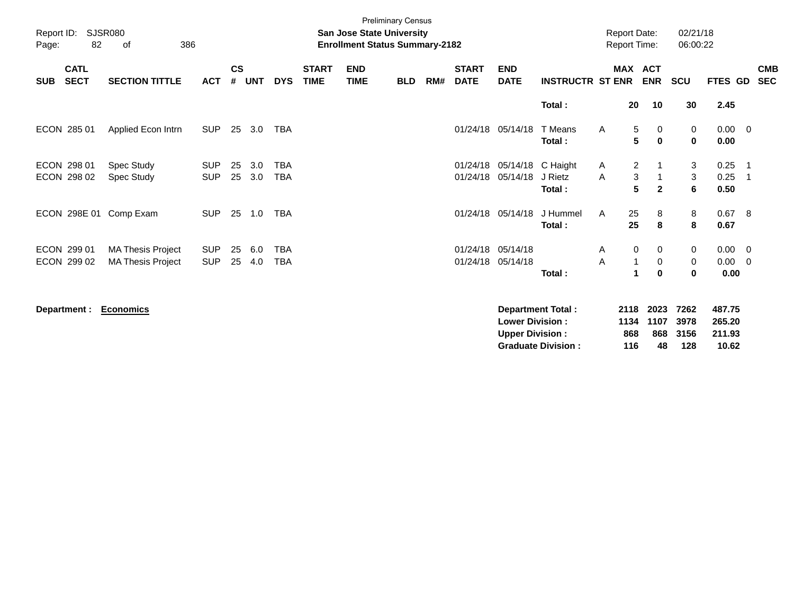| Report ID:<br>Page:        | SJSR080<br>82              | 386<br>οf                                            |                          |                |            |                   |                             | <b>Preliminary Census</b><br><b>San Jose State University</b><br><b>Enrollment Status Summary-2182</b> |            |     |                             |                               |                          | <b>Report Date:</b><br><b>Report Time:</b> |                                            | 02/21/18<br>06:00:22 |                                    |                                                     |
|----------------------------|----------------------------|------------------------------------------------------|--------------------------|----------------|------------|-------------------|-----------------------------|--------------------------------------------------------------------------------------------------------|------------|-----|-----------------------------|-------------------------------|--------------------------|--------------------------------------------|--------------------------------------------|----------------------|------------------------------------|-----------------------------------------------------|
| <b>SUB</b>                 | <b>CATL</b><br><b>SECT</b> | <b>SECTION TITTLE</b>                                | <b>ACT</b>               | <b>CS</b><br># | <b>UNT</b> | <b>DYS</b>        | <b>START</b><br><b>TIME</b> | <b>END</b><br><b>TIME</b>                                                                              | <b>BLD</b> | RM# | <b>START</b><br><b>DATE</b> | <b>END</b><br><b>DATE</b>     | <b>INSTRUCTR ST ENR</b>  | <b>MAX</b>                                 | <b>ACT</b><br><b>ENR</b>                   | <b>SCU</b>           | <b>FTES GD</b>                     | <b>CMB</b><br><b>SEC</b>                            |
|                            |                            |                                                      |                          |                |            |                   |                             |                                                                                                        |            |     |                             |                               | Total:                   | 20                                         | 10                                         | 30                   | 2.45                               |                                                     |
| ECON 285 01                |                            | Applied Econ Intrn                                   | <b>SUP</b>               | 25             | 3.0        | TBA               |                             |                                                                                                        |            |     |                             | 01/24/18 05/14/18             | T Means<br>Total:        | $\mathsf{A}$                               | 5<br>0<br>5<br>$\mathbf{0}$                | 0<br>$\mathbf 0$     | $0.00 \quad 0$<br>0.00             |                                                     |
| ECON 298 01<br>ECON 298 02 |                            | Spec Study<br>Spec Study                             | <b>SUP</b><br><b>SUP</b> | 25<br>25       | 3.0<br>3.0 | <b>TBA</b><br>TBA |                             |                                                                                                        |            |     | 01/24/18<br>01/24/18        | 05/14/18 C Haight<br>05/14/18 | J Rietz<br>Total:        | A<br>A                                     | $\overline{2}$<br>3<br>5<br>$\overline{2}$ | 3<br>3<br>6          | 0.25<br>0.25<br>0.50               | $\overline{\phantom{1}}$<br>$\overline{\mathbf{1}}$ |
|                            |                            | ECON 298E 01 Comp Exam                               | <b>SUP</b>               | 25             | 1.0        | TBA               |                             |                                                                                                        |            |     | 01/24/18                    | 05/14/18                      | J Hummel<br>Total:       | 25<br>A<br>25                              | 8<br>8                                     | 8<br>8               | 0.67 8<br>0.67                     |                                                     |
| ECON 299 01<br>ECON 299 02 |                            | <b>MA Thesis Project</b><br><b>MA Thesis Project</b> | <b>SUP</b><br><b>SUP</b> | 25<br>25       | 6.0<br>4.0 | <b>TBA</b><br>TBA |                             |                                                                                                        |            |     | 01/24/18<br>01/24/18        | 05/14/18<br>05/14/18          | Total:                   | A<br>Α<br>1                                | 0<br>0<br>0<br>$\bf{0}$                    | 0<br>0<br>0          | $0.00 \t 0$<br>$0.00 \t 0$<br>0.00 |                                                     |
| Department :               |                            | <b>Economics</b>                                     |                          |                |            |                   |                             |                                                                                                        |            |     |                             |                               | <b>Department Total:</b> | 2118                                       | 2023                                       | 7262                 | 487.75                             |                                                     |

|                           |     | ------------   |          |        |
|---------------------------|-----|----------------|----------|--------|
| <b>Lower Division:</b>    |     | 1134 1107 3978 |          | 265.20 |
| <b>Upper Division:</b>    | 868 |                | 868 3156 | 211.93 |
| <b>Graduate Division:</b> | 116 | 48.            | 128      | 10.62  |
|                           |     |                |          |        |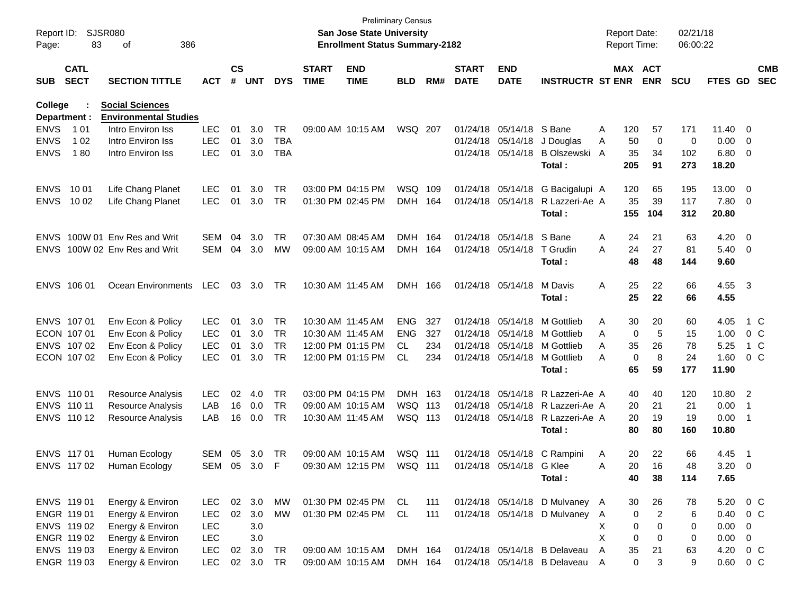| Report ID:<br>Page: | 83                         | SJSR080<br>386<br>οf         |            |                    |            |            |                             | <b>San Jose State University</b><br><b>Enrollment Status Summary-2182</b> | <b>Preliminary Census</b> |     |                             |                           |                                  |              | <b>Report Date:</b><br>Report Time: |                | 02/21/18<br>06:00:22 |                |                |                          |
|---------------------|----------------------------|------------------------------|------------|--------------------|------------|------------|-----------------------------|---------------------------------------------------------------------------|---------------------------|-----|-----------------------------|---------------------------|----------------------------------|--------------|-------------------------------------|----------------|----------------------|----------------|----------------|--------------------------|
| <b>SUB</b>          | <b>CATL</b><br><b>SECT</b> | <b>SECTION TITTLE</b>        | <b>ACT</b> | $\mathsf{cs}$<br># | <b>UNT</b> | <b>DYS</b> | <b>START</b><br><b>TIME</b> | <b>END</b><br><b>TIME</b>                                                 | <b>BLD</b>                | RM# | <b>START</b><br><b>DATE</b> | <b>END</b><br><b>DATE</b> | <b>INSTRUCTR ST ENR</b>          |              | MAX ACT                             | <b>ENR</b>     | <b>SCU</b>           | <b>FTES GD</b> |                | <b>CMB</b><br><b>SEC</b> |
| <b>College</b>      |                            | <b>Social Sciences</b>       |            |                    |            |            |                             |                                                                           |                           |     |                             |                           |                                  |              |                                     |                |                      |                |                |                          |
| Department :        |                            | <b>Environmental Studies</b> |            |                    |            |            |                             |                                                                           |                           |     |                             |                           |                                  |              |                                     |                |                      |                |                |                          |
| <b>ENVS</b>         | 1 0 1                      | Intro Environ Iss            | <b>LEC</b> | 01                 | 3.0        | TR         |                             | 09:00 AM 10:15 AM                                                         | WSQ 207                   |     |                             | 01/24/18 05/14/18         | S Bane                           | Α            | 120                                 | 57             | 171                  | 11.40          | - 0            |                          |
| <b>ENVS</b>         | 1 0 2                      | Intro Environ Iss            | <b>LEC</b> | 01                 | 3.0        | <b>TBA</b> |                             |                                                                           |                           |     |                             | 01/24/18 05/14/18         | J Douglas                        | Α            | 50                                  | 0              | 0                    | 0.00           | - 0            |                          |
| <b>ENVS</b>         | 180                        | Intro Environ Iss            | <b>LEC</b> | 01                 | 3.0        | <b>TBA</b> |                             |                                                                           |                           |     |                             | 01/24/18 05/14/18         | B Olszewski                      | A            | 35                                  | 34             | 102                  | 6.80           | - 0            |                          |
|                     |                            |                              |            |                    |            |            |                             |                                                                           |                           |     |                             |                           | Total:                           |              | 205                                 | 91             | 273                  | 18.20          |                |                          |
| <b>ENVS</b>         | 10 01                      | Life Chang Planet            | <b>LEC</b> | 01                 | 3.0        | TR         |                             | 03:00 PM 04:15 PM                                                         | WSQ 109                   |     |                             | 01/24/18 05/14/18         | G Bacigalupi A                   |              | 120                                 | 65             | 195                  | 13.00          | - 0            |                          |
| <b>ENVS</b>         | 10 02                      | Life Chang Planet            | <b>LEC</b> | 01                 | 3.0        | TR.        |                             | 01:30 PM 02:45 PM                                                         | DMH                       | 164 |                             | 01/24/18 05/14/18         | R Lazzeri-Ae A                   |              | 35                                  | 39             | 117                  | 7.80           | $\overline{0}$ |                          |
|                     |                            |                              |            |                    |            |            |                             |                                                                           |                           |     |                             |                           | Total:                           |              | 155                                 | 104            | 312                  | 20.80          |                |                          |
| <b>ENVS</b>         |                            | 100W 01 Env Res and Writ     | SEM        | 04                 | 3.0        | TR         |                             | 07:30 AM 08:45 AM                                                         | <b>DMH</b>                | 164 |                             | 01/24/18 05/14/18         | S Bane                           | A            | 24                                  | 21             | 63                   | 4.20           | - 0            |                          |
| <b>ENVS</b>         |                            | 100W 02 Env Res and Writ     | SEM        | 04                 | 3.0        | МW         |                             | 09:00 AM 10:15 AM                                                         | DMH                       | 164 |                             | 01/24/18 05/14/18         | T Grudin                         | A            | 24                                  | 27             | 81                   | 5.40           | - 0            |                          |
|                     |                            |                              |            |                    |            |            |                             |                                                                           |                           |     |                             |                           | Total:                           |              | 48                                  | 48             | 144                  | 9.60           |                |                          |
|                     | ENVS 106 01                | Ocean Environments           | <b>LEC</b> | 03                 | 3.0        | -TR        | 10:30 AM 11:45 AM           |                                                                           | DMH 166                   |     |                             | 01/24/18 05/14/18         | M Davis                          | A            | 25                                  | 22             | 66                   | 4.55 3         |                |                          |
|                     |                            |                              |            |                    |            |            |                             |                                                                           |                           |     |                             |                           | Total:                           |              | 25                                  | 22             | 66                   | 4.55           |                |                          |
|                     | ENVS 107 01                | Env Econ & Policy            | <b>LEC</b> | 01                 | 3.0        | TR         |                             | 10:30 AM 11:45 AM                                                         | <b>ENG</b>                | 327 |                             | 01/24/18 05/14/18         | M Gottlieb                       | A            | 30                                  | 20             | 60                   | 4.05           |                | 1 C                      |
|                     | ECON 107 01                | Env Econ & Policy            | <b>LEC</b> | 01                 | 3.0        | TR         |                             | 10:30 AM 11:45 AM                                                         | <b>ENG</b>                | 327 |                             | 01/24/18 05/14/18         | M Gottlieb                       | A            | 0                                   | 5              | 15                   | 1.00           |                | $0\,$ C                  |
|                     | ENVS 107 02                | Env Econ & Policy            | <b>LEC</b> | 01                 | 3.0        | TR         |                             | 12:00 PM 01:15 PM                                                         | CL.                       | 234 |                             | 01/24/18 05/14/18         | M Gottlieb                       | A            | 35                                  | 26             | 78                   | 5.25           |                | 1 C                      |
|                     | ECON 107 02                | Env Econ & Policy            | <b>LEC</b> | 01                 | 3.0        | TR.        |                             | 12:00 PM 01:15 PM                                                         | CL.                       | 234 |                             | 01/24/18 05/14/18         | M Gottlieb                       | A            | 0                                   | 8              | 24                   | 1.60           |                | $0\,$ C                  |
|                     |                            |                              |            |                    |            |            |                             |                                                                           |                           |     |                             |                           | Total:                           |              | 65                                  | 59             | 177                  | 11.90          |                |                          |
|                     | ENVS 110 01                | Resource Analysis            | <b>LEC</b> | 02                 | 4.0        | TR         |                             | 03:00 PM 04:15 PM                                                         | DMH 163                   |     |                             |                           | 01/24/18 05/14/18 R Lazzeri-Ae A |              | 40                                  | 40             | 120                  | 10.80 2        |                |                          |
|                     | ENVS 110 11                | <b>Resource Analysis</b>     | LAB        | 16                 | 0.0        | TR         |                             | 09:00 AM 10:15 AM                                                         | WSQ 113                   |     |                             |                           | 01/24/18 05/14/18 R Lazzeri-Ae A |              | 20                                  | 21             | 21                   | 0.00           | -1             |                          |
|                     | ENVS 110 12                | <b>Resource Analysis</b>     | LAB        | 16                 | 0.0        | TR.        |                             | 10:30 AM 11:45 AM                                                         | WSQ 113                   |     |                             |                           | 01/24/18 05/14/18 R Lazzeri-Ae A |              | 20                                  | 19             | 19                   | 0.00           | - 1            |                          |
|                     |                            |                              |            |                    |            |            |                             |                                                                           |                           |     |                             |                           | Total:                           |              | 80                                  | 80             | 160                  | 10.80          |                |                          |
|                     | ENVS 117 01                | Human Ecology                | SEM        | 05                 | 3.0        | TR         |                             | 09:00 AM 10:15 AM                                                         | WSQ 111                   |     |                             |                           | 01/24/18 05/14/18 C Rampini      | A            | 20                                  | 22             | 66                   | 4.45           | - 1            |                          |
|                     | ENVS 117 02                | Human Ecology                |            |                    | SEM 05 3.0 | F          |                             | 09:30 AM 12:15 PM                                                         | <b>WSQ 111</b>            |     |                             | 01/24/18 05/14/18 G Klee  |                                  | Α            | 20.                                 | 16             | 48                   | $3.20 \ 0$     |                |                          |
|                     |                            |                              |            |                    |            |            |                             |                                                                           |                           |     |                             |                           | Total:                           |              | 40                                  | 38             | 114                  | 7.65           |                |                          |
|                     | ENVS 119 01                | Energy & Environ             | <b>LEC</b> |                    | 02 3.0     | MW         |                             | 01:30 PM 02:45 PM                                                         | CL                        | 111 |                             |                           | 01/24/18 05/14/18 D Mulvaney A   |              | 30                                  | 26             | 78                   | 5.20           |                | $0\,$ C                  |
|                     | ENGR 119 01                | Energy & Environ             | LEC        | 02                 | 3.0        | <b>MW</b>  |                             | 01:30 PM 02:45 PM                                                         | CL.                       | 111 |                             |                           | 01/24/18 05/14/18 D Mulvaney     | $\mathsf{A}$ | 0                                   | $\overline{2}$ | 6                    | 0.40           |                | 0 <sup>o</sup>           |
|                     | ENVS 119 02                | Energy & Environ             | <b>LEC</b> |                    | 3.0        |            |                             |                                                                           |                           |     |                             |                           |                                  | X            | 0                                   | 0              | 0                    | 0.00           | 0              |                          |
|                     | ENGR 119 02                | Energy & Environ             | <b>LEC</b> |                    | 3.0        |            |                             |                                                                           |                           |     |                             |                           |                                  | X            | 0                                   | 0              | 0                    | 0.00           | 0              |                          |
|                     | ENVS 119 03                | Energy & Environ             | <b>LEC</b> | 02                 | 3.0        | TR         |                             | 09:00 AM 10:15 AM                                                         | DMH 164                   |     |                             |                           | 01/24/18 05/14/18 B Delaveau     | A            | 35                                  | 21             | 63                   | 4.20           |                | 0 <sup>o</sup>           |
|                     | ENGR 119 03                | Energy & Environ             | <b>LEC</b> |                    | 02 3.0     | <b>TR</b>  |                             | 09:00 AM 10:15 AM                                                         | DMH 164                   |     |                             |                           | 01/24/18 05/14/18 B Delaveau     | A            | 0                                   | 3              | 9                    | 0.60           |                | $0\,C$                   |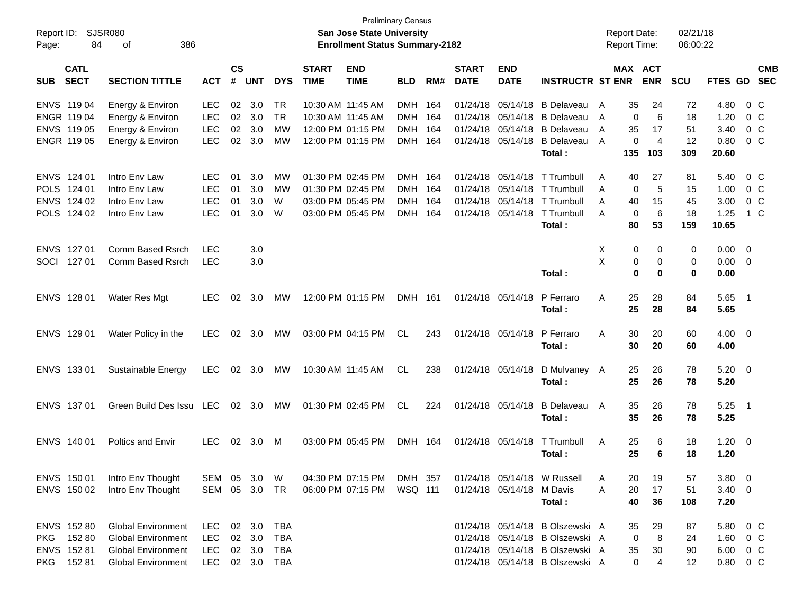| Report ID:<br>84<br>Page:                                       | <b>SJSR080</b><br>386<br>οf                                                                                      |                                                      |                      |                            |                                        |                             | <b>Preliminary Census</b><br><b>San Jose State University</b><br><b>Enrollment Status Summary-2182</b> |                                                      |                          |                                              |                                              |                                                                                                                                          | <b>Report Date:</b><br><b>Report Time:</b> |                                 |                                 | 02/21/18<br>06:00:22               |                                                |                                            |                                                    |
|-----------------------------------------------------------------|------------------------------------------------------------------------------------------------------------------|------------------------------------------------------|----------------------|----------------------------|----------------------------------------|-----------------------------|--------------------------------------------------------------------------------------------------------|------------------------------------------------------|--------------------------|----------------------------------------------|----------------------------------------------|------------------------------------------------------------------------------------------------------------------------------------------|--------------------------------------------|---------------------------------|---------------------------------|------------------------------------|------------------------------------------------|--------------------------------------------|----------------------------------------------------|
| <b>CATL</b><br><b>SECT</b><br><b>SUB</b>                        | <b>SECTION TITTLE</b>                                                                                            | <b>ACT</b>                                           | $\mathsf{cs}$<br>#   | <b>UNT</b>                 | <b>DYS</b>                             | <b>START</b><br><b>TIME</b> | <b>END</b><br><b>TIME</b>                                                                              | <b>BLD</b>                                           | RM#                      | <b>START</b><br><b>DATE</b>                  | <b>END</b><br><b>DATE</b>                    | <b>INSTRUCTR ST ENR</b>                                                                                                                  |                                            |                                 | <b>MAX ACT</b><br><b>ENR</b>    | SCU                                | FTES GD                                        |                                            | <b>CMB</b><br><b>SEC</b>                           |
| ENVS 119 04<br>ENGR 119 04<br>ENVS 119 05<br>ENGR 119 05        | Energy & Environ<br>Energy & Environ<br>Energy & Environ<br>Energy & Environ                                     | <b>LEC</b><br><b>LEC</b><br><b>LEC</b><br><b>LEC</b> | 02<br>02<br>02<br>02 | 3.0<br>3.0<br>3.0<br>3.0   | <b>TR</b><br><b>TR</b><br>МW<br>МW     |                             | 10:30 AM 11:45 AM<br>10:30 AM 11:45 AM<br>12:00 PM 01:15 PM<br>12:00 PM 01:15 PM                       | <b>DMH</b><br><b>DMH</b><br><b>DMH</b><br><b>DMH</b> | 164<br>164<br>164<br>164 | 01/24/18<br>01/24/18<br>01/24/18<br>01/24/18 | 05/14/18<br>05/14/18<br>05/14/18<br>05/14/18 | B Delaveau<br><b>B</b> Delaveau<br><b>B</b> Delaveau<br><b>B</b> Delaveau                                                                | A<br>A<br>A<br>A                           | 35<br>0<br>35<br>0              | 24<br>6<br>17<br>$\overline{4}$ | 72<br>18<br>51<br>12               | 4.80<br>1.20<br>3.40<br>0.80                   |                                            | $0\,$ C<br>$0\,C$<br>0 <sup>o</sup><br>$0\,C$      |
| ENVS 124 01<br>POLS 124 01<br>ENVS 124 02<br>POLS 124 02        | Intro Env Law<br>Intro Env Law<br>Intro Env Law<br>Intro Env Law                                                 | <b>LEC</b><br><b>LEC</b><br><b>LEC</b><br><b>LEC</b> | 01<br>01<br>01<br>01 | 3.0<br>3.0<br>3.0<br>3.0   | МW<br>МW<br>W<br>W                     |                             | 01:30 PM 02:45 PM<br>01:30 PM 02:45 PM<br>03:00 PM 05:45 PM<br>03:00 PM 05:45 PM                       | DMH<br><b>DMH</b><br><b>DMH</b><br><b>DMH</b>        | 164<br>164<br>164<br>164 | 01/24/18<br>01/24/18<br>01/24/18<br>01/24/18 | 05/14/18<br>05/14/18<br>05/14/18<br>05/14/18 | Total:<br>T Trumbull<br>T Trumbull<br>T Trumbull<br>T Trumbull<br>Total:                                                                 | A<br>Α<br>A<br>A                           | 135<br>40<br>0<br>40<br>0<br>80 | 103<br>27<br>5<br>15<br>6<br>53 | 309<br>81<br>15<br>45<br>18<br>159 | 20.60<br>5.40<br>1.00<br>3.00<br>1.25<br>10.65 |                                            | $0\,$ C<br>0 <sup>o</sup><br>0 <sup>o</sup><br>1 C |
| ENVS 127 01<br>SOCI<br>127 01                                   | Comm Based Rsrch<br>Comm Based Rsrch                                                                             | <b>LEC</b><br><b>LEC</b>                             |                      | 3.0<br>3.0                 |                                        |                             |                                                                                                        |                                                      |                          |                                              |                                              | Total:                                                                                                                                   | Χ<br>X                                     | 0<br>0<br>0                     | 0<br>0<br>0                     | 0<br>$\mathbf 0$<br>$\mathbf 0$    | 0.00<br>0.00<br>0.00                           | $\overline{0}$<br>$\overline{\phantom{0}}$ |                                                    |
| ENVS 128 01                                                     | Water Res Mgt                                                                                                    | <b>LEC</b>                                           | 02                   | 3.0                        | МW                                     |                             | 12:00 PM 01:15 PM                                                                                      | DMH 161                                              |                          |                                              | 01/24/18 05/14/18                            | P Ferraro<br>Total:                                                                                                                      | A                                          | 25<br>25                        | 28<br>28                        | 84<br>84                           | 5.65<br>5.65                                   | $\overline{\phantom{1}}$                   |                                                    |
| ENVS 129 01                                                     | Water Policy in the                                                                                              | <b>LEC</b>                                           | 02                   | - 3.0                      | МW                                     |                             | 03:00 PM 04:15 PM                                                                                      | <b>CL</b>                                            | 243                      |                                              | 01/24/18 05/14/18                            | P Ferraro<br>Total:                                                                                                                      | A                                          | 30<br>30                        | 20<br>20                        | 60<br>60                           | $4.00 \quad 0$<br>4.00                         |                                            |                                                    |
| ENVS 133 01                                                     | Sustainable Energy                                                                                               | <b>LEC</b>                                           |                      | $02 \quad 3.0$             | МW                                     |                             | 10:30 AM 11:45 AM                                                                                      | <b>CL</b>                                            | 238                      |                                              | 01/24/18 05/14/18                            | D Mulvaney A<br>Total:                                                                                                                   |                                            | 25<br>25                        | 26<br>26                        | 78<br>78                           | $5.20 \ 0$<br>5.20                             |                                            |                                                    |
| ENVS 137 01                                                     | Green Build Des Issu LEC                                                                                         |                                                      | 02                   | - 3.0                      | МW                                     |                             | 01:30 PM 02:45 PM                                                                                      | <b>CL</b>                                            | 224                      |                                              | 01/24/18 05/14/18                            | <b>B</b> Delaveau<br>Total:                                                                                                              | A                                          | 35<br>35                        | 26<br>26                        | 78<br>78                           | 5.25<br>5.25                                   | $\overline{\phantom{0}}$ 1                 |                                                    |
| ENVS 140 01                                                     | <b>Poltics and Envir</b>                                                                                         | <b>LEC</b>                                           | 02                   | 3.0                        | M                                      |                             | 03:00 PM 05:45 PM                                                                                      | DMH 164                                              |                          |                                              | 01/24/18 05/14/18                            | T Trumbull<br>Total:                                                                                                                     | A                                          | 25<br>25                        | 6<br>6                          | 18<br>18                           | 1.20<br>1.20                                   | $\overline{\phantom{0}}$                   |                                                    |
| ENVS 150 01<br>ENVS 150 02                                      | Intro Env Thought<br>Intro Env Thought                                                                           | SEM 05<br>SEM                                        | 05                   | 3.0<br>3.0                 | <b>W</b><br><b>TR</b>                  |                             | 04:30 PM 07:15 PM<br>06:00 PM 07:15 PM                                                                 | DMH 357<br>WSQ 111                                   |                          |                                              | 01/24/18 05/14/18                            | 01/24/18 05/14/18 W Russell<br>M Davis<br>Total:                                                                                         | Α<br>Α                                     | 20<br>20<br>40                  | 19<br>17<br>36                  | 57<br>51<br>108                    | $3.80 \ 0$<br>$3.40 \ 0$<br>7.20               |                                            |                                                    |
| ENVS 152 80<br>152 80<br><b>PKG</b><br>ENVS 152 81<br>PKG 15281 | <b>Global Environment</b><br><b>Global Environment</b><br><b>Global Environment</b><br><b>Global Environment</b> | LEC<br>LEC<br>LEC<br>LEC                             |                      | 02 3.0<br>02 3.0<br>02 3.0 | TBA<br><b>TBA</b><br>TBA<br>02 3.0 TBA |                             |                                                                                                        |                                                      |                          |                                              |                                              | 01/24/18 05/14/18 B Olszewski A<br>01/24/18 05/14/18 B Olszewski A<br>01/24/18 05/14/18 B Olszewski A<br>01/24/18 05/14/18 B Olszewski A |                                            | 35<br>0<br>35<br>0              | 29<br>8<br>30<br>4              | 87<br>24<br>90<br>12               | 5.80<br>1.60<br>6.00<br>$0.80 \t 0 C$          |                                            | $0\,$ C<br>0 <sup>o</sup><br>$0\,C$                |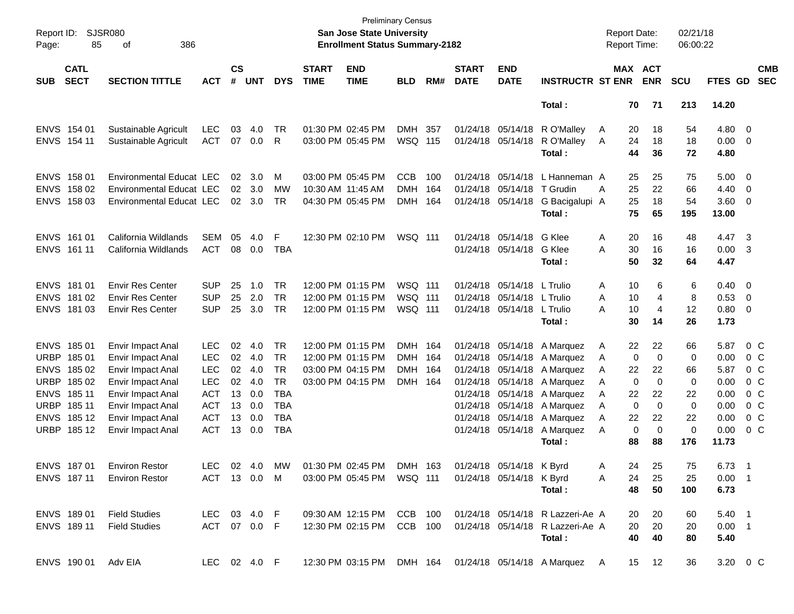| Report ID:<br>Page: | 85                         | <b>SJSR080</b><br>386<br>of     |              |                    |            |            |                             | <b>San Jose State University</b><br><b>Enrollment Status Summary-2182</b> | Preliminary Census |       |                             |                            |                                                                              | <b>Report Date:</b><br><b>Report Time:</b> |             |                       | 02/21/18<br>06:00:22 |               |                          |                          |
|---------------------|----------------------------|---------------------------------|--------------|--------------------|------------|------------|-----------------------------|---------------------------------------------------------------------------|--------------------|-------|-----------------------------|----------------------------|------------------------------------------------------------------------------|--------------------------------------------|-------------|-----------------------|----------------------|---------------|--------------------------|--------------------------|
| <b>SUB</b>          | <b>CATL</b><br><b>SECT</b> | <b>SECTION TITTLE</b>           | <b>ACT</b>   | $\mathsf{cs}$<br># | <b>UNT</b> | <b>DYS</b> | <b>START</b><br><b>TIME</b> | <b>END</b><br><b>TIME</b>                                                 | <b>BLD</b>         | RM#   | <b>START</b><br><b>DATE</b> | <b>END</b><br><b>DATE</b>  | <b>INSTRUCTR ST ENR</b>                                                      |                                            |             | MAX ACT<br><b>ENR</b> | <b>SCU</b>           | FTES GD       |                          | <b>CMB</b><br><b>SEC</b> |
|                     |                            |                                 |              |                    |            |            |                             |                                                                           |                    |       |                             |                            | Total:                                                                       |                                            | 70          | 71                    | 213                  | 14.20         |                          |                          |
|                     | ENVS 154 01                | Sustainable Agricult            | <b>LEC</b>   | 03                 | 4.0        | TR         |                             | 01:30 PM 02:45 PM                                                         | <b>DMH</b>         | 357   |                             | 01/24/18 05/14/18          | R O'Malley                                                                   | A                                          | 20          | 18                    | 54                   | 4.80          | $\overline{\mathbf{0}}$  |                          |
|                     | ENVS 154 11                | Sustainable Agricult            | <b>ACT</b>   | 07                 | 0.0        | R          |                             | 03:00 PM 05:45 PM                                                         | WSQ 115            |       |                             | 01/24/18 05/14/18          | R O'Malley                                                                   | A                                          | 24          | 18                    | 18                   | 0.00          | $\overline{\phantom{0}}$ |                          |
|                     |                            |                                 |              |                    |            |            |                             |                                                                           |                    |       |                             |                            | Total:                                                                       |                                            | 44          | 36                    | 72                   | 4.80          |                          |                          |
|                     | ENVS 158 01                | <b>Environmental Educat LEC</b> |              | 02                 | 3.0        | м          |                             | 03:00 PM 05:45 PM                                                         | <b>CCB</b>         | 100   |                             | 01/24/18 05/14/18          | L Hanneman A                                                                 |                                            | 25          | 25                    | 75                   | 5.00          | $\overline{\mathbf{0}}$  |                          |
|                     | ENVS 158 02                | <b>Environmental Educat LEC</b> |              |                    | 02 3.0     | МW         | 10:30 AM 11:45 AM           |                                                                           | <b>DMH</b>         | 164   |                             | 01/24/18 05/14/18 T Grudin |                                                                              | A                                          | 25          | 22                    | 66                   | 4.40          | $\overline{\mathbf{0}}$  |                          |
| <b>ENVS</b>         | 158 03                     | Environmental Educat LEC        |              | 02                 | 3.0        | <b>TR</b>  |                             | 04:30 PM 05:45 PM                                                         | <b>DMH</b>         | 164   |                             | 01/24/18 05/14/18          | G Bacigalupi A                                                               |                                            | 25          | 18                    | 54                   | 3.60          | $\overline{\mathbf{0}}$  |                          |
|                     |                            |                                 |              |                    |            |            |                             |                                                                           |                    |       |                             |                            | Total:                                                                       |                                            | 75          | 65                    | 195                  | 13.00         |                          |                          |
|                     | ENVS 161 01                | California Wildlands            | <b>SEM</b>   | 05                 | 4.0        | F          |                             | 12:30 PM 02:10 PM                                                         | WSQ 111            |       |                             | 01/24/18 05/14/18          | G Klee                                                                       | Α                                          | 20          | 16                    | 48                   | 4.47          | $\overline{\mathbf{3}}$  |                          |
|                     | ENVS 161 11                | California Wildlands            | <b>ACT</b>   | 08                 | 0.0        | <b>TBA</b> |                             |                                                                           |                    |       |                             | 01/24/18 05/14/18          | G Klee                                                                       | Α                                          | 30          | 16                    | 16                   | 0.00          | $\overline{\mathbf{3}}$  |                          |
|                     |                            |                                 |              |                    |            |            |                             |                                                                           |                    |       |                             |                            | Total:                                                                       |                                            | 50          | 32                    | 64                   | 4.47          |                          |                          |
|                     | ENVS 181 01                | <b>Envir Res Center</b>         | <b>SUP</b>   | 25                 | 1.0        | <b>TR</b>  |                             | 12:00 PM 01:15 PM                                                         | WSQ 111            |       |                             | 01/24/18 05/14/18          | L Trulio                                                                     | A                                          | 10          | 6                     | 6                    | 0.40          | $\overline{\mathbf{0}}$  |                          |
|                     | ENVS 181 02                | <b>Envir Res Center</b>         | <b>SUP</b>   | 25                 | 2.0        | <b>TR</b>  |                             | 12:00 PM 01:15 PM                                                         | WSQ 111            |       |                             | 01/24/18 05/14/18 L Trulio |                                                                              | A                                          | 10          | 4                     | 8                    | 0.53          | $\overline{\mathbf{0}}$  |                          |
|                     | ENVS 181 03                | <b>Envir Res Center</b>         | <b>SUP</b>   | 25                 | 3.0        | <b>TR</b>  |                             | 12:00 PM 01:15 PM                                                         | WSQ 111            |       |                             | 01/24/18 05/14/18 L Trulio |                                                                              | A                                          | 10          | 4                     | 12                   | 0.80          | $\overline{\mathbf{0}}$  |                          |
|                     |                            |                                 |              |                    |            |            |                             |                                                                           |                    |       |                             |                            | Total :                                                                      |                                            | 30          | 14                    | 26                   | 1.73          |                          |                          |
|                     | ENVS 185 01                | Envir Impact Anal               | <b>LEC</b>   | 02                 | 4.0        | TR         |                             | 12:00 PM 01:15 PM                                                         | <b>DMH</b>         | - 164 |                             | 01/24/18 05/14/18          | A Marquez                                                                    | A                                          | 22          | 22                    | 66                   | 5.87          |                          | $0\,$ C                  |
| <b>URBP</b>         | 18501                      | Envir Impact Anal               | <b>LEC</b>   | 02                 | 4.0        | <b>TR</b>  |                             | 12:00 PM 01:15 PM                                                         | <b>DMH</b>         | - 164 |                             | 01/24/18 05/14/18          | A Marquez                                                                    | A                                          | 0           | 0                     | 0                    | 0.00          |                          | $0\,$ C                  |
| <b>ENVS</b>         | 18502                      | Envir Impact Anal               | <b>LEC</b>   | 02                 | 4.0        | <b>TR</b>  |                             | 03:00 PM 04:15 PM                                                         | <b>DMH</b>         | - 164 |                             | 01/24/18 05/14/18          | A Marquez                                                                    | A                                          | 22          | 22                    | 66                   | 5.87          |                          | 0 <sup>o</sup>           |
| <b>URBP</b>         | 185 02                     | Envir Impact Anal               | <b>LEC</b>   | 02                 | 4.0        | <b>TR</b>  |                             | 03:00 PM 04:15 PM                                                         | DMH 164            |       |                             | 01/24/18 05/14/18          | A Marquez                                                                    | A                                          | 0           | 0                     | 0                    | 0.00          |                          | 0 <sup>o</sup>           |
| <b>ENVS</b>         | 185 11                     | Envir Impact Anal               | <b>ACT</b>   | 13                 | 0.0        | <b>TBA</b> |                             |                                                                           |                    |       |                             | 01/24/18 05/14/18          | A Marquez                                                                    | A                                          | 22          | 22                    | 22                   | 0.00          |                          | 0 <sup>o</sup>           |
| <b>URBP</b>         | 185 11                     | Envir Impact Anal               | <b>ACT</b>   | 13                 | 0.0        | <b>TBA</b> |                             |                                                                           |                    |       |                             | 01/24/18 05/14/18          | A Marquez                                                                    | A                                          | $\mathbf 0$ | $\mathbf 0$           | 0                    | 0.00          |                          | 0 <sup>o</sup>           |
|                     | ENVS 18512                 | Envir Impact Anal               | <b>ACT</b>   | 13                 | 0.0        | <b>TBA</b> |                             |                                                                           |                    |       |                             |                            | 01/24/18 05/14/18 A Marquez                                                  | A                                          | 22          | 22                    | 22                   | 0.00          |                          | 0 <sup>o</sup>           |
|                     | URBP 18512                 | Envir Impact Anal               | <b>ACT</b>   |                    | 13 0.0     | <b>TBA</b> |                             |                                                                           |                    |       |                             | 01/24/18 05/14/18          | A Marquez<br>Total:                                                          | A                                          | 0<br>88     | $\mathbf 0$<br>88     | 0<br>176             | 0.00<br>11.73 |                          | $0\,C$                   |
|                     |                            |                                 |              |                    |            |            |                             |                                                                           |                    |       |                             |                            |                                                                              |                                            |             |                       |                      |               |                          |                          |
|                     | ENVS 187 01                | <b>Environ Restor</b>           | LEC          |                    | 02 4.0     | MW         |                             | 01:30 PM 02:45 PM                                                         | DMH 163            |       |                             | 01/24/18 05/14/18 K Byrd   |                                                                              | A                                          | 24          | 25                    | 75                   | 6.73 1        |                          |                          |
|                     |                            | ENVS 187 11 Environ Restor      | ACT 13 0.0 M |                    |            |            |                             |                                                                           |                    |       |                             |                            |                                                                              | A                                          |             | 24 25                 | 25                   | $0.00$ 1      |                          |                          |
|                     |                            |                                 |              |                    |            |            |                             |                                                                           |                    |       |                             |                            | Total :                                                                      |                                            |             | 48 50                 | 100                  | 6.73          |                          |                          |
|                     |                            | ENVS 189 01 Field Studies       |              |                    |            |            |                             |                                                                           |                    |       |                             |                            | LEC 03 4.0 F  09:30 AM 12:15 PM  CCB 100  01/24/18  05/14/18  R Lazzeri-Ae A |                                            |             | 20 20                 | 60                   | $5.40$ 1      |                          |                          |
|                     | ENVS 189 11                | <b>Field Studies</b>            |              |                    |            |            |                             |                                                                           |                    |       |                             |                            | ACT 07 0.0 F 12:30 PM 02:15 PM CCB 100 01/24/18 05/14/18 R Lazzeri-Ae A      |                                            |             | 20 20                 | 20                   | $0.00$ 1      |                          |                          |
|                     |                            |                                 |              |                    |            |            |                             |                                                                           |                    |       |                             |                            | Total:                                                                       |                                            |             | 40 40                 | 80                   | 5.40          |                          |                          |
|                     | ENVS 190 01 Adv EIA        |                                 | LEC 02 4.0 F |                    |            |            |                             |                                                                           |                    |       |                             |                            | 12:30 PM 03:15 PM DMH 164 01/24/18 05/14/18 A Marquez A                      |                                            |             | 15 12                 | 36                   | 3.20 0 C      |                          |                          |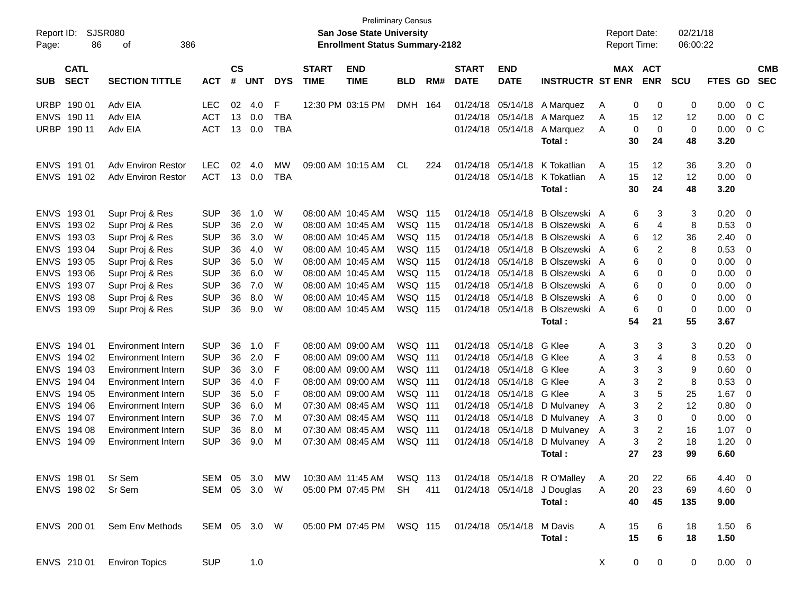| Report ID:<br>Page: | 86                         | <b>SJSR080</b><br>386<br>of |              |                    |            |            |                             | <b>Preliminary Census</b><br><b>San Jose State University</b><br><b>Enrollment Status Summary-2182</b> |                |     |                             |                           |                              |   | <b>Report Date:</b><br><b>Report Time:</b> |                | 02/21/18<br>06:00:22 |             |                |                          |
|---------------------|----------------------------|-----------------------------|--------------|--------------------|------------|------------|-----------------------------|--------------------------------------------------------------------------------------------------------|----------------|-----|-----------------------------|---------------------------|------------------------------|---|--------------------------------------------|----------------|----------------------|-------------|----------------|--------------------------|
| <b>SUB</b>          | <b>CATL</b><br><b>SECT</b> | <b>SECTION TITTLE</b>       | <b>ACT</b>   | $\mathsf{cs}$<br># | <b>UNT</b> | <b>DYS</b> | <b>START</b><br><b>TIME</b> | <b>END</b><br><b>TIME</b>                                                                              | <b>BLD</b>     | RM# | <b>START</b><br><b>DATE</b> | <b>END</b><br><b>DATE</b> | <b>INSTRUCTR ST ENR</b>      |   | MAX ACT                                    | <b>ENR</b>     | <b>SCU</b>           | FTES GD     |                | <b>CMB</b><br><b>SEC</b> |
| <b>URBP</b>         | 190 01                     | Adv EIA                     | <b>LEC</b>   | 02                 | 4.0        | F          |                             | 12:30 PM 03:15 PM                                                                                      | DMH 164        |     | 01/24/18                    | 05/14/18                  | A Marquez                    | A | 0                                          | 0              | 0                    | 0.00        | 0 <sup>C</sup> |                          |
|                     | ENVS 190 11                | Adv EIA                     | <b>ACT</b>   | 13                 | 0.0        | <b>TBA</b> |                             |                                                                                                        |                |     | 01/24/18                    | 05/14/18                  | A Marquez                    | Α | 15                                         | 12             | 12                   | 0.00        | 0 <sup>C</sup> |                          |
| <b>URBP</b>         | 190 11                     | Adv EIA                     | <b>ACT</b>   | 13                 | 0.0        | <b>TBA</b> |                             |                                                                                                        |                |     | 01/24/18                    | 05/14/18                  | A Marquez                    | A | 0                                          | 0              | 0                    | 0.00        | 0 <sup>C</sup> |                          |
|                     |                            |                             |              |                    |            |            |                             |                                                                                                        |                |     |                             |                           | Total:                       |   | 30                                         | 24             | 48                   | 3.20        |                |                          |
|                     | ENVS 191 01                | Adv Environ Restor          | <b>LEC</b>   | 02                 | 4.0        | MW         |                             | 09:00 AM 10:15 AM                                                                                      | CL             | 224 | 01/24/18                    | 05/14/18                  | K Tokatlian                  | A | 15                                         | 12             | 36                   | 3.20        | - 0            |                          |
|                     | ENVS 191 02                | Adv Environ Restor          | <b>ACT</b>   | 13                 | 0.0        | <b>TBA</b> |                             |                                                                                                        |                |     |                             | 01/24/18 05/14/18         | K Tokatlian                  | A | 15                                         | 12             | 12                   | 0.00        | - 0            |                          |
|                     |                            |                             |              |                    |            |            |                             |                                                                                                        |                |     |                             |                           | Total:                       |   | 30                                         | 24             | 48                   | 3.20        |                |                          |
|                     | ENVS 193 01                | Supr Proj & Res             | <b>SUP</b>   | 36                 | 1.0        | W          |                             | 08:00 AM 10:45 AM                                                                                      | <b>WSQ 115</b> |     | 01/24/18                    | 05/14/18                  | B Olszewski A                |   | 6                                          | 3              | 3                    | 0.20        | - 0            |                          |
| <b>ENVS</b>         | 19302                      | Supr Proj & Res             | <b>SUP</b>   | 36                 | 2.0        | W          |                             | 08:00 AM 10:45 AM                                                                                      | <b>WSQ 115</b> |     | 01/24/18                    | 05/14/18                  | B Olszewski A                |   | 6                                          | 4              | 8                    | 0.53        | 0              |                          |
| <b>ENVS</b>         | 19303                      | Supr Proj & Res             | <b>SUP</b>   | 36                 | 3.0        | W          |                             | 08:00 AM 10:45 AM                                                                                      | <b>WSQ 115</b> |     | 01/24/18                    | 05/14/18                  | B Olszewski A                |   | 6                                          | 12             | 36                   | 2.40        | 0              |                          |
| <b>ENVS</b>         | 19304                      | Supr Proj & Res             | <b>SUP</b>   | 36                 | 4.0        | W          |                             | 08:00 AM 10:45 AM                                                                                      | <b>WSQ 115</b> |     | 01/24/18                    | 05/14/18                  | B Olszewski A                |   | 6                                          | $\overline{2}$ | 8                    | 0.53        | 0              |                          |
| <b>ENVS</b>         | 193 05                     | Supr Proj & Res             | <b>SUP</b>   | 36                 | 5.0        | W          |                             | 08:00 AM 10:45 AM                                                                                      | <b>WSQ 115</b> |     | 01/24/18                    | 05/14/18                  | B Olszewski A                |   | 6                                          | 0              | 0                    | 0.00        | 0              |                          |
| <b>ENVS</b>         | 193 06                     | Supr Proj & Res             | <b>SUP</b>   | 36                 | 6.0        | W          |                             | 08:00 AM 10:45 AM                                                                                      | <b>WSQ 115</b> |     | 01/24/18                    | 05/14/18                  | B Olszewski A                |   | 6                                          | 0              | 0                    | 0.00        | 0              |                          |
| <b>ENVS</b>         | 19307                      | Supr Proj & Res             | <b>SUP</b>   | 36                 | 7.0        | W          |                             | 08:00 AM 10:45 AM                                                                                      | <b>WSQ 115</b> |     | 01/24/18                    | 05/14/18                  | B Olszewski A                |   | 6                                          | 0              | 0                    | 0.00        | 0              |                          |
| <b>ENVS</b>         | 19308                      | Supr Proj & Res             | <b>SUP</b>   | 36                 | 8.0        | W          |                             | 08:00 AM 10:45 AM                                                                                      | <b>WSQ 115</b> |     | 01/24/18                    | 05/14/18                  | B Olszewski A                |   | 6                                          | 0              | 0                    | 0.00        | 0              |                          |
| <b>ENVS</b>         | 19309                      | Supr Proj & Res             | <b>SUP</b>   | 36                 | 9.0        | W          |                             | 08:00 AM 10:45 AM                                                                                      | <b>WSQ 115</b> |     | 01/24/18                    | 05/14/18                  | B Olszewski A                |   | 6                                          | 0              | 0                    | 0.00        | - 0            |                          |
|                     |                            |                             |              |                    |            |            |                             |                                                                                                        |                |     |                             |                           | Total:                       |   | 54                                         | 21             | 55                   | 3.67        |                |                          |
|                     | ENVS 194 01                | <b>Environment Intern</b>   | <b>SUP</b>   | 36                 | 1.0        | F          |                             | 08:00 AM 09:00 AM                                                                                      | <b>WSQ 111</b> |     | 01/24/18                    | 05/14/18                  | G Klee                       | A | 3                                          | 3              | 3                    | 0.20        | - 0            |                          |
| <b>ENVS</b>         | 194 02                     | <b>Environment Intern</b>   | <b>SUP</b>   | 36                 | 2.0        | F          |                             | 08:00 AM 09:00 AM                                                                                      | <b>WSQ 111</b> |     | 01/24/18                    | 05/14/18                  | G Klee                       | A | 3                                          | 4              | 8                    | 0.53        | 0              |                          |
| <b>ENVS</b>         | 194 03                     | <b>Environment Intern</b>   | <b>SUP</b>   | 36                 | 3.0        | F          |                             | 08:00 AM 09:00 AM                                                                                      | <b>WSQ 111</b> |     | 01/24/18                    | 05/14/18                  | G Klee                       | A | 3                                          | 3              | 9                    | 0.60        | 0              |                          |
| <b>ENVS</b>         | 194 04                     | <b>Environment Intern</b>   | <b>SUP</b>   | 36                 | 4.0        | F          |                             | 08:00 AM 09:00 AM                                                                                      | <b>WSQ 111</b> |     | 01/24/18                    | 05/14/18                  | G Klee                       | A | 3                                          | 2              | 8                    | 0.53        | 0              |                          |
| <b>ENVS</b>         | 194 05                     | <b>Environment Intern</b>   | <b>SUP</b>   | 36                 | 5.0        | F          |                             | 08:00 AM 09:00 AM                                                                                      | <b>WSQ 111</b> |     | 01/24/18                    | 05/14/18                  | G Klee                       | A | 3                                          | 5              | 25                   | 1.67        | 0              |                          |
| <b>ENVS</b>         | 194 06                     | <b>Environment Intern</b>   | <b>SUP</b>   | 36                 | 6.0        | M          |                             | 07:30 AM 08:45 AM                                                                                      | <b>WSQ 111</b> |     | 01/24/18                    | 05/14/18                  | D Mulvaney                   | A | 3                                          | $\overline{2}$ | 12                   | 0.80        | 0              |                          |
| <b>ENVS</b>         | 194 07                     | <b>Environment Intern</b>   | <b>SUP</b>   | 36                 | 7.0        | M          |                             | 07:30 AM 08:45 AM                                                                                      | <b>WSQ 111</b> |     | 01/24/18                    | 05/14/18                  | D Mulvaney                   | A | 3                                          | 0              | 0                    | 0.00        | 0              |                          |
| <b>ENVS</b>         | 194 08                     | <b>Environment Intern</b>   | <b>SUP</b>   | 36                 | 8.0        | M          |                             | 07:30 AM 08:45 AM                                                                                      | <b>WSQ 111</b> |     | 01/24/18                    | 05/14/18                  | D Mulvaney                   | A | 3                                          | 2              | 16                   | 1.07        | 0              |                          |
| <b>ENVS</b>         | 194 09                     | Environment Intern          | <b>SUP</b>   | 36                 | 9.0        | м          |                             | 07:30 AM 08:45 AM                                                                                      | <b>WSQ 111</b> |     | 01/24/18                    | 05/14/18                  | D Mulvaney                   | A | 3                                          | 2              | 18                   | 1.20        | - 0            |                          |
|                     |                            |                             |              |                    |            |            |                             |                                                                                                        |                |     |                             |                           | Total:                       |   | 27                                         | 23             | 99                   | 6.60        |                |                          |
|                     | ENVS 198 01                | Sr Sem                      | SEM 05 3.0   |                    |            | MW         |                             | 10:30 AM 11:45 AM                                                                                      | WSQ 113        |     |                             |                           | 01/24/18 05/14/18 R O'Malley | A | 20                                         | 22             | 66                   | 4.40 0      |                |                          |
|                     | ENVS 198 02                | Sr Sem                      | SEM 05 3.0 W |                    |            |            |                             | 05:00 PM 07:45 PM                                                                                      | SH             | 411 |                             |                           | 01/24/18 05/14/18 J Douglas  | A | 20                                         | 23             | 69                   | $4.60 \ 0$  |                |                          |
|                     |                            |                             |              |                    |            |            |                             |                                                                                                        |                |     |                             |                           | Total:                       |   | 40                                         | 45             | 135                  | 9.00        |                |                          |
|                     | ENVS 200 01                | Sem Env Methods             | SEM 05 3.0 W |                    |            |            |                             | 05:00 PM 07:45 PM WSQ 115                                                                              |                |     |                             | 01/24/18 05/14/18 M Davis |                              | A | 15                                         | 6              | 18                   | 1.506       |                |                          |
|                     |                            |                             |              |                    |            |            |                             |                                                                                                        |                |     |                             |                           | Total:                       |   | 15                                         | 6              | 18                   | 1.50        |                |                          |
|                     | ENVS 210 01                | <b>Environ Topics</b>       | <b>SUP</b>   |                    | 1.0        |            |                             |                                                                                                        |                |     |                             |                           |                              | X | 0                                          | $\mathbf 0$    | 0                    | $0.00 \t 0$ |                |                          |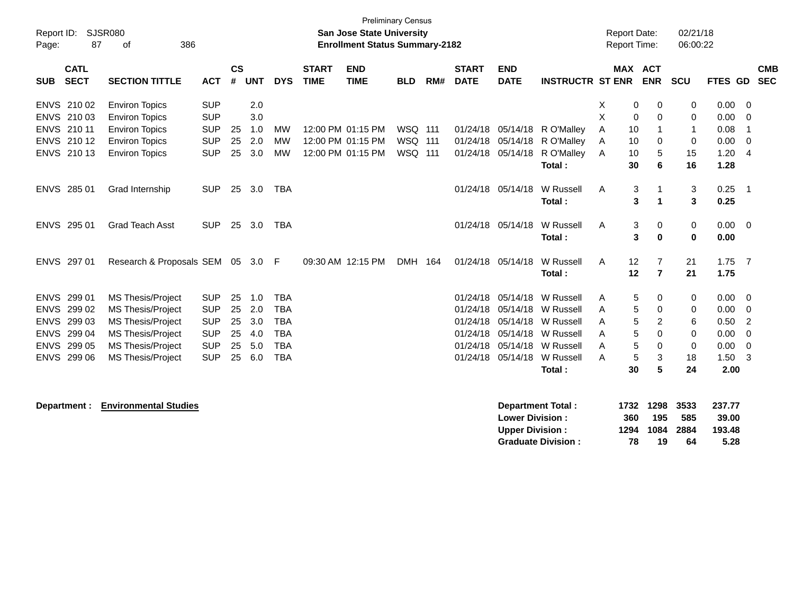| Report ID:<br>Page: | 87                         | <b>SJSR080</b><br>386<br>of     |            |                    |            |            |                             | <b>Preliminary Census</b><br>San Jose State University<br><b>Enrollment Status Summary-2182</b> |            |     |                             |                           |                              |   | <b>Report Date:</b><br><b>Report Time:</b> |                                  | 02/21/18<br>06:00:22 |              |                          |                          |
|---------------------|----------------------------|---------------------------------|------------|--------------------|------------|------------|-----------------------------|-------------------------------------------------------------------------------------------------|------------|-----|-----------------------------|---------------------------|------------------------------|---|--------------------------------------------|----------------------------------|----------------------|--------------|--------------------------|--------------------------|
| <b>SUB</b>          | <b>CATL</b><br><b>SECT</b> | <b>SECTION TITTLE</b>           | <b>ACT</b> | $\mathsf{cs}$<br># | <b>UNT</b> | <b>DYS</b> | <b>START</b><br><b>TIME</b> | <b>END</b><br><b>TIME</b>                                                                       | <b>BLD</b> | RM# | <b>START</b><br><b>DATE</b> | <b>END</b><br><b>DATE</b> | <b>INSTRUCTR ST ENR</b>      |   | <b>MAX ACT</b>                             | <b>ENR</b>                       | <b>SCU</b>           | FTES GD      |                          | <b>CMB</b><br><b>SEC</b> |
|                     | ENVS 210 02                | <b>Environ Topics</b>           | <b>SUP</b> |                    | 2.0        |            |                             |                                                                                                 |            |     |                             |                           |                              | X | 0                                          | 0                                | 0                    | 0.00         | 0                        |                          |
|                     | ENVS 210 03                | <b>Environ Topics</b>           | <b>SUP</b> |                    | 3.0        |            |                             |                                                                                                 |            |     |                             |                           |                              | X | $\mathbf 0$                                | $\mathbf 0$                      | 0                    | 0.00         | $\mathbf 0$              |                          |
|                     | ENVS 210 11                | <b>Environ Topics</b>           | <b>SUP</b> | 25                 | 1.0        | МW         |                             | 12:00 PM 01:15 PM                                                                               | WSQ 111    |     |                             |                           | 01/24/18 05/14/18 R O'Malley | Α | 10                                         | 1                                | -1                   | 0.08         | -1                       |                          |
|                     | ENVS 210 12                | <b>Environ Topics</b>           | <b>SUP</b> | 25                 | 2.0        | <b>MW</b>  |                             | 12:00 PM 01:15 PM                                                                               | WSQ 111    |     |                             | 01/24/18 05/14/18         | R O'Malley                   | A | 10                                         | 0                                | 0                    | 0.00         | $\mathbf 0$              |                          |
|                     | ENVS 210 13                | <b>Environ Topics</b>           | <b>SUP</b> | 25                 | 3.0        | <b>MW</b>  |                             | 12:00 PM 01:15 PM                                                                               | WSQ 111    |     | 01/24/18                    | 05/14/18                  | R O'Malley<br>Total:         | Α | 10<br>30                                   | $\mathbf 5$<br>$6\phantom{1}$    | 15<br>16             | 1.20<br>1.28 | $\overline{4}$           |                          |
|                     |                            |                                 |            |                    |            |            |                             |                                                                                                 |            |     |                             |                           |                              |   |                                            |                                  |                      |              |                          |                          |
|                     | ENVS 285 01                | Grad Internship                 | <b>SUP</b> | 25                 | 3.0        | <b>TBA</b> |                             |                                                                                                 |            |     |                             | 01/24/18 05/14/18         | W Russell                    | A | 3                                          | 1                                | 3                    | 0.25         | $\overline{\phantom{0}}$ |                          |
|                     |                            |                                 |            |                    |            |            |                             |                                                                                                 |            |     |                             |                           | Total:                       |   | 3                                          | $\mathbf{1}$                     | 3                    | 0.25         |                          |                          |
|                     | ENVS 295 01                | <b>Grad Teach Asst</b>          | <b>SUP</b> |                    | 25 3.0     | <b>TBA</b> |                             |                                                                                                 |            |     |                             | 01/24/18 05/14/18         | W Russell                    | A | 3                                          | 0                                | $\mathbf 0$          | $0.00 \t 0$  |                          |                          |
|                     |                            |                                 |            |                    |            |            |                             |                                                                                                 |            |     |                             |                           | Total:                       |   | 3                                          | $\bf{0}$                         | $\mathbf{0}$         | 0.00         |                          |                          |
|                     |                            |                                 |            |                    |            |            |                             |                                                                                                 |            |     |                             |                           |                              |   |                                            |                                  |                      |              |                          |                          |
|                     | ENVS 297 01                | Research & Proposals SEM 05 3.0 |            |                    |            | -F         |                             | 09:30 AM 12:15 PM                                                                               | DMH 164    |     | 01/24/18                    | 05/14/18                  | W Russell<br>Total:          | A | 12<br>12                                   | $\overline{7}$<br>$\overline{7}$ | 21<br>21             | 1.75<br>1.75 | $\overline{7}$           |                          |
|                     |                            |                                 |            |                    |            |            |                             |                                                                                                 |            |     |                             |                           |                              |   |                                            |                                  |                      |              |                          |                          |
|                     | ENVS 299 01                | MS Thesis/Project               | <b>SUP</b> | 25                 | 1.0        | <b>TBA</b> |                             |                                                                                                 |            |     | 01/24/18                    | 05/14/18                  | W Russell                    | A | 5                                          | 0                                | 0                    | 0.00         | $\overline{0}$           |                          |
|                     | ENVS 299 02                | MS Thesis/Project               | <b>SUP</b> | 25                 | 2.0        | <b>TBA</b> |                             |                                                                                                 |            |     | 01/24/18                    | 05/14/18                  | W Russell                    | А | 5                                          | 0                                | 0                    | 0.00         | 0                        |                          |
|                     | ENVS 299 03                | <b>MS Thesis/Project</b>        | <b>SUP</b> | 25                 | 3.0        | <b>TBA</b> |                             |                                                                                                 |            |     | 01/24/18                    | 05/14/18                  | W Russell                    | A | 5                                          | 2                                | 6                    | 0.50         | $\overline{2}$           |                          |
|                     | ENVS 299 04                | MS Thesis/Project               | <b>SUP</b> | 25                 | 4.0        | <b>TBA</b> |                             |                                                                                                 |            |     | 01/24/18                    |                           | 05/14/18 W Russell           | A | 5                                          | $\Omega$                         | $\mathbf 0$          | 0.00         | $\mathbf 0$              |                          |
|                     | ENVS 299 05                | <b>MS Thesis/Project</b>        | <b>SUP</b> | 25                 | 5.0        | <b>TBA</b> |                             |                                                                                                 |            |     | 01/24/18                    |                           | 05/14/18 W Russell           | A | 5                                          | $\Omega$                         | $\mathbf 0$          | 0.00         | $\Omega$                 |                          |
|                     | ENVS 299 06                | <b>MS Thesis/Project</b>        | <b>SUP</b> | 25                 | 6.0        | <b>TBA</b> |                             |                                                                                                 |            |     |                             | 01/24/18 05/14/18         | W Russell                    | A | $\sqrt{5}$                                 | 3                                | 18                   | 1.50         | 3                        |                          |
|                     |                            |                                 |            |                    |            |            |                             |                                                                                                 |            |     |                             |                           | Total:                       |   | 30                                         | 5                                | 24                   | 2.00         |                          |                          |
|                     | Department :               | <b>Environmental Studies</b>    |            |                    |            |            |                             |                                                                                                 |            |     |                             |                           | <b>Department Total:</b>     |   | 1732                                       | 1298                             | 3533                 | 237.77       |                          |                          |
|                     |                            |                                 |            |                    |            |            |                             |                                                                                                 |            |     |                             | <b>Lower Division:</b>    |                              |   | 360                                        | 195                              | 585                  | 39.00        |                          |                          |
|                     |                            |                                 |            |                    |            |            |                             |                                                                                                 |            |     |                             | <b>Upper Division:</b>    |                              |   | 1294                                       | 1084                             | 2884                 | 193.48       |                          |                          |
|                     |                            |                                 |            |                    |            |            |                             |                                                                                                 |            |     |                             |                           | <b>Graduate Division:</b>    |   | 78                                         | 19                               | 64                   | 5.28         |                          |                          |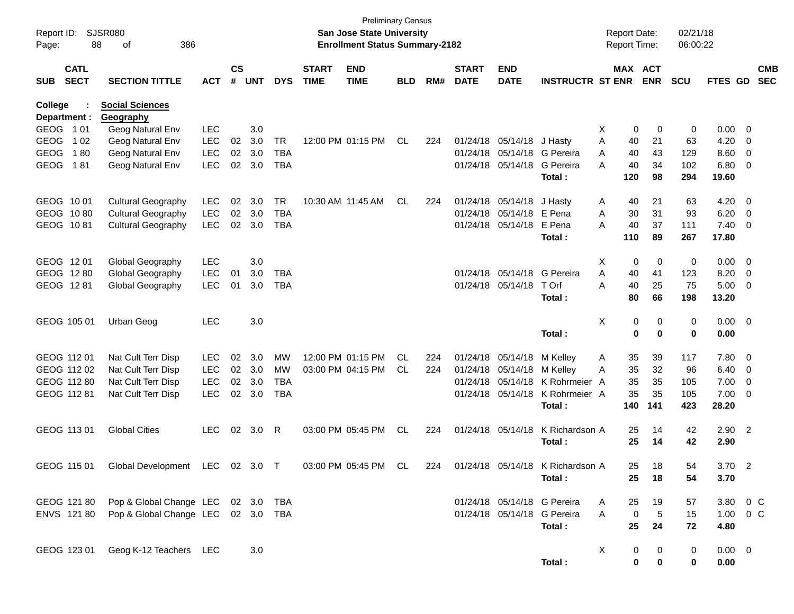| Report ID:<br>Page: |                            | <b>SJSR080</b><br>88<br>386<br>of |            |                    |            |            |                             | San Jose State University<br><b>Enrollment Status Summary-2182</b> | <b>Preliminary Census</b> |     |                             |                           |                                  | <b>Report Date:</b><br><b>Report Time:</b> |             |            | 02/21/18<br>06:00:22 |             |                         |                          |
|---------------------|----------------------------|-----------------------------------|------------|--------------------|------------|------------|-----------------------------|--------------------------------------------------------------------|---------------------------|-----|-----------------------------|---------------------------|----------------------------------|--------------------------------------------|-------------|------------|----------------------|-------------|-------------------------|--------------------------|
| SUB                 | <b>CATL</b><br><b>SECT</b> | <b>SECTION TITTLE</b>             | <b>ACT</b> | $\mathsf{cs}$<br># | <b>UNT</b> | <b>DYS</b> | <b>START</b><br><b>TIME</b> | <b>END</b><br><b>TIME</b>                                          | <b>BLD</b>                | RM# | <b>START</b><br><b>DATE</b> | <b>END</b><br><b>DATE</b> | <b>INSTRUCTR ST ENR</b>          |                                            | MAX ACT     | <b>ENR</b> | <b>SCU</b>           | FTES GD     |                         | <b>CMB</b><br><b>SEC</b> |
| College             |                            | <b>Social Sciences</b>            |            |                    |            |            |                             |                                                                    |                           |     |                             |                           |                                  |                                            |             |            |                      |             |                         |                          |
|                     | Department :<br>GEOG 101   | Geography<br>Geog Natural Env     | <b>LEC</b> |                    | 3.0        |            |                             |                                                                    |                           |     |                             |                           |                                  | X.                                         | 0           | 0          | 0                    | 0.00        | $\overline{\mathbf{0}}$ |                          |
| <b>GEOG</b>         | 1 0 2                      | Geog Natural Env                  | <b>LEC</b> | $02\,$             | 3.0        | <b>TR</b>  |                             | 12:00 PM 01:15 PM                                                  | CL                        | 224 |                             | 01/24/18 05/14/18         | J Hasty                          | Α                                          | 40          | 21         | 63                   | 4.20        | 0                       |                          |
| <b>GEOG</b>         | 180                        | Geog Natural Env                  | <b>LEC</b> | $02\,$             | 3.0        | <b>TBA</b> |                             |                                                                    |                           |     |                             |                           | 01/24/18 05/14/18 G Pereira      | Α                                          | 40          | 43         | 129                  | 8.60        | 0                       |                          |
| <b>GEOG</b>         | 181                        | Geog Natural Env                  | <b>LEC</b> | 02                 | 3.0        | <b>TBA</b> |                             |                                                                    |                           |     |                             | 01/24/18 05/14/18         | G Pereira                        | А                                          | 40          | 34         | 102                  | 6.80        | 0                       |                          |
|                     |                            |                                   |            |                    |            |            |                             |                                                                    |                           |     |                             |                           | Total:                           |                                            | 120         | 98         | 294                  | 19.60       |                         |                          |
|                     | GEOG 1001                  | <b>Cultural Geography</b>         | LEC        | 02                 | 3.0        | <b>TR</b>  |                             | 10:30 AM 11:45 AM                                                  | CL                        | 224 |                             | 01/24/18 05/14/18         | J Hasty                          | A                                          | 40          | 21         | 63                   | 4.20        | $\overline{\mathbf{0}}$ |                          |
|                     | GEOG 1080                  | <b>Cultural Geography</b>         | <b>LEC</b> | 02                 | 3.0        | <b>TBA</b> |                             |                                                                    |                           |     |                             | 01/24/18 05/14/18 E Pena  |                                  | Α                                          | 30          | 31         | 93                   | 6.20        | $\overline{0}$          |                          |
|                     | GEOG 1081                  | <b>Cultural Geography</b>         | <b>LEC</b> | 02                 | 3.0        | <b>TBA</b> |                             |                                                                    |                           |     |                             | 01/24/18 05/14/18         | E Pena                           | Α                                          | 40          | 37         | 111                  | 7.40        | $\overline{0}$          |                          |
|                     |                            |                                   |            |                    |            |            |                             |                                                                    |                           |     |                             |                           | Total:                           |                                            | 110         | 89         | 267                  | 17.80       |                         |                          |
|                     | GEOG 1201                  | Global Geography                  | <b>LEC</b> |                    | 3.0        |            |                             |                                                                    |                           |     |                             |                           |                                  | X                                          | 0           | 0          | 0                    | 0.00        | $\overline{\mathbf{0}}$ |                          |
|                     | GEOG 1280                  | Global Geography                  | <b>LEC</b> | 01                 | 3.0        | TBA        |                             |                                                                    |                           |     |                             | 01/24/18 05/14/18         | G Pereira                        | Α                                          | 40          | 41         | 123                  | 8.20        | $\overline{0}$          |                          |
|                     | GEOG 1281                  | Global Geography                  | <b>LEC</b> | 01                 | 3.0        | <b>TBA</b> |                             |                                                                    |                           |     |                             | 01/24/18 05/14/18         | T Orf                            | A                                          | 40          | 25         | 75                   | 5.00        | $\overline{\mathbf{0}}$ |                          |
|                     |                            |                                   |            |                    |            |            |                             |                                                                    |                           |     |                             |                           | Total :                          |                                            | 80          | 66         | 198                  | 13.20       |                         |                          |
|                     | GEOG 105 01                | Urban Geog                        | <b>LEC</b> |                    | 3.0        |            |                             |                                                                    |                           |     |                             |                           |                                  | Χ                                          | 0           | 0          | 0                    | $0.00 \t 0$ |                         |                          |
|                     |                            |                                   |            |                    |            |            |                             |                                                                    |                           |     |                             |                           | Total:                           |                                            | $\bf{0}$    | $\bf{0}$   | $\mathbf 0$          | 0.00        |                         |                          |
|                     | GEOG 112 01                | Nat Cult Terr Disp                | <b>LEC</b> | 02                 | 3.0        | <b>MW</b>  |                             | 12:00 PM 01:15 PM                                                  | CL                        | 224 |                             | 01/24/18 05/14/18         | M Kelley                         | A                                          | 35          | 39         | 117                  | 7.80        | $\overline{\mathbf{0}}$ |                          |
|                     | GEOG 112 02                | Nat Cult Terr Disp                | <b>LEC</b> | 02 <sub>o</sub>    | 3.0        | <b>MW</b>  |                             | 03:00 PM 04:15 PM                                                  | CL.                       | 224 |                             | 01/24/18 05/14/18         | M Kellev                         | Α                                          | 35          | 32         | 96                   | 6.40        | $\overline{0}$          |                          |
|                     | GEOG 112 80                | Nat Cult Terr Disp                | <b>LEC</b> | 02                 | 3.0        | <b>TBA</b> |                             |                                                                    |                           |     |                             | 01/24/18 05/14/18         | K Rohrmeier A                    |                                            | 35          | 35         | 105                  | 7.00        | $\overline{0}$          |                          |
|                     | GEOG 112 81                | Nat Cult Terr Disp                | <b>LEC</b> | 02                 | 3.0        | <b>TBA</b> |                             |                                                                    |                           |     |                             | 01/24/18 05/14/18         | K Rohrmeier A                    |                                            | 35          | 35         | 105                  | 7.00        | $\overline{0}$          |                          |
|                     |                            |                                   |            |                    |            |            |                             |                                                                    |                           |     |                             |                           | Total :                          |                                            | 140         | 141        | 423                  | 28.20       |                         |                          |
|                     | GEOG 113 01                | <b>Global Cities</b>              | <b>LEC</b> | 02 <sub>o</sub>    | 3.0        | R          |                             | 03:00 PM 05:45 PM                                                  | <b>CL</b>                 | 224 |                             | 01/24/18 05/14/18         | K Richardson A                   |                                            | 25          | 14         | 42                   | $2.90$ 2    |                         |                          |
|                     |                            |                                   |            |                    |            |            |                             |                                                                    |                           |     |                             |                           | Total :                          |                                            | 25          | 14         | 42                   | 2.90        |                         |                          |
|                     | GEOG 115 01                | Global Development LEC 02 3.0 T   |            |                    |            |            |                             | 03:00 PM 05:45 PM                                                  | CL                        | 224 |                             |                           | 01/24/18 05/14/18 K Richardson A |                                            | 25.         | 18         | 54                   | $3.70$ 2    |                         |                          |
|                     |                            |                                   |            |                    |            |            |                             |                                                                    |                           |     |                             |                           | Total:                           |                                            | 25          | 18         | 54                   | 3.70        |                         |                          |
|                     | GEOG 121 80                | Pop & Global Change LEC           |            |                    | 02 3.0     | TBA        |                             |                                                                    |                           |     |                             |                           | 01/24/18 05/14/18 G Pereira      | A                                          | 25          | 19         | 57                   | 3.80 0 C    |                         |                          |
|                     | ENVS 121 80                | Pop & Global Change LEC           |            |                    | 02 3.0 TBA |            |                             |                                                                    |                           |     |                             |                           | 01/24/18 05/14/18 G Pereira      | Α                                          | $\mathbf 0$ | $\sqrt{5}$ | 15                   | 1.00        | $0\,C$                  |                          |
|                     |                            |                                   |            |                    |            |            |                             |                                                                    |                           |     |                             |                           | Total:                           |                                            | 25          | 24         | 72                   | 4.80        |                         |                          |
|                     | GEOG 123 01                | Geog K-12 Teachers LEC            |            |                    | 3.0        |            |                             |                                                                    |                           |     |                             |                           |                                  | X                                          | 0           | 0          | 0                    | $0.00 \t 0$ |                         |                          |
|                     |                            |                                   |            |                    |            |            |                             |                                                                    |                           |     |                             |                           | Total:                           |                                            | 0           | 0          | $\mathbf 0$          | 0.00        |                         |                          |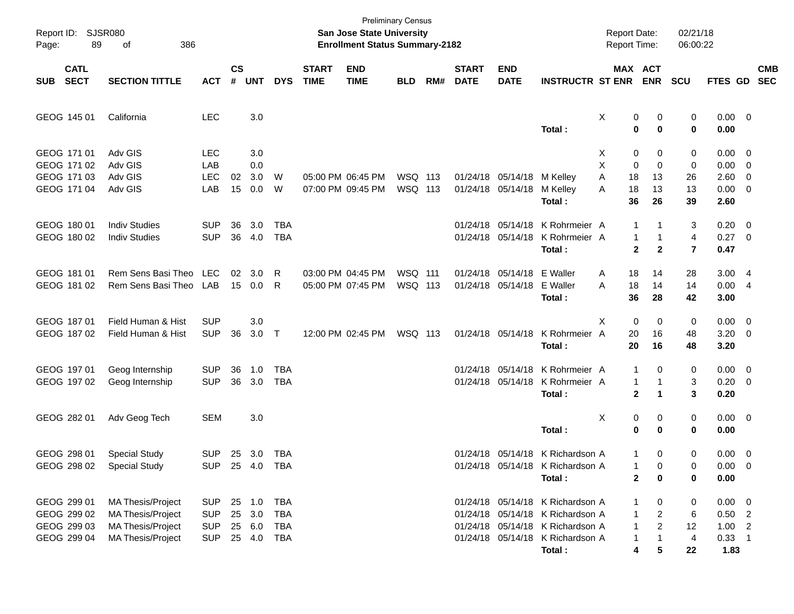| Page:      | Report ID: SJSR080<br>89                                 | 386<br>of                                                                                      |                                                      |                |                                      |                                               |                             | San Jose State University<br><b>Enrollment Status Summary-2182</b> | <b>Preliminary Census</b> |     |                             |                                        |                                                                                                                                                        | <b>Report Date:</b><br>Report Time: |                                                                                                           | 02/21/18<br>06:00:22                        |                                                         |                                                                                                             |            |
|------------|----------------------------------------------------------|------------------------------------------------------------------------------------------------|------------------------------------------------------|----------------|--------------------------------------|-----------------------------------------------|-----------------------------|--------------------------------------------------------------------|---------------------------|-----|-----------------------------|----------------------------------------|--------------------------------------------------------------------------------------------------------------------------------------------------------|-------------------------------------|-----------------------------------------------------------------------------------------------------------|---------------------------------------------|---------------------------------------------------------|-------------------------------------------------------------------------------------------------------------|------------|
| <b>SUB</b> | <b>CATL</b><br><b>SECT</b>                               | <b>SECTION TITTLE</b>                                                                          | <b>ACT</b>                                           | <b>CS</b><br># | <b>UNT</b>                           | <b>DYS</b>                                    | <b>START</b><br><b>TIME</b> | <b>END</b><br><b>TIME</b>                                          | <b>BLD</b>                | RM# | <b>START</b><br><b>DATE</b> | <b>END</b><br><b>DATE</b>              | <b>INSTRUCTR ST ENR</b>                                                                                                                                |                                     | MAX ACT<br><b>ENR</b>                                                                                     | <b>SCU</b>                                  | FTES GD SEC                                             |                                                                                                             | <b>CMB</b> |
|            | GEOG 145 01                                              | California                                                                                     | <b>LEC</b>                                           |                | 3.0                                  |                                               |                             |                                                                    |                           |     |                             |                                        | Total:                                                                                                                                                 | X                                   | 0<br>0<br>$\bf{0}$<br>$\bf{0}$                                                                            | 0<br>0                                      | $0.00 \t 0$<br>0.00                                     |                                                                                                             |            |
|            | GEOG 171 01<br>GEOG 171 02<br>GEOG 171 03<br>GEOG 171 04 | Adv GIS<br>Adv GIS<br>Adv GIS<br>Adv GIS                                                       | LEC<br>LAB<br><b>LEC</b><br>LAB                      | 02<br>15       | 3.0<br>0.0<br>3.0<br>0.0             | W<br>W                                        |                             | 05:00 PM 06:45 PM<br>07:00 PM 09:45 PM                             | WSQ 113<br>WSQ 113        |     |                             | 01/24/18 05/14/18<br>01/24/18 05/14/18 | M Kelley<br>M Kelley                                                                                                                                   | X<br>X<br>Α<br>18<br>18<br>A        | 0<br>0<br>0<br>$\mathbf 0$<br>13<br>13                                                                    | 0<br>0<br>26<br>13                          | 0.00<br>0.00<br>2.60<br>0.00                            | $\overline{\phantom{0}}$<br>$\overline{\phantom{0}}$<br>$\overline{\mathbf{0}}$<br>$\overline{\phantom{0}}$ |            |
|            | GEOG 180 01<br>GEOG 180 02                               | <b>Indiv Studies</b><br><b>Indiv Studies</b>                                                   | <b>SUP</b><br><b>SUP</b>                             | 36<br>36       | 3.0<br>4.0                           | <b>TBA</b><br><b>TBA</b>                      |                             |                                                                    |                           |     |                             | 01/24/18 05/14/18<br>01/24/18 05/14/18 | Total:<br>K Rohrmeier A<br>K Rohrmeier A<br>Total:                                                                                                     | 36                                  | 26<br>$\mathbf{1}$<br>1<br>1<br>$\mathbf{1}$<br>$\mathbf{2}$<br>$\mathbf{2}$                              | 39<br>3<br>$\overline{4}$<br>$\overline{7}$ | 2.60<br>0.20<br>0.27<br>0.47                            | $\overline{\mathbf{0}}$<br>$\overline{\phantom{0}}$                                                         |            |
|            | GEOG 181 01<br>GEOG 181 02                               | Rem Sens Basi Theo<br>Rem Sens Basi Theo                                                       | <b>LEC</b><br>LAB                                    | 02             | 3.0<br>15 0.0                        | R<br>R                                        |                             | 03:00 PM 04:45 PM<br>05:00 PM 07:45 PM                             | WSQ 111<br>WSQ 113        |     |                             | 01/24/18 05/14/18<br>01/24/18 05/14/18 | E Waller<br>E Waller<br>Total:                                                                                                                         | 18<br>A<br>18<br>A<br>36            | 14<br>14<br>28                                                                                            | 28<br>14<br>42                              | 3.004<br>0.004<br>3.00                                  |                                                                                                             |            |
|            | GEOG 187 01<br>GEOG 187 02                               | Field Human & Hist<br>Field Human & Hist                                                       | <b>SUP</b><br><b>SUP</b>                             | 36             | 3.0<br>3.0                           | $\top$                                        |                             | 12:00 PM 02:45 PM                                                  | WSQ 113                   |     |                             | 01/24/18 05/14/18                      | K Rohrmeier A<br>Total:                                                                                                                                | X<br>20<br>20                       | $\mathbf 0$<br>0<br>16<br>16                                                                              | 0<br>48<br>48                               | $0.00 \t 0$<br>$3.20 \ 0$<br>3.20                       |                                                                                                             |            |
|            | GEOG 197 01<br>GEOG 197 02                               | Geog Internship<br>Geog Internship                                                             | <b>SUP</b><br><b>SUP</b>                             | 36<br>36       | 1.0<br>3.0                           | <b>TBA</b><br><b>TBA</b>                      |                             |                                                                    |                           |     | 01/24/18                    | 05/14/18<br>01/24/18 05/14/18          | K Rohrmeier A<br>K Rohrmeier A<br>Total:                                                                                                               |                                     | $\mathbf 1$<br>0<br>$\mathbf 1$<br>1<br>$\mathbf 2$<br>$\blacktriangleleft$                               | 0<br>3<br>3                                 | $0.00 \t 0$<br>$0.20 \ 0$<br>0.20                       |                                                                                                             |            |
|            | GEOG 282 01                                              | Adv Geog Tech                                                                                  | <b>SEM</b>                                           |                | 3.0                                  |                                               |                             |                                                                    |                           |     |                             |                                        | Total:                                                                                                                                                 | Χ                                   | 0<br>0<br>$\bf{0}$<br>$\bf{0}$                                                                            | 0<br>$\mathbf 0$                            | $0.00 \t 0$<br>0.00                                     |                                                                                                             |            |
|            | GEOG 298 01                                              | <b>Special Study</b><br>GEOG 298 02 Special Study                                              | <b>SUP</b><br>SUP 25 4.0 TBA                         |                | 25 3.0                               | TBA                                           |                             |                                                                    |                           |     |                             |                                        | 01/24/18 05/14/18 K Richardson A<br>01/24/18 05/14/18 K Richardson A<br>Total:                                                                         |                                     | $\mathbf{1}$<br>0<br>1<br>0<br>$\mathbf 2$<br>0                                                           | 0<br>0<br>0                                 | $0.00 \t 0$<br>$0.00 \quad 0$<br>0.00                   |                                                                                                             |            |
|            | GEOG 299 01<br>GEOG 299 02<br>GEOG 299 03<br>GEOG 299 04 | MA Thesis/Project<br>MA Thesis/Project<br><b>MA Thesis/Project</b><br><b>MA Thesis/Project</b> | <b>SUP</b><br><b>SUP</b><br><b>SUP</b><br><b>SUP</b> |                | 25 1.0<br>25 3.0<br>25 6.0<br>25 4.0 | <b>TBA</b><br><b>TBA</b><br><b>TBA</b><br>TBA |                             |                                                                    |                           |     |                             |                                        | 01/24/18 05/14/18 K Richardson A<br>01/24/18 05/14/18 K Richardson A<br>01/24/18 05/14/18 K Richardson A<br>01/24/18 05/14/18 K Richardson A<br>Total: |                                     | 1<br>0<br>$\overline{a}$<br>$\mathbf{1}$<br>$\mathbf{1}$<br>$\overline{c}$<br>1<br>$\mathbf{1}$<br>5<br>4 | 0<br>$\,6$<br>12<br>$\overline{4}$<br>22    | $0.00 \t 0$<br>$0.50$ 2<br>$1.00$ 2<br>$0.33$ 1<br>1.83 |                                                                                                             |            |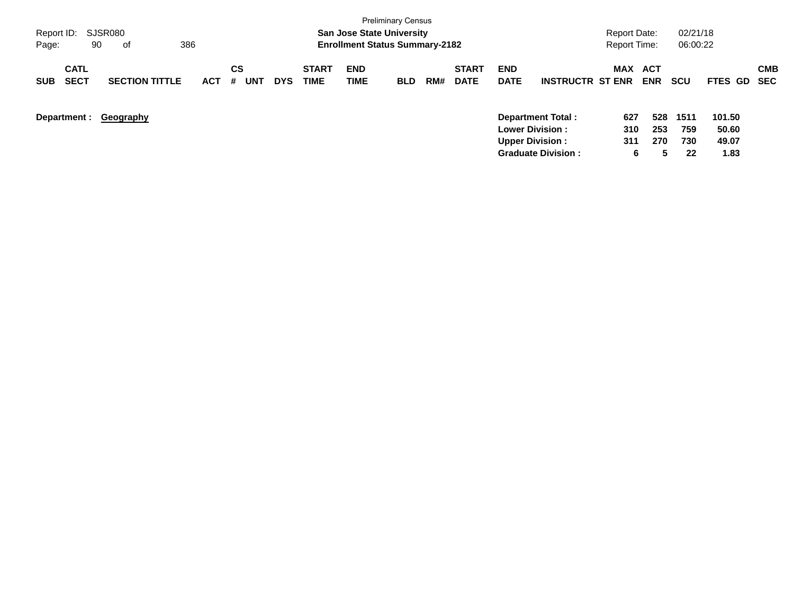| Report ID:<br>Page: | 90                         | SJSR080<br>оf         | 386        |                |            |                             | <b>San Jose State University</b><br><b>Enrollment Status Summary-2182</b> |            |     |                             |                           |                           | <b>Report Date:</b><br><b>Report Time:</b> |                   | 02/21/18<br>06:00:22 |                 |                   |
|---------------------|----------------------------|-----------------------|------------|----------------|------------|-----------------------------|---------------------------------------------------------------------------|------------|-----|-----------------------------|---------------------------|---------------------------|--------------------------------------------|-------------------|----------------------|-----------------|-------------------|
| <b>SUB</b>          | <b>CATL</b><br><b>SECT</b> | <b>SECTION TITTLE</b> | <b>ACT</b> | CS<br>UNT<br># | <b>DYS</b> | <b>START</b><br><b>TIME</b> | <b>END</b><br>TIME                                                        | <b>BLD</b> | RM# | <b>START</b><br><b>DATE</b> | <b>END</b><br><b>DATE</b> | <b>INSTRUCTR ST ENR</b>   | MAX                                        | ACT<br><b>ENR</b> | <b>SCU</b>           | <b>FTES GD</b>  | <b>CMB</b><br>SEC |
| Department :        |                            | Geography             |            |                |            |                             |                                                                           |            |     |                             | <b>Lower Division:</b>    | <b>Department Total:</b>  | 627<br>310                                 | 528<br>253        | 1511<br>759          | 101.50<br>50.60 |                   |
|                     |                            |                       |            |                |            |                             |                                                                           |            |     |                             | <b>Upper Division:</b>    | <b>Graduate Division:</b> | 311<br>6                                   | 270<br>5.         | 730<br>22            | 49.07<br>1.83   |                   |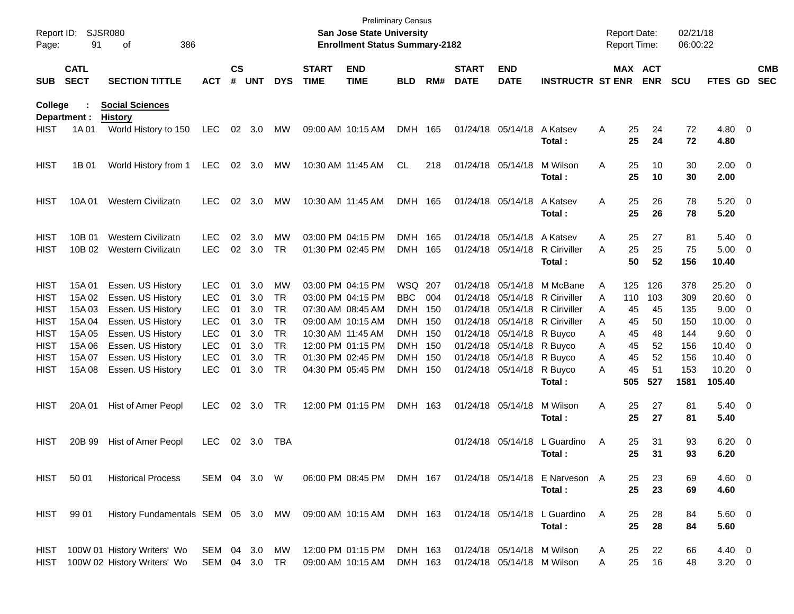| Page:                                     | Report ID: SJSR080<br>91   | 386<br>οf                                                            |                                        |                    |                   |                              |                             | <b>San Jose State University</b><br><b>Enrollment Status Summary-2182</b> | <b>Preliminary Census</b>        |     |                             |                                                             |                                                 | <b>Report Date:</b><br><b>Report Time:</b> |                  |                       | 02/21/18<br>06:00:22 |                                     |                                                      |                          |
|-------------------------------------------|----------------------------|----------------------------------------------------------------------|----------------------------------------|--------------------|-------------------|------------------------------|-----------------------------|---------------------------------------------------------------------------|----------------------------------|-----|-----------------------------|-------------------------------------------------------------|-------------------------------------------------|--------------------------------------------|------------------|-----------------------|----------------------|-------------------------------------|------------------------------------------------------|--------------------------|
| <b>SUB</b>                                | <b>CATL</b><br><b>SECT</b> | <b>SECTION TITTLE</b>                                                | <b>ACT</b>                             | $\mathsf{cs}$<br># | <b>UNT</b>        | <b>DYS</b>                   | <b>START</b><br><b>TIME</b> | <b>END</b><br><b>TIME</b>                                                 | <b>BLD</b>                       | RM# | <b>START</b><br><b>DATE</b> | <b>END</b><br><b>DATE</b>                                   | <b>INSTRUCTR ST ENR</b>                         |                                            |                  | MAX ACT<br><b>ENR</b> | <b>SCU</b>           | <b>FTES GD</b>                      |                                                      | <b>CMB</b><br><b>SEC</b> |
| <b>College</b>                            | Department :               | <b>Social Sciences</b><br><b>History</b>                             |                                        |                    |                   |                              |                             |                                                                           |                                  |     |                             |                                                             |                                                 |                                            |                  |                       |                      |                                     |                                                      |                          |
| <b>HIST</b>                               | 1A 01                      | World History to 150                                                 | LEC                                    | 02                 | 3.0               | МW                           |                             | 09:00 AM 10:15 AM                                                         | DMH                              | 165 |                             | 01/24/18 05/14/18                                           | A Katsev<br>Total:                              | Α                                          | 25<br>25         | 24<br>24              | 72<br>72             | $4.80$ 0<br>4.80                    |                                                      |                          |
| <b>HIST</b>                               | 1B 01                      | World History from 1                                                 | LEC                                    |                    | 02 3.0            | МW                           |                             | 10:30 AM 11:45 AM                                                         | CL                               | 218 |                             | 01/24/18 05/14/18                                           | M Wilson<br>Total:                              | Α                                          | 25<br>25         | 10<br>10              | 30<br>30             | $2.00 \t 0$<br>2.00                 |                                                      |                          |
| <b>HIST</b>                               | 10A 01                     | Western Civilizatn                                                   | <b>LEC</b>                             | 02                 | 3.0               | MW                           | 10:30 AM 11:45 AM           |                                                                           | DMH 165                          |     |                             | 01/24/18 05/14/18                                           | A Katsev<br>Total:                              | Α                                          | 25<br>25         | 26<br>26              | 78<br>78             | $5.20 \ 0$<br>5.20                  |                                                      |                          |
| <b>HIST</b><br>HIST                       | 10B 01<br>10B 02           | <b>Western Civilizatn</b><br><b>Western Civilizatn</b>               | <b>LEC</b><br><b>LEC</b>               | 02                 | 3.0<br>02 3.0     | MW<br><b>TR</b>              |                             | 03:00 PM 04:15 PM<br>01:30 PM 02:45 PM                                    | <b>DMH</b><br>DMH 165            | 165 |                             | 01/24/18 05/14/18<br>01/24/18 05/14/18                      | A Katsev<br>R Ciriviller<br>Total:              | A<br>Α                                     | 25<br>25<br>50   | 27<br>25<br>52        | 81<br>75<br>156      | $5.40 \ 0$<br>$5.00 \t 0$<br>10.40  |                                                      |                          |
| <b>HIST</b><br><b>HIST</b><br><b>HIST</b> | 15A 01<br>15A 02<br>15A 03 | Essen. US History<br>Essen. US History<br>Essen. US History          | <b>LEC</b><br><b>LEC</b><br><b>LEC</b> | 01<br>01<br>01     | 3.0<br>3.0<br>3.0 | MW<br><b>TR</b><br><b>TR</b> |                             | 03:00 PM 04:15 PM<br>03:00 PM 04:15 PM<br>07:30 AM 08:45 AM               | WSQ 207<br><b>BBC</b><br>DMH 150 | 004 |                             | 01/24/18 05/14/18<br>01/24/18 05/14/18<br>01/24/18 05/14/18 | M McBane<br><b>R</b> Ciriviller<br>R Ciriviller | A<br>A<br>Α                                | 125<br>110<br>45 | 126<br>103<br>45      | 378<br>309<br>135    | 25.20 0<br>$20.60$ 0<br>$9.00 \t 0$ |                                                      |                          |
| <b>HIST</b><br><b>HIST</b><br><b>HIST</b> | 15A 04<br>15A 05<br>15A 06 | Essen. US History<br>Essen. US History<br>Essen. US History          | <b>LEC</b><br><b>LEC</b><br><b>LEC</b> | 01<br>01<br>01     | 3.0<br>3.0<br>3.0 | TR<br><b>TR</b><br><b>TR</b> | 10:30 AM 11:45 AM           | 09:00 AM 10:15 AM<br>12:00 PM 01:15 PM                                    | DMH 150<br>DMH 150<br>DMH 150    |     |                             | 01/24/18 05/14/18<br>01/24/18 05/14/18<br>01/24/18 05/14/18 | <b>R</b> Ciriviller<br>R Buyco<br>R Buyco       | Α<br>Α<br>A                                | 45<br>45<br>45   | 50<br>48<br>52        | 150<br>144<br>156    | $10.00 \t 0$<br>9.60<br>10.40       | $\overline{\phantom{0}}$<br>$\overline{\phantom{0}}$ |                          |
| <b>HIST</b><br><b>HIST</b>                | 15A 07<br>15A 08           | Essen. US History<br>Essen. US History                               | <b>LEC</b><br><b>LEC</b>               | 01<br>01           | 3.0<br>3.0        | <b>TR</b><br><b>TR</b>       |                             | 01:30 PM 02:45 PM<br>04:30 PM 05:45 PM                                    | DMH 150<br>DMH 150               |     |                             | 01/24/18 05/14/18<br>01/24/18 05/14/18                      | R Buyco<br>R Buyco<br>Total:                    | A<br>Α                                     | 45<br>45<br>505  | 52<br>51<br>527       | 156<br>153<br>1581   | 10.40<br>$10.20 \t 0$<br>105.40     | $\overline{\phantom{0}}$                             |                          |
| <b>HIST</b>                               | 20A 01                     | Hist of Amer Peopl                                                   | <b>LEC</b>                             | 02                 | 3.0               | TR                           |                             | 12:00 PM 01:15 PM                                                         | DMH 163                          |     |                             | 01/24/18 05/14/18                                           | M Wilson<br>Total :                             | Α                                          | 25<br>25         | 27<br>27              | 81<br>81             | $5.40 \ 0$<br>5.40                  |                                                      |                          |
| <b>HIST</b>                               | 20B 99                     | Hist of Amer Peopl                                                   | <b>LEC</b>                             | 02                 | 3.0               | TBA                          |                             |                                                                           |                                  |     |                             | 01/24/18 05/14/18                                           | L Guardino<br>Total :                           | Α                                          | 25<br>25         | 31<br>31              | 93<br>93             | $6.20 \quad 0$<br>6.20              |                                                      |                          |
| HIST                                      | 50 01                      | <b>Historical Process</b>                                            | SEM 04 3.0 W                           |                    |                   |                              |                             | 06:00 PM 08:45 PM DMH 167                                                 |                                  |     |                             |                                                             | 01/24/18 05/14/18 E Narveson A<br>Total:        |                                            | 25<br>25         | 23<br>23              | 69<br>69             | $4.60$ 0<br>4.60                    |                                                      |                          |
|                                           | HIST 99 01                 | History Fundamentals SEM 05 3.0 MW 09:00 AM 10:15 AM DMH 163         |                                        |                    |                   |                              |                             |                                                                           |                                  |     |                             |                                                             | 01/24/18 05/14/18 L Guardino<br>Total:          | A                                          | 25<br>25         | 28<br>28              | 84<br>84             | 5.60 0<br>5.60                      |                                                      |                          |
|                                           |                            | HIST 100W 01 History Writers' Wo<br>HIST 100W 02 History Writers' Wo | SEM 04 3.0 MW<br>SEM 04 3.0 TR         |                    |                   |                              |                             | 12:00 PM 01:15 PM<br>09:00 AM 10:15 AM                                    | DMH 163<br>DMH 163               |     |                             | 01/24/18 05/14/18 M Wilson<br>01/24/18 05/14/18 M Wilson    |                                                 | A<br>A                                     | 25<br>25         | 22<br>16              | 66<br>48             | $4.40 \quad 0$<br>$3.20 \ 0$        |                                                      |                          |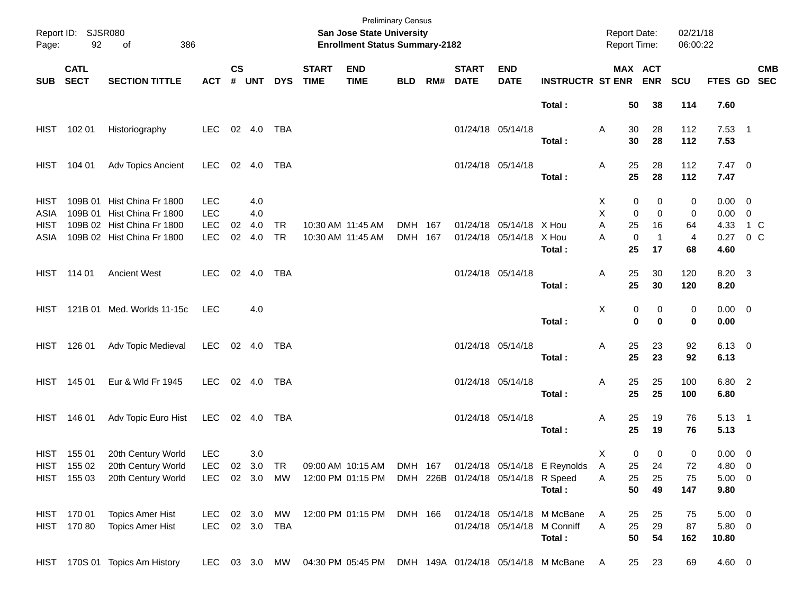| Page:       | Report ID: SJSR080<br>92 | 386<br>of                       |                |                    |            |            |                             | San Jose State University<br><b>Enrollment Status Summary-2182</b> | <b>Preliminary Census</b> |     |                             |                                    |                                                        | <b>Report Date:</b><br>Report Time: |                             | 02/21/18<br>06:00:22 |                  |            |
|-------------|--------------------------|---------------------------------|----------------|--------------------|------------|------------|-----------------------------|--------------------------------------------------------------------|---------------------------|-----|-----------------------------|------------------------------------|--------------------------------------------------------|-------------------------------------|-----------------------------|----------------------|------------------|------------|
| SUB SECT    | <b>CATL</b>              | <b>SECTION TITTLE</b>           | <b>ACT</b>     | $\mathsf{cs}$<br># | <b>UNT</b> | <b>DYS</b> | <b>START</b><br><b>TIME</b> | <b>END</b><br><b>TIME</b>                                          | <b>BLD</b>                | RM# | <b>START</b><br><b>DATE</b> | <b>END</b><br><b>DATE</b>          | <b>INSTRUCTR ST ENR ENR</b>                            |                                     | MAX ACT                     | SCU                  | FTES GD SEC      | <b>CMB</b> |
|             |                          |                                 |                |                    |            |            |                             |                                                                    |                           |     |                             |                                    | Total:                                                 | 50                                  | 38                          | 114                  | 7.60             |            |
|             | HIST 102 01              | Historiography                  | LEC            |                    | 02 4.0     | TBA        |                             |                                                                    |                           |     |                             | 01/24/18 05/14/18                  | Total:                                                 | 30<br>Α<br>30                       | 28<br>28                    | 112<br>112           | $7.53$ 1<br>7.53 |            |
|             |                          |                                 |                |                    |            |            |                             |                                                                    |                           |     |                             |                                    |                                                        |                                     |                             |                      |                  |            |
|             | HIST 104 01              | Adv Topics Ancient              | <b>LEC</b>     |                    | 02 4.0     | TBA        |                             |                                                                    |                           |     |                             | 01/24/18 05/14/18                  |                                                        | 25<br>A                             | 28                          | 112                  | $7.47 \quad 0$   |            |
|             |                          |                                 |                |                    |            |            |                             |                                                                    |                           |     |                             |                                    | Total:                                                 | 25                                  | 28                          | 112                  | 7.47             |            |
| <b>HIST</b> |                          | 109B 01 Hist China Fr 1800      | <b>LEC</b>     |                    | 4.0        |            |                             |                                                                    |                           |     |                             |                                    |                                                        | X                                   | 0<br>0                      | 0                    | $0.00 \t 0$      |            |
| ASIA        |                          | 109B 01 Hist China Fr 1800      | <b>LEC</b>     |                    | 4.0        |            |                             |                                                                    |                           |     |                             |                                    |                                                        | X                                   | $\mathbf 0$<br>$\mathbf 0$  | 0                    | $0.00 \t 0$      |            |
| HIST        |                          | 109B 02 Hist China Fr 1800      | <b>LEC</b>     | 02                 | 4.0        | <b>TR</b>  |                             | 10:30 AM 11:45 AM                                                  | DMH 167                   |     |                             | 01/24/18 05/14/18 X Hou            |                                                        | A<br>25                             | 16                          | 64                   | 4.33 1 C         |            |
| ASIA        |                          | 109B 02 Hist China Fr 1800      | <b>LEC</b>     | 02                 | 4.0        | <b>TR</b>  |                             | 10:30 AM 11:45 AM                                                  | DMH 167                   |     |                             | 01/24/18 05/14/18 X Hou            |                                                        | A                                   | $\mathbf 0$<br>$\mathbf{1}$ | $\overline{4}$       | 0.27 0 C         |            |
|             |                          |                                 |                |                    |            |            |                             |                                                                    |                           |     |                             |                                    | Total:                                                 | 25                                  | 17                          | 68                   | 4.60             |            |
|             | HIST 114 01              | <b>Ancient West</b>             | LEC            |                    | 02 4.0     | TBA        |                             |                                                                    |                           |     |                             | 01/24/18 05/14/18                  |                                                        | 25<br>Α                             | 30                          | 120                  | 8.20 3           |            |
|             |                          |                                 |                |                    |            |            |                             |                                                                    |                           |     |                             |                                    | Total:                                                 | 25                                  | 30                          | 120                  | 8.20             |            |
|             |                          | HIST 121B 01 Med. Worlds 11-15c | LEC            |                    | 4.0        |            |                             |                                                                    |                           |     |                             |                                    |                                                        | Χ                                   | 0<br>0                      | 0                    | $0.00 \t 0$      |            |
|             |                          |                                 |                |                    |            |            |                             |                                                                    |                           |     |                             |                                    | Total:                                                 |                                     | $\mathbf 0$<br>$\bf{0}$     | 0                    | 0.00             |            |
|             | HIST 126 01              | Adv Topic Medieval              | LEC            |                    |            |            |                             |                                                                    |                           |     |                             | 01/24/18 05/14/18                  |                                                        | 25<br>Α                             | 23                          | 92                   | $6.13 \quad 0$   |            |
|             |                          |                                 |                |                    |            |            |                             |                                                                    |                           |     |                             |                                    | Total:                                                 | 25                                  | 23                          | 92                   | 6.13             |            |
|             | HIST 145 01              | Eur & Wld Fr 1945               | LEC            |                    | 02 4.0     | TBA        |                             |                                                                    |                           |     |                             | 01/24/18 05/14/18                  |                                                        | 25<br>Α                             | 25                          | 100                  | 6.80 2           |            |
|             |                          |                                 |                |                    |            |            |                             |                                                                    |                           |     |                             |                                    | Total:                                                 | 25                                  | 25                          | 100                  | 6.80             |            |
|             | HIST 146 01              | Adv Topic Euro Hist             | LEC 02 4.0 TBA |                    |            |            |                             |                                                                    |                           |     |                             | 01/24/18 05/14/18                  |                                                        | 25<br>Α                             | 19                          | 76                   | $5.13 \quad 1$   |            |
|             |                          |                                 |                |                    |            |            |                             |                                                                    |                           |     |                             |                                    | Total:                                                 | 25                                  | 19                          | 76                   | 5.13             |            |
|             | HIST 155 01              | 20th Century World              | <b>LEC</b>     |                    | 3.0        |            |                             |                                                                    |                           |     |                             |                                    |                                                        | X                                   | 0<br>0                      | 0                    | $0.00 \t 0$      |            |
| HIST        | 155 02                   | 20th Century World              | LEC.           |                    | 02 3.0     | TR         |                             |                                                                    |                           |     |                             |                                    | 09:00 AM 10:15 AM DMH 167 01/24/18 05/14/18 E Reynolds | $\mathsf{A}$<br>25                  | 24                          | 72                   | 4.80 0           |            |
|             | HIST 155 03              | 20th Century World              | <b>LEC</b>     |                    | 02 3.0     | MW         |                             | 12:00 PM 01:15 PM                                                  |                           |     |                             | DMH 226B 01/24/18 05/14/18 R Speed |                                                        | 25<br>Α                             | 25                          | 75                   | $5.00 \t 0$      |            |
|             |                          |                                 |                |                    |            |            |                             |                                                                    |                           |     |                             |                                    | Total:                                                 | 50                                  | 49                          | 147                  | 9.80             |            |
|             | HIST 170 01              | <b>Topics Amer Hist</b>         | LEC            |                    | 02 3.0     | MW         |                             | 12:00 PM 01:15 PM                                                  | DMH 166                   |     |                             |                                    | 01/24/18 05/14/18 M McBane                             | 25<br>Α                             | 25                          | 75                   | $5.00 \t 0$      |            |
|             | HIST 170 80              | <b>Topics Amer Hist</b>         | LEC 02 3.0 TBA |                    |            |            |                             |                                                                    |                           |     |                             |                                    | 01/24/18 05/14/18 M Conniff                            | 25<br>Α                             | 29                          | 87                   | 5.80 0           |            |
|             |                          |                                 |                |                    |            |            |                             |                                                                    |                           |     |                             |                                    | Total:                                                 | 50                                  | 54                          | 162                  | 10.80            |            |
|             |                          | HIST 170S 01 Topics Am History  | LEC 03 3.0 MW  |                    |            |            |                             | 04:30 PM 05:45 PM                                                  |                           |     |                             |                                    | DMH 149A 01/24/18 05/14/18 M McBane                    | 25<br>A                             | 23                          | 69                   | 4.60 0           |            |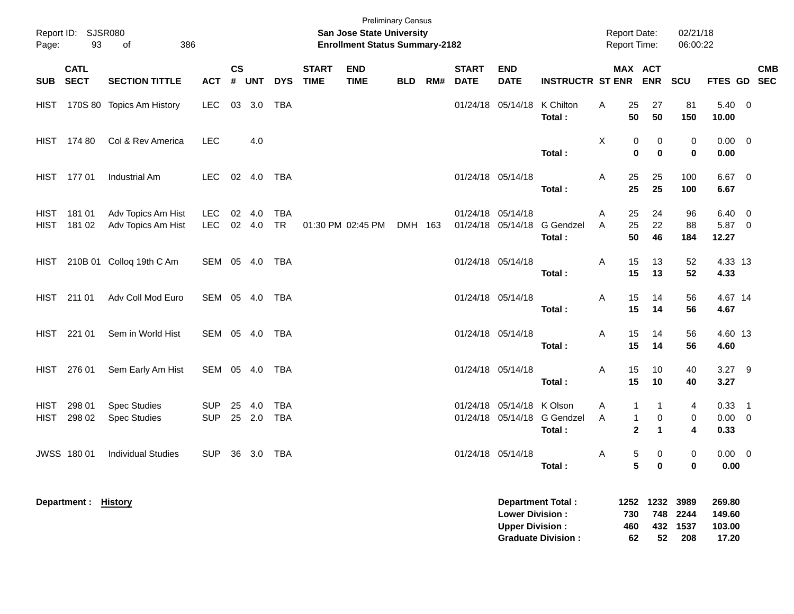| Page:                      | Report ID: SJSR080<br>93 | 386<br>of                                  |                          |                |                  |            |                             | <b>Preliminary Census</b><br><b>San Jose State University</b><br><b>Enrollment Status Summary-2182</b> |            |     |                             |                                                  |                                                       | <b>Report Date:</b><br>Report Time: |                        |                                    | 02/21/18<br>06:00:22 |                                     |            |
|----------------------------|--------------------------|--------------------------------------------|--------------------------|----------------|------------------|------------|-----------------------------|--------------------------------------------------------------------------------------------------------|------------|-----|-----------------------------|--------------------------------------------------|-------------------------------------------------------|-------------------------------------|------------------------|------------------------------------|----------------------|-------------------------------------|------------|
| SUB SECT                   | <b>CATL</b>              | <b>SECTION TITTLE</b>                      | <b>ACT</b>               | <b>CS</b><br># | <b>UNT</b>       | <b>DYS</b> | <b>START</b><br><b>TIME</b> | <b>END</b><br><b>TIME</b>                                                                              | <b>BLD</b> | RM# | <b>START</b><br><b>DATE</b> | <b>END</b><br><b>DATE</b>                        | <b>INSTRUCTR ST ENR</b>                               | MAX ACT                             |                        | <b>ENR</b>                         | <b>SCU</b>           | FTES GD SEC                         | <b>CMB</b> |
| HIST                       |                          | 170S 80 Topics Am History                  | <b>LEC</b>               |                | 03 3.0           | <b>TBA</b> |                             |                                                                                                        |            |     |                             | 01/24/18 05/14/18                                | K Chilton<br>Total:                                   | Α                                   | 25<br>50               | 27<br>50                           | 81<br>150            | $5.40\ 0$<br>10.00                  |            |
|                            | HIST 174 80              | Col & Rev America                          | <b>LEC</b>               |                | 4.0              |            |                             |                                                                                                        |            |     |                             |                                                  | Total:                                                | X                                   | 0<br>$\bf{0}$          | 0<br>0                             | 0<br>0               | $0.00 \t 0$<br>0.00                 |            |
|                            | HIST 177 01              | <b>Industrial Am</b>                       | <b>LEC</b>               |                | 02  4.0  TBA     |            |                             |                                                                                                        |            |     |                             | 01/24/18 05/14/18                                | Total:                                                | Α                                   | 25<br>25               | 25<br>25                           | 100<br>100           | $6.67$ 0<br>6.67                    |            |
| <b>HIST</b><br><b>HIST</b> | 181 01<br>181 02         | Adv Topics Am Hist<br>Adv Topics Am Hist   | LEC<br><b>LEC</b>        |                | 02 4.0<br>02 4.0 | TBA<br>TR  |                             | 01:30 PM 02:45 PM                                                                                      | DMH 163    |     |                             | 01/24/18 05/14/18<br>01/24/18 05/14/18           | <b>G</b> Gendzel<br>Total:                            | A<br>A                              | 25<br>25<br>50         | 24<br>22<br>46                     | 96<br>88<br>184      | 6.40 0<br>5.87 0<br>12.27           |            |
| HIST                       |                          | 210B 01 Colloq 19th C Am                   | SEM 05 4.0 TBA           |                |                  |            |                             |                                                                                                        |            |     |                             | 01/24/18 05/14/18                                | Total:                                                | Α                                   | 15<br>15               | 13<br>13                           | 52<br>52             | 4.33 13<br>4.33                     |            |
|                            | HIST 211 01              | Adv Coll Mod Euro                          | SEM 05 4.0 TBA           |                |                  |            |                             |                                                                                                        |            |     |                             | 01/24/18 05/14/18                                | Total:                                                | A                                   | 15<br>15               | 14<br>14                           | 56<br>56             | 4.67 14<br>4.67                     |            |
|                            | HIST 221 01              | Sem in World Hist                          | SEM 05 4.0 TBA           |                |                  |            |                             |                                                                                                        |            |     |                             | 01/24/18 05/14/18                                | Total:                                                | A                                   | 15<br>15               | 14<br>14                           | 56<br>56             | 4.60 13<br>4.60                     |            |
| HIST                       | 276 01                   | Sem Early Am Hist                          | SEM 05 4.0 TBA           |                |                  |            |                             |                                                                                                        |            |     |                             | 01/24/18 05/14/18                                | Total:                                                | Α                                   | 15<br>15               | 10<br>10                           | 40<br>40             | $3.27$ 9<br>3.27                    |            |
| HIST<br><b>HIST</b>        | 298 01<br>298 02         | <b>Spec Studies</b><br><b>Spec Studies</b> | <b>SUP</b><br><b>SUP</b> |                | 25 4.0<br>25 2.0 | TBA<br>TBA |                             |                                                                                                        |            |     |                             | 01/24/18 05/14/18 K Olson                        | 01/24/18 05/14/18 G Gendzel<br>Total:                 | A<br>A                              | 1<br>1<br>$\mathbf{2}$ | 1<br>0<br>1                        | 4<br>0<br>4          | $0.33$ 1<br>$0.00 \t 0$<br>0.33     |            |
|                            | JWSS 180 01              | <b>Individual Studies</b>                  | <b>SUP</b>               |                | 36 3.0 TBA       |            |                             |                                                                                                        |            |     |                             | 01/24/18 05/14/18                                | Total:                                                | Α                                   | 5<br>5                 | 0<br>0                             | 0<br>0               | $0.00 \t 0$<br>0.00                 |            |
|                            | Department : History     |                                            |                          |                |                  |            |                             |                                                                                                        |            |     |                             | <b>Lower Division:</b><br><b>Upper Division:</b> | <b>Department Total:</b><br><b>Graduate Division:</b> |                                     | 730<br>460<br>62       | 1252 1232 3989<br>748<br>432<br>52 | 2244<br>1537<br>208  | 269.80<br>149.60<br>103.00<br>17.20 |            |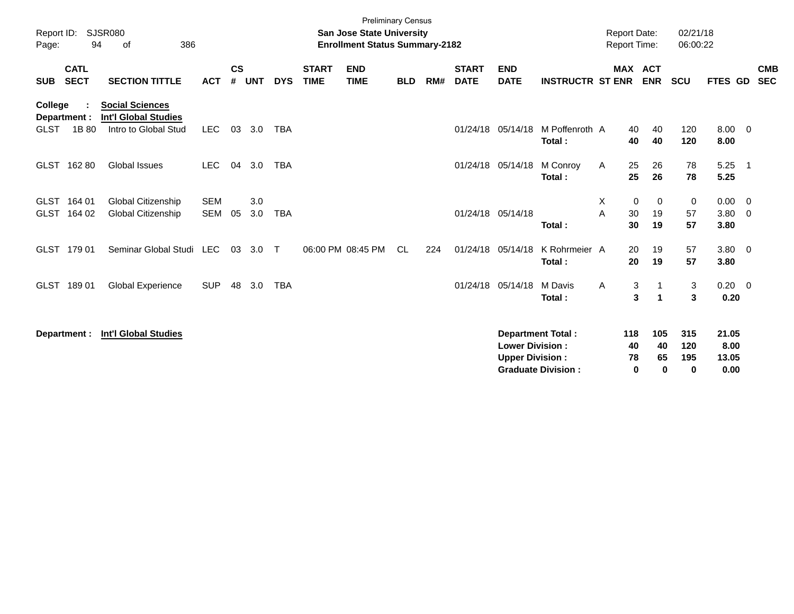| Report ID:<br>Page:           | 94                         | <b>SJSR080</b><br>386<br>of                                                   |                          |                    |            |            |                             | <b>Preliminary Census</b><br><b>San Jose State University</b><br><b>Enrollment Status Summary-2182</b> |            |     |                             |                                                  |                                                       | <b>Report Date:</b><br><b>Report Time:</b> |                              | 02/21/18<br>06:00:22                    |                                   |                            |
|-------------------------------|----------------------------|-------------------------------------------------------------------------------|--------------------------|--------------------|------------|------------|-----------------------------|--------------------------------------------------------------------------------------------------------|------------|-----|-----------------------------|--------------------------------------------------|-------------------------------------------------------|--------------------------------------------|------------------------------|-----------------------------------------|-----------------------------------|----------------------------|
| <b>SUB</b>                    | <b>CATL</b><br><b>SECT</b> | <b>SECTION TITTLE</b>                                                         | <b>ACT</b>               | $\mathsf{cs}$<br># | <b>UNT</b> | <b>DYS</b> | <b>START</b><br><b>TIME</b> | <b>END</b><br><b>TIME</b>                                                                              | <b>BLD</b> | RM# | <b>START</b><br><b>DATE</b> | <b>END</b><br><b>DATE</b>                        | <b>INSTRUCTR ST ENR</b>                               |                                            | <b>MAX ACT</b><br><b>ENR</b> | <b>SCU</b>                              | <b>FTES GD</b>                    | <b>CMB</b><br><b>SEC</b>   |
| <b>College</b><br><b>GLST</b> | Department :<br>1B 80      | <b>Social Sciences</b><br><b>Int'l Global Studies</b><br>Intro to Global Stud | <b>LEC</b>               | 03                 | 3.0        | TBA        |                             |                                                                                                        |            |     |                             | 01/24/18 05/14/18                                | M Poffenroth A<br>Total:                              | 40<br>40                                   | 40<br>40                     | 120<br>120                              | $8.00 \quad 0$<br>8.00            |                            |
| GLST                          | 16280                      | Global Issues                                                                 | <b>LEC</b>               | 04                 | 3.0        | TBA        |                             |                                                                                                        |            |     |                             | 01/24/18 05/14/18                                | M Conroy<br>Total:                                    | A<br>25<br>25                              | 26<br>26                     | 78<br>78                                | 5.25<br>5.25                      | $\overline{\phantom{0}}$ 1 |
| GLST<br><b>GLST</b>           | 164 01<br>164 02           | Global Citizenship<br><b>Global Citizenship</b>                               | <b>SEM</b><br><b>SEM</b> | 05                 | 3.0<br>3.0 | <b>TBA</b> |                             |                                                                                                        |            |     |                             | 01/24/18 05/14/18                                | Total:                                                | X<br>30<br>A<br>30                         | 0<br>0<br>19<br>19           | 0<br>57<br>57                           | $0.00 \t 0$<br>$3.80 \ 0$<br>3.80 |                            |
| <b>GLST</b>                   | 179 01                     | Seminar Global Studi LEC                                                      |                          | 03                 | 3.0        | $\top$     |                             | 06:00 PM 08:45 PM                                                                                      | <b>CL</b>  | 224 |                             | 01/24/18 05/14/18                                | K Rohrmeier A<br>Total:                               | 20<br>20                                   | 19<br>19                     | 57<br>57                                | $3.80 \ 0$<br>3.80                |                            |
| <b>GLST</b>                   | 18901                      | <b>Global Experience</b>                                                      | <b>SUP</b>               | 48                 | 3.0        | <b>TBA</b> |                             |                                                                                                        |            |     |                             | 01/24/18 05/14/18                                | M Davis<br>Total:                                     | A                                          | 3<br>3<br>1                  | $\mathbf{3}$<br>$\overline{\mathbf{3}}$ | $0.20 \ 0$<br>0.20                |                            |
|                               | Department :               | <b>Int'l Global Studies</b>                                                   |                          |                    |            |            |                             |                                                                                                        |            |     |                             | <b>Lower Division:</b><br><b>Upper Division:</b> | <b>Department Total:</b><br><b>Graduate Division:</b> | 118<br>40<br>78                            | 105<br>40<br>65<br>0<br>0    | 315<br>120<br>195<br>$\mathbf 0$        | 21.05<br>8.00<br>13.05<br>0.00    |                            |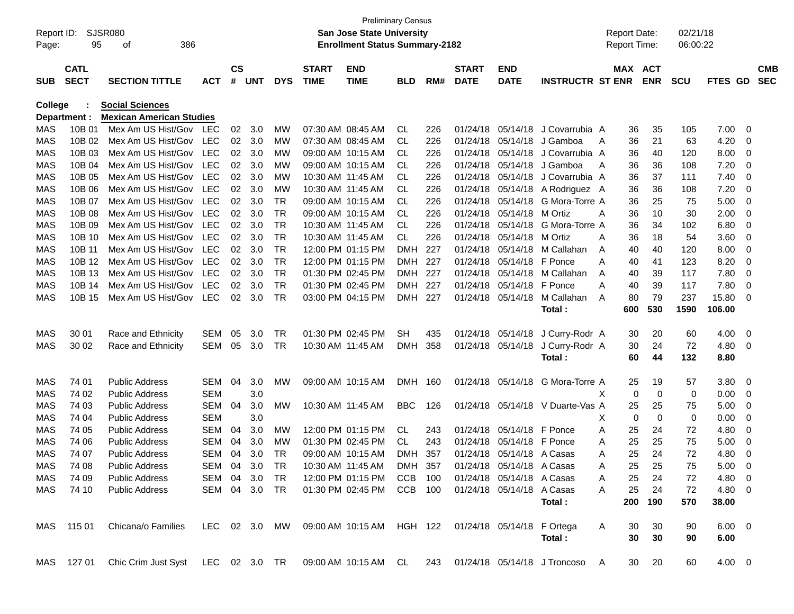| Report ID:<br>Page: | 95                         | SJSR080<br>386<br>οf                                                                                 |               |                    |            |               |                             | <b>Preliminary Census</b><br><b>San Jose State University</b><br><b>Enrollment Status Summary-2182</b> |            |     |                             |                           |                                  |   | <b>Report Date:</b><br><b>Report Time:</b> |            | 02/21/18<br>06:00:22 |                |          |                          |
|---------------------|----------------------------|------------------------------------------------------------------------------------------------------|---------------|--------------------|------------|---------------|-----------------------------|--------------------------------------------------------------------------------------------------------|------------|-----|-----------------------------|---------------------------|----------------------------------|---|--------------------------------------------|------------|----------------------|----------------|----------|--------------------------|
| <b>SUB</b>          | <b>CATL</b><br><b>SECT</b> | <b>SECTION TITTLE</b>                                                                                | <b>ACT</b>    | $\mathsf{cs}$<br># | <b>UNT</b> | <b>DYS</b>    | <b>START</b><br><b>TIME</b> | <b>END</b><br><b>TIME</b>                                                                              | <b>BLD</b> | RM# | <b>START</b><br><b>DATE</b> | <b>END</b><br><b>DATE</b> | <b>INSTRUCTR ST ENR</b>          |   | MAX ACT                                    | <b>ENR</b> | <b>SCU</b>           | <b>FTES GD</b> |          | <b>CMB</b><br><b>SEC</b> |
| <b>College</b>      |                            | <b>Social Sciences</b>                                                                               |               |                    |            |               |                             |                                                                                                        |            |     |                             |                           |                                  |   |                                            |            |                      |                |          |                          |
|                     | Department :               | <b>Mexican American Studies</b>                                                                      |               |                    |            |               |                             |                                                                                                        |            |     |                             |                           |                                  |   |                                            |            |                      |                |          |                          |
| MAS                 | 10B 01                     | Mex Am US Hist/Gov                                                                                   | LEC           | 02                 | 3.0        | MW            |                             | 07:30 AM 08:45 AM                                                                                      | CL.        | 226 | 01/24/18                    |                           | 05/14/18 J Covarrubia A          |   | 36                                         | 35         | 105                  | 7.00           | 0        |                          |
| MAS                 | 10B 02                     | Mex Am US Hist/Gov                                                                                   | LEC           | 02                 | 3.0        | MW            |                             | 07:30 AM 08:45 AM                                                                                      | CL         | 226 | 01/24/18                    |                           | 05/14/18 J Gamboa                | A | 36                                         | 21         | 63                   | 4.20           | 0        |                          |
| MAS                 | 10B 03                     | Mex Am US Hist/Gov                                                                                   | <b>LEC</b>    | 02                 | 3.0        | МW            |                             | 09:00 AM 10:15 AM                                                                                      | CL         | 226 | 01/24/18                    |                           | 05/14/18 J Covarrubia A          |   | 36                                         | 40         | 120                  | 8.00           | 0        |                          |
| MAS                 | 10B 04                     | Mex Am US Hist/Gov                                                                                   | <b>LEC</b>    | 02                 | 3.0        | МW            |                             | 09:00 AM 10:15 AM                                                                                      | CL         | 226 | 01/24/18                    |                           | 05/14/18 J Gamboa                | A | 36                                         | 36         | 108                  | 7.20           | 0        |                          |
| <b>MAS</b>          | 10B 05                     | Mex Am US Hist/Gov                                                                                   | <b>LEC</b>    | 02                 | 3.0        | МW            |                             | 10:30 AM 11:45 AM                                                                                      | CL         | 226 | 01/24/18                    |                           | 05/14/18 J Covarrubia A          |   | 36                                         | 37         | 111                  | 7.40           | 0        |                          |
| <b>MAS</b>          | 10B 06                     | Mex Am US Hist/Gov                                                                                   | <b>LEC</b>    | 02                 | 3.0        | МW            |                             | 10:30 AM 11:45 AM                                                                                      | CL         | 226 | 01/24/18                    |                           | 05/14/18 A Rodriguez A           |   | 36                                         | 36         | 108                  | 7.20           | 0        |                          |
| <b>MAS</b>          | 10B 07                     | Mex Am US Hist/Gov                                                                                   | <b>LEC</b>    | 02                 | 3.0        | TR            |                             | 09:00 AM 10:15 AM                                                                                      | CL         | 226 | 01/24/18                    | 05/14/18                  | G Mora-Torre A                   |   | 36                                         | 25         | 75                   | 5.00           | 0        |                          |
| <b>MAS</b>          | 10B 08                     | Mex Am US Hist/Gov                                                                                   | <b>LEC</b>    | 02                 | 3.0        | <b>TR</b>     |                             | 09:00 AM 10:15 AM                                                                                      | CL         | 226 | 01/24/18                    | 05/14/18 M Ortiz          |                                  | A | 36                                         | 10         | 30                   | 2.00           | 0        |                          |
| <b>MAS</b>          | 10B 09                     | Mex Am US Hist/Gov                                                                                   | <b>LEC</b>    | 02                 | 3.0        | <b>TR</b>     |                             | 10:30 AM 11:45 AM                                                                                      | CL.        | 226 | 01/24/18                    | 05/14/18                  | G Mora-Torre A                   |   | 36                                         | 34         | 102                  | 6.80           | 0        |                          |
| <b>MAS</b>          | 10B 10                     | Mex Am US Hist/Gov                                                                                   | <b>LEC</b>    | 02                 | 3.0        | <b>TR</b>     |                             | 10:30 AM 11:45 AM                                                                                      | CL.        | 226 | 01/24/18                    | 05/14/18 M Ortiz          |                                  | A | 36                                         | 18         | 54                   | 3.60           | 0        |                          |
| <b>MAS</b>          | 10B 11                     | Mex Am US Hist/Gov                                                                                   | <b>LEC</b>    | 02                 | 3.0        | TR            |                             | 12:00 PM 01:15 PM                                                                                      | <b>DMH</b> | 227 | 01/24/18                    |                           | 05/14/18 M Callahan              | A | 40                                         | 40         | 120                  | 8.00           | 0        |                          |
| <b>MAS</b>          | 10B 12                     | Mex Am US Hist/Gov                                                                                   | <b>LEC</b>    | 02                 | 3.0        | <b>TR</b>     |                             | 12:00 PM 01:15 PM                                                                                      | <b>DMH</b> | 227 | 01/24/18                    | 05/14/18 F Ponce          |                                  | A | 40                                         | 41         | 123                  | 8.20           | 0        |                          |
| <b>MAS</b>          | 10B 13                     | Mex Am US Hist/Gov                                                                                   | LEC           | 02                 | 3.0        | <b>TR</b>     |                             | 01:30 PM 02:45 PM                                                                                      | <b>DMH</b> | 227 | 01/24/18                    |                           | 05/14/18 M Callahan              | A | 40                                         | 39         | 117                  | 7.80           | 0        |                          |
| <b>MAS</b>          | 10B 14                     | Mex Am US Hist/Gov                                                                                   | LEC           | 02                 | 3.0        | <b>TR</b>     |                             | 01:30 PM 02:45 PM                                                                                      | DMH        | 227 | 01/24/18                    | 05/14/18 F Ponce          |                                  | A | 40                                         | 39         | 117                  | 7.80           | 0        |                          |
| MAS                 | 10B 15                     | Mex Am US Hist/Gov                                                                                   | <b>LEC</b>    | 02                 | 3.0        | <b>TR</b>     |                             | 03:00 PM 04:15 PM                                                                                      | <b>DMH</b> | 227 | 01/24/18                    | 05/14/18                  | M Callahan                       | A | 80                                         | 79         | 237                  | 15.80          | 0        |                          |
|                     |                            |                                                                                                      |               |                    |            |               |                             |                                                                                                        |            |     |                             |                           | Total:                           |   | 600                                        | 530        | 1590                 | 106.00         |          |                          |
| <b>MAS</b>          | 30 01                      | Race and Ethnicity                                                                                   | <b>SEM</b>    | 05                 | 3.0        | TR            |                             | 01:30 PM 02:45 PM                                                                                      | SH         | 435 | 01/24/18                    | 05/14/18                  | J Curry-Rodr A                   |   | 30                                         | 20         | 60                   | 4.00           | 0        |                          |
| MAS                 | 30 02                      | Race and Ethnicity                                                                                   | SEM           | 05                 | 3.0        | TR            |                             | 10:30 AM 11:45 AM                                                                                      | <b>DMH</b> | 358 |                             | 01/24/18 05/14/18         | J Curry-Rodr A                   |   | 30                                         | 24         | 72                   | 4.80           | 0        |                          |
|                     |                            |                                                                                                      |               |                    |            |               |                             |                                                                                                        |            |     |                             |                           | Total:                           |   | 60                                         | 44         | 132                  | 8.80           |          |                          |
| MAS                 | 74 01                      | Public Address                                                                                       | <b>SEM</b>    | 04                 | 3.0        | MW            |                             | 09:00 AM 10:15 AM                                                                                      | <b>DMH</b> | 160 | 01/24/18                    | 05/14/18                  | G Mora-Torre A                   |   | 25                                         | 19         | 57                   | 3.80           | - 0      |                          |
| MAS                 | 74 02                      | <b>Public Address</b>                                                                                | SEM           |                    | 3.0        |               |                             |                                                                                                        |            |     |                             |                           |                                  | X | 0                                          | 0          | 0                    | 0.00           | 0        |                          |
| <b>MAS</b>          | 74 03                      | <b>Public Address</b>                                                                                | <b>SEM</b>    | 04                 | 3.0        | MW            |                             | 10:30 AM 11:45 AM                                                                                      | <b>BBC</b> | 126 |                             |                           | 01/24/18 05/14/18 V Duarte-Vas A |   | 25                                         | 25         | 75                   | 5.00           | 0        |                          |
| <b>MAS</b>          | 74 04                      | <b>Public Address</b>                                                                                | <b>SEM</b>    |                    | 3.0        |               |                             |                                                                                                        |            |     |                             |                           |                                  | х | 0                                          | 0          | 0                    | 0.00           | 0        |                          |
| <b>MAS</b>          | 74 05                      | <b>Public Address</b>                                                                                | <b>SEM</b>    | 04                 | 3.0        | MW            |                             | 12:00 PM 01:15 PM                                                                                      | CL         | 243 |                             | 01/24/18 05/14/18 F Ponce |                                  | A | 25                                         | 24         | 72                   | 4.80           | 0        |                          |
| <b>MAS</b>          | 74 06                      | <b>Public Address</b>                                                                                | <b>SEM</b>    | 04                 | 3.0        | МW            |                             | 01:30 PM 02:45 PM                                                                                      | CL.        | 243 | 01/24/18                    | 05/14/18 F Ponce          |                                  | A | 25                                         | 25         | 75                   | 5.00           | 0        |                          |
| <b>MAS</b>          | 74 07                      | <b>Public Address</b>                                                                                | SEM           | 04                 | 3.0        | TR            |                             | 09:00 AM 10:15 AM                                                                                      | <b>DMH</b> | 357 | 01/24/18                    | 05/14/18 A Casas          |                                  | Α | 25                                         | 24         | 72                   | 4.80           | 0        |                          |
| <b>MAS</b>          | 74 08                      | Public Address                                                                                       | SEM 04 3.0    |                    |            | <b>TR</b>     |                             | 10:30 AM 11:45 AM                                                                                      | DMH        | 357 |                             | 01/24/18 05/14/18 A Casas |                                  | A | 25                                         | 25         | 75                   | 5.00           | $\Omega$ |                          |
| MAS                 | 74 09                      | <b>Public Address</b>                                                                                | SEM 04 3.0 TR |                    |            |               |                             | 12:00 PM 01:15 PM CCB 100 01/24/18 05/14/18 A Casas                                                    |            |     |                             |                           |                                  | A | 25                                         | 24         | 72                   | $4.80\quad 0$  |          |                          |
|                     | MAS 74 10                  | <b>Public Address</b>                                                                                |               |                    |            | SEM 04 3.0 TR |                             | 01:30 PM 02:45 PM CCB 100                                                                              |            |     | 01/24/18 05/14/18 A Casas   |                           |                                  | A | 25                                         | 24         | 72                   | 4.80 0         |          |                          |
|                     |                            |                                                                                                      |               |                    |            |               |                             |                                                                                                        |            |     |                             |                           | Total:                           |   | 200                                        | 190        | 570                  | 38.00          |          |                          |
|                     | MAS 11501                  | Chicana/o Families LEC 02 3.0 MW 09:00 AM 10:15 AM HGH 122 01/24/18 05/14/18 F Ortega                |               |                    |            |               |                             |                                                                                                        |            |     |                             |                           |                                  | A | 30                                         | 30         | 90                   | $6.00 \quad 0$ |          |                          |
|                     |                            |                                                                                                      |               |                    |            |               |                             |                                                                                                        |            |     |                             |                           | Total:                           |   | 30                                         | 30         | 90                   | 6.00           |          |                          |
|                     |                            |                                                                                                      |               |                    |            |               |                             |                                                                                                        |            |     |                             |                           |                                  |   |                                            |            |                      |                |          |                          |
|                     |                            | MAS 127 01 Chic Crim Just Syst LEC 02 3.0 TR 09:00 AM 10:15 AM CL 243 01/24/18 05/14/18 J Troncoso A |               |                    |            |               |                             |                                                                                                        |            |     |                             |                           |                                  |   |                                            | 30 20      | 60                   | 4.00 0         |          |                          |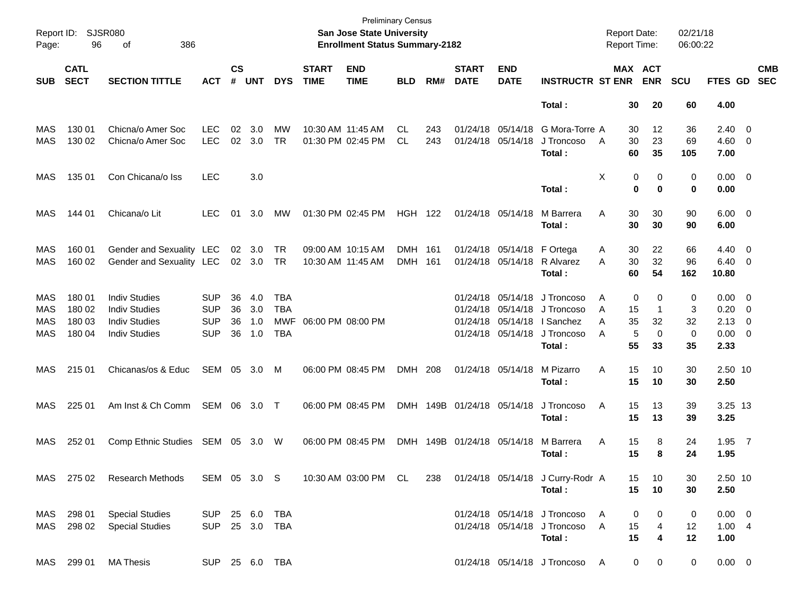| Report ID:<br>Page:      | 96                                   | <b>SJSR080</b><br>386<br>of                                                                  |                                                      |                      |                          |                                                      |                             | <b>Preliminary Census</b><br>San Jose State University<br><b>Enrollment Status Summary-2182</b> |                       |            |                             |                                                             |                                                                                 | <b>Report Date:</b><br>Report Time: |                                             | 02/21/18<br>06:00:22              |                                                              |                          |                          |
|--------------------------|--------------------------------------|----------------------------------------------------------------------------------------------|------------------------------------------------------|----------------------|--------------------------|------------------------------------------------------|-----------------------------|-------------------------------------------------------------------------------------------------|-----------------------|------------|-----------------------------|-------------------------------------------------------------|---------------------------------------------------------------------------------|-------------------------------------|---------------------------------------------|-----------------------------------|--------------------------------------------------------------|--------------------------|--------------------------|
| <b>SUB</b>               | <b>CATL</b><br><b>SECT</b>           | <b>SECTION TITTLE</b>                                                                        | <b>ACT</b>                                           | $\mathsf{cs}$<br>#   | <b>UNT</b>               | <b>DYS</b>                                           | <b>START</b><br><b>TIME</b> | <b>END</b><br><b>TIME</b>                                                                       | <b>BLD</b>            | RM#        | <b>START</b><br><b>DATE</b> | <b>END</b><br><b>DATE</b>                                   | <b>INSTRUCTR ST ENR</b>                                                         |                                     | MAX ACT<br><b>ENR</b>                       | <b>SCU</b>                        | FTES GD                                                      |                          | <b>CMB</b><br><b>SEC</b> |
|                          |                                      |                                                                                              |                                                      |                      |                          |                                                      |                             |                                                                                                 |                       |            |                             |                                                             | Total:                                                                          | 30                                  | 20                                          | 60                                | 4.00                                                         |                          |                          |
| MAS<br>MAS               | 130 01<br>130 02                     | Chicna/o Amer Soc<br>Chicna/o Amer Soc                                                       | <b>LEC</b><br><b>LEC</b>                             | 02<br>02             | 3.0<br>3.0               | MW<br><b>TR</b>                                      |                             | 10:30 AM 11:45 AM<br>01:30 PM 02:45 PM                                                          | CL.<br><b>CL</b>      | 243<br>243 |                             | 01/24/18 05/14/18<br>01/24/18 05/14/18                      | G Mora-Torre A<br>J Troncoso<br>Total:                                          | 30<br>$\overline{A}$<br>30<br>60    | 12<br>23<br>35                              | 36<br>69<br>105                   | $2.40 \ 0$<br>$4.60$ 0<br>7.00                               |                          |                          |
| MAS                      | 135 01                               | Con Chicana/o Iss                                                                            | <b>LEC</b>                                           |                      | 3.0                      |                                                      |                             |                                                                                                 |                       |            |                             |                                                             | Total:                                                                          | Χ                                   | 0<br>0<br>0<br>$\bf{0}$                     | 0<br>0                            | $0.00 \t 0$<br>0.00                                          |                          |                          |
| MAS                      | 144 01                               | Chicana/o Lit                                                                                | <b>LEC</b>                                           | 01                   | 3.0                      | MW                                                   |                             | 01:30 PM 02:45 PM                                                                               | <b>HGH 122</b>        |            |                             | 01/24/18 05/14/18                                           | M Barrera<br>Total:                                                             | Α<br>30<br>30                       | 30<br>30                                    | 90<br>90                          | $6.00 \quad 0$<br>6.00                                       |                          |                          |
| MAS<br>MAS               | 160 01<br>160 02                     | Gender and Sexuality LEC<br>Gender and Sexuality LEC                                         |                                                      | 02                   | 3.0<br>02 3.0            | TR<br><b>TR</b>                                      |                             | 09:00 AM 10:15 AM<br>10:30 AM 11:45 AM                                                          | DMH 161<br><b>DMH</b> | - 161      |                             | 01/24/18 05/14/18 F Ortega<br>01/24/18 05/14/18             | R Alvarez<br>Total :                                                            | Α<br>30<br>30<br>A<br>60            | 22<br>32<br>54                              | 66<br>96<br>162                   | $4.40 \ 0$<br>$6.40 \quad 0$<br>10.80                        |                          |                          |
| MAS<br>MAS<br>MAS<br>MAS | 180 01<br>180 02<br>180 03<br>180 04 | <b>Indiv Studies</b><br><b>Indiv Studies</b><br><b>Indiv Studies</b><br><b>Indiv Studies</b> | <b>SUP</b><br><b>SUP</b><br><b>SUP</b><br><b>SUP</b> | 36<br>36<br>36<br>36 | 4.0<br>3.0<br>1.0<br>1.0 | <b>TBA</b><br><b>TBA</b><br><b>MWF</b><br><b>TBA</b> |                             | 06:00 PM 08:00 PM                                                                               |                       |            |                             | 01/24/18 05/14/18<br>01/24/18 05/14/18<br>01/24/18 05/14/18 | J Troncoso<br>01/24/18 05/14/18 J Troncoso<br>I Sanchez<br>J Troncoso<br>Total: | Α<br>15<br>A<br>35<br>A<br>A<br>55  | 0<br>0<br>1<br>32<br>5<br>$\mathbf 0$<br>33 | 0<br>3<br>32<br>$\mathbf 0$<br>35 | $0.00 \t 0$<br>0.20<br>$2.13 \quad 0$<br>$0.00 \t 0$<br>2.33 | $\overline{\phantom{0}}$ |                          |
| MAS                      | 215 01                               | Chicanas/os & Educ                                                                           | SEM 05 3.0                                           |                      |                          | M                                                    |                             | 06:00 PM 08:45 PM                                                                               | DMH 208               |            |                             | 01/24/18 05/14/18                                           | M Pizarro<br>Total:                                                             | 15<br>Α<br>15                       | 10<br>10                                    | 30<br>30                          | 2.50 10<br>2.50                                              |                          |                          |
| MAS                      | 225 01                               | Am Inst & Ch Comm                                                                            | SEM 06 3.0                                           |                      |                          | $\top$                                               |                             | 06:00 PM 08:45 PM                                                                               |                       |            | DMH 149B 01/24/18 05/14/18  |                                                             | J Troncoso<br>Total:                                                            | A<br>15<br>15                       | 13<br>13                                    | 39<br>39                          | 3.25 13<br>3.25                                              |                          |                          |
| MAS                      | 252 01                               | Comp Ethnic Studies SEM 05 3.0                                                               |                                                      |                      |                          | W                                                    |                             | 06:00 PM 08:45 PM                                                                               |                       |            | DMH 149B 01/24/18 05/14/18  |                                                             | M Barrera<br>Total :                                                            | Α<br>15<br>15                       | 8<br>8                                      | 24<br>24                          | $1.95$ 7<br>1.95                                             |                          |                          |
|                          | MAS 275 02                           | <b>Research Methods</b>                                                                      | SEM 05 3.0 S                                         |                      |                          |                                                      |                             | 10:30 AM 03:00 PM CL                                                                            |                       | 238        |                             |                                                             | 01/24/18 05/14/18 J Curry-Rodr A<br>Total:                                      | 15<br>15                            | 10<br>10                                    | 30<br>30                          | 2.50 10<br>2.50                                              |                          |                          |
| MAS                      | MAS 298 01<br>298 02                 | <b>Special Studies</b><br><b>Special Studies</b>                                             | SUP 25 6.0 TBA<br>SUP 25 3.0 TBA                     |                      |                          |                                                      |                             |                                                                                                 |                       |            |                             |                                                             | 01/24/18 05/14/18 J Troncoso<br>01/24/18 05/14/18 J Troncoso<br>Total:          | A<br>A<br>15<br>15                  | 0<br>0<br>4<br>4                            | 0<br>12<br>12                     | $0.00 \t 0$<br>1.004<br>1.00                                 |                          |                          |
|                          | MAS 299 01                           | <b>MA Thesis</b>                                                                             | SUP 25 6.0 TBA                                       |                      |                          |                                                      |                             |                                                                                                 |                       |            |                             |                                                             | 01/24/18 05/14/18 J Troncoso A                                                  |                                     | $\mathbf{0}$<br>0                           | 0                                 | $0.00 \t 0$                                                  |                          |                          |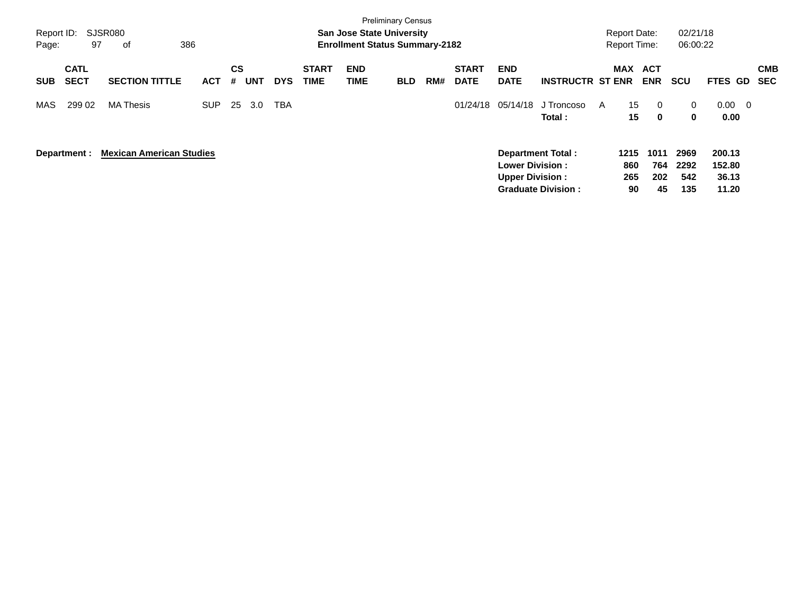|            |              |                                 |            |           |            |            |              |                                       | <b>Preliminary Census</b> |     |              |                        |                           |   |                     |            |              |                 |            |
|------------|--------------|---------------------------------|------------|-----------|------------|------------|--------------|---------------------------------------|---------------------------|-----|--------------|------------------------|---------------------------|---|---------------------|------------|--------------|-----------------|------------|
| Report ID: |              | <b>SJSR080</b>                  |            |           |            |            |              | <b>San Jose State University</b>      |                           |     |              |                        |                           |   | <b>Report Date:</b> |            | 02/21/18     |                 |            |
| Page:      | 97           | 386<br>оf                       |            |           |            |            |              | <b>Enrollment Status Summary-2182</b> |                           |     |              |                        |                           |   | <b>Report Time:</b> |            | 06:00:22     |                 |            |
|            | <b>CATL</b>  |                                 |            | <b>CS</b> |            |            | <b>START</b> | <b>END</b>                            |                           |     | <b>START</b> | <b>END</b>             |                           |   | <b>MAX</b>          | <b>ACT</b> |              |                 | <b>CMB</b> |
| <b>SUB</b> | <b>SECT</b>  | <b>SECTION TITTLE</b>           | <b>ACT</b> | #         | <b>UNT</b> | <b>DYS</b> | <b>TIME</b>  | TIME                                  | <b>BLD</b>                | RM# | <b>DATE</b>  | <b>DATE</b>            | <b>INSTRUCTR ST ENR</b>   |   |                     | <b>ENR</b> | scu          | <b>FTES GD</b>  | <b>SEC</b> |
| MAS        | 299 02       | <b>MA Thesis</b>                | <b>SUP</b> | 25        | 3.0        | <b>TBA</b> |              |                                       |                           |     | 01/24/18     | 05/14/18               | J Troncoso                | A | 15                  | 0          | $\mathbf{0}$ | $0.00\,$<br>- 0 |            |
|            |              |                                 |            |           |            |            |              |                                       |                           |     |              |                        | Total:                    |   | 15                  | 0          | $\mathbf 0$  | 0.00            |            |
|            | Department : | <b>Mexican American Studies</b> |            |           |            |            |              |                                       |                           |     |              |                        | Department Total:         |   | 1215                | 1011       | 2969         | 200.13          |            |
|            |              |                                 |            |           |            |            |              |                                       |                           |     |              | <b>Lower Division:</b> |                           |   | 860                 | 764        | 2292         | 152.80          |            |
|            |              |                                 |            |           |            |            |              |                                       |                           |     |              | <b>Upper Division:</b> |                           |   | 265                 | 202        | 542          | 36.13           |            |
|            |              |                                 |            |           |            |            |              |                                       |                           |     |              |                        | <b>Graduate Division:</b> |   | 90                  | 45         | 135          | 11.20           |            |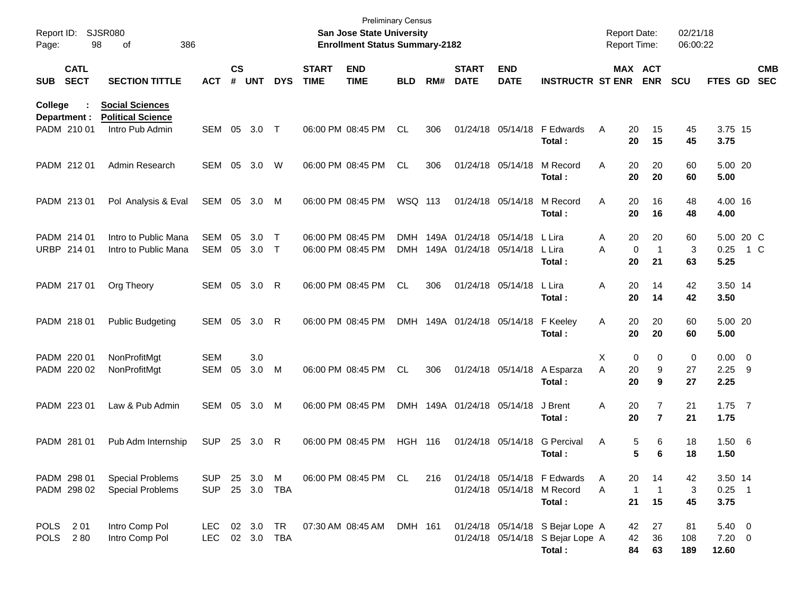| Report ID:<br>Page: | 98                          | <b>SJSR080</b><br>386<br>of                                           |                          |                    |                         |                        |                             | <b>Preliminary Census</b><br><b>San Jose State University</b><br><b>Enrollment Status Summary-2182</b> |                          |     |                                                  |                           |                                                                                | <b>Report Date:</b><br><b>Report Time:</b> |                                                        | 02/21/18<br>06:00:22 |                                        |     |                          |
|---------------------|-----------------------------|-----------------------------------------------------------------------|--------------------------|--------------------|-------------------------|------------------------|-----------------------------|--------------------------------------------------------------------------------------------------------|--------------------------|-----|--------------------------------------------------|---------------------------|--------------------------------------------------------------------------------|--------------------------------------------|--------------------------------------------------------|----------------------|----------------------------------------|-----|--------------------------|
| <b>SUB</b>          | <b>CATL</b><br><b>SECT</b>  | <b>SECTION TITTLE</b>                                                 | <b>ACT</b>               | $\mathsf{cs}$<br># | <b>UNT</b>              | <b>DYS</b>             | <b>START</b><br><b>TIME</b> | <b>END</b><br><b>TIME</b>                                                                              | <b>BLD</b>               | RM# | <b>START</b><br><b>DATE</b>                      | <b>END</b><br><b>DATE</b> | <b>INSTRUCTR ST ENR</b>                                                        |                                            | MAX ACT<br><b>ENR</b>                                  | <b>SCU</b>           | FTES GD                                |     | <b>CMB</b><br><b>SEC</b> |
| College             | Department :<br>PADM 210 01 | <b>Social Sciences</b><br><b>Political Science</b><br>Intro Pub Admin | SEM                      | 05                 | 3.0                     | $\top$                 |                             | 06:00 PM 08:45 PM                                                                                      | <b>CL</b>                | 306 |                                                  | 01/24/18 05/14/18         | F Edwards                                                                      | Α                                          | 20<br>15                                               | 45                   | 3.75 15                                |     |                          |
|                     | PADM 212 01                 | Admin Research                                                        | <b>SEM</b>               | 05                 | 3.0                     | W                      |                             | 06:00 PM 08:45 PM                                                                                      | <b>CL</b>                | 306 |                                                  | 01/24/18 05/14/18         | Total:<br>M Record<br>Total:                                                   | A                                          | 20<br>15<br>20<br>20<br>20<br>20                       | 45<br>60<br>60       | 3.75<br>5.00 20<br>5.00                |     |                          |
|                     | PADM 213 01                 | Pol Analysis & Eval                                                   | SEM                      | 05                 | 3.0                     | M                      |                             | 06:00 PM 08:45 PM                                                                                      | WSQ 113                  |     |                                                  | 01/24/18 05/14/18         | M Record<br>Total:                                                             | A                                          | 20<br>16<br>20<br>16                                   | 48<br>48             | 4.00 16<br>4.00                        |     |                          |
|                     | PADM 214 01<br>URBP 214 01  | Intro to Public Mana<br>Intro to Public Mana                          | <b>SEM</b><br><b>SEM</b> | 05<br>05           | 3.0<br>3.0              | $\mathsf{T}$<br>$\top$ |                             | 06:00 PM 08:45 PM<br>06:00 PM 08:45 PM                                                                 | <b>DMH</b><br><b>DMH</b> |     | 149A 01/24/18 05/14/18<br>149A 01/24/18 05/14/18 |                           | L Lira<br>L Lira<br>Total:                                                     | Α<br>A                                     | 20<br>20<br>$\mathbf 0$<br>$\mathbf 1$<br>20<br>21     | 60<br>3<br>63        | 5.00 20 C<br>0.25<br>5.25              | 1 C |                          |
|                     | PADM 217 01                 | Org Theory                                                            | <b>SEM</b>               | 05                 | 3.0                     | -R                     |                             | 06:00 PM 08:45 PM                                                                                      | <b>CL</b>                | 306 |                                                  | 01/24/18 05/14/18         | L Lira<br>Total:                                                               | Α                                          | 20<br>14<br>20<br>14                                   | 42<br>42             | 3.50 14<br>3.50                        |     |                          |
|                     | PADM 218 01                 | <b>Public Budgeting</b>                                               | SEM                      | 05                 | 3.0                     | -R                     |                             | 06:00 PM 08:45 PM                                                                                      |                          |     | DMH 149A 01/24/18 05/14/18                       |                           | F Keeley<br>Total:                                                             | Α                                          | 20<br>20<br>20<br>20                                   | 60<br>60             | 5.00 20<br>5.00                        |     |                          |
|                     | PADM 220 01<br>PADM 220 02  | NonProfitMgt<br>NonProfitMgt                                          | <b>SEM</b><br><b>SEM</b> | 05                 | 3.0<br>3.0              | M                      |                             | 06:00 PM 08:45 PM                                                                                      | <b>CL</b>                | 306 |                                                  | 01/24/18 05/14/18         | A Esparza<br>Total:                                                            | Χ<br>A                                     | 0<br>0<br>9<br>20<br>20<br>9                           | 0<br>27<br>27        | $0.00 \t 0$<br>$2.25$ 9<br>2.25        |     |                          |
|                     | PADM 223 01                 | Law & Pub Admin                                                       | SEM                      | 05                 | 3.0                     | M                      |                             | 06:00 PM 08:45 PM                                                                                      |                          |     | DMH 149A 01/24/18 05/14/18                       |                           | J Brent<br>Total :                                                             | Α                                          | $\overline{7}$<br>20<br>20<br>$\overline{7}$           | 21<br>21             | $1.75$ 7<br>1.75                       |     |                          |
|                     | PADM 281 01                 | Pub Adm Internship                                                    | <b>SUP</b>               | 25                 | 3.0                     | -R                     |                             | 06:00 PM 08:45 PM                                                                                      | <b>HGH</b>               | 116 |                                                  | 01/24/18 05/14/18         | <b>G</b> Percival<br>Total:                                                    | Α                                          | 6<br>5<br>5<br>6                                       | 18<br>18             | 1.50 6<br>1.50                         |     |                          |
|                     | PADM 298 01<br>PADM 298 02  | <b>Special Problems</b><br><b>Special Problems</b>                    | <b>SUP</b><br><b>SUP</b> |                    | 25 3.0<br>25 3.0 TBA    | M                      |                             | 06:00 PM 08:45 PM CL                                                                                   |                          | 216 |                                                  |                           | 01/24/18 05/14/18 F Edwards<br>01/24/18 05/14/18 M Record<br>Total:            | Α<br>Α                                     | 20<br>14<br>$\overline{1}$<br>$\mathbf{1}$<br>21<br>15 | 42<br>3<br>45        | 3.50 14<br>$0.25$ 1<br>3.75            |     |                          |
| POLS 201            | POLS 280                    | Intro Comp Pol<br>Intro Comp Pol                                      | LEC<br><b>LEC</b>        |                    | 02 3.0 TR<br>02 3.0 TBA |                        |                             | 07:30 AM 08:45 AM                                                                                      | DMH 161                  |     |                                                  |                           | 01/24/18 05/14/18 S Bejar Lope A<br>01/24/18 05/14/18 S Bejar Lope A<br>Total: |                                            | 27<br>42<br>42<br>36<br>84<br>63                       | 81<br>108<br>189     | $5.40 \quad 0$<br>$7.20 \t 0$<br>12.60 |     |                          |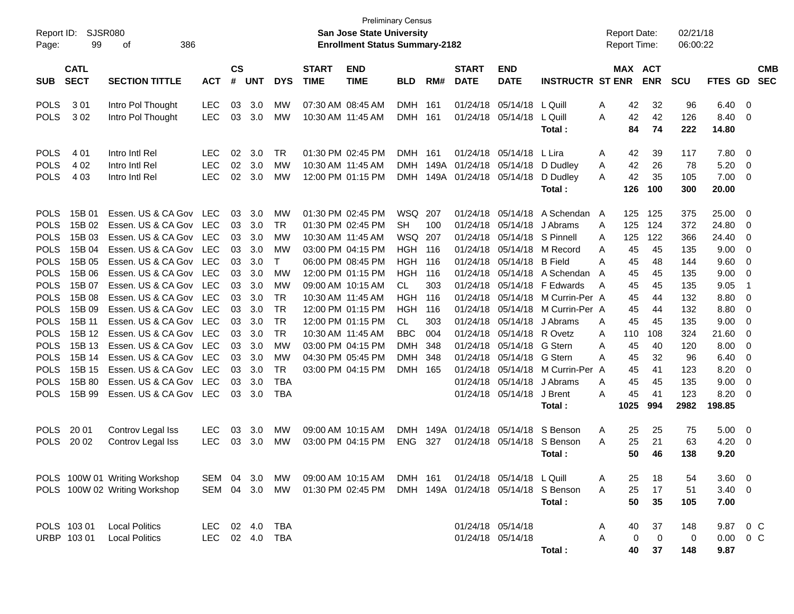| Report ID:<br>Page:        | SJSR080<br>99              | 386<br>οf                                |                          |                |            |              |                             | <b>Preliminary Census</b><br><b>San Jose State University</b><br><b>Enrollment Status Summary-2182</b> |                              |              |                             |                           |                                     | <b>Report Date:</b><br><b>Report Time:</b> |           |                       | 02/21/18<br>06:00:22 |                |                |                          |
|----------------------------|----------------------------|------------------------------------------|--------------------------|----------------|------------|--------------|-----------------------------|--------------------------------------------------------------------------------------------------------|------------------------------|--------------|-----------------------------|---------------------------|-------------------------------------|--------------------------------------------|-----------|-----------------------|----------------------|----------------|----------------|--------------------------|
| <b>SUB</b>                 | <b>CATL</b><br><b>SECT</b> | <b>SECTION TITTLE</b>                    | <b>ACT</b>               | <b>CS</b><br># | <b>UNT</b> | <b>DYS</b>   | <b>START</b><br><b>TIME</b> | <b>END</b><br><b>TIME</b>                                                                              | <b>BLD</b>                   | RM#          | <b>START</b><br><b>DATE</b> | <b>END</b><br><b>DATE</b> | <b>INSTRUCTR ST ENR</b>             |                                            |           | MAX ACT<br><b>ENR</b> | <b>SCU</b>           | FTES GD        |                | <b>CMB</b><br><b>SEC</b> |
| <b>POLS</b>                | 301                        | Intro Pol Thought                        | <b>LEC</b>               | 03             | 3.0        | МW           |                             | 07:30 AM 08:45 AM                                                                                      | <b>DMH</b>                   | 161          | 01/24/18                    | 05/14/18                  | L Quill                             | A                                          | 42        | 32                    | 96                   | 6.40           | $\overline{0}$ |                          |
| <b>POLS</b>                | 302                        | Intro Pol Thought                        | <b>LEC</b>               | 03             | 3.0        | МW           |                             | 10:30 AM 11:45 AM                                                                                      | <b>DMH</b>                   | 161          | 01/24/18                    | 05/14/18                  | L Quill<br>Total:                   | A                                          | 42<br>84  | 42<br>74              | 126<br>222           | 8.40<br>14.80  | 0              |                          |
| <b>POLS</b>                | 4 0 1                      | Intro Intl Rel                           | <b>LEC</b>               | 02             | 3.0        | <b>TR</b>    |                             | 01:30 PM 02:45 PM                                                                                      | <b>DMH</b>                   | 161          | 01/24/18                    | 05/14/18                  | L Lira                              | Α                                          | 42        | 39                    | 117                  | 7.80           | 0              |                          |
| <b>POLS</b><br><b>POLS</b> | 4 0 2<br>4 0 3             | Intro Intl Rel<br>Intro Intl Rel         | <b>LEC</b><br><b>LEC</b> | 02<br>02       | 3.0<br>3.0 | MW<br>МW     |                             | 10:30 AM 11:45 AM<br>12:00 PM 01:15 PM                                                                 | <b>DMH</b><br><b>DMH</b>     | 149A<br>149A | 01/24/18<br>01/24/18        | 05/14/18<br>05/14/18      | D Dudley<br>D Dudley                | Α<br>A                                     | 42<br>42  | 26<br>35              | 78<br>105            | 5.20<br>7.00   | 0<br>0         |                          |
|                            |                            |                                          |                          |                |            |              |                             |                                                                                                        |                              |              |                             |                           | Total:                              |                                            | 126       | 100                   | 300                  | 20.00          |                |                          |
| <b>POLS</b>                | 15B 01                     | Essen. US & CA Gov                       | <b>LEC</b>               | 03             | 3.0        | MW           |                             | 01:30 PM 02:45 PM                                                                                      | WSQ                          | 207          | 01/24/18                    | 05/14/18                  | A Schendan                          | A                                          | 125       | 125                   | 375                  | 25.00          | 0              |                          |
| <b>POLS</b>                | 15B 02                     | Essen. US & CA Gov                       | <b>LEC</b>               | 03             | 3.0        | <b>TR</b>    |                             | 01:30 PM 02:45 PM<br>10:30 AM 11:45 AM                                                                 | <b>SH</b>                    | 100          | 01/24/18                    | 05/14/18                  | J Abrams                            | A                                          | 125       | 124                   | 372                  | 24.80          | 0              |                          |
| <b>POLS</b><br><b>POLS</b> | 15B 03<br>15B 04           | Essen. US & CA Gov<br>Essen. US & CA Gov | <b>LEC</b><br><b>LEC</b> | 03<br>03       | 3.0<br>3.0 | MW<br>MW     |                             | 03:00 PM 04:15 PM                                                                                      | <b>WSQ</b><br><b>HGH 116</b> | 207          | 01/24/18<br>01/24/18        | 05/14/18<br>05/14/18      | S Pinnell<br>M Record               | A<br>Α                                     | 125<br>45 | 122<br>45             | 366<br>135           | 24.40<br>9.00  | 0<br>0         |                          |
| <b>POLS</b>                | 15B 05                     | Essen. US & CA Gov                       | <b>LEC</b>               | 03             | 3.0        | $\mathsf{T}$ |                             | 06:00 PM 08:45 PM                                                                                      | <b>HGH</b>                   | 116          | 01/24/18                    | 05/14/18                  | <b>B</b> Field                      | Α                                          | 45        | 48                    | 144                  | 9.60           | 0              |                          |
| <b>POLS</b>                | 15B 06                     | Essen. US & CA Gov                       | <b>LEC</b>               | 03             | 3.0        | MW           |                             | 12:00 PM 01:15 PM                                                                                      | <b>HGH</b>                   | 116          | 01/24/18                    | 05/14/18                  | A Schendan                          | A                                          | 45        | 45                    | 135                  | 9.00           | 0              |                          |
| <b>POLS</b>                | 15B 07                     | Essen. US & CA Gov                       | <b>LEC</b>               | 03             | 3.0        | MW           |                             | 09:00 AM 10:15 AM                                                                                      | <b>CL</b>                    | 303          | 01/24/18                    | 05/14/18                  | F Edwards                           | A                                          | 45        | 45                    | 135                  | 9.05           | $\overline{1}$ |                          |
| <b>POLS</b>                | 15B 08                     | Essen. US & CA Gov                       | <b>LEC</b>               | 03             | 3.0        | <b>TR</b>    |                             | 10:30 AM 11:45 AM                                                                                      | <b>HGH</b>                   | 116          | 01/24/18                    | 05/14/18                  | M Currin-Per A                      |                                            | 45        | 44                    | 132                  | 8.80           | 0              |                          |
| <b>POLS</b>                | 15B 09                     | Essen. US & CA Gov                       | <b>LEC</b>               | 03             | 3.0        | <b>TR</b>    |                             | 12:00 PM 01:15 PM                                                                                      | <b>HGH</b>                   | 116          | 01/24/18                    | 05/14/18                  | M Currin-Per A                      |                                            | 45        | 44                    | 132                  | 8.80           | 0              |                          |
| <b>POLS</b>                | 15B 11                     | Essen. US & CA Gov                       | <b>LEC</b>               | 03             | 3.0        | <b>TR</b>    |                             | 12:00 PM 01:15 PM                                                                                      | <b>CL</b>                    | 303          | 01/24/18                    | 05/14/18                  | J Abrams                            | A                                          | 45        | 45                    | 135                  | 9.00           | 0              |                          |
| <b>POLS</b>                | 15B 12                     | Essen. US & CA Gov                       | <b>LEC</b>               | 03             | 3.0        | <b>TR</b>    |                             | 10:30 AM 11:45 AM                                                                                      | <b>BBC</b>                   | 004          | 01/24/18                    | 05/14/18                  | R Ovetz                             | A                                          | 110       | 108                   | 324                  | 21.60          | 0              |                          |
| <b>POLS</b>                | 15B 13                     | Essen. US & CA Gov                       | <b>LEC</b>               | 03             | 3.0        | <b>MW</b>    |                             | 03:00 PM 04:15 PM                                                                                      | <b>DMH</b>                   | 348          | 01/24/18                    | 05/14/18                  | G Stern                             | Α                                          | 45        | 40                    | 120                  | 8.00           | 0              |                          |
| <b>POLS</b>                | 15B 14                     | Essen. US & CA Gov                       | <b>LEC</b>               | 03             | 3.0        | <b>MW</b>    |                             | 04:30 PM 05:45 PM                                                                                      | <b>DMH</b>                   | 348          | 01/24/18                    | 05/14/18                  | G Stern                             | Α                                          | 45        | 32                    | 96                   | 6.40           | 0              |                          |
| <b>POLS</b>                | 15B 15                     | Essen. US & CA Gov                       | <b>LEC</b>               | 03             | 3.0        | <b>TR</b>    |                             | 03:00 PM 04:15 PM                                                                                      | <b>DMH</b>                   | - 165        | 01/24/18                    | 05/14/18                  | M Currin-Per A                      |                                            | 45        | 41                    | 123                  | 8.20           | 0              |                          |
| <b>POLS</b>                | 15B 80                     | Essen. US & CA Gov                       | <b>LEC</b>               | 03             | 3.0        | <b>TBA</b>   |                             |                                                                                                        |                              |              | 01/24/18                    | 05/14/18                  | J Abrams                            | A                                          | 45        | 45                    | 135                  | 9.00           | 0              |                          |
| <b>POLS</b>                | 15B 99                     | Essen. US & CA Gov                       | <b>LEC</b>               | 03             | 3.0        | <b>TBA</b>   |                             |                                                                                                        |                              |              |                             | 01/24/18 05/14/18         | J Brent                             | A                                          | 45        | 41                    | 123                  | 8.20           | 0              |                          |
|                            |                            |                                          |                          |                |            |              |                             |                                                                                                        |                              |              |                             |                           | Total:                              |                                            | 1025      | 994                   | 2982                 | 198.85         |                |                          |
| <b>POLS</b>                | 20 01                      | Controv Legal Iss                        | <b>LEC</b>               | 03             | 3.0        | МW           |                             | 09:00 AM 10:15 AM                                                                                      | <b>DMH</b>                   | 149A         | 01/24/18                    | 05/14/18                  | S Benson                            | A                                          | 25        | 25                    | 75                   | 5.00           | 0              |                          |
| <b>POLS</b>                | 20 02                      | Controv Legal Iss                        | <b>LEC</b>               | 03             | 3.0        | МW           |                             | 03:00 PM 04:15 PM                                                                                      | <b>ENG</b>                   | 327          |                             | 01/24/18 05/14/18         | S Benson                            | Α                                          | 25        | 21                    | 63                   | 4.20           | 0              |                          |
|                            |                            |                                          |                          |                |            |              |                             |                                                                                                        |                              |              |                             |                           | Total:                              |                                            | 50        | 46                    | 138                  | 9.20           |                |                          |
|                            |                            | POLS 100W 01 Writing Workshop            | SEM 04                   |                | 3.0        | MW.          |                             | 09:00 AM 10:15 AM                                                                                      | DMH 161                      |              |                             | 01/24/18 05/14/18 L Quill |                                     | Α                                          | 25        | 18                    | 54                   | $3.60 \quad 0$ |                |                          |
|                            |                            | POLS 100W 02 Writing Workshop            | SEM 04                   |                | 3.0        | MW           |                             | 01:30 PM 02:45 PM                                                                                      |                              |              |                             |                           | DMH 149A 01/24/18 05/14/18 S Benson | A                                          | 25        | 17                    | 51                   | $3.40 \ 0$     |                |                          |
|                            |                            |                                          |                          |                |            |              |                             |                                                                                                        |                              |              |                             |                           | Total:                              |                                            | 50        | 35                    | 105                  | 7.00           |                |                          |
|                            | POLS 103 01                | <b>Local Politics</b>                    | <b>LEC</b>               |                | 02 4.0     | TBA          |                             |                                                                                                        |                              |              |                             | 01/24/18 05/14/18         |                                     | A                                          | 40        | 37                    | 148                  | 9.87 0 C       |                |                          |
|                            | URBP 10301                 | <b>Local Politics</b>                    | <b>LEC</b>               |                | 02 4.0     | <b>TBA</b>   |                             |                                                                                                        |                              |              |                             | 01/24/18 05/14/18         |                                     | Α                                          | 0         | 0                     | 0                    | 0.00           | $0\,$ C        |                          |
|                            |                            |                                          |                          |                |            |              |                             |                                                                                                        |                              |              |                             |                           | Total:                              |                                            | 40        | 37                    | 148                  | 9.87           |                |                          |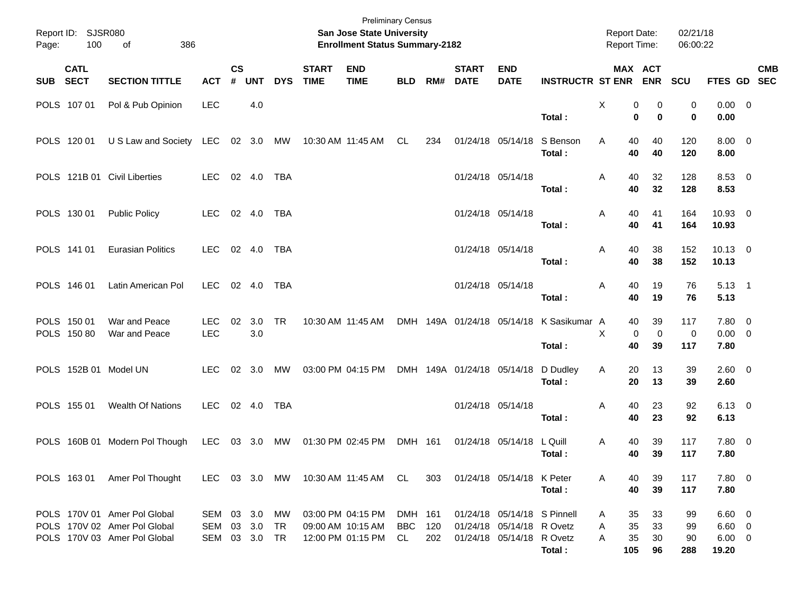| Page:      | Report ID: SJSR080<br>100  | 386<br>of                                                                                    |                                    |                    |                |            |                             | <b>Preliminary Census</b><br>San Jose State University<br><b>Enrollment Status Summary-2182</b> |                             |            |                             |                                                                                       |                                                    | <b>Report Date:</b><br>Report Time:  |                              | 02/21/18<br>06:00:22    |                                              |            |
|------------|----------------------------|----------------------------------------------------------------------------------------------|------------------------------------|--------------------|----------------|------------|-----------------------------|-------------------------------------------------------------------------------------------------|-----------------------------|------------|-----------------------------|---------------------------------------------------------------------------------------|----------------------------------------------------|--------------------------------------|------------------------------|-------------------------|----------------------------------------------|------------|
| <b>SUB</b> | <b>CATL</b><br><b>SECT</b> | <b>SECTION TITTLE</b>                                                                        | <b>ACT</b>                         | $\mathsf{cs}$<br># | <b>UNT</b>     | <b>DYS</b> | <b>START</b><br><b>TIME</b> | <b>END</b><br><b>TIME</b>                                                                       | <b>BLD</b>                  | RM#        | <b>START</b><br><b>DATE</b> | <b>END</b><br><b>DATE</b>                                                             | <b>INSTRUCTR ST ENR</b>                            |                                      | MAX ACT<br><b>ENR</b>        | SCU                     | FTES GD SEC                                  | <b>CMB</b> |
|            | POLS 107 01                | Pol & Pub Opinion                                                                            | <b>LEC</b>                         |                    | 4.0            |            |                             |                                                                                                 |                             |            |                             |                                                                                       | Total:                                             | Χ                                    | 0<br>0<br>0<br>$\bf{0}$      | 0<br>0                  | 0.00 0<br>0.00                               |            |
|            | POLS 120 01                | U S Law and Society LEC                                                                      |                                    |                    | 02 3.0 MW      |            |                             | 10:30 AM 11:45 AM                                                                               | CL                          | 234        |                             | 01/24/18 05/14/18                                                                     | S Benson<br>Total:                                 | A<br>40<br>40                        | 40<br>40                     | 120<br>120              | $8.00 \t 0$<br>8.00                          |            |
|            |                            | POLS 121B 01 Civil Liberties                                                                 | <b>LEC</b>                         |                    | 02 4.0         | TBA        |                             |                                                                                                 |                             |            |                             | 01/24/18 05/14/18                                                                     | Total:                                             | A<br>40<br>40                        | 32<br>32                     | 128<br>128              | 8.53 0<br>8.53                               |            |
|            | POLS 130 01                | <b>Public Policy</b>                                                                         | <b>LEC</b>                         |                    | 02 4.0         | TBA        |                             |                                                                                                 |                             |            |                             | 01/24/18 05/14/18                                                                     | Total:                                             | 40<br>Α<br>40                        | 41<br>41                     | 164<br>164              | 10.93 0<br>10.93                             |            |
|            | POLS 141 01                | <b>Eurasian Politics</b>                                                                     | <b>LEC</b>                         |                    | 02 4.0         | TBA        |                             |                                                                                                 |                             |            |                             | 01/24/18 05/14/18                                                                     | Total:                                             | 40<br>A<br>40                        | 38<br>38                     | 152<br>152              | $10.13 \t 0$<br>10.13                        |            |
|            | POLS 146 01                | Latin American Pol                                                                           | <b>LEC</b>                         |                    | 02 4.0         | TBA        |                             |                                                                                                 |                             |            |                             | 01/24/18 05/14/18                                                                     | Total:                                             | 40<br>A<br>40                        | 19<br>19                     | 76<br>76                | $5.13 \quad 1$<br>5.13                       |            |
|            | POLS 150 01<br>POLS 150 80 | War and Peace<br>War and Peace                                                               | <b>LEC</b><br><b>LEC</b>           | 02                 | 3.0<br>3.0     | <b>TR</b>  |                             | 10:30 AM 11:45 AM                                                                               |                             |            |                             |                                                                                       | DMH 149A 01/24/18 05/14/18 K Sasikumar A<br>Total: | 40<br>X<br>40                        | 39<br>$\mathbf 0$<br>0<br>39 | 117<br>$\pmb{0}$<br>117 | 7.80 0<br>$0.00 \t 0$<br>7.80                |            |
|            |                            | POLS 152B 01 Model UN                                                                        | <b>LEC</b>                         |                    | $02 \quad 3.0$ | MW         |                             | 03:00 PM 04:15 PM                                                                               |                             |            | DMH 149A 01/24/18 05/14/18  |                                                                                       | D Dudley<br>Total:                                 | 20<br>Α<br>20                        | 13<br>13                     | 39<br>39                | $2.60 \t 0$<br>2.60                          |            |
|            | POLS 155 01                | Wealth Of Nations                                                                            | <b>LEC</b>                         |                    | 02 4.0         | TBA        |                             |                                                                                                 |                             |            |                             | 01/24/18 05/14/18                                                                     | Total:                                             | 40<br>A<br>40                        | 23<br>23                     | 92<br>92                | $6.13 \quad 0$<br>6.13                       |            |
|            |                            | POLS 160B 01 Modern Pol Though                                                               | <b>LEC</b>                         |                    | 03 3.0         | МW         |                             | 01:30 PM 02:45 PM                                                                               | DMH 161                     |            |                             | 01/24/18 05/14/18                                                                     | L Quill<br>Total:                                  | 40<br>A<br>40                        | 39<br>39                     | 117<br>117              | 7.80 0<br>7.80                               |            |
|            |                            | POLS 163 01 Amer Pol Thought                                                                 | LEC 03 3.0 MW                      |                    |                |            |                             | 10:30 AM_11:45 AM  CL                                                                           |                             | 303        |                             | 01/24/18 05/14/18 K Peter                                                             | Total:                                             | A<br>40<br>40                        | 39<br>39                     | 117<br>117              | 7.80 0<br>7.80                               |            |
|            |                            | POLS 170V 01 Amer Pol Global<br>POLS 170V 02 Amer Pol Global<br>POLS 170V 03 Amer Pol Global | SEM 03 3.0<br>SEM<br>SEM 03 3.0 TR |                    | 03 3.0         | МW<br>TR   |                             | 03:00 PM 04:15 PM<br>09:00 AM 10:15 AM<br>12:00 PM 01:15 PM                                     | DMH 161<br><b>BBC</b><br>CL | 120<br>202 |                             | 01/24/18 05/14/18 S Pinnell<br>01/24/18 05/14/18 R Ovetz<br>01/24/18 05/14/18 R Ovetz | Total:                                             | 35<br>Α<br>35<br>Α<br>35<br>A<br>105 | 33<br>33<br>30<br>96         | 99<br>99<br>90<br>288   | $6.60$ 0<br>$6.60$ 0<br>$6.00 \t 0$<br>19.20 |            |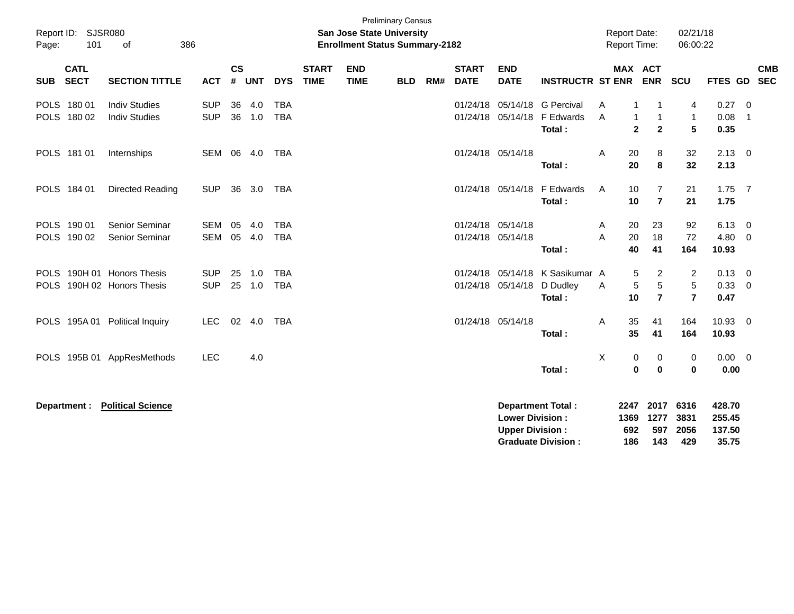| Report ID: SJSR080<br>101<br>Page:                       | 386<br>of                                    |                          |                    |                  |                          |                             | <b>San Jose State University</b><br><b>Enrollment Status Summary-2182</b> | <b>Preliminary Census</b> |     |                             |                                                  |                                                       |        | <b>Report Date:</b><br>Report Time: |                                     | 02/21/18<br>06:00:22              |                                     |                             |
|----------------------------------------------------------|----------------------------------------------|--------------------------|--------------------|------------------|--------------------------|-----------------------------|---------------------------------------------------------------------------|---------------------------|-----|-----------------------------|--------------------------------------------------|-------------------------------------------------------|--------|-------------------------------------|-------------------------------------|-----------------------------------|-------------------------------------|-----------------------------|
| <b>CATL</b><br><b>SECT</b><br><b>SUB</b>                 | <b>SECTION TITTLE</b>                        | <b>ACT</b>               | $\mathsf{cs}$<br># | <b>UNT</b>       | <b>DYS</b>               | <b>START</b><br><b>TIME</b> | <b>END</b><br><b>TIME</b>                                                 | <b>BLD</b>                | RM# | <b>START</b><br><b>DATE</b> | <b>END</b><br><b>DATE</b>                        | <b>INSTRUCTR ST ENR</b>                               |        | MAX ACT                             | ENR SCU                             |                                   | FTES GD SEC                         | <b>CMB</b>                  |
| POLS 180 01<br>POLS 180 02                               | <b>Indiv Studies</b><br><b>Indiv Studies</b> | <b>SUP</b><br><b>SUP</b> | 36                 | 4.0<br>36 1.0    | <b>TBA</b><br><b>TBA</b> |                             |                                                                           |                           |     | 01/24/18                    | 05/14/18<br>01/24/18 05/14/18                    | <b>G</b> Percival<br>F Edwards<br>Total:              | A<br>A | 1<br>$\mathbf{1}$<br>$\overline{2}$ | 1<br>$\mathbf{1}$<br>$\overline{2}$ | 4<br>$\mathbf{1}$<br>5            | 0.27<br>0.08<br>0.35                | $\overline{0}$<br>-1        |
| POLS 181 01                                              | Internships                                  | SEM 06 4.0               |                    |                  | <b>TBA</b>               |                             |                                                                           |                           |     |                             | 01/24/18 05/14/18                                | Total:                                                | A      | 20<br>20                            | 8<br>8                              | 32<br>32                          | $2.13 \quad 0$<br>2.13              |                             |
| POLS 184 01                                              | Directed Reading                             | <b>SUP</b>               | 36                 | 3.0              | TBA                      |                             |                                                                           |                           |     |                             | 01/24/18 05/14/18                                | F Edwards<br>Total:                                   | A      | 10<br>10                            | 7<br>$\overline{7}$                 | 21<br>21                          | 1.75<br>1.75                        | $\overline{7}$              |
| POLS 190 01<br>POLS 190 02                               | Senior Seminar<br>Senior Seminar             | <b>SEM</b><br><b>SEM</b> | 05                 | 4.0<br>05 4.0    | <b>TBA</b><br><b>TBA</b> |                             |                                                                           |                           |     |                             | 01/24/18 05/14/18<br>01/24/18 05/14/18           | Total:                                                | A<br>A | 20<br>20<br>40                      | 23<br>18<br>41                      | 92<br>72<br>164                   | 6.13<br>4.80<br>10.93               | $\mathbf{0}$<br>$\mathbf 0$ |
| POLS 190H 01 Honors Thesis<br>POLS 190H 02 Honors Thesis |                                              | <b>SUP</b><br><b>SUP</b> |                    | 25 1.0<br>25 1.0 | <b>TBA</b><br><b>TBA</b> |                             |                                                                           |                           |     |                             | 01/24/18 05/14/18<br>01/24/18 05/14/18           | K Sasikumar A<br>D Dudley<br>Total:                   | A      | 5<br>5<br>10                        | 2<br>$\sqrt{5}$<br>$\overline{7}$   | 2<br>5<br>$\overline{\mathbf{r}}$ | 0.13<br>0.33<br>0.47                | $\overline{0}$<br>0         |
| POLS 195A 01 Political Inquiry                           |                                              | <b>LEC</b>               | 02                 | 4.0              | <b>TBA</b>               |                             |                                                                           |                           |     |                             | 01/24/18 05/14/18                                | Total:                                                | A      | 35<br>35                            | 41<br>41                            | 164<br>164                        | $10.93 \quad 0$<br>10.93            |                             |
|                                                          | POLS 195B 01 AppResMethods                   | <b>LEC</b>               |                    | 4.0              |                          |                             |                                                                           |                           |     |                             |                                                  | Total:                                                | X      | 0<br>$\bf{0}$                       | 0<br>$\mathbf 0$                    | 0<br>$\bf{0}$                     | $0.00 \t 0$<br>0.00                 |                             |
| Department :                                             | <b>Political Science</b>                     |                          |                    |                  |                          |                             |                                                                           |                           |     |                             | <b>Lower Division:</b><br><b>Upper Division:</b> | <b>Department Total:</b><br><b>Graduate Division:</b> |        | 2247<br>1369<br>692<br>186          | 2017<br>1277<br>597<br>143          | 6316<br>3831<br>2056<br>429       | 428.70<br>255.45<br>137.50<br>35.75 |                             |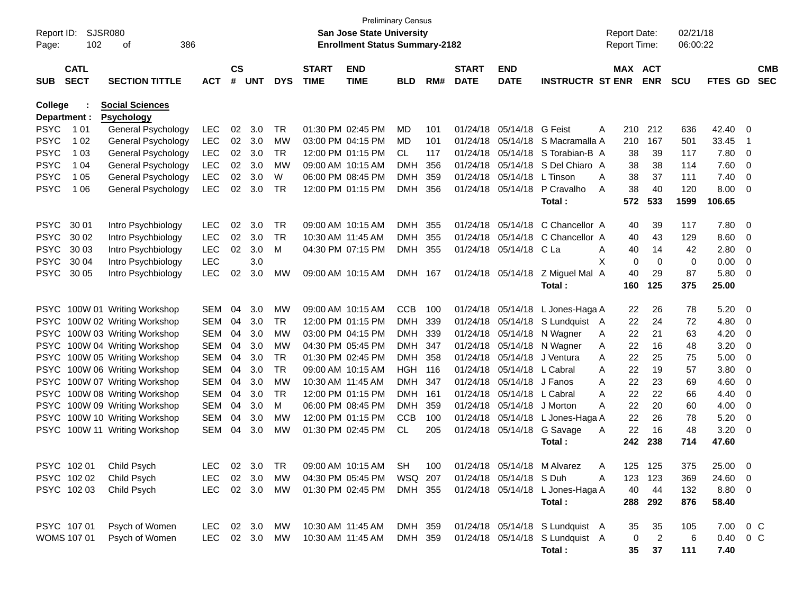| Report ID:<br>Page:            | SJSR080<br>102             | 386<br>οf                                   |               |                    |            |            |                             | San Jose State University<br><b>Enrollment Status Summary-2182</b> | <b>Preliminary Census</b> |     |                             |                           |                                  | <b>Report Date:</b><br>Report Time: |                | 02/21/18<br>06:00:22 |                        |                          |                          |
|--------------------------------|----------------------------|---------------------------------------------|---------------|--------------------|------------|------------|-----------------------------|--------------------------------------------------------------------|---------------------------|-----|-----------------------------|---------------------------|----------------------------------|-------------------------------------|----------------|----------------------|------------------------|--------------------------|--------------------------|
| <b>SUB</b>                     | <b>CATL</b><br><b>SECT</b> | <b>SECTION TITTLE</b>                       | <b>ACT</b>    | $\mathsf{cs}$<br># | <b>UNT</b> | <b>DYS</b> | <b>START</b><br><b>TIME</b> | <b>END</b><br><b>TIME</b>                                          | <b>BLD</b>                | RM# | <b>START</b><br><b>DATE</b> | <b>END</b><br><b>DATE</b> | <b>INSTRUCTR ST ENR</b>          | MAX ACT                             | <b>ENR</b>     | <b>SCU</b>           | FTES GD                |                          | <b>CMB</b><br><b>SEC</b> |
| <b>College</b><br>Department : |                            | <b>Social Sciences</b><br><b>Psychology</b> |               |                    |            |            |                             |                                                                    |                           |     |                             |                           |                                  |                                     |                |                      |                        |                          |                          |
| <b>PSYC</b>                    | 1 0 1                      | General Psychology                          | <b>LEC</b>    | 02                 | 3.0        | TR         |                             | 01:30 PM 02:45 PM                                                  | MD                        | 101 |                             | 01/24/18 05/14/18 G Feist |                                  | 210<br>Α                            | 212            | 636                  | 42.40 0                |                          |                          |
| <b>PSYC</b>                    | 1 0 2                      | General Psychology                          | <b>LEC</b>    | $02\,$             | 3.0        | MW         |                             | 03:00 PM 04:15 PM                                                  | MD                        | 101 |                             |                           | 01/24/18 05/14/18 S Macramalla A | 210                                 | 167            | 501                  | 33.45                  | - 1                      |                          |
| <b>PSYC</b>                    | 1 0 3                      | General Psychology                          | <b>LEC</b>    | 02                 | 3.0        | <b>TR</b>  |                             | 12:00 PM 01:15 PM                                                  | CL.                       | 117 |                             | 01/24/18 05/14/18         | S Torabian-B A                   | 38                                  | 39             | 117                  | 7.80                   | - 0                      |                          |
| <b>PSYC</b>                    | 1 04                       | General Psychology                          | <b>LEC</b>    | 02                 | 3.0        | <b>MW</b>  |                             | 09:00 AM 10:15 AM                                                  | <b>DMH</b>                | 356 |                             | 01/24/18 05/14/18         | S Del Chiaro A                   | 38                                  | 38             | 114                  | 7.60                   | $\overline{\phantom{0}}$ |                          |
| <b>PSYC</b>                    | 1 0 5                      | General Psychology                          | <b>LEC</b>    | 02                 | 3.0        | W          |                             | 06:00 PM 08:45 PM                                                  | <b>DMH</b>                | 359 |                             | 01/24/18 05/14/18         | L Tinson                         | 38<br>Α                             | 37             | 111                  | 7.40                   | $\overline{\phantom{0}}$ |                          |
| <b>PSYC</b>                    | 1 0 6                      | General Psychology                          | <b>LEC</b>    | 02                 | 3.0        | TR         |                             | 12:00 PM 01:15 PM                                                  | <b>DMH</b>                | 356 |                             | 01/24/18 05/14/18         | P Cravalho                       | 38<br>A                             | 40             | 120                  | 8.00                   | $\overline{\phantom{0}}$ |                          |
|                                |                            |                                             |               |                    |            |            |                             |                                                                    |                           |     |                             |                           | Total:                           | 572                                 | 533            | 1599                 | 106.65                 |                          |                          |
| <b>PSYC</b>                    | 30 01                      | Intro Psychbiology                          | <b>LEC</b>    | 02                 | 3.0        | TR         |                             | 09:00 AM 10:15 AM                                                  | <b>DMH</b>                | 355 |                             | 01/24/18 05/14/18         | C Chancellor A                   | 40                                  | 39             | 117                  | 7.80 0                 |                          |                          |
| <b>PSYC</b>                    | 30 02                      | Intro Psychbiology                          | <b>LEC</b>    | 02                 | 3.0        | <b>TR</b>  |                             | 10:30 AM 11:45 AM                                                  | <b>DMH</b>                | 355 |                             |                           | 01/24/18 05/14/18 C Chancellor A | 40                                  | 43             | 129                  | 8.60                   | $\overline{\phantom{0}}$ |                          |
| <b>PSYC</b>                    | 30 03                      | Intro Psychbiology                          | <b>LEC</b>    | 02                 | 3.0        | М          |                             | 04:30 PM 07:15 PM                                                  | DMH                       | 355 |                             | 01/24/18 05/14/18 CLa     |                                  | Α<br>40                             | 14             | 42                   | 2.80                   | $\overline{\phantom{0}}$ |                          |
| <b>PSYC</b>                    | 30 04                      | Intro Psychbiology                          | <b>LEC</b>    |                    | 3.0        |            |                             |                                                                    |                           |     |                             |                           |                                  | 0<br>X                              | 0              | 0                    | 0.00                   | $\overline{\phantom{0}}$ |                          |
| <b>PSYC</b>                    | 30 05                      | Intro Psychbiology                          | <b>LEC</b>    | 02                 | 3.0        | MW         |                             | 09:00 AM 10:15 AM                                                  | DMH 167                   |     |                             |                           | 01/24/18 05/14/18 Z Miguel Mal A | 40                                  | 29             | 87                   | 5.80                   | $\overline{\phantom{0}}$ |                          |
|                                |                            |                                             |               |                    |            |            |                             |                                                                    |                           |     |                             |                           | Total:                           | 160                                 | 125            | 375                  | 25.00                  |                          |                          |
| <b>PSYC</b>                    |                            | 100W 01 Writing Workshop                    | <b>SEM</b>    | 04                 | 3.0        | MW         |                             | 09:00 AM 10:15 AM                                                  | <b>CCB</b>                | 100 |                             | 01/24/18 05/14/18         | L Jones-Haga A                   | 22                                  | 26             | 78                   | 5.20                   | $\overline{\phantom{0}}$ |                          |
| <b>PSYC</b>                    |                            | 100W 02 Writing Workshop                    | <b>SEM</b>    | 04                 | 3.0        | TR         |                             | 12:00 PM 01:15 PM                                                  | <b>DMH</b>                | 339 |                             |                           | 01/24/18 05/14/18 S Lundquist A  | 22                                  | 24             | 72                   | 4.80                   | $\overline{\phantom{0}}$ |                          |
| <b>PSYC</b>                    |                            | 100W 03 Writing Workshop                    | <b>SEM</b>    | 04                 | 3.0        | <b>MW</b>  |                             | 03:00 PM 04:15 PM                                                  | <b>DMH</b>                | 339 |                             | 01/24/18 05/14/18         | N Wagner                         | 22<br>Α                             | 21             | 63                   | 4.20                   | - 0                      |                          |
| <b>PSYC</b>                    |                            | 100W 04 Writing Workshop                    | <b>SEM</b>    | 04                 | 3.0        | MW         |                             | 04:30 PM 05:45 PM                                                  | DMH                       | 347 |                             | 01/24/18 05/14/18         | N Wagner                         | 22<br>Α                             | 16             | 48                   | 3.20                   | $\overline{\phantom{0}}$ |                          |
| <b>PSYC</b>                    |                            | 100W 05 Writing Workshop                    | <b>SEM</b>    | 04                 | 3.0        | <b>TR</b>  |                             | 01:30 PM 02:45 PM                                                  | DMH                       | 358 |                             | 01/24/18 05/14/18         | J Ventura                        | 22<br>A                             | 25             | 75                   | 5.00                   | $\overline{\phantom{0}}$ |                          |
| <b>PSYC</b>                    |                            | 100W 06 Writing Workshop                    | <b>SEM</b>    | 04                 | 3.0        | <b>TR</b>  |                             | 09:00 AM 10:15 AM                                                  | <b>HGH</b>                | 116 |                             | 01/24/18 05/14/18         | L Cabral                         | 22<br>Α                             | 19             | 57                   | 3.80                   | $\overline{\phantom{0}}$ |                          |
| <b>PSYC</b>                    |                            | 100W 07 Writing Workshop                    | <b>SEM</b>    | 04                 | 3.0        | <b>MW</b>  |                             | 10:30 AM 11:45 AM                                                  | DMH                       | 347 |                             | 01/24/18 05/14/18 J Fanos |                                  | 22<br>A                             | 23             | 69                   | 4.60                   | $\overline{\phantom{0}}$ |                          |
| <b>PSYC</b>                    |                            | 100W 08 Writing Workshop                    | <b>SEM</b>    | 04                 | 3.0        | <b>TR</b>  |                             | 12:00 PM 01:15 PM                                                  | DMH                       | 161 |                             | 01/24/18 05/14/18         | L Cabral                         | 22<br>Α                             | 22             | 66                   | 4.40                   | $\overline{\phantom{0}}$ |                          |
| <b>PSYC</b>                    |                            | 100W 09 Writing Workshop                    | <b>SEM</b>    | 04                 | 3.0        | м          |                             | 06:00 PM 08:45 PM                                                  | <b>DMH</b>                | 359 |                             | 01/24/18 05/14/18         | J Morton                         | 22<br>A                             | 20             | 60                   | 4.00                   | $\overline{\phantom{0}}$ |                          |
| <b>PSYC</b>                    |                            | 100W 10 Writing Workshop                    | <b>SEM</b>    | 04                 | 3.0        | MW         |                             | 12:00 PM 01:15 PM                                                  | <b>CCB</b>                | 100 |                             | 01/24/18 05/14/18         | L Jones-Haga A                   | 22                                  | 26             | 78                   | 5.20                   | - 0                      |                          |
| <b>PSYC</b>                    |                            | 100W 11 Writing Workshop                    | <b>SEM</b>    | 04                 | 3.0        | MW         |                             | 01:30 PM 02:45 PM                                                  | <b>CL</b>                 | 205 |                             | 01/24/18 05/14/18         | G Savage                         | 22<br>Α                             | 16             | 48                   | 3.20                   | $\overline{\phantom{0}}$ |                          |
|                                |                            |                                             |               |                    |            |            |                             |                                                                    |                           |     |                             |                           | Total :                          | 242                                 | 238            | 714                  | 47.60                  |                          |                          |
|                                | PSYC 102 01                | Child Psych                                 | LEC           | 02                 | 3.0 TR     |            |                             | 09:00 AM 10:15 AM                                                  | SH.                       | 100 |                             | 01/24/18 05/14/18         | M Alvarez                        | A                                   | 125 125        | 375                  | 25.00 0                |                          |                          |
|                                | PSYC 102 02                | Child Psych                                 | LEC 02 3.0    |                    |            | MW         |                             | 04:30 PM 05:45 PM                                                  | WSQ 207                   |     |                             | 01/24/18 05/14/18 S Duh   |                                  | 123<br>Α                            | 123            | 369                  | 24.60 0                |                          |                          |
|                                | PSYC 10203                 | Child Psych                                 | LEC 02 3.0 MW |                    |            |            |                             | 01:30 PM 02:45 PM                                                  | DMH 355                   |     |                             |                           | 01/24/18 05/14/18 L Jones-Haga A | 40                                  | 44             | 132                  | 8.80 0                 |                          |                          |
|                                |                            |                                             |               |                    |            |            |                             |                                                                    |                           |     |                             |                           | Total:                           |                                     | 288 292        | 876                  | 58.40                  |                          |                          |
|                                | PSYC 107 01                | Psych of Women                              | LEC 02 3.0 MW |                    |            |            |                             | 10:30 AM 11:45 AM                                                  | DMH 359                   |     |                             |                           | 01/24/18 05/14/18 S Lundquist A  | 35                                  | 35             | 105                  | 7.00 0 C               |                          |                          |
|                                | WOMS 107 01                | Psych of Women                              | LEC           |                    | 02 3.0     | MW         |                             | 10:30 AM 11:45 AM                                                  | DMH 359                   |     |                             |                           | 01/24/18 05/14/18 S Lundquist A  | 0                                   | $\overline{2}$ | 6                    | $0.40 \quad 0 \quad C$ |                          |                          |
|                                |                            |                                             |               |                    |            |            |                             |                                                                    |                           |     |                             |                           | Total:                           | 35                                  | 37             | 111                  | 7.40                   |                          |                          |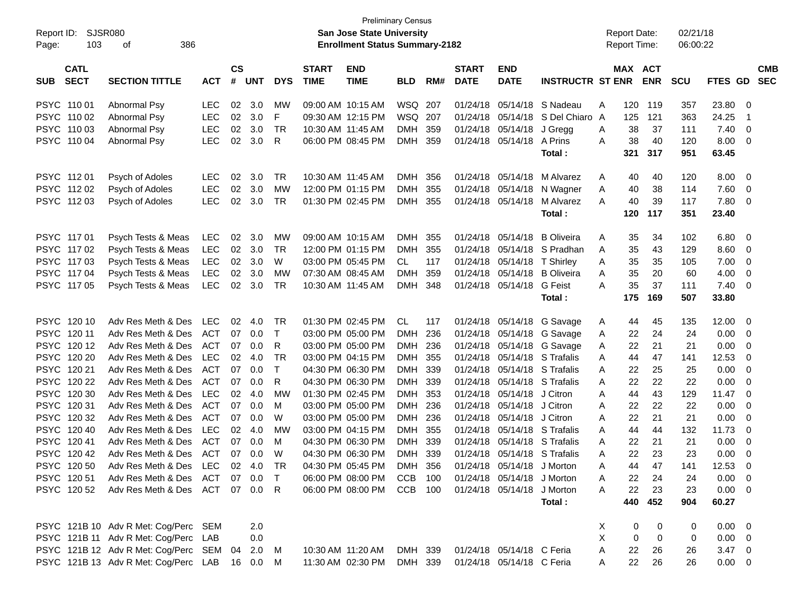| Report ID:<br>Page: | 103                        | SJSR080<br>386<br>οf                        |            |                    |            |              |                             | <b>Preliminary Census</b><br>San Jose State University<br><b>Enrollment Status Summary-2182</b> |            |     |                             |                            |                         |   | <b>Report Date:</b><br><b>Report Time:</b> |            | 02/21/18<br>06:00:22 |                |                |                          |
|---------------------|----------------------------|---------------------------------------------|------------|--------------------|------------|--------------|-----------------------------|-------------------------------------------------------------------------------------------------|------------|-----|-----------------------------|----------------------------|-------------------------|---|--------------------------------------------|------------|----------------------|----------------|----------------|--------------------------|
| <b>SUB</b>          | <b>CATL</b><br><b>SECT</b> | <b>SECTION TITTLE</b>                       | <b>ACT</b> | $\mathsf{cs}$<br># | <b>UNT</b> | <b>DYS</b>   | <b>START</b><br><b>TIME</b> | <b>END</b><br><b>TIME</b>                                                                       | <b>BLD</b> | RM# | <b>START</b><br><b>DATE</b> | <b>END</b><br><b>DATE</b>  | <b>INSTRUCTR ST ENR</b> |   | <b>MAX ACT</b>                             | <b>ENR</b> | <b>SCU</b>           | FTES GD        |                | <b>CMB</b><br><b>SEC</b> |
| PSYC 110 01         |                            | Abnormal Psy                                | <b>LEC</b> | 02                 | 3.0        | MW           |                             | 09:00 AM 10:15 AM                                                                               | WSQ 207    |     | 01/24/18                    | 05/14/18                   | S Nadeau                | A | 120                                        | 119        | 357                  | 23.80          | - 0            |                          |
|                     | PSYC 110 02                | Abnormal Psy                                | <b>LEC</b> | 02                 | 3.0        | F            |                             | 09:30 AM 12:15 PM                                                                               | WSQ        | 207 | 01/24/18                    | 05/14/18                   | S Del Chiaro A          |   | 125                                        | 121        | 363                  | 24.25          | $\overline{1}$ |                          |
|                     | PSYC 110 03                | Abnormal Psy                                | <b>LEC</b> | 02                 | 3.0        | <b>TR</b>    | 10:30 AM 11:45 AM           |                                                                                                 | <b>DMH</b> | 359 | 01/24/18                    | 05/14/18                   | J Gregg                 | A | 38                                         | 37         | 111                  | 7.40           | - 0            |                          |
|                     | PSYC 110 04                | Abnormal Psy                                | <b>LEC</b> | 02                 | 3.0        | R            |                             | 06:00 PM 08:45 PM                                                                               | <b>DMH</b> | 359 | 01/24/18                    | 05/14/18                   | A Prins                 | A | 38                                         | 40         | 120                  | 8.00           | - 0            |                          |
|                     |                            |                                             |            |                    |            |              |                             |                                                                                                 |            |     |                             |                            | Total:                  |   | 321                                        | 317        | 951                  | 63.45          |                |                          |
| PSYC 11201          |                            | Psych of Adoles                             | <b>LEC</b> | 02                 | 3.0        | <b>TR</b>    | 10:30 AM 11:45 AM           |                                                                                                 | <b>DMH</b> | 356 | 01/24/18                    | 05/14/18                   | M Alvarez               | A | 40                                         | 40         | 120                  | 8.00           | - 0            |                          |
|                     | PSYC 112 02                | Psych of Adoles                             | <b>LEC</b> | 02                 | 3.0        | <b>MW</b>    |                             | 12:00 PM 01:15 PM                                                                               | <b>DMH</b> | 355 | 01/24/18                    | 05/14/18                   | N Wagner                | A | 40                                         | 38         | 114                  | 7.60           | 0              |                          |
|                     | PSYC 11203                 | Psych of Adoles                             | <b>LEC</b> | 02                 | 3.0        | <b>TR</b>    |                             | 01:30 PM 02:45 PM                                                                               | <b>DMH</b> | 355 | 01/24/18                    | 05/14/18                   | M Alvarez               | A | 40                                         | 39         | 117                  | 7.80           | - 0            |                          |
|                     |                            |                                             |            |                    |            |              |                             |                                                                                                 |            |     |                             |                            | Total:                  |   | 120                                        | 117        | 351                  | 23.40          |                |                          |
| PSYC 117 01         |                            | Psych Tests & Meas                          | <b>LEC</b> | 02                 | 3.0        | MW           |                             | 09:00 AM 10:15 AM                                                                               | <b>DMH</b> | 355 | 01/24/18                    | 05/14/18                   | <b>B</b> Oliveira       | A | 35                                         | 34         | 102                  | 6.80           | - 0            |                          |
|                     | PSYC 117 02                | Psych Tests & Meas                          | <b>LEC</b> | 02                 | 3.0        | <b>TR</b>    |                             | 12:00 PM 01:15 PM                                                                               | <b>DMH</b> | 355 | 01/24/18                    | 05/14/18                   | S Pradhan               | A | 35                                         | 43         | 129                  | 8.60           | 0              |                          |
|                     | PSYC 117 03                | Psych Tests & Meas                          | <b>LEC</b> | 02                 | 3.0        | W            |                             | 03:00 PM 05:45 PM                                                                               | CL.        | 117 | 01/24/18                    | 05/14/18                   | <b>T</b> Shirley        | A | 35                                         | 35         | 105                  | 7.00           | 0              |                          |
| PSYC 117 04         |                            | Psych Tests & Meas                          | <b>LEC</b> | 02                 | 3.0        | <b>MW</b>    |                             | 07:30 AM 08:45 AM                                                                               | <b>DMH</b> | 359 | 01/24/18                    | 05/14/18                   | <b>B</b> Oliveira       | A | 35                                         | 20         | 60                   | 4.00           | 0              |                          |
|                     | PSYC 11705                 | Psych Tests & Meas                          | <b>LEC</b> | 02                 | 3.0        | <b>TR</b>    |                             | 10:30 AM 11:45 AM                                                                               | DMH 348    |     |                             | 01/24/18 05/14/18          | G Feist                 | A | 35                                         | 37         | 111                  | 7.40           | - 0            |                          |
|                     |                            |                                             |            |                    |            |              |                             |                                                                                                 |            |     |                             |                            | Total:                  |   | 175                                        | 169        | 507                  | 33.80          |                |                          |
|                     | PSYC 120 10                | Adv Res Meth & Des                          | <b>LEC</b> | 02                 | 4.0        | <b>TR</b>    |                             | 01:30 PM 02:45 PM                                                                               | CL.        | 117 | 01/24/18                    |                            | 05/14/18 G Savage       | A | 44                                         | 45         | 135                  | 12.00          | - 0            |                          |
| PSYC 120 11         |                            | Adv Res Meth & Des                          | ACT        | 07                 | 0.0        | $\mathsf{T}$ |                             | 03:00 PM 05:00 PM                                                                               | <b>DMH</b> | 236 | 01/24/18                    |                            | 05/14/18 G Savage       | A | 22                                         | 24         | 24                   | 0.00           | 0              |                          |
| <b>PSYC</b>         | 120 12                     | Adv Res Meth & Des                          | ACT        | 07                 | 0.0        | R            |                             | 03:00 PM 05:00 PM                                                                               | <b>DMH</b> | 236 | 01/24/18                    |                            | 05/14/18 G Savage       | A | 22                                         | 21         | 21                   | 0.00           | - 0            |                          |
| <b>PSYC</b>         | 120 20                     | Adv Res Meth & Des                          | <b>LEC</b> | 02                 | 4.0        | <b>TR</b>    |                             | 03:00 PM 04:15 PM                                                                               | <b>DMH</b> | 355 | 01/24/18                    |                            | 05/14/18 S Trafalis     | A | 44                                         | 47         | 141                  | 12.53          | 0              |                          |
| <b>PSYC</b>         | 120 21                     | Adv Res Meth & Des                          | ACT        | 07                 | 0.0        | T            |                             | 04:30 PM 06:30 PM                                                                               | <b>DMH</b> | 339 | 01/24/18                    |                            | 05/14/18 S Trafalis     | A | 22                                         | 25         | 25                   | 0.00           | 0              |                          |
|                     | PSYC 120 22                | Adv Res Meth & Des                          | ACT        | 07                 | 0.0        | R            |                             | 04:30 PM 06:30 PM                                                                               | <b>DMH</b> | 339 | 01/24/18                    | 05/14/18                   | S Trafalis              | A | 22                                         | 22         | 22                   | 0.00           | 0              |                          |
|                     | PSYC 120 30                | Adv Res Meth & Des                          | <b>LEC</b> | 02                 | 4.0        | <b>MW</b>    |                             | 01:30 PM 02:45 PM                                                                               | <b>DMH</b> | 353 | 01/24/18                    | 05/14/18                   | J Citron                | A | 44                                         | 43         | 129                  | 11.47          | 0              |                          |
| <b>PSYC</b>         | 120 31                     | Adv Res Meth & Des                          | ACT        | 07                 | 0.0        | M            |                             | 03:00 PM 05:00 PM                                                                               | <b>DMH</b> | 236 | 01/24/18                    | 05/14/18                   | J Citron                | A | 22                                         | 22         | 22                   | 0.00           | 0              |                          |
| <b>PSYC</b>         | 120 32                     | Adv Res Meth & Des                          | ACT        | 07                 | 0.0        | W            |                             | 03:00 PM 05:00 PM                                                                               | <b>DMH</b> | 236 | 01/24/18                    | 05/14/18                   | J Citron                | A | 22                                         | 21         | 21                   | 0.00           | 0              |                          |
| <b>PSYC</b>         | 120 40                     | Adv Res Meth & Des                          | <b>LEC</b> | 02                 | 4.0        | <b>MW</b>    |                             | 03:00 PM 04:15 PM                                                                               | <b>DMH</b> | 355 | 01/24/18                    | 05/14/18                   | S Trafalis              | A | 44                                         | 44         | 132                  | 11.73          | 0              |                          |
| <b>PSYC</b>         | 120 41                     | Adv Res Meth & Des                          | ACT        | 07                 | 0.0        | M            |                             | 04:30 PM 06:30 PM                                                                               | <b>DMH</b> | 339 | 01/24/18                    | 05/14/18                   | S Trafalis              | A | 22                                         | 21         | 21                   | 0.00           | 0              |                          |
|                     | PSYC 120 42                | Adv Res Meth & Des                          | ACT        | 07                 | 0.0        | W            |                             | 04:30 PM 06:30 PM                                                                               | <b>DMH</b> | 339 | 01/24/18                    | 05/14/18 S Trafalis        |                         | Α | 22                                         | 23         | 23                   | 0.00           | 0              |                          |
|                     | PSYC 120 50                | Adv Res Meth & Des LEC                      |            |                    | 02 4.0     | TR           |                             | 04:30 PM 05:45 PM                                                                               | <b>DMH</b> | 356 |                             | 01/24/18 05/14/18 J Morton |                         | A | 44                                         | 47         | 141                  | 12.53          | $\Omega$       |                          |
|                     | PSYC 120 51                | Adv Res Meth & Des ACT 07 0.0 T             |            |                    |            |              |                             | 06:00 PM 08:00 PM                                                                               | CCB 100    |     |                             | 01/24/18 05/14/18 J Morton |                         | A | 22                                         | 24         | 24                   | $0.00 \t 0$    |                |                          |
|                     |                            | PSYC 120 52 Adv Res Meth & Des ACT 07 0.0 R |            |                    |            |              |                             | 06:00 PM 08:00 PM                                                                               | CCB 100    |     |                             | 01/24/18 05/14/18          | J Morton                | A | 22                                         | 23         | 23                   | $0.00 \t 0$    |                |                          |
|                     |                            |                                             |            |                    |            |              |                             |                                                                                                 |            |     |                             |                            | Total:                  |   | 440                                        | 452        | 904                  | 60.27          |                |                          |
|                     |                            | PSYC 121B 10 Adv R Met: Cog/Perc SEM        |            |                    | 2.0        |              |                             |                                                                                                 |            |     |                             |                            |                         | X | 0                                          | 0          | 0                    | $0.00 \quad 0$ |                |                          |
|                     |                            | PSYC 121B 11 Adv R Met: Cog/Perc            | LAB        |                    | 0.0        |              |                             |                                                                                                 |            |     |                             |                            |                         | X | 0                                          | 0          | 0                    | $0.00 \t 0$    |                |                          |
|                     |                            | PSYC 121B 12 Adv R Met: Cog/Perc SEM        |            | 04                 | 2.0        | M            |                             | 10:30 AM 11:20 AM                                                                               | DMH 339    |     |                             | 01/24/18 05/14/18 C Feria  |                         | A | 22                                         | 26         | 26                   | $3.47 \quad 0$ |                |                          |
|                     |                            | PSYC 121B 13 Adv R Met: Cog/Perc LAB        |            |                    | 16  0.0  M |              |                             | 11:30 AM 02:30 PM                                                                               | DMH 339    |     |                             | 01/24/18 05/14/18 C Feria  |                         | A | 22                                         | 26         | 26                   | $0.00 \t 0$    |                |                          |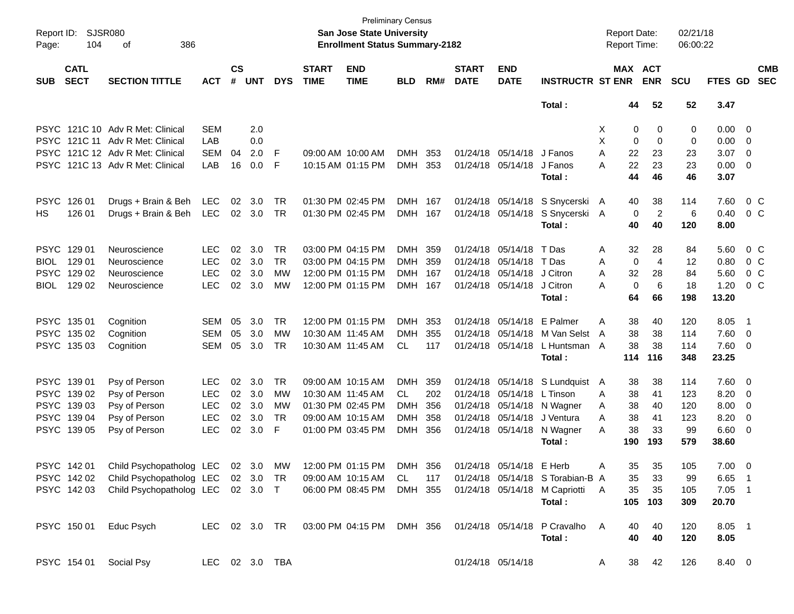| Report ID:<br>Page: | <b>SJSR080</b><br>104      | 386<br>οf                          |                |                    |            |            |                             | <b>Preliminary Census</b><br>San Jose State University<br><b>Enrollment Status Summary-2182</b> |            |     |                             |                            |                                  | <b>Report Date:</b><br>Report Time: |                       |                | 02/21/18<br>06:00:22 |                |                          |                          |
|---------------------|----------------------------|------------------------------------|----------------|--------------------|------------|------------|-----------------------------|-------------------------------------------------------------------------------------------------|------------|-----|-----------------------------|----------------------------|----------------------------------|-------------------------------------|-----------------------|----------------|----------------------|----------------|--------------------------|--------------------------|
| <b>SUB</b>          | <b>CATL</b><br><b>SECT</b> | <b>SECTION TITTLE</b>              | <b>ACT</b>     | $\mathsf{cs}$<br># | <b>UNT</b> | <b>DYS</b> | <b>START</b><br><b>TIME</b> | <b>END</b><br><b>TIME</b>                                                                       | <b>BLD</b> | RM# | <b>START</b><br><b>DATE</b> | <b>END</b><br><b>DATE</b>  | <b>INSTRUCTR ST ENR</b>          |                                     | MAX ACT<br><b>ENR</b> |                | <b>SCU</b>           | <b>FTES GD</b> |                          | <b>CMB</b><br><b>SEC</b> |
|                     |                            |                                    |                |                    |            |            |                             |                                                                                                 |            |     |                             |                            | Total:                           |                                     | 44                    | 52             | 52                   | 3.47           |                          |                          |
|                     |                            | PSYC 121C 10 Adv R Met: Clinical   | SEM            |                    | 2.0        |            |                             |                                                                                                 |            |     |                             |                            |                                  | Χ                                   | 0                     | 0              | 0                    | $0.00 \t 0$    |                          |                          |
|                     |                            | PSYC 121C 11 Adv R Met: Clinical   | LAB            |                    | 0.0        |            |                             |                                                                                                 |            |     |                             |                            |                                  | X                                   | $\mathbf 0$           | $\Omega$       | 0                    | 0.00           | $\overline{\phantom{0}}$ |                          |
|                     |                            | PSYC 121C 12 Adv R Met: Clinical   | <b>SEM</b>     | 04                 | 2.0        | F          |                             | 09:00 AM 10:00 AM                                                                               | <b>DMH</b> | 353 |                             | 01/24/18 05/14/18          | J Fanos                          | A                                   | 22                    | 23             | 23                   | 3.07           | $\overline{\phantom{0}}$ |                          |
|                     |                            | PSYC 121C 13 Adv R Met: Clinical   | LAB            | 16                 | 0.0        | F          |                             | 10:15 AM 01:15 PM                                                                               | <b>DMH</b> | 353 |                             | 01/24/18 05/14/18          | J Fanos                          | А                                   | 22                    | 23             | 23                   | $0.00 \t 0$    |                          |                          |
|                     |                            |                                    |                |                    |            |            |                             |                                                                                                 |            |     |                             |                            | Total:                           |                                     | 44                    | 46             | 46                   | 3.07           |                          |                          |
| <b>PSYC</b>         | 126 01                     | Drugs + Brain & Beh                | LEC            | 02 <sub>o</sub>    | 3.0        | TR         |                             | 01:30 PM 02:45 PM                                                                               | DMH 167    |     |                             |                            | 01/24/18 05/14/18 S Snycerski A  |                                     | 40                    | 38             | 114                  | 7.60           | 0 <sup>o</sup>           |                          |
| HS.                 | 126 01                     | Drugs + Brain & Beh                | LEC            | 02                 | 3.0        | <b>TR</b>  |                             | 01:30 PM 02:45 PM                                                                               | DMH 167    |     |                             | 01/24/18 05/14/18          | S Snycerski A                    |                                     | $\mathbf 0$           | $\overline{2}$ | 6                    | 0.40           | 0 <sup>o</sup>           |                          |
|                     |                            |                                    |                |                    |            |            |                             |                                                                                                 |            |     |                             |                            | Total:                           |                                     | 40                    | 40             | 120                  | 8.00           |                          |                          |
| PSYC 12901          |                            | Neuroscience                       | <b>LEC</b>     | 02                 | 3.0        | TR.        |                             | 03:00 PM 04:15 PM                                                                               | DMH        | 359 |                             | 01/24/18 05/14/18          | T Das                            | A                                   | 32                    | 28             | 84                   | 5.60           | 0 C                      |                          |
| <b>BIOL</b>         | 129 01                     | Neuroscience                       | <b>LEC</b>     | 02                 | 3.0        | <b>TR</b>  |                             | 03:00 PM 04:15 PM                                                                               | DMH        | 359 | 01/24/18                    | 05/14/18                   | T Das                            | A                                   | $\mathbf 0$           | $\overline{4}$ | 12                   | 0.80           | 0 <sup>o</sup>           |                          |
| <b>PSYC</b>         | 129 02                     | Neuroscience                       | <b>LEC</b>     | 02                 | 3.0        | МW         |                             | 12:00 PM 01:15 PM                                                                               | DMH        | 167 | 01/24/18                    | 05/14/18                   | J Citron                         | A                                   | 32                    | 28             | 84                   | 5.60           | 0 <sup>o</sup>           |                          |
| <b>BIOL</b>         | 129 02                     | Neuroscience                       | <b>LEC</b>     | 02                 | 3.0        | МW         |                             | 12:00 PM 01:15 PM                                                                               | DMH 167    |     |                             | 01/24/18 05/14/18          | J Citron                         | A                                   | $\Omega$              | 6              | 18                   | 1.20           | 0 <sup>o</sup>           |                          |
|                     |                            |                                    |                |                    |            |            |                             |                                                                                                 |            |     |                             |                            | Total:                           |                                     | 64                    | 66             | 198                  | 13.20          |                          |                          |
|                     | PSYC 135 01                | Cognition                          | SEM            | 05                 | 3.0        | TR         |                             | 12:00 PM 01:15 PM                                                                               | DMH        | 353 |                             | 01/24/18 05/14/18 E Palmer |                                  | A                                   | 38                    | 40             | 120                  | 8.05           | - 1                      |                          |
|                     | PSYC 135 02                | Cognition                          | SEM            | 05                 | 3.0        | <b>MW</b>  | 10:30 AM 11:45 AM           |                                                                                                 | DMH        | 355 | 01/24/18                    | 05/14/18                   | M Van Selst                      | A                                   | 38                    | 38             | 114                  | 7.60           | $\overline{\phantom{0}}$ |                          |
|                     | PSYC 135 03                | Cognition                          | <b>SEM</b>     | 05                 | 3.0        | <b>TR</b>  |                             | 10:30 AM 11:45 AM                                                                               | CL         | 117 |                             | 01/24/18 05/14/18          | L Huntsman A                     |                                     | 38                    | 38             | 114                  | 7.60 0         |                          |                          |
|                     |                            |                                    |                |                    |            |            |                             |                                                                                                 |            |     |                             |                            | Total:                           | 114                                 |                       | 116            | 348                  | 23.25          |                          |                          |
| PSYC 139 01         |                            | Psy of Person                      | <b>LEC</b>     | 02                 | 3.0        | TR.        |                             | 09:00 AM 10:15 AM                                                                               | DMH.       | 359 |                             |                            | 01/24/18 05/14/18 S Lundquist    | A                                   | 38                    | 38             | 114                  | 7.60 0         |                          |                          |
|                     | PSYC 139 02                | Psy of Person                      | <b>LEC</b>     | 02                 | 3.0        | МW         | 10:30 AM 11:45 AM           |                                                                                                 | CL         | 202 | 01/24/18                    | 05/14/18                   | L Tinson                         | A                                   | 38                    | 41             | 123                  | 8.20           | $\overline{\mathbf{0}}$  |                          |
|                     | PSYC 139 03                | Psy of Person                      | <b>LEC</b>     | 02                 | 3.0        | МW         |                             | 01:30 PM 02:45 PM                                                                               | <b>DMH</b> | 356 |                             |                            | 01/24/18 05/14/18 N Wagner       | A                                   | 38                    | 40             | 120                  | 8.00           | - 0                      |                          |
|                     | PSYC 139 04                | Psy of Person                      | <b>LEC</b>     | 02                 | 3.0        | <b>TR</b>  |                             | 09:00 AM 10:15 AM                                                                               | DMH        | 358 |                             | 01/24/18 05/14/18          | J Ventura                        | A                                   | 38                    | 41             | 123                  | 8.20           | 0                        |                          |
|                     | PSYC 139 05                | Psy of Person                      | <b>LEC</b>     | 02                 | 3.0        | F          |                             | 01:00 PM 03:45 PM                                                                               | <b>DMH</b> | 356 |                             |                            | 01/24/18 05/14/18 N Wagner       | A                                   | 38                    | 33             | 99                   | $6.60$ 0       |                          |                          |
|                     |                            |                                    |                |                    |            |            |                             |                                                                                                 |            |     |                             |                            | Total:                           | 190                                 |                       | 193            | 579                  | 38.60          |                          |                          |
|                     | PSYC 142 01                | Child Psychopatholog LEC 02 3.0 MW |                |                    |            |            |                             | 12:00 PM 01:15 PM                                                                               | DMH 356    |     |                             | 01/24/18 05/14/18 E Herb   |                                  | Α                                   | 35                    | 35             | 105                  | $7.00 \t 0$    |                          |                          |
|                     | PSYC 142 02                | Child Psychopatholog LEC           |                |                    | 02 3.0     | TR         |                             | 09:00 AM 10:15 AM                                                                               | CL         | 117 |                             |                            | 01/24/18 05/14/18 S Torabian-B A |                                     | 35                    | 33             | 99                   | 6.65 1         |                          |                          |
|                     | PSYC 142 03                | Child Psychopatholog LEC 02 3.0 T  |                |                    |            |            |                             | 06:00 PM 08:45 PM                                                                               | DMH 355    |     |                             |                            | 01/24/18 05/14/18 M Capriotti    | A                                   | 35                    | 35             | 105                  | $7.05$ 1       |                          |                          |
|                     |                            |                                    |                |                    |            |            |                             |                                                                                                 |            |     |                             |                            | Total:                           |                                     | 105                   | 103            | 309                  | 20.70          |                          |                          |
|                     | PSYC 150 01                | Educ Psych                         | LEC 02 3.0 TR  |                    |            |            |                             | 03:00 PM 04:15 PM                                                                               | DMH 356    |     |                             |                            | 01/24/18 05/14/18 P Cravalho     | A                                   | 40                    | 40             | 120                  | 8.05 1         |                          |                          |
|                     |                            |                                    |                |                    |            |            |                             |                                                                                                 |            |     |                             |                            | Total:                           |                                     | 40                    | 40             | 120                  | 8.05           |                          |                          |
|                     | PSYC 154 01                | Social Psy                         | LEC 02 3.0 TBA |                    |            |            |                             |                                                                                                 |            |     |                             | 01/24/18 05/14/18          |                                  | A                                   | 38                    | 42             | 126                  | 8.40 0         |                          |                          |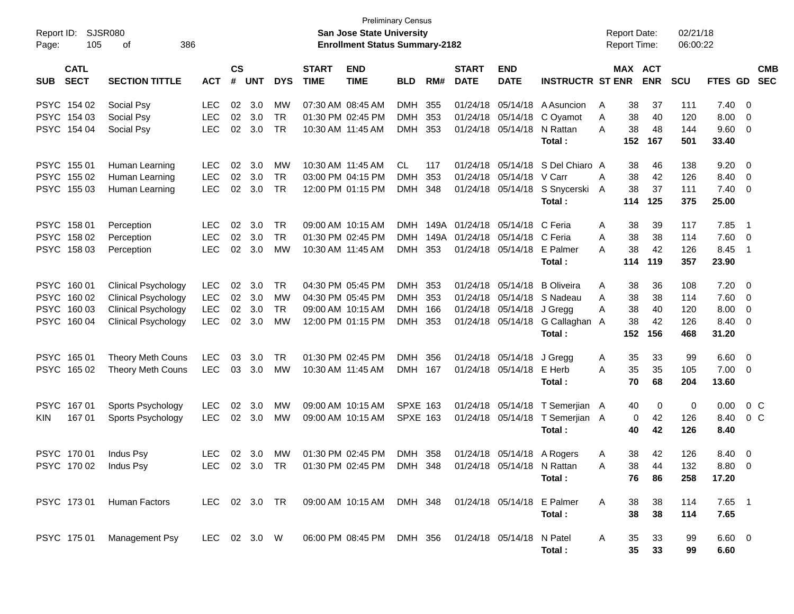| Report ID:<br>Page:                                                | <b>SJSR080</b><br>105<br>386<br>οf                                                                                   |                                                      |                      |                          |                                                  |                             | <b>Preliminary Census</b><br>San Jose State University<br><b>Enrollment Status Summary-2182</b> |                                                   |                   |                                              |                                              |                                                                     |             | <b>Report Date:</b><br><b>Report Time:</b> |                             | 02/21/18<br>06:00:22            |                                       |                          |
|--------------------------------------------------------------------|----------------------------------------------------------------------------------------------------------------------|------------------------------------------------------|----------------------|--------------------------|--------------------------------------------------|-----------------------------|-------------------------------------------------------------------------------------------------|---------------------------------------------------|-------------------|----------------------------------------------|----------------------------------------------|---------------------------------------------------------------------|-------------|--------------------------------------------|-----------------------------|---------------------------------|---------------------------------------|--------------------------|
| <b>CATL</b><br><b>SECT</b><br><b>SUB</b>                           | <b>SECTION TITTLE</b>                                                                                                | <b>ACT</b>                                           | <b>CS</b><br>#       | <b>UNT</b>               | <b>DYS</b>                                       | <b>START</b><br><b>TIME</b> | <b>END</b><br><b>TIME</b>                                                                       | <b>BLD</b>                                        | RM#               | <b>START</b><br><b>DATE</b>                  | <b>END</b><br><b>DATE</b>                    | <b>INSTRUCTR ST ENR</b>                                             |             | MAX ACT                                    | <b>ENR</b>                  | <b>SCU</b>                      | FTES GD                               | <b>CMB</b><br><b>SEC</b> |
| PSYC 154 02<br>PSYC 154 03<br>PSYC 154 04                          | Social Psy<br>Social Psy<br>Social Psy                                                                               | <b>LEC</b><br><b>LEC</b><br><b>LEC</b>               | 02<br>02<br>02       | 3.0<br>3.0<br>3.0        | MW<br><b>TR</b><br><b>TR</b>                     |                             | 07:30 AM 08:45 AM<br>01:30 PM 02:45 PM<br>10:30 AM 11:45 AM                                     | <b>DMH</b><br><b>DMH</b><br>DMH                   | 355<br>353<br>353 | 01/24/18<br>01/24/18<br>01/24/18             | 05/14/18<br>05/14/18<br>05/14/18             | A Asuncion<br>C Oyamot<br>N Rattan<br>Total:                        | A<br>A<br>A | 38<br>38<br>38<br>152                      | 37<br>40<br>48<br>167       | 111<br>120<br>144<br>501        | 7.40<br>8.00<br>9.60<br>33.40         | - 0<br>- 0<br>- 0        |
| PSYC 155 01<br>PSYC 155 02<br>PSYC 155 03                          | Human Learning<br>Human Learning<br>Human Learning                                                                   | <b>LEC</b><br><b>LEC</b><br><b>LEC</b>               | 02<br>02<br>02       | 3.0<br>3.0<br>3.0        | <b>MW</b><br><b>TR</b><br><b>TR</b>              |                             | 10:30 AM 11:45 AM<br>03:00 PM 04:15 PM<br>12:00 PM 01:15 PM                                     | CL.<br><b>DMH</b><br>DMH                          | 117<br>353<br>348 | 01/24/18<br>01/24/18<br>01/24/18             | 05/14/18<br>05/14/18                         | S Del Chiaro A<br>V Carr<br>05/14/18 S Snycerski A<br>Total:        | A           | 38<br>38<br>38<br>114                      | 46<br>42<br>37<br>125       | 138<br>126<br>111<br>375        | 9.20<br>8.40<br>7.40<br>25.00         | - 0<br>- 0<br>- 0        |
| PSYC 158 01<br>PSYC 158 02<br>PSYC 158 03                          | Perception<br>Perception<br>Perception                                                                               | <b>LEC</b><br><b>LEC</b><br><b>LEC</b>               | 02<br>02<br>02       | 3.0<br>3.0<br>3.0        | <b>TR</b><br><b>TR</b><br><b>MW</b>              |                             | 09:00 AM 10:15 AM<br>01:30 PM 02:45 PM<br>10:30 AM 11:45 AM                                     | <b>DMH</b><br><b>DMH</b><br><b>DMH</b>            | 353               | 149A 01/24/18<br>149A 01/24/18<br>01/24/18   | 05/14/18<br>05/14/18<br>05/14/18             | C Feria<br>C Feria<br>E Palmer<br>Total:                            | A<br>A<br>A | 38<br>38<br>38<br>114                      | 39<br>38<br>42<br>119       | 117<br>114<br>126<br>357        | 7.85<br>7.60<br>8.45<br>23.90         | - 1<br>- 0<br>- 1        |
| PSYC 160 01<br>PSYC 160 02<br><b>PSYC</b><br>160 03<br>PSYC 160 04 | <b>Clinical Psychology</b><br><b>Clinical Psychology</b><br><b>Clinical Psychology</b><br><b>Clinical Psychology</b> | <b>LEC</b><br><b>LEC</b><br><b>LEC</b><br><b>LEC</b> | 02<br>02<br>02<br>02 | 3.0<br>3.0<br>3.0<br>3.0 | <b>TR</b><br><b>MW</b><br><b>TR</b><br><b>MW</b> |                             | 04:30 PM 05:45 PM<br>04:30 PM 05:45 PM<br>09:00 AM 10:15 AM<br>12:00 PM 01:15 PM                | <b>DMH</b><br><b>DMH</b><br><b>DMH</b><br>DMH 353 | 353<br>353<br>166 | 01/24/18<br>01/24/18<br>01/24/18<br>01/24/18 | 05/14/18<br>05/14/18<br>05/14/18<br>05/14/18 | <b>B</b> Oliveira<br>S Nadeau<br>J Gregg<br>G Callaghan A<br>Total: | A<br>A<br>Α | 38<br>38<br>38<br>38<br>152                | 36<br>38<br>40<br>42<br>156 | 108<br>114<br>120<br>126<br>468 | 7.20<br>7.60<br>8.00<br>8.40<br>31.20 | - 0<br>- 0<br>0<br>- 0   |
| PSYC 165 01<br>PSYC 165 02                                         | <b>Theory Meth Couns</b><br>Theory Meth Couns                                                                        | <b>LEC</b><br><b>LEC</b>                             | 03<br>03             | 3.0<br>3.0               | <b>TR</b><br><b>MW</b>                           |                             | 01:30 PM 02:45 PM<br>10:30 AM 11:45 AM                                                          | <b>DMH</b><br>DMH 167                             | 356               | 01/24/18                                     | 05/14/18<br>01/24/18 05/14/18                | J Gregg<br>E Herb<br>Total :                                        | A<br>A      | 35<br>35<br>70                             | 33<br>35<br>68              | 99<br>105<br>204                | 6.60<br>7.00<br>13.60                 | - 0<br>- 0               |
| PSYC 167 01<br>167 01<br><b>KIN</b>                                | Sports Psychology<br>Sports Psychology                                                                               | <b>LEC</b><br><b>LEC</b>                             | 02<br>02             | 3.0<br>3.0               | MW<br><b>MW</b>                                  |                             | 09:00 AM 10:15 AM<br>09:00 AM 10:15 AM                                                          | <b>SPXE 163</b><br><b>SPXE 163</b>                |                   | 01/24/18                                     |                                              | 05/14/18 T Semerjian A<br>01/24/18 05/14/18 T Semerjian A<br>Total: |             | 40<br>0<br>40                              | 0<br>42<br>42               | 0<br>126<br>126                 | 0.00<br>8.40<br>8.40                  | 0 <sup>C</sup><br>$0\,C$ |
| PSYC 170 01                                                        | Indus Psy<br>PSYC 170 02 Indus Psy                                                                                   | <b>LEC</b><br>LEC 02 3.0 TR                          | 02                   | 3.0                      | MW                                               |                             | 01:30 PM 02:45 PM<br>01:30 PM 02:45 PM DMH 348                                                  | DMH 358                                           |                   |                                              | 01/24/18 05/14/18 N Rattan                   | 01/24/18 05/14/18 A Rogers<br>Total:                                | A<br>A      | 38<br>38<br>76                             | 42<br>$\Delta\Delta$<br>86  | 126<br>132<br>258               | 8.40<br>8.80 0<br>17.20               | - 0                      |
|                                                                    | PSYC 173 01 Human Factors                                                                                            |                                                      |                      |                          |                                                  |                             | LEC 02 3.0 TR  09:00 AM  10:15 AM  DMH  348  01/24/18  05/14/18  E  Palmer                      |                                                   |                   |                                              |                                              | Total:                                                              | A           | 38<br>38                                   | 38<br>38                    | 114<br>114                      | $7.65$ 1<br>7.65                      |                          |
|                                                                    | PSYC 175 01 Management Psy                                                                                           |                                                      |                      |                          |                                                  |                             | LEC 02 3.0 W  06:00 PM 08:45 PM  DMH  356  01/24/18  05/14/18  N  Patel                         |                                                   |                   |                                              |                                              | Total:                                                              | A           | 35<br>35                                   | 33<br>33                    | 99<br>99                        | $6.60 \quad 0$<br>6.60                |                          |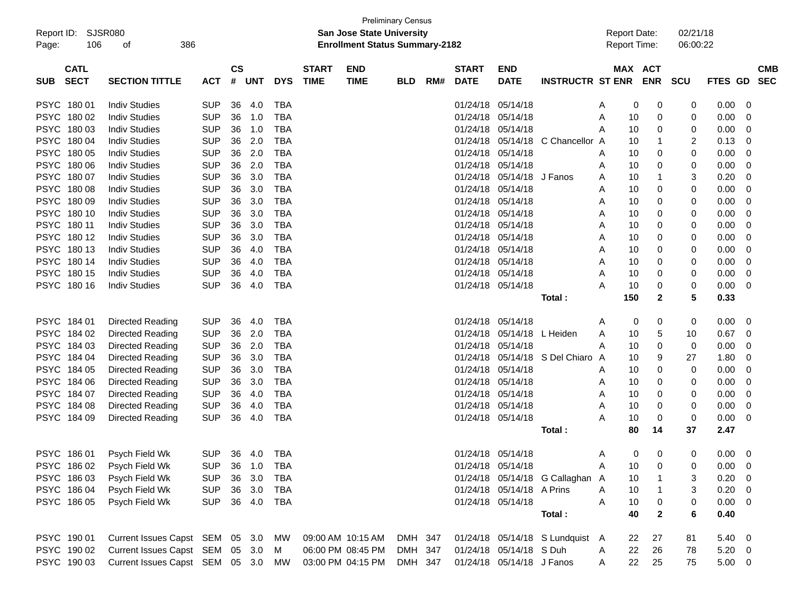| Report ID:<br>Page: | 106                        | SJSR080<br>386<br>оf            |            |                    |            |            |                             | <b>San Jose State University</b><br><b>Enrollment Status Summary-2182</b> | <b>Preliminary Census</b> |     |                             |                           |                                 | <b>Report Date:</b><br><b>Report Time:</b> |     |                       | 02/21/18<br>06:00:22 |                |                          |  |
|---------------------|----------------------------|---------------------------------|------------|--------------------|------------|------------|-----------------------------|---------------------------------------------------------------------------|---------------------------|-----|-----------------------------|---------------------------|---------------------------------|--------------------------------------------|-----|-----------------------|----------------------|----------------|--------------------------|--|
| <b>SUB</b>          | <b>CATL</b><br><b>SECT</b> | <b>SECTION TITTLE</b>           | <b>ACT</b> | $\mathsf{cs}$<br># | <b>UNT</b> | <b>DYS</b> | <b>START</b><br><b>TIME</b> | <b>END</b><br><b>TIME</b>                                                 | <b>BLD</b>                | RM# | <b>START</b><br><b>DATE</b> | <b>END</b><br><b>DATE</b> | <b>INSTRUCTR ST ENR</b>         |                                            |     | MAX ACT<br><b>ENR</b> | <b>SCU</b>           | <b>FTES GD</b> | <b>CMB</b><br><b>SEC</b> |  |
| <b>PSYC</b>         | 18001                      | <b>Indiv Studies</b>            | <b>SUP</b> | 36                 | 4.0        | <b>TBA</b> |                             |                                                                           |                           |     | 01/24/18                    | 05/14/18                  |                                 | A                                          | 0   | 0                     | 0                    | 0.00           | 0                        |  |
| <b>PSYC</b>         | 180 02                     | <b>Indiv Studies</b>            | <b>SUP</b> | 36                 | 1.0        | <b>TBA</b> |                             |                                                                           |                           |     | 01/24/18                    | 05/14/18                  |                                 | A                                          | 10  | 0                     | 0                    | 0.00           | 0                        |  |
|                     | PSYC 180 03                | <b>Indiv Studies</b>            | <b>SUP</b> | 36                 | 1.0        | <b>TBA</b> |                             |                                                                           |                           |     | 01/24/18                    | 05/14/18                  |                                 | A                                          | 10  | 0                     | 0                    | 0.00           | 0                        |  |
| <b>PSYC</b>         | 18004                      | <b>Indiv Studies</b>            | <b>SUP</b> | 36                 | 2.0        | <b>TBA</b> |                             |                                                                           |                           |     | 01/24/18                    | 05/14/18                  | C Chancellor A                  |                                            | 10  | -1                    | 2                    | 0.13           | 0                        |  |
| <b>PSYC</b>         | 180 05                     | <b>Indiv Studies</b>            | <b>SUP</b> | 36                 | 2.0        | <b>TBA</b> |                             |                                                                           |                           |     | 01/24/18                    | 05/14/18                  |                                 | Α                                          | 10  | 0                     | 0                    | 0.00           | 0                        |  |
| <b>PSYC</b>         | 180 06                     | <b>Indiv Studies</b>            | <b>SUP</b> | 36                 | 2.0        | <b>TBA</b> |                             |                                                                           |                           |     | 01/24/18                    | 05/14/18                  |                                 | A                                          | 10  | 0                     | 0                    | 0.00           | 0                        |  |
| <b>PSYC</b>         | 180 07                     | <b>Indiv Studies</b>            | <b>SUP</b> | 36                 | 3.0        | <b>TBA</b> |                             |                                                                           |                           |     | 01/24/18                    | 05/14/18                  | J Fanos                         | A                                          | 10  | $\mathbf 1$           | 3                    | 0.20           | 0                        |  |
| <b>PSYC</b>         | 18008                      | <b>Indiv Studies</b>            | <b>SUP</b> | 36                 | 3.0        | <b>TBA</b> |                             |                                                                           |                           |     | 01/24/18                    | 05/14/18                  |                                 | A                                          | 10  | 0                     | 0                    | 0.00           | 0                        |  |
| <b>PSYC</b>         | 18009                      | <b>Indiv Studies</b>            | <b>SUP</b> | 36                 | 3.0        | <b>TBA</b> |                             |                                                                           |                           |     | 01/24/18                    | 05/14/18                  |                                 | A                                          | 10  | 0                     | 0                    | 0.00           | 0                        |  |
| <b>PSYC</b>         | 180 10                     | <b>Indiv Studies</b>            | <b>SUP</b> | 36                 | 3.0        | <b>TBA</b> |                             |                                                                           |                           |     | 01/24/18                    | 05/14/18                  |                                 | A                                          | 10  | 0                     | 0                    | 0.00           | 0                        |  |
| PSYC 180 11         |                            | <b>Indiv Studies</b>            | <b>SUP</b> | 36                 | 3.0        | <b>TBA</b> |                             |                                                                           |                           |     | 01/24/18                    | 05/14/18                  |                                 | A                                          | 10  | 0                     | 0                    | 0.00           | 0                        |  |
|                     | PSYC 18012                 | <b>Indiv Studies</b>            | <b>SUP</b> | 36                 | 3.0        | <b>TBA</b> |                             |                                                                           |                           |     | 01/24/18                    | 05/14/18                  |                                 | A                                          | 10  | 0                     | 0                    | 0.00           | 0                        |  |
|                     | PSYC 18013                 | <b>Indiv Studies</b>            | <b>SUP</b> | 36                 | 4.0        | <b>TBA</b> |                             |                                                                           |                           |     | 01/24/18                    | 05/14/18                  |                                 | A                                          | 10  | 0                     | 0                    | 0.00           | 0                        |  |
|                     | PSYC 180 14                | <b>Indiv Studies</b>            | <b>SUP</b> | 36                 | 4.0        | <b>TBA</b> |                             |                                                                           |                           |     | 01/24/18                    | 05/14/18                  |                                 | A                                          | 10  | 0                     | 0                    | 0.00           | 0                        |  |
|                     | PSYC 180 15                | <b>Indiv Studies</b>            | <b>SUP</b> | 36                 | 4.0        | <b>TBA</b> |                             |                                                                           |                           |     | 01/24/18                    | 05/14/18                  |                                 | A                                          | 10  | 0                     | 0                    | 0.00           | 0                        |  |
|                     | PSYC 180 16                | <b>Indiv Studies</b>            | <b>SUP</b> | 36                 | 4.0        | <b>TBA</b> |                             |                                                                           |                           |     | 01/24/18                    | 05/14/18                  |                                 | Α                                          | 10  | 0                     | 0                    | 0.00           | 0                        |  |
|                     |                            |                                 |            |                    |            |            |                             |                                                                           |                           |     |                             |                           | Total :                         |                                            | 150 | $\mathbf{2}$          | 5                    | 0.33           |                          |  |
| PSYC 184 01         |                            | Directed Reading                | <b>SUP</b> | 36                 | 4.0        | <b>TBA</b> |                             |                                                                           |                           |     | 01/24/18                    | 05/14/18                  |                                 | A                                          | 0   | 0                     | 0                    | 0.00           | 0                        |  |
|                     | PSYC 184 02                | Directed Reading                | <b>SUP</b> | 36                 | 2.0        | <b>TBA</b> |                             |                                                                           |                           |     | 01/24/18                    | 05/14/18                  | L Heiden                        | A                                          | 10  | 5                     | 10                   | 0.67           | 0                        |  |
|                     | PSYC 184 03                | Directed Reading                | <b>SUP</b> | 36                 | 2.0        | <b>TBA</b> |                             |                                                                           |                           |     | 01/24/18                    | 05/14/18                  |                                 | Α                                          | 10  | 0                     | 0                    | 0.00           | 0                        |  |
|                     | PSYC 184 04                | Directed Reading                | <b>SUP</b> | 36                 | 3.0        | <b>TBA</b> |                             |                                                                           |                           |     | 01/24/18                    | 05/14/18                  | S Del Chiaro                    | A                                          | 10  | 9                     | 27                   | 1.80           | 0                        |  |
|                     | PSYC 184 05                | Directed Reading                | <b>SUP</b> | 36                 | 3.0        | <b>TBA</b> |                             |                                                                           |                           |     | 01/24/18                    | 05/14/18                  |                                 | A                                          | 10  | 0                     | 0                    | 0.00           | 0                        |  |
|                     | PSYC 184 06                | Directed Reading                | <b>SUP</b> | 36                 | 3.0        | <b>TBA</b> |                             |                                                                           |                           |     | 01/24/18                    | 05/14/18                  |                                 | A                                          | 10  | 0                     | 0                    | 0.00           | 0                        |  |
| PSYC 184 07         |                            | Directed Reading                | <b>SUP</b> | 36                 | 4.0        | <b>TBA</b> |                             |                                                                           |                           |     | 01/24/18                    | 05/14/18                  |                                 | A                                          | 10  | 0                     | 0                    | 0.00           | 0                        |  |
|                     | PSYC 184 08                | Directed Reading                | <b>SUP</b> | 36                 | 4.0        | <b>TBA</b> |                             |                                                                           |                           |     | 01/24/18                    | 05/14/18                  |                                 | A                                          | 10  | 0                     | 0                    | 0.00           | 0                        |  |
|                     | PSYC 184 09                | Directed Reading                | <b>SUP</b> | 36                 | 4.0        | <b>TBA</b> |                             |                                                                           |                           |     |                             | 01/24/18 05/14/18         |                                 | Α                                          | 10  | 0                     | 0                    | 0.00           | 0                        |  |
|                     |                            |                                 |            |                    |            |            |                             |                                                                           |                           |     |                             |                           | Total :                         |                                            | 80  | 14                    | 37                   | 2.47           |                          |  |
|                     | PSYC 186 01                | Psych Field Wk                  | <b>SUP</b> |                    | 36 4.0     | <b>TBA</b> |                             |                                                                           |                           |     |                             | 01/24/18 05/14/18         |                                 | A                                          | 0   | 0                     | 0                    | 0.00           | - 0                      |  |
|                     | PSYC 186 02                | Psych Field Wk                  | <b>SUP</b> | 36                 | 1.0        | <b>TBA</b> |                             |                                                                           |                           |     |                             | 01/24/18 05/14/18         |                                 | Α                                          | 10  | 0                     | 0                    | 0.00           | - 0                      |  |
|                     | PSYC 186 03                | Psych Field Wk                  | <b>SUP</b> |                    | 36 3.0     | <b>TBA</b> |                             |                                                                           |                           |     |                             |                           | 01/24/18 05/14/18 G Callaghan A |                                            | 10  |                       | 3                    | 0.20           | 0                        |  |
|                     | PSYC 186 04                | Psych Field Wk                  | <b>SUP</b> |                    | 36 3.0     | <b>TBA</b> |                             |                                                                           |                           |     |                             | 01/24/18 05/14/18 A Prins |                                 | A                                          | 10  | -1                    | 3                    | 0.20           | - 0                      |  |
|                     | PSYC 186 05                | Psych Field Wk                  | <b>SUP</b> |                    | 36 4.0     | <b>TBA</b> |                             |                                                                           |                           |     |                             | 01/24/18 05/14/18         |                                 | Α                                          | 10  | 0                     | 0                    | 0.00           | 0                        |  |
|                     |                            |                                 |            |                    |            |            |                             |                                                                           |                           |     |                             |                           | Total:                          |                                            | 40  | $\mathbf{2}$          | 6                    | 0.40           |                          |  |
|                     | PSYC 190 01                | Current Issues Capst SEM 05 3.0 |            |                    |            | MW         |                             | 09:00 AM 10:15 AM                                                         | DMH 347                   |     |                             |                           | 01/24/18 05/14/18 S Lundquist A |                                            | 22  | 27                    | 81                   | 5.40           | $\overline{\phantom{0}}$ |  |
|                     | PSYC 190 02                | Current Issues Capst SEM 05 3.0 |            |                    |            | M          |                             | 06:00 PM 08:45 PM                                                         | DMH 347                   |     |                             | 01/24/18 05/14/18 S Duh   |                                 | A                                          | 22  | 26                    | 78                   | $5.20 \t 0$    |                          |  |
|                     | PSYC 190 03                | Current Issues Capst SEM 05 3.0 |            |                    |            | МW         |                             | 03:00 PM 04:15 PM                                                         | DMH 347                   |     |                             | 01/24/18 05/14/18 J Fanos |                                 | A                                          | 22  | 25                    | 75                   | $5.00 \t 0$    |                          |  |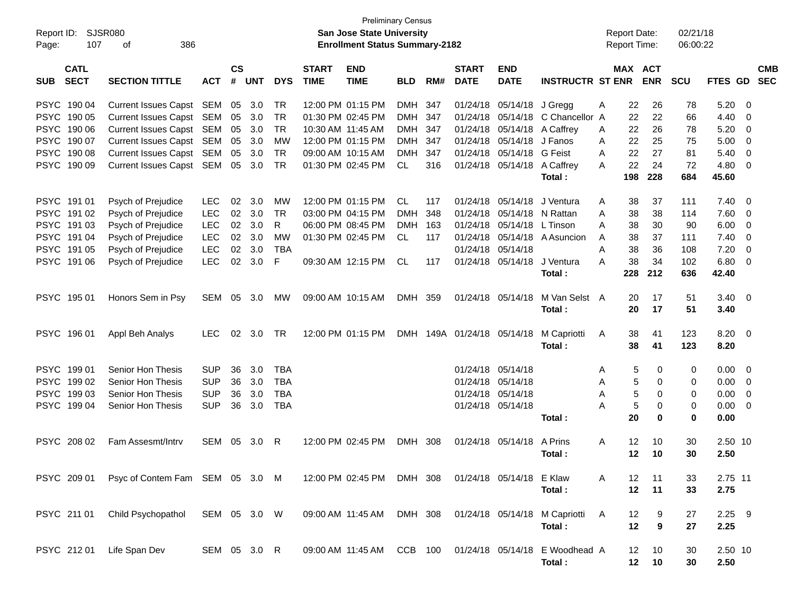| Report ID:  | <b>Preliminary Census</b><br>SJSR080<br><b>San Jose State University</b><br><b>Enrollment Status Summary-2182</b><br>107<br>386<br>оf |                                 |              |               |            |            |              |                                             |            |     |                   |                          |                               | <b>Report Date:</b> |                 |             | 02/21/18   |                |                |            |
|-------------|---------------------------------------------------------------------------------------------------------------------------------------|---------------------------------|--------------|---------------|------------|------------|--------------|---------------------------------------------|------------|-----|-------------------|--------------------------|-------------------------------|---------------------|-----------------|-------------|------------|----------------|----------------|------------|
| Page:       |                                                                                                                                       |                                 |              |               |            |            |              |                                             |            |     |                   |                          |                               | Report Time:        |                 |             | 06:00:22   |                |                |            |
|             | <b>CATL</b>                                                                                                                           |                                 |              | $\mathsf{cs}$ |            |            | <b>START</b> | <b>END</b>                                  |            |     | <b>START</b>      | <b>END</b>               |                               |                     |                 | MAX ACT     |            |                |                | <b>CMB</b> |
| <b>SUB</b>  | <b>SECT</b>                                                                                                                           | <b>SECTION TITTLE</b>           | <b>ACT</b>   | #             | <b>UNT</b> | <b>DYS</b> | <b>TIME</b>  | <b>TIME</b>                                 | <b>BLD</b> | RM# | <b>DATE</b>       | <b>DATE</b>              | <b>INSTRUCTR ST ENR</b>       |                     |                 | <b>ENR</b>  | <b>SCU</b> | <b>FTES GD</b> |                | <b>SEC</b> |
|             | PSYC 190 04                                                                                                                           | Current Issues Capst SEM        |              | 05            | 3.0        | TR         |              | 12:00 PM 01:15 PM                           | DMH        | 347 | 01/24/18          | 05/14/18                 | J Gregg                       | A                   | 22              | 26          | 78         | 5.20           | - 0            |            |
|             | PSYC 190 05                                                                                                                           | Current Issues Capst SEM        |              | 05            | 3.0        | TR         |              | 01:30 PM 02:45 PM                           | DMH        | 347 | 01/24/18          | 05/14/18                 | C Chancellor A                |                     | 22              | 22          | 66         | 4.40           | 0              |            |
|             | PSYC 190 06                                                                                                                           | Current Issues Capst SEM        |              | 05            | 3.0        | TR.        |              | 10:30 AM 11:45 AM                           | <b>DMH</b> | 347 | 01/24/18          | 05/14/18                 | A Caffrey                     | A                   | 22              | 26          | 78         | 5.20           | 0              |            |
|             | PSYC 190 07                                                                                                                           | Current Issues Capst SEM        |              | 05            | 3.0        | <b>MW</b>  |              | 12:00 PM 01:15 PM                           | <b>DMH</b> | 347 | 01/24/18          | 05/14/18                 | J Fanos                       | A                   | 22              | 25          | 75         | 5.00           | 0              |            |
|             | PSYC 190 08                                                                                                                           | Current Issues Capst SEM        |              | 05            | 3.0        | <b>TR</b>  |              | 09:00 AM 10:15 AM                           | <b>DMH</b> | 347 | 01/24/18          | 05/14/18                 | <b>G</b> Feist                | A                   | 22              | 27          | 81         | 5.40           | 0              |            |
|             | PSYC 190 09                                                                                                                           | Current Issues Capst SEM        |              | 05            | 3.0        | TR.        |              | 01:30 PM 02:45 PM                           | CL.        | 316 | 01/24/18          | 05/14/18                 | A Caffrey                     | A                   | 22              | 24          | 72         | 4.80           | $\Omega$       |            |
|             |                                                                                                                                       |                                 |              |               |            |            |              |                                             |            |     |                   |                          | Total:                        |                     | 198             | 228         | 684        | 45.60          |                |            |
|             | PSYC 191 01                                                                                                                           | Psych of Prejudice              | <b>LEC</b>   | 02            | 3.0        | МW         |              | 12:00 PM 01:15 PM                           | CL         | 117 | 01/24/18          | 05/14/18                 | J Ventura                     | A                   | 38              | 37          | 111        | 7.40           | - 0            |            |
|             | PSYC 191 02                                                                                                                           | Psych of Prejudice              | <b>LEC</b>   | 02            | 3.0        | TR.        |              | 03:00 PM 04:15 PM                           | <b>DMH</b> | 348 | 01/24/18          | 05/14/18                 | N Rattan                      | A                   | 38              | 38          | 114        | 7.60           | 0              |            |
|             | PSYC 191 03                                                                                                                           | Psych of Prejudice              | <b>LEC</b>   | 02            | 3.0        | R          |              | 06:00 PM 08:45 PM                           | <b>DMH</b> | 163 | 01/24/18          | 05/14/18                 | L Tinson                      | A                   | 38              | 30          | 90         | 6.00           | 0              |            |
|             | PSYC 191 04                                                                                                                           | Psych of Prejudice              | LEC          | 02            | 3.0        | <b>MW</b>  |              | 01:30 PM 02:45 PM                           | CL.        | 117 | 01/24/18          | 05/14/18                 | A Asuncion                    | A                   | 38              | 37          | 111        | 7.40           | 0              |            |
|             | PSYC 191 05                                                                                                                           | Psych of Prejudice              | <b>LEC</b>   | 02            | 3.0        | <b>TBA</b> |              |                                             |            |     | 01/24/18          | 05/14/18                 |                               | A                   | 38              | 36          | 108        | 7.20           | 0              |            |
|             | PSYC 191 06                                                                                                                           | Psych of Prejudice              | <b>LEC</b>   | 02            | 3.0        | F          |              | 09:30 AM 12:15 PM                           | CL.        | 117 | 01/24/18          | 05/14/18                 | J Ventura                     | A                   | 38              | 34          | 102        | 6.80           | $\Omega$       |            |
|             |                                                                                                                                       |                                 |              |               |            |            |              |                                             |            |     |                   |                          | Total:                        |                     | 228             | 212         | 636        | 42.40          |                |            |
|             | PSYC 195 01                                                                                                                           | Honors Sem in Psy               | SEM          | 05            | 3.0        | MW         |              | 09:00 AM 10:15 AM                           | DMH 359    |     | 01/24/18          | 05/14/18                 | M Van Selst A                 |                     | 20              | 17          | 51         | 3.40           | - 0            |            |
|             |                                                                                                                                       |                                 |              |               |            |            |              |                                             |            |     |                   |                          | Total:                        |                     | 20              | 17          | 51         | 3.40           |                |            |
|             | PSYC 196 01                                                                                                                           | Appl Beh Analys                 | <b>LEC</b>   | 02            | 3.0        | TR         |              | 12:00 PM 01:15 PM                           |            |     | DMH 149A 01/24/18 | 05/14/18                 | M Capriotti                   | A                   | 38              | 41          | 123        | 8.20           | - 0            |            |
|             |                                                                                                                                       |                                 |              |               |            |            |              |                                             |            |     |                   |                          | Total:                        |                     | 38              | 41          | 123        | 8.20           |                |            |
|             | PSYC 199 01                                                                                                                           | Senior Hon Thesis               | <b>SUP</b>   | 36            | 3.0        | <b>TBA</b> |              |                                             |            |     | 01/24/18          | 05/14/18                 |                               | A                   | 5               | 0           | 0          | 0.00           | - 0            |            |
|             | PSYC 199 02                                                                                                                           | Senior Hon Thesis               | <b>SUP</b>   | 36            | 3.0        | <b>TBA</b> |              |                                             |            |     | 01/24/18          | 05/14/18                 |                               | A                   | 5               | 0           | 0          | 0.00           | $\overline{0}$ |            |
| <b>PSYC</b> | 199 03                                                                                                                                | Senior Hon Thesis               | <b>SUP</b>   | 36            | 3.0        | <b>TBA</b> |              |                                             |            |     | 01/24/18          | 05/14/18                 |                               | A                   | 5               | $\mathbf 0$ | 0          | 0.00           | 0              |            |
|             | PSYC 199 04                                                                                                                           | <b>Senior Hon Thesis</b>        | <b>SUP</b>   | 36            | 3.0        | <b>TBA</b> |              |                                             |            |     | 01/24/18          | 05/14/18                 |                               | A                   | 5               | 0           | 0          | 0.00           | - 0            |            |
|             |                                                                                                                                       |                                 |              |               |            |            |              |                                             |            |     |                   |                          | Total:                        |                     | 20              | $\bf{0}$    | 0          | 0.00           |                |            |
|             | PSYC 208 02                                                                                                                           | Fam Assesmt/Intry               | SEM          | 05            | 3.0        | R          |              | 12:00 PM 02:45 PM                           | DMH 308    |     | 01/24/18          | 05/14/18                 | A Prins                       | A                   | 12              | 10          | 30         | 2.50 10        |                |            |
|             |                                                                                                                                       |                                 |              |               |            |            |              |                                             |            |     |                   |                          | Total:                        |                     | 12              | 10          | 30         | 2.50           |                |            |
|             | PSYC 209 01                                                                                                                           | Psyc of Contem Fam SEM 05 3.0 M |              |               |            |            |              | 12:00 PM 02:45 PM DMH 308                   |            |     |                   | 01/24/18 05/14/18 E Klaw |                               | A                   | 12              | 11          | 33         | 2.75 11        |                |            |
|             |                                                                                                                                       |                                 |              |               |            |            |              |                                             |            |     |                   |                          | Total:                        |                     | 12              | 11          | 33         | 2.75           |                |            |
|             | PSYC 211 01                                                                                                                           | Child Psychopathol              | SEM 05 3.0 W |               |            |            |              | 09:00 AM 11:45 AM                           | DMH 308    |     |                   |                          | 01/24/18 05/14/18 M Capriotti | A                   | 12              | 9           | 27         | $2.25$ 9       |                |            |
|             |                                                                                                                                       |                                 |              |               |            |            |              |                                             |            |     |                   |                          | Total:                        |                     | 12              | 9           | 27         | 2.25           |                |            |
|             | PSYC 212 01                                                                                                                           | Life Span Dev                   | SEM 05 3.0 R |               |            |            |              | 09:00 AM 11:45 AM CCB 100 01/24/18 05/14/18 |            |     |                   |                          | E Woodhead A                  |                     | 12              | 10          | 30         | 2.50 10        |                |            |
|             |                                                                                                                                       |                                 |              |               |            |            |              |                                             |            |     |                   |                          | Total:                        |                     | 12 <sub>2</sub> | 10          | 30         | 2.50           |                |            |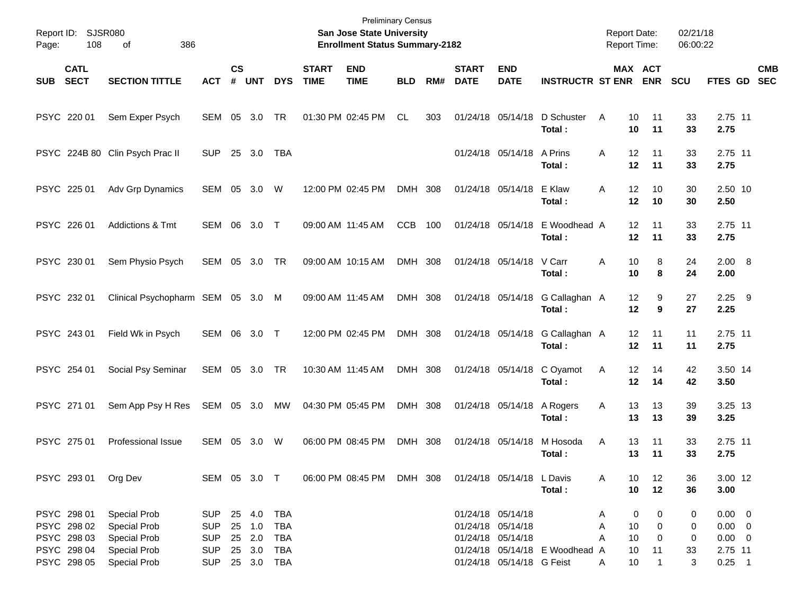| Page: | Report ID: SJSR080<br>108  |                                   |                |                    |            |            | <b>Preliminary Census</b><br><b>San Jose State University</b><br><b>Enrollment Status Summary-2182</b> |                           |            |     |                             |                           | <b>Report Date:</b><br><b>Report Time:</b> |               | 02/21/18<br>06:00:22  |            |                  |                          |
|-------|----------------------------|-----------------------------------|----------------|--------------------|------------|------------|--------------------------------------------------------------------------------------------------------|---------------------------|------------|-----|-----------------------------|---------------------------|--------------------------------------------|---------------|-----------------------|------------|------------------|--------------------------|
| SUB   | <b>CATL</b><br><b>SECT</b> | <b>SECTION TITTLE</b>             | <b>ACT</b>     | $\mathsf{cs}$<br># | <b>UNT</b> | <b>DYS</b> | <b>START</b><br><b>TIME</b>                                                                            | <b>END</b><br><b>TIME</b> | <b>BLD</b> | RM# | <b>START</b><br><b>DATE</b> | <b>END</b><br><b>DATE</b> | <b>INSTRUCTR ST ENR</b>                    |               | MAX ACT<br><b>ENR</b> | <b>SCU</b> | FTES GD          | <b>CMB</b><br><b>SEC</b> |
|       | PSYC 220 01                | Sem Exper Psych                   | SEM            | 05                 | 3.0        | TR         | 01:30 PM 02:45 PM                                                                                      |                           | CL         | 303 | 01/24/18 05/14/18           |                           | D Schuster<br>Total:                       | A<br>10<br>10 | 11<br>11              | 33<br>33   | 2.75 11<br>2.75  |                          |
|       |                            | PSYC 224B 80 Clin Psych Prac II   | <b>SUP</b>     | 25                 | 3.0        | TBA        |                                                                                                        |                           |            |     |                             | 01/24/18 05/14/18         | A Prins<br>Total :                         | 12<br>Α<br>12 | 11<br>11              | 33<br>33   | 2.75 11<br>2.75  |                          |
|       | PSYC 225 01                | Adv Grp Dynamics                  | SEM            | 05                 | 3.0        | W          | 12:00 PM 02:45 PM                                                                                      |                           | DMH 308    |     | 01/24/18 05/14/18           |                           | E Klaw<br>Total:                           | 12<br>Α<br>12 | 10<br>10              | 30<br>30   | 2.50 10<br>2.50  |                          |
|       | PSYC 226 01                | <b>Addictions &amp; Tmt</b>       | SEM            | 06                 | 3.0        | $\top$     | 09:00 AM 11:45 AM                                                                                      |                           | <b>CCB</b> | 100 | 01/24/18 05/14/18           |                           | E Woodhead A<br>Total:                     | 12<br>12      | 11<br>11              | 33<br>33   | 2.75 11<br>2.75  |                          |
|       | PSYC 230 01                | Sem Physio Psych                  | SEM            | 05                 | 3.0        | TR         | 09:00 AM 10:15 AM                                                                                      |                           | DMH 308    |     |                             | 01/24/18 05/14/18         | V Carr<br>Total:                           | 10<br>Α<br>10 | 8<br>8                | 24<br>24   | 2.00 8<br>2.00   |                          |
|       | PSYC 232 01                | Clinical Psychopharm SEM 05 3.0 M |                |                    |            |            | 09:00 AM 11:45 AM                                                                                      |                           | DMH 308    |     |                             | 01/24/18 05/14/18         | G Callaghan A<br>Total:                    | 12<br>12      | 9<br>9                | 27<br>27   | $2.25$ 9<br>2.25 |                          |
|       | PSYC 243 01                | Field Wk in Psych                 | SEM 06         |                    | 3.0        | $\top$     | 12:00 PM 02:45 PM                                                                                      |                           | DMH 308    |     |                             | 01/24/18 05/14/18         | G Callaghan A<br>Total:                    | 12<br>12      | 11<br>11              | 11<br>11   | 2.75 11<br>2.75  |                          |
|       | PSYC 254 01                | Social Psy Seminar                | SEM 05 3.0     |                    |            | TR         | 10:30 AM 11:45 AM                                                                                      |                           | DMH 308    |     |                             | 01/24/18 05/14/18         | C Oyamot<br>Total:                         | 12<br>Α<br>12 | 14<br>14              | 42<br>42   | 3.50 14<br>3.50  |                          |
|       | PSYC 271 01                | Sem App Psy H Res                 | SEM 05 3.0     |                    |            | МW         | 04:30 PM 05:45 PM                                                                                      |                           | DMH 308    |     |                             | 01/24/18 05/14/18         | A Rogers<br>Total:                         | 13<br>Α<br>13 | 13<br>13              | 39<br>39   | 3.25 13<br>3.25  |                          |
|       | PSYC 275 01                | Professional Issue                | SEM            | 05                 | 3.0        | W          | 06:00 PM 08:45 PM                                                                                      |                           | DMH 308    |     | 01/24/18 05/14/18           |                           | M Hosoda<br>Total :                        | 13<br>Α<br>13 | 11<br>11              | 33<br>33   | 2.75 11<br>2.75  |                          |
|       | PSYC 293 01                | Org Dev                           | SEM 05 3.0 T   |                    |            |            |                                                                                                        | 06:00 PM 08:45 PM DMH 308 |            |     |                             | 01/24/18 05/14/18 L Davis | Total:                                     | 10<br>A<br>10 | 12<br>12              | 36<br>36   | 3.00 12<br>3.00  |                          |
|       | PSYC 298 01                | Special Prob                      | SUP            |                    | 25 4.0     | <b>TBA</b> |                                                                                                        |                           |            |     | 01/24/18 05/14/18           |                           |                                            | A             | 0<br>0                | 0          | $0.00 \t 0$      |                          |
|       | PSYC 298 02                | Special Prob                      | <b>SUP</b>     |                    | 25 1.0     | <b>TBA</b> |                                                                                                        |                           |            |     | 01/24/18 05/14/18           |                           |                                            | Α<br>10       | 0                     | 0          | $0.00 \t 0$      |                          |
|       | PSYC 298 03                | Special Prob                      | <b>SUP</b>     |                    | 25 2.0     | <b>TBA</b> |                                                                                                        |                           |            |     |                             | 01/24/18 05/14/18         |                                            | 10<br>Α       | 0                     | 0          | $0.00 \t 0$      |                          |
|       | PSYC 298 04                | Special Prob                      | <b>SUP</b>     |                    | 25 3.0     | <b>TBA</b> |                                                                                                        |                           |            |     |                             |                           | 01/24/18 05/14/18 E Woodhead A             | 10            | 11                    | 33         | 2.75 11          |                          |
|       | PSYC 298 05                | Special Prob                      | SUP 25 3.0 TBA |                    |            |            |                                                                                                        |                           |            |     |                             | 01/24/18 05/14/18 G Feist |                                            | 10<br>A       | $\mathbf{1}$          | 3          | $0.25$ 1         |                          |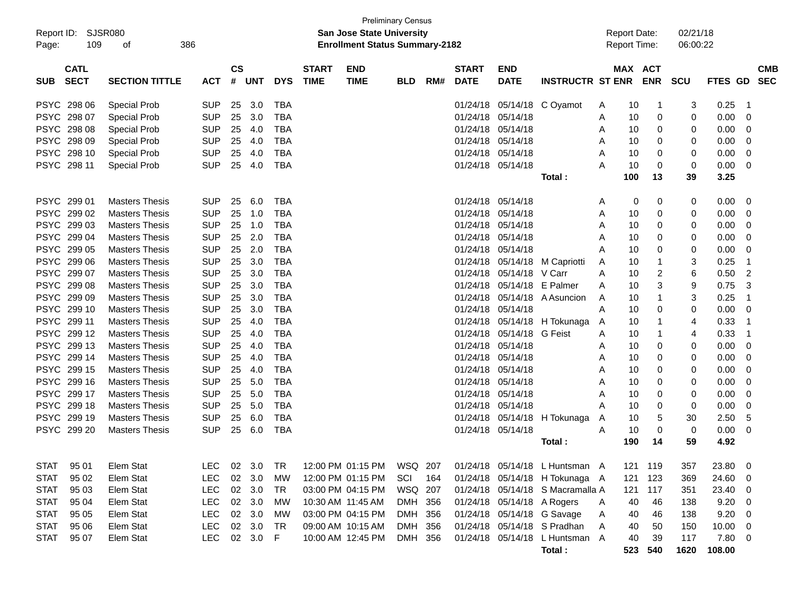| Report ID:  | <b>Preliminary Census</b><br>SJSR080<br><b>San Jose State University</b><br>386<br><b>Enrollment Status Summary-2182</b><br>109<br>of |                       |            |                |            |            |                             |                             |            |     |                             |                            |                                  |   | <b>Report Date:</b> |                       | 02/21/18   |                |                          |  |
|-------------|---------------------------------------------------------------------------------------------------------------------------------------|-----------------------|------------|----------------|------------|------------|-----------------------------|-----------------------------|------------|-----|-----------------------------|----------------------------|----------------------------------|---|---------------------|-----------------------|------------|----------------|--------------------------|--|
| Page:       |                                                                                                                                       |                       |            |                |            |            |                             |                             |            |     |                             |                            |                                  |   |                     | Report Time:          | 06:00:22   |                |                          |  |
| <b>SUB</b>  | <b>CATL</b><br><b>SECT</b>                                                                                                            | <b>SECTION TITTLE</b> | <b>ACT</b> | <b>CS</b><br># | <b>UNT</b> | <b>DYS</b> | <b>START</b><br><b>TIME</b> | <b>END</b><br><b>TIME</b>   | <b>BLD</b> | RM# | <b>START</b><br><b>DATE</b> | <b>END</b><br><b>DATE</b>  | <b>INSTRUCTR ST ENR</b>          |   |                     | MAX ACT<br><b>ENR</b> | <b>SCU</b> | <b>FTES GD</b> | <b>CMB</b><br><b>SEC</b> |  |
|             |                                                                                                                                       |                       |            |                |            |            |                             |                             |            |     |                             |                            |                                  |   |                     |                       |            |                |                          |  |
| <b>PSYC</b> | 298 06                                                                                                                                | <b>Special Prob</b>   | <b>SUP</b> | 25             | 3.0        | <b>TBA</b> |                             |                             |            |     | 01/24/18                    | 05/14/18                   | C Oyamot                         | A | 10                  | -1                    | 3          | 0.25           | -1                       |  |
|             | PSYC 298 07                                                                                                                           | <b>Special Prob</b>   | <b>SUP</b> | 25             | 3.0        | <b>TBA</b> |                             |                             |            |     | 01/24/18                    | 05/14/18                   |                                  | A | 10                  | 0                     | 0          | 0.00           | 0                        |  |
| <b>PSYC</b> | 298 08                                                                                                                                | <b>Special Prob</b>   | <b>SUP</b> | 25             | 4.0        | <b>TBA</b> |                             |                             |            |     | 01/24/18                    | 05/14/18                   |                                  | A | 10                  | 0                     | 0          | 0.00           | 0                        |  |
| <b>PSYC</b> | 298 09                                                                                                                                | <b>Special Prob</b>   | <b>SUP</b> | 25             | 4.0        | <b>TBA</b> |                             |                             |            |     | 01/24/18                    | 05/14/18                   |                                  | A | 10                  | 0                     | 0          | 0.00           | 0                        |  |
| <b>PSYC</b> | 298 10                                                                                                                                | <b>Special Prob</b>   | <b>SUP</b> | 25             | 4.0        | <b>TBA</b> |                             |                             |            |     | 01/24/18                    | 05/14/18                   |                                  | A | 10                  | 0                     | 0          | 0.00           | 0                        |  |
|             | PSYC 298 11                                                                                                                           | Special Prob          | <b>SUP</b> | 25             | 4.0        | <b>TBA</b> |                             |                             |            |     |                             | 01/24/18 05/14/18          |                                  | А | 10                  | 0                     | 0          | 0.00           | 0                        |  |
|             |                                                                                                                                       |                       |            |                |            |            |                             |                             |            |     |                             |                            | Total:                           |   | 100                 | 13                    | 39         | 3.25           |                          |  |
|             | PSYC 299 01                                                                                                                           | <b>Masters Thesis</b> | <b>SUP</b> | 25             | 6.0        | <b>TBA</b> |                             |                             |            |     | 01/24/18                    | 05/14/18                   |                                  | A | 0                   | 0                     | 0          | 0.00           | 0                        |  |
|             | PSYC 299 02                                                                                                                           | <b>Masters Thesis</b> | <b>SUP</b> | 25             | 1.0        | <b>TBA</b> |                             |                             |            |     | 01/24/18                    | 05/14/18                   |                                  | A | 10                  | 0                     | 0          | 0.00           | 0                        |  |
|             | PSYC 299 03                                                                                                                           | <b>Masters Thesis</b> | <b>SUP</b> | 25             | 1.0        | <b>TBA</b> |                             |                             |            |     | 01/24/18                    | 05/14/18                   |                                  | A | 10                  | 0                     | 0          | 0.00           | 0                        |  |
|             | PSYC 299 04                                                                                                                           | <b>Masters Thesis</b> | <b>SUP</b> | 25             | 2.0        | <b>TBA</b> |                             |                             |            |     | 01/24/18                    | 05/14/18                   |                                  | A | 10                  | 0                     | 0          | 0.00           | 0                        |  |
|             | PSYC 299 05                                                                                                                           | <b>Masters Thesis</b> | <b>SUP</b> | 25             | 2.0        | <b>TBA</b> |                             |                             |            |     | 01/24/18                    | 05/14/18                   |                                  | A | 10                  | 0                     | 0          | 0.00           | 0                        |  |
|             | PSYC 299 06                                                                                                                           | <b>Masters Thesis</b> | <b>SUP</b> | 25             | 3.0        | <b>TBA</b> |                             |                             |            |     | 01/24/18                    | 05/14/18                   | M Capriotti                      | A | 10                  | -1                    | 3          | 0.25           | -1                       |  |
|             | PSYC 299 07                                                                                                                           | <b>Masters Thesis</b> | <b>SUP</b> | 25             | 3.0        | <b>TBA</b> |                             |                             |            |     | 01/24/18                    | 05/14/18                   | V Carr                           | A | 10                  | 2                     | 6          | 0.50           | $\overline{2}$           |  |
|             | PSYC 299 08                                                                                                                           | <b>Masters Thesis</b> | <b>SUP</b> | 25             | 3.0        | <b>TBA</b> |                             |                             |            |     | 01/24/18                    | 05/14/18                   | E Palmer                         | A | 10                  | 3                     | 9          | 0.75           | 3                        |  |
|             | PSYC 299 09                                                                                                                           | <b>Masters Thesis</b> | <b>SUP</b> | 25             | 3.0        | <b>TBA</b> |                             |                             |            |     | 01/24/18                    | 05/14/18                   | A Asuncion                       | A | 10                  | -1                    | 3          | 0.25           | -1                       |  |
|             | PSYC 299 10                                                                                                                           | <b>Masters Thesis</b> | <b>SUP</b> | 25             | 3.0        | <b>TBA</b> |                             |                             |            |     | 01/24/18                    | 05/14/18                   |                                  | A | 10                  | 0                     | 0          | 0.00           | 0                        |  |
|             | PSYC 299 11                                                                                                                           | <b>Masters Thesis</b> | <b>SUP</b> | 25             | 4.0        | <b>TBA</b> |                             |                             |            |     | 01/24/18                    | 05/14/18                   | H Tokunaga                       | A | 10                  | -1                    | 4          | 0.33           | -1                       |  |
|             | PSYC 299 12                                                                                                                           | <b>Masters Thesis</b> | <b>SUP</b> | 25             | 4.0        | <b>TBA</b> |                             |                             |            |     | 01/24/18                    | 05/14/18                   | G Feist                          | A | 10                  | -1                    | 4          | 0.33           | -1                       |  |
|             | PSYC 299 13                                                                                                                           | <b>Masters Thesis</b> | <b>SUP</b> | 25             | 4.0        | <b>TBA</b> |                             |                             |            |     | 01/24/18                    | 05/14/18                   |                                  | A | 10                  | 0                     | 0          | 0.00           | 0                        |  |
|             | PSYC 299 14                                                                                                                           | <b>Masters Thesis</b> | <b>SUP</b> | 25             | 4.0        | <b>TBA</b> |                             |                             |            |     | 01/24/18                    | 05/14/18                   |                                  | A | 10                  | 0                     | 0          | 0.00           | 0                        |  |
|             | PSYC 299 15                                                                                                                           | <b>Masters Thesis</b> | <b>SUP</b> | 25             | 4.0        | <b>TBA</b> |                             |                             |            |     | 01/24/18                    | 05/14/18                   |                                  | A | 10                  | 0                     | 0          | 0.00           | 0                        |  |
| <b>PSYC</b> | 299 16                                                                                                                                | <b>Masters Thesis</b> | <b>SUP</b> | 25             | 5.0        | <b>TBA</b> |                             |                             |            |     | 01/24/18                    | 05/14/18                   |                                  | A | 10                  | 0                     | 0          | 0.00           | 0                        |  |
|             | PSYC 299 17                                                                                                                           | <b>Masters Thesis</b> | <b>SUP</b> | 25             | 5.0        | <b>TBA</b> |                             |                             |            |     | 01/24/18                    | 05/14/18                   |                                  | A | 10                  | 0                     | 0          | 0.00           | 0                        |  |
|             | PSYC 299 18                                                                                                                           | <b>Masters Thesis</b> | <b>SUP</b> | 25             | 5.0        | <b>TBA</b> |                             |                             |            |     | 01/24/18                    | 05/14/18                   |                                  | A | 10                  | 0                     | 0          | 0.00           | 0                        |  |
|             | PSYC 299 19                                                                                                                           | <b>Masters Thesis</b> | <b>SUP</b> | 25             | 6.0        | <b>TBA</b> |                             |                             |            |     | 01/24/18                    | 05/14/18                   | H Tokunaga                       | A | 10                  | 5                     | 30         | 2.50           | 5                        |  |
|             | PSYC 299 20                                                                                                                           | <b>Masters Thesis</b> | <b>SUP</b> | 25             | 6.0        | <b>TBA</b> |                             |                             |            |     |                             | 01/24/18 05/14/18          |                                  | A | 10                  | 0                     | 0          | 0.00           | 0                        |  |
|             |                                                                                                                                       |                       |            |                |            |            |                             |                             |            |     |                             |                            | Total :                          |   | 190                 | 14                    | 59         | 4.92           |                          |  |
| <b>STAT</b> | 95 01                                                                                                                                 | Elem Stat             | LEC        |                | 02 3.0     | TR         |                             | 12:00 PM 01:15 PM  WSQ  207 |            |     |                             |                            | 01/24/18 05/14/18 L Huntsman A   |   |                     | 121 119               | 357        | 23.80          | $\mathbf 0$              |  |
| <b>STAT</b> | 95 02                                                                                                                                 | Elem Stat             | <b>LEC</b> |                | 02 3.0     | <b>MW</b>  |                             | 12:00 PM 01:15 PM           | SCI        | 164 |                             |                            | 01/24/18 05/14/18 H Tokunaga A   |   |                     | 121 123               | 369        | 24.60          | 0                        |  |
| <b>STAT</b> | 95 03                                                                                                                                 | Elem Stat             | <b>LEC</b> |                | 02 3.0     | <b>TR</b>  |                             | 03:00 PM 04:15 PM           | WSQ 207    |     |                             |                            | 01/24/18 05/14/18 S Macramalla A |   | 121                 | 117                   | 351        | 23.40          | 0                        |  |
| <b>STAT</b> | 95 04                                                                                                                                 | Elem Stat             | <b>LEC</b> |                | 02 3.0     | MW         |                             | 10:30 AM 11:45 AM           | DMH 356    |     |                             | 01/24/18 05/14/18 A Rogers |                                  | A | 40                  | 46                    | 138        | 9.20           | 0                        |  |
| <b>STAT</b> | 95 05                                                                                                                                 | Elem Stat             | <b>LEC</b> |                | 02 3.0     | MW         |                             | 03:00 PM 04:15 PM           | DMH 356    |     |                             |                            | 01/24/18 05/14/18 G Savage       | A | 40                  | 46                    | 138        | 9.20           | 0                        |  |
| <b>STAT</b> | 95 06                                                                                                                                 | Elem Stat             | <b>LEC</b> |                | 02 3.0     | TR         |                             | 09:00 AM 10:15 AM           | DMH 356    |     |                             |                            | 01/24/18 05/14/18 S Pradhan      | Α | 40                  | 50                    | 150        | 10.00          | 0                        |  |
| <b>STAT</b> | 95 07                                                                                                                                 | Elem Stat             | <b>LEC</b> |                | 02 3.0 F   |            |                             | 10:00 AM 12:45 PM           | DMH 356    |     |                             |                            | 01/24/18 05/14/18 L Huntsman A   |   | 40                  | 39                    | 117        | 7.80           | 0                        |  |
|             |                                                                                                                                       |                       |            |                |            |            |                             |                             |            |     |                             |                            | Total:                           |   |                     | 523 540               | 1620       | 108.00         |                          |  |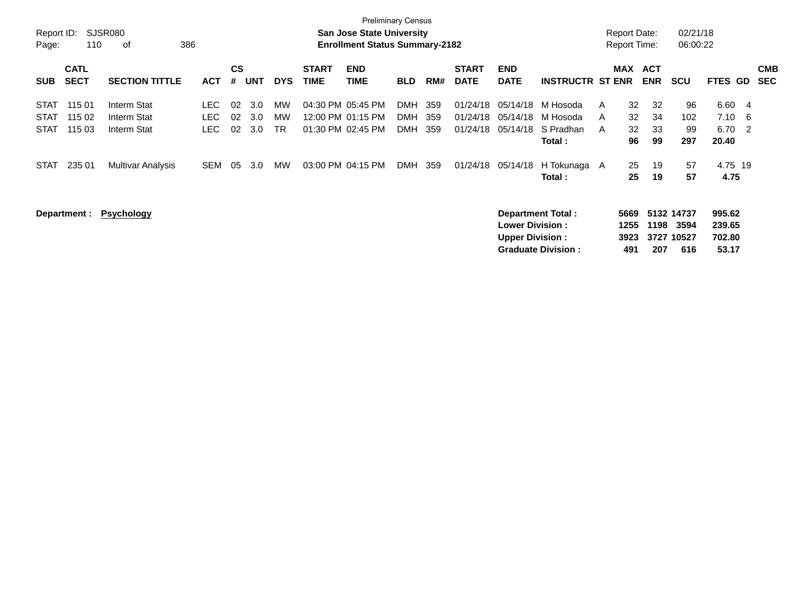| Report ID:<br>Page:                       | <b>Preliminary Census</b><br><b>SJSR080</b><br>San Jose State University<br>386<br><b>Enrollment Status Summary-2182</b><br>110<br>οf<br><b>CS</b> |                                           |                            |                |                   |                       |                                                             |                    |                                        |                   |                                  |                                                  |                                                |                             |                                              | 02/21/18<br>06:00:22                    |                                      |                          |
|-------------------------------------------|----------------------------------------------------------------------------------------------------------------------------------------------------|-------------------------------------------|----------------------------|----------------|-------------------|-----------------------|-------------------------------------------------------------|--------------------|----------------------------------------|-------------------|----------------------------------|--------------------------------------------------|------------------------------------------------|-----------------------------|----------------------------------------------|-----------------------------------------|--------------------------------------|--------------------------|
| <b>SUB</b>                                | <b>CATL</b><br><b>SECT</b>                                                                                                                         | <b>SECTION TITTLE</b>                     | <b>ACT</b>                 | #              | <b>UNT</b>        | <b>DYS</b>            | <b>START</b><br><b>TIME</b>                                 | <b>END</b><br>TIME | <b>BLD</b>                             | RM#               | <b>START</b><br><b>DATE</b>      | <b>END</b><br><b>DATE</b>                        | <b>INSTRUCTR ST ENR</b>                        | <b>MAX</b>                  | <b>ACT</b><br><b>ENR</b>                     | <b>SCU</b>                              | FTES GD                              | <b>CMB</b><br><b>SEC</b> |
| <b>STAT</b><br><b>STAT</b><br><b>STAT</b> | 115 01<br>115 02<br>115 03                                                                                                                         | Interm Stat<br>Interm Stat<br>Interm Stat | LEC.<br><b>LEC</b><br>LEC. | 02<br>02<br>02 | 3.0<br>3.0<br>3.0 | МW<br>MW<br><b>TR</b> | 04:30 PM 05:45 PM<br>12:00 PM 01:15 PM<br>01:30 PM 02:45 PM |                    | <b>DMH</b><br><b>DMH</b><br><b>DMH</b> | 359<br>359<br>359 | 01/24/18<br>01/24/18<br>01/24/18 | 05/14/18<br>05/14/18<br>05/14/18                 | M Hosoda<br>M Hosoda<br>S Pradhan<br>Total:    | A<br>A<br>A                 | 32<br>32<br>32<br>34<br>32<br>33<br>99<br>96 | 96<br>102<br>99<br>297                  | 6.60<br>- 4<br>7.10<br>6.70<br>20.40 | - 6<br>- 2               |
| <b>STAT</b>                               | 235 01                                                                                                                                             | Multivar Analysis                         | SEM                        | 05             | 3.0               | <b>MW</b>             | 03:00 PM 04:15 PM                                           |                    | DMH                                    | 359               | 01/24/18                         | 05/14/18                                         | H Tokunaga A<br>Total:                         |                             | 25<br>19<br>25<br>19                         | 57<br>57                                | 4.75 19<br>4.75                      |                          |
|                                           | Department :                                                                                                                                       | <b>Psychology</b>                         |                            |                |                   |                       |                                                             |                    |                                        |                   |                                  | <b>Lower Division:</b><br><b>Upper Division:</b> | Department Total:<br><b>Graduate Division:</b> | 5669<br>1255<br>3923<br>491 | 1198<br>207                                  | 5132 14737<br>3594<br>3727 10527<br>616 | 995.62<br>239.65<br>702.80<br>53.17  |                          |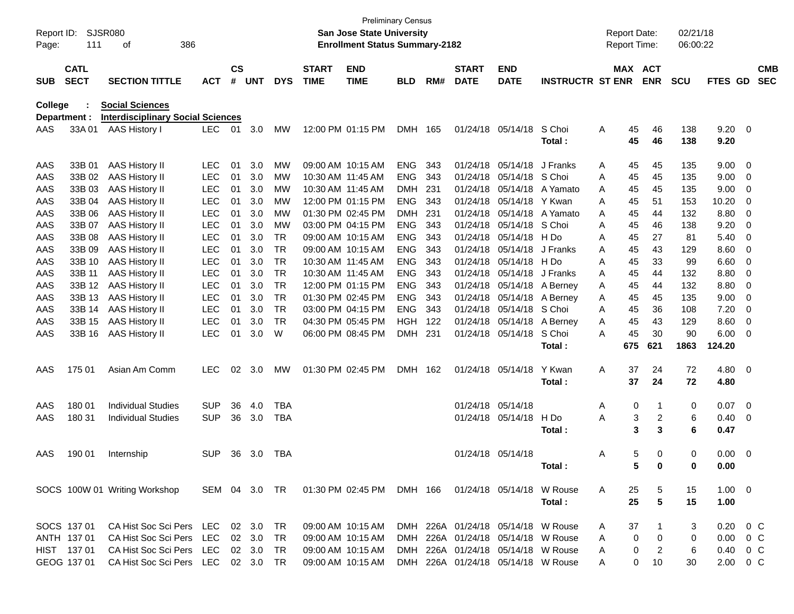| Report ID:<br>Page: | <b>SJSR080</b><br>111      | 386<br>οf                                               |               |                    |            |            |                             | <b>San Jose State University</b><br><b>Enrollment Status Summary-2182</b> | <b>Preliminary Census</b> |       |                             |                                                                          |                         | <b>Report Date:</b><br><b>Report Time:</b> |                       | 02/21/18<br>06:00:22 |                      |                          |                          |
|---------------------|----------------------------|---------------------------------------------------------|---------------|--------------------|------------|------------|-----------------------------|---------------------------------------------------------------------------|---------------------------|-------|-----------------------------|--------------------------------------------------------------------------|-------------------------|--------------------------------------------|-----------------------|----------------------|----------------------|--------------------------|--------------------------|
| <b>SUB</b>          | <b>CATL</b><br><b>SECT</b> | <b>SECTION TITTLE</b>                                   | <b>ACT</b>    | $\mathsf{cs}$<br># | <b>UNT</b> | <b>DYS</b> | <b>START</b><br><b>TIME</b> | <b>END</b><br><b>TIME</b>                                                 | <b>BLD</b>                | RM#   | <b>START</b><br><b>DATE</b> | <b>END</b><br><b>DATE</b>                                                | <b>INSTRUCTR ST ENR</b> |                                            | MAX ACT<br><b>ENR</b> | <b>SCU</b>           | <b>FTES GD</b>       |                          | <b>CMB</b><br><b>SEC</b> |
| College             |                            | <b>Social Sciences</b>                                  |               |                    |            |            |                             |                                                                           |                           |       |                             |                                                                          |                         |                                            |                       |                      |                      |                          |                          |
|                     | Department :               | <b>Interdisciplinary Social Sciences</b>                |               |                    |            |            |                             |                                                                           |                           |       |                             |                                                                          |                         |                                            |                       |                      |                      |                          |                          |
| AAS                 | 33A01                      | <b>AAS History I</b>                                    | <b>LEC</b>    | 01                 | 3.0        | MW         |                             | 12:00 PM 01:15 PM                                                         | <b>DMH</b>                | 165   |                             | 01/24/18 05/14/18                                                        | S Choi<br>Total:        | Α<br>45<br>45                              | 46<br>46              | 138<br>138           | $9.20 \ 0$<br>9.20   |                          |                          |
| AAS                 | 33B 01                     | <b>AAS History II</b>                                   | <b>LEC</b>    | 01                 | 3.0        | MW         |                             | 09:00 AM 10:15 AM                                                         | ENG                       | 343   |                             | 01/24/18 05/14/18                                                        | J Franks                | A<br>45                                    | 45                    | 135                  | 9.00                 | $\overline{\mathbf{0}}$  |                          |
| AAS                 | 33B 02                     | <b>AAS History II</b>                                   | <b>LEC</b>    | 01                 | 3.0        | MW         |                             | 10:30 AM 11:45 AM                                                         | <b>ENG</b>                | 343   |                             | 01/24/18 05/14/18                                                        | S Choi                  | A<br>45                                    | 45                    | 135                  | 9.00                 | 0                        |                          |
| AAS                 | 33B 03                     | <b>AAS History II</b>                                   | <b>LEC</b>    | 01                 | 3.0        | <b>MW</b>  |                             | 10:30 AM 11:45 AM                                                         | <b>DMH</b>                | 231   |                             | 01/24/18 05/14/18                                                        | A Yamato                | Α<br>45                                    | 45                    | 135                  | 9.00                 | 0                        |                          |
| AAS                 | 33B 04                     | AAS History II                                          | <b>LEC</b>    | 01                 | 3.0        | MW         |                             | 12:00 PM 01:15 PM                                                         | <b>ENG</b>                | 343   |                             | 01/24/18 05/14/18                                                        | Y Kwan                  | A<br>45                                    | 51                    | 153                  | 10.20                | 0                        |                          |
| AAS                 | 33B 06                     | <b>AAS History II</b>                                   | <b>LEC</b>    | 01                 | 3.0        | <b>MW</b>  |                             | 01:30 PM 02:45 PM                                                         | <b>DMH</b>                | -231  |                             | 01/24/18 05/14/18                                                        | A Yamato                | A<br>45                                    | 44                    | 132                  | 8.80                 | 0                        |                          |
| AAS                 | 33B 07                     | AAS History II                                          | LEC           | 01                 | 3.0        | MW         |                             | 03:00 PM 04:15 PM                                                         | <b>ENG</b>                | 343   |                             | 01/24/18 05/14/18                                                        | S Choi                  | Α<br>45                                    | 46                    | 138                  | 9.20                 | 0                        |                          |
| AAS                 | 33B 08                     | <b>AAS History II</b>                                   | <b>LEC</b>    | 01                 | 3.0        | <b>TR</b>  |                             | 09:00 AM 10:15 AM                                                         | <b>ENG</b>                | 343   | 01/24/18                    | 05/14/18                                                                 | H Do                    | A<br>45                                    | 27                    | 81                   | 5.40                 | 0                        |                          |
| AAS                 | 33B 09                     | AAS History II                                          | LEC           | 01                 | 3.0        | <b>TR</b>  |                             | 09:00 AM 10:15 AM                                                         | <b>ENG</b>                | 343   | 01/24/18                    | 05/14/18                                                                 | J Franks                | 45<br>A                                    | 43                    | 129                  | 8.60                 | 0                        |                          |
| AAS                 | 33B 10                     | <b>AAS History II</b>                                   | LEC           | 01                 | 3.0        | <b>TR</b>  |                             | 10:30 AM 11:45 AM                                                         | <b>ENG</b>                | 343   | 01/24/18                    | 05/14/18                                                                 | H Do                    | A<br>45                                    | 33                    | 99                   | 6.60                 | 0                        |                          |
| AAS                 | 33B 11                     | <b>AAS History II</b>                                   | <b>LEC</b>    | 01                 | 3.0        | <b>TR</b>  |                             | 10:30 AM 11:45 AM                                                         | <b>ENG</b>                | 343   | 01/24/18                    | 05/14/18                                                                 | J Franks                | A<br>45                                    | 44                    | 132                  | 8.80                 | 0                        |                          |
| AAS                 | 33B 12                     | AAS History II                                          | LEC           | 01                 | 3.0        | <b>TR</b>  |                             | 12:00 PM 01:15 PM                                                         | ENG                       | 343   |                             | 01/24/18 05/14/18                                                        | A Berney                | Α<br>45                                    | 44                    | 132                  | 8.80                 | 0                        |                          |
| AAS                 | 33B 13                     | AAS History II                                          | LEC           | 01                 | 3.0        | <b>TR</b>  |                             | 01:30 PM 02:45 PM                                                         | <b>ENG</b>                | 343   |                             | 01/24/18 05/14/18                                                        | A Berney                | Α<br>45                                    | 45                    | 135                  | 9.00                 | 0                        |                          |
| AAS                 | 33B 14                     | <b>AAS History II</b>                                   | <b>LEC</b>    | 01                 | 3.0        | <b>TR</b>  |                             | 03:00 PM 04:15 PM                                                         | <b>ENG</b>                | 343   |                             | 01/24/18 05/14/18                                                        | S Choi                  | A<br>45                                    | 36                    | 108                  | 7.20                 | 0                        |                          |
| AAS                 | 33B 15                     | <b>AAS History II</b>                                   | LEC           | 01                 | 3.0        | <b>TR</b>  |                             | 04:30 PM 05:45 PM                                                         | HGH                       | - 122 |                             | 01/24/18 05/14/18                                                        | A Berney                | 45<br>Α                                    | 43                    | 129                  | 8.60                 | 0                        |                          |
| AAS                 | 33B 16                     | <b>AAS History II</b>                                   | <b>LEC</b>    | 01                 | 3.0        | W          |                             | 06:00 PM 08:45 PM                                                         | <b>DMH</b>                | 231   |                             | 01/24/18 05/14/18                                                        | S Choi                  | A<br>45                                    | 30                    | 90                   | 6.00                 | - 0                      |                          |
|                     |                            |                                                         |               |                    |            |            |                             |                                                                           |                           |       |                             |                                                                          | Total:                  | 675                                        | 621                   | 1863                 | 124.20               |                          |                          |
| AAS                 | 175 01                     | Asian Am Comm                                           | <b>LEC</b>    | 02                 | 3.0        | MW         |                             | 01:30 PM 02:45 PM                                                         | DMH.                      | - 162 |                             | 01/24/18 05/14/18                                                        | Y Kwan                  | Α<br>37                                    | 24                    | 72                   | $4.80\ 0$            |                          |                          |
|                     |                            |                                                         |               |                    |            |            |                             |                                                                           |                           |       |                             |                                                                          | Total:                  | 37                                         | 24                    | 72                   | 4.80                 |                          |                          |
| AAS                 | 180 01                     | <b>Individual Studies</b>                               | <b>SUP</b>    | 36                 | 4.0        | <b>TBA</b> |                             |                                                                           |                           |       |                             | 01/24/18 05/14/18                                                        |                         | Α                                          | 0<br>-1               | 0                    | 0.07                 | $\overline{\mathbf{0}}$  |                          |
| AAS                 | 180 31                     | <b>Individual Studies</b>                               | <b>SUP</b>    | 36                 | 3.0        | <b>TBA</b> |                             |                                                                           |                           |       |                             | 01/24/18 05/14/18                                                        | H Do                    | Α                                          | 3<br>2                | 6                    | 0.40                 | $\overline{\phantom{0}}$ |                          |
|                     |                            |                                                         |               |                    |            |            |                             |                                                                           |                           |       |                             |                                                                          | Total:                  |                                            | 3<br>3                | 6                    | 0.47                 |                          |                          |
| AAS                 | 190 01                     | Internship                                              | <b>SUP</b>    | 36                 | 3.0        | TBA        |                             |                                                                           |                           |       |                             | 01/24/18 05/14/18                                                        |                         | Α                                          | 5<br>0                | 0                    | 0.00                 | $\overline{\phantom{0}}$ |                          |
|                     |                            |                                                         |               |                    |            |            |                             |                                                                           |                           |       |                             |                                                                          | Total:                  |                                            | 5<br>0                | 0                    | 0.00                 |                          |                          |
|                     |                            | SOCS 100W 01 Writing Workshop                           | SEM 04 3.0 TR |                    |            |            |                             | 01:30 PM_02:45 PM                                                         |                           |       |                             | DMH 166 01/24/18 05/14/18 W Rouse                                        |                         | A<br>25                                    | 5                     | 15                   | $1.00 \t 0$          |                          |                          |
|                     |                            |                                                         |               |                    |            |            |                             |                                                                           |                           |       |                             |                                                                          | Total:                  | 25                                         | 5                     | 15                   | 1.00                 |                          |                          |
|                     | SOCS 137 01                | CA Hist Soc Sci Pers LEC                                |               |                    | 02 3.0     | TR         |                             | 09:00 AM 10:15 AM                                                         |                           |       |                             | DMH 226A 01/24/18 05/14/18 W Rouse                                       |                         | 37<br>A                                    |                       | 3                    | $0.20 \t 0 C$        |                          |                          |
|                     | ANTH 137 01                | CA Hist Soc Sci Pers                                    | LEC           |                    | 02 3.0     | TR         |                             | 09:00 AM 10:15 AM                                                         | DMH                       |       |                             | 226A 01/24/18 05/14/18 W Rouse                                           |                         | 0<br>A                                     | 0                     | 0                    | 0.00                 | $0\,$ C                  |                          |
|                     | HIST 137 01<br>GEOG 137 01 | CA Hist Soc Sci Pers<br>CA Hist Soc Sci Pers LEC 02 3.0 | LEC           |                    | 02 3.0     | TR<br>TR   |                             | 09:00 AM 10:15 AM<br>09:00 AM 10:15 AM                                    |                           |       |                             | DMH 226A 01/24/18 05/14/18 W Rouse<br>DMH 226A 01/24/18 05/14/18 W Rouse |                         | 0<br>A<br>0<br>A                           | $\overline{2}$<br>10  | 6<br>30              | 0.40 0 C<br>2.00 0 C |                          |                          |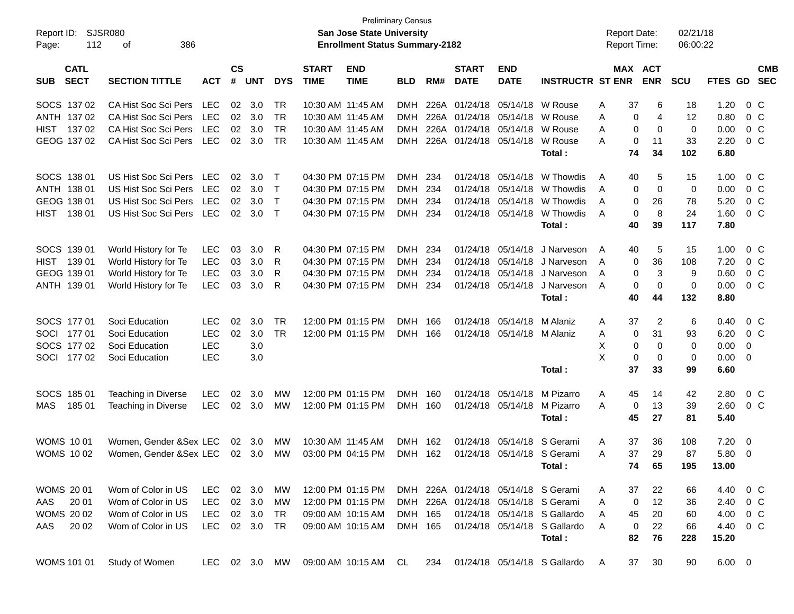| Report ID:                               | <b>Preliminary Census</b><br><b>SJSR080</b><br>San Jose State University<br>112<br><b>Enrollment Status Summary-2182</b> |               |                    |            |              |                             |                           |            |       |                             |                            |                                     |   | <b>Report Date:</b> |                       | 02/21/18    |             |                         |            |
|------------------------------------------|--------------------------------------------------------------------------------------------------------------------------|---------------|--------------------|------------|--------------|-----------------------------|---------------------------|------------|-------|-----------------------------|----------------------------|-------------------------------------|---|---------------------|-----------------------|-------------|-------------|-------------------------|------------|
| Page:                                    | 386<br>оf                                                                                                                |               |                    |            |              |                             |                           |            |       |                             |                            |                                     |   | Report Time:        |                       | 06:00:22    |             |                         |            |
| <b>CATL</b><br><b>SECT</b><br><b>SUB</b> | <b>SECTION TITTLE</b>                                                                                                    | <b>ACT</b>    | $\mathsf{cs}$<br># | <b>UNT</b> | <b>DYS</b>   | <b>START</b><br><b>TIME</b> | <b>END</b><br><b>TIME</b> | <b>BLD</b> | RM#   | <b>START</b><br><b>DATE</b> | <b>END</b><br><b>DATE</b>  | <b>INSTRUCTR ST ENR</b>             |   |                     | MAX ACT<br><b>ENR</b> | <b>SCU</b>  | FTES GD SEC |                         | <b>CMB</b> |
| SOCS 137 02                              | CA Hist Soc Sci Pers                                                                                                     | <b>LEC</b>    | 02                 | 3.0        | TR           | 10:30 AM 11:45 AM           |                           | <b>DMH</b> | 226A  | 01/24/18                    | 05/14/18                   | W Rouse                             | A | 37                  | 6                     | 18          | 1.20        | $0\,$ C                 |            |
| ANTH 137 02                              | CA Hist Soc Sci Pers                                                                                                     | <b>LEC</b>    | 02                 | 3.0        | <b>TR</b>    |                             | 10:30 AM 11:45 AM         | <b>DMH</b> |       | 226A 01/24/18               | 05/14/18                   | W Rouse                             | A | 0                   | 4                     | 12          | 0.80        | $0\,C$                  |            |
| <b>HIST</b><br>13702                     | CA Hist Soc Sci Pers                                                                                                     | <b>LEC</b>    | 02                 | 3.0        | <b>TR</b>    |                             | 10:30 AM 11:45 AM         | <b>DMH</b> |       | 226A 01/24/18               | 05/14/18                   | W Rouse                             | A | 0                   | $\mathbf 0$           | $\mathbf 0$ | 0.00        | 0 <sup>C</sup>          |            |
| GEOG 137 02                              | CA Hist Soc Sci Pers                                                                                                     | <b>LEC</b>    | 02                 | 3.0        | <b>TR</b>    |                             | 10:30 AM 11:45 AM         | <b>DMH</b> |       | 226A 01/24/18 05/14/18      |                            | W Rouse                             | А | $\mathbf 0$         | 11                    | 33          | 2.20        | 0 <sup>o</sup>          |            |
|                                          |                                                                                                                          |               |                    |            |              |                             |                           |            |       |                             |                            | Total:                              |   | 74                  | 34                    | 102         | 6.80        |                         |            |
| SOCS 138 01                              | US Hist Soc Sci Pers                                                                                                     | <b>LEC</b>    | 02                 | 3.0        | $\top$       |                             | 04:30 PM 07:15 PM         | <b>DMH</b> | 234   | 01/24/18                    | 05/14/18                   | W Thowdis                           | A | 40                  | 5                     | 15          | 1.00        |                         | $0\,C$     |
| ANTH 138 01                              | US Hist Soc Sci Pers                                                                                                     | <b>LEC</b>    | 02                 | 3.0        | $\mathsf{T}$ |                             | 04:30 PM 07:15 PM         | <b>DMH</b> | 234   | 01/24/18                    | 05/14/18                   | W Thowdis                           | A | 0                   | $\mathbf 0$           | $\mathbf 0$ | 0.00        | $0\,C$                  |            |
| GEOG 138 01                              | US Hist Soc Sci Pers                                                                                                     | <b>LEC</b>    | 02                 | 3.0        | $\mathsf{T}$ |                             | 04:30 PM 07:15 PM         | <b>DMH</b> | 234   | 01/24/18                    | 05/14/18                   | W Thowdis                           | A | 0                   | 26                    | 78          | 5.20        | 0 <sup>C</sup>          |            |
| <b>HIST</b><br>138 01                    | US Hist Soc Sci Pers                                                                                                     | <b>LEC</b>    | 02                 | 3.0        | $\top$       |                             | 04:30 PM 07:15 PM         | <b>DMH</b> | 234   |                             | 01/24/18 05/14/18          | W Thowdis                           | A | $\mathbf 0$         | 8                     | 24          | 1.60        | 0 <sup>C</sup>          |            |
|                                          |                                                                                                                          |               |                    |            |              |                             |                           |            |       |                             |                            | Total:                              |   | 40                  | 39                    | 117         | 7.80        |                         |            |
| SOCS 139 01                              | World History for Te                                                                                                     | <b>LEC</b>    | 03                 | 3.0        | R            |                             | 04:30 PM 07:15 PM         | DMH        | -234  | 01/24/18                    | 05/14/18                   | J Narveson                          | A | 40                  | 5                     | 15          | 1.00        |                         | $0\,C$     |
| 139 01<br>HIST                           | World History for Te                                                                                                     | <b>LEC</b>    | 03                 | 3.0        | R            |                             | 04:30 PM 07:15 PM         | <b>DMH</b> | 234   | 01/24/18                    | 05/14/18                   | J Narveson                          | A | 0                   | 36                    | 108         | 7.20        | $0\,C$                  |            |
| GEOG 139 01                              | World History for Te                                                                                                     | <b>LEC</b>    | 03                 | 3.0        | R            |                             | 04:30 PM 07:15 PM         | <b>DMH</b> | 234   | 01/24/18                    | 05/14/18                   | J Narveson                          | A | 0                   | 3                     | 9           | 0.60        | 0 <sup>C</sup>          |            |
| ANTH 139 01                              | World History for Te                                                                                                     | <b>LEC</b>    | 03                 | 3.0        | R            |                             | 04:30 PM 07:15 PM         | <b>DMH</b> | 234   |                             | 01/24/18 05/14/18          | J Narveson                          | A | $\mathbf 0$         | $\mathbf 0$           | $\mathbf 0$ | 0.00        | 0 <sup>o</sup>          |            |
|                                          |                                                                                                                          |               |                    |            |              |                             |                           |            |       |                             |                            | Total:                              |   | 40                  | 44                    | 132         | 8.80        |                         |            |
| SOCS 177 01                              | Soci Education                                                                                                           | <b>LEC</b>    | 02                 | 3.0        | <b>TR</b>    |                             | 12:00 PM 01:15 PM         | <b>DMH</b> | 166   | 01/24/18                    | 05/14/18                   | M Alaniz                            | Α | 37                  | $\overline{2}$        | 6           | 0.40        | $0\,C$                  |            |
| SOCI 177 01                              | Soci Education                                                                                                           | <b>LEC</b>    | 02                 | 3.0        | <b>TR</b>    |                             | 12:00 PM 01:15 PM         | <b>DMH</b> | 166   |                             | 01/24/18 05/14/18 M Alaniz |                                     | Α | 0                   | 31                    | 93          | 6.20        | 0 <sup>o</sup>          |            |
| SOCS 177 02                              | Soci Education                                                                                                           | <b>LEC</b>    |                    | 3.0        |              |                             |                           |            |       |                             |                            |                                     | X | $\mathbf 0$         | $\mathbf 0$           | $\mathbf 0$ | 0.00        | $\mathbf 0$             |            |
| SOCI 177 02                              | Soci Education                                                                                                           | <b>LEC</b>    |                    | 3.0        |              |                             |                           |            |       |                             |                            |                                     | X | $\mathbf 0$         | $\mathbf 0$           | 0           | 0.00        | - 0                     |            |
|                                          |                                                                                                                          |               |                    |            |              |                             |                           |            |       |                             |                            | Total:                              |   | 37                  | 33                    | 99          | 6.60        |                         |            |
| SOCS 185 01                              | Teaching in Diverse                                                                                                      | <b>LEC</b>    | 02                 | 3.0        | MW           |                             | 12:00 PM 01:15 PM         | <b>DMH</b> | - 160 | 01/24/18                    | 05/14/18                   | M Pizarro                           | А | 45                  | 14                    | 42          | 2.80        | $0\,C$                  |            |
| MAS<br>185 01                            | Teaching in Diverse                                                                                                      | <b>LEC</b>    | 02                 | 3.0        | МW           |                             | 12:00 PM 01:15 PM         | <b>DMH</b> | 160   |                             | 01/24/18 05/14/18          | M Pizarro                           | А | $\mathbf 0$         | 13                    | 39          | 2.60        | 0 <sup>o</sup>          |            |
|                                          |                                                                                                                          |               |                    |            |              |                             |                           |            |       |                             |                            | Total:                              |   | 45                  | 27                    | 81          | 5.40        |                         |            |
| <b>WOMS 1001</b>                         | Women, Gender &Sex LEC                                                                                                   |               | 02                 | 3.0        | MW           | 10:30 AM 11:45 AM           |                           | <b>DMH</b> | 162   | 01/24/18                    | 05/14/18                   | S Gerami                            | A | 37                  | 36                    | 108         | 7.20        | $\overline{0}$          |            |
| <b>WOMS 1002</b>                         | Women, Gender & Sex LEC                                                                                                  |               | 02                 | 3.0        | MW           |                             | 03:00 PM 04:15 PM         | <b>DMH</b> | 162   |                             |                            | 01/24/18 05/14/18 S Gerami          | A | 37                  | 29                    | 87          | 5.80        | $\overline{\mathbf{0}}$ |            |
|                                          |                                                                                                                          |               |                    |            |              |                             |                           |            |       |                             |                            | Total:                              |   | 74                  | 65                    | 195         | 13.00       |                         |            |
| WOMS 20 01                               | Wom of Color in US                                                                                                       | LEC.          |                    | 02 3.0     | МW           |                             | 12:00 PM 01:15 PM         |            |       |                             |                            | DMH 226A 01/24/18 05/14/18 S Gerami | A | 37                  | 22                    | 66          | 4.40        | $0\,$ C                 |            |
| AAS<br>20 01                             | Wom of Color in US                                                                                                       | <b>LEC</b>    |                    | 02 3.0     | МW           |                             | 12:00 PM 01:15 PM         |            |       |                             |                            | DMH 226A 01/24/18 05/14/18 S Gerami | Α | 0                   | 12                    | 36          | 2.40        | $0\,C$                  |            |
| <b>WOMS 2002</b>                         | Wom of Color in US                                                                                                       | <b>LEC</b>    |                    | 02 3.0     | TR           |                             | 09:00 AM 10:15 AM         | DMH 165    |       |                             |                            | 01/24/18 05/14/18 S Gallardo        | A | 45                  | 20                    | 60          | 4.00        | $0\,C$                  |            |
| AAS<br>20 02                             | Wom of Color in US                                                                                                       | <b>LEC</b>    |                    | 02 3.0     | TR           |                             | 09:00 AM 10:15 AM         | DMH 165    |       |                             |                            | 01/24/18 05/14/18 S Gallardo        | A | 0                   | 22                    | 66          | 4.40        | $0\,C$                  |            |
|                                          |                                                                                                                          |               |                    |            |              |                             |                           |            |       |                             |                            | Total:                              |   | 82                  | 76                    | 228         | 15.20       |                         |            |
| <b>WOMS 101 01</b>                       | Study of Women                                                                                                           | LEC 02 3.0 MW |                    |            |              |                             | 09:00 AM 10:15 AM         | CL.        | 234   |                             |                            | 01/24/18 05/14/18 S Gallardo        | A | 37                  | 30                    | 90          | $6.00 \t 0$ |                         |            |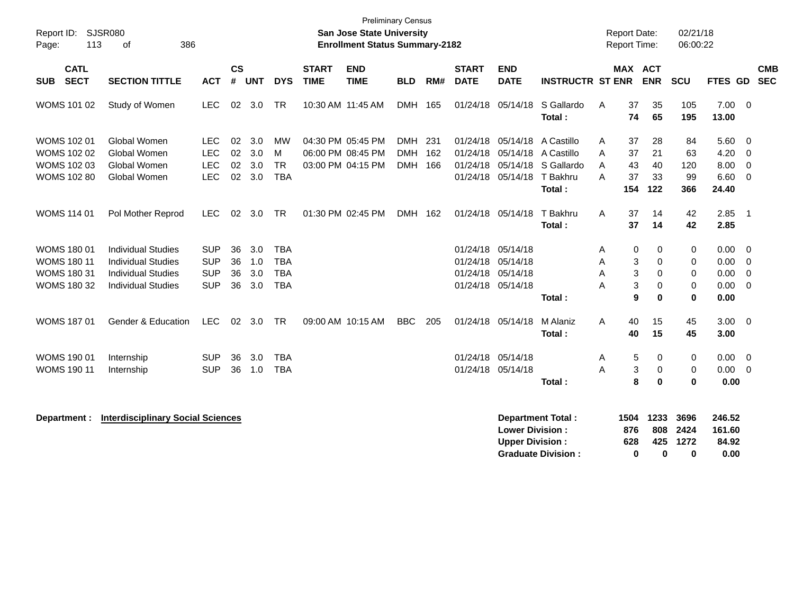| Report ID:<br>113<br>Page:                                                           | SJSR080<br>386<br>0f                                                                                             |                                                      |                      |                          |                                                      |                             | <b>Preliminary Census</b><br>San Jose State University<br><b>Enrollment Status Summary-2182</b> |                                        |                   |                                  |                                                                                  |                                                                       |                  | <b>Report Date:</b><br>Report Time: |                                     | 02/21/18<br>06:00:22                 |                                       |                                                        |                          |
|--------------------------------------------------------------------------------------|------------------------------------------------------------------------------------------------------------------|------------------------------------------------------|----------------------|--------------------------|------------------------------------------------------|-----------------------------|-------------------------------------------------------------------------------------------------|----------------------------------------|-------------------|----------------------------------|----------------------------------------------------------------------------------|-----------------------------------------------------------------------|------------------|-------------------------------------|-------------------------------------|--------------------------------------|---------------------------------------|--------------------------------------------------------|--------------------------|
| <b>CATL</b><br><b>SECT</b><br><b>SUB</b>                                             | <b>SECTION TITTLE</b>                                                                                            | <b>ACT</b>                                           | <b>CS</b><br>#       | <b>UNT</b>               | <b>DYS</b>                                           | <b>START</b><br><b>TIME</b> | <b>END</b><br><b>TIME</b>                                                                       | <b>BLD</b>                             | RM#               | <b>START</b><br><b>DATE</b>      | <b>END</b><br><b>DATE</b>                                                        | <b>INSTRUCTR ST ENR</b>                                               |                  | <b>MAX ACT</b>                      | <b>ENR</b>                          | SCU                                  | <b>FTES GD</b>                        |                                                        | <b>CMB</b><br><b>SEC</b> |
| WOMS 101 02                                                                          | Study of Women                                                                                                   | <b>LEC</b>                                           |                      | 02 3.0                   | <b>TR</b>                                            |                             | 10:30 AM 11:45 AM                                                                               | <b>DMH</b>                             | 165               | 01/24/18                         | 05/14/18                                                                         | S Gallardo<br>Total:                                                  | A                | 37<br>74                            | 35<br>65                            | 105<br>195                           | 7.00<br>13.00                         | $\overline{\mathbf{0}}$                                |                          |
| <b>WOMS 102 01</b><br><b>WOMS 102 02</b><br><b>WOMS 102 03</b><br><b>WOMS 102 80</b> | Global Women<br>Global Women<br>Global Women<br>Global Women                                                     | <b>LEC</b><br><b>LEC</b><br><b>LEC</b><br><b>LEC</b> | 02<br>02<br>02<br>02 | 3.0<br>3.0<br>3.0<br>3.0 | <b>MW</b><br>M<br><b>TR</b><br><b>TBA</b>            |                             | 04:30 PM 05:45 PM<br>06:00 PM 08:45 PM<br>03:00 PM 04:15 PM                                     | <b>DMH</b><br><b>DMH</b><br><b>DMH</b> | 231<br>162<br>166 | 01/24/18<br>01/24/18<br>01/24/18 | 05/14/18<br>05/14/18<br>01/24/18 05/14/18                                        | A Castillo<br>A Castillo<br>05/14/18 S Gallardo<br>T Bakhru<br>Total: | A<br>A<br>A<br>A | 37<br>37<br>43<br>37<br>154         | 28<br>21<br>40<br>33<br>122         | 84<br>63<br>120<br>99<br>366         | 5.60<br>4.20<br>8.00<br>6.60<br>24.40 | - 0<br>- 0<br>$\overline{0}$<br>$\overline{0}$         |                          |
| <b>WOMS 114 01</b>                                                                   | Pol Mother Reprod                                                                                                | <b>LEC</b>                                           | 02                   | 3.0                      | <b>TR</b>                                            |                             | 01:30 PM 02:45 PM                                                                               | DMH 162                                |                   |                                  | 01/24/18 05/14/18                                                                | T Bakhru<br>Total:                                                    | A                | 37<br>37                            | 14<br>14                            | 42<br>42                             | $2.85$ 1<br>2.85                      |                                                        |                          |
| WOMS 180 01<br><b>WOMS 180 11</b><br><b>WOMS 180 31</b><br><b>WOMS 180 32</b>        | <b>Individual Studies</b><br><b>Individual Studies</b><br><b>Individual Studies</b><br><b>Individual Studies</b> | <b>SUP</b><br><b>SUP</b><br><b>SUP</b><br><b>SUP</b> | 36<br>36<br>36<br>36 | 3.0<br>1.0<br>3.0<br>3.0 | <b>TBA</b><br><b>TBA</b><br><b>TBA</b><br><b>TBA</b> |                             |                                                                                                 |                                        |                   |                                  | 01/24/18 05/14/18<br>01/24/18 05/14/18<br>01/24/18 05/14/18<br>01/24/18 05/14/18 | Total:                                                                | A<br>A<br>A<br>Α | 0<br>3<br>3<br>3<br>9               | 0<br>$\Omega$<br>$\Omega$<br>0<br>0 | 0<br>0<br>0<br>$\pmb{0}$<br>$\bf{0}$ | 0.00<br>0.00<br>0.00<br>0.00<br>0.00  | - 0<br>$\overline{0}$<br>$\mathbf 0$<br>$\overline{0}$ |                          |
| <b>WOMS 187 01</b>                                                                   | Gender & Education                                                                                               | <b>LEC</b>                                           |                      | 02 3.0                   | <b>TR</b>                                            |                             | 09:00 AM 10:15 AM                                                                               | <b>BBC</b>                             | 205               |                                  | 01/24/18 05/14/18                                                                | M Alaniz<br>Total:                                                    | A                | 40<br>40                            | 15<br>15                            | 45<br>45                             | $3.00 \ 0$<br>3.00                    |                                                        |                          |
| <b>WOMS 190 01</b><br><b>WOMS 190 11</b>                                             | Internship<br>Internship                                                                                         | <b>SUP</b><br><b>SUP</b>                             | 36<br>36             | 3.0<br>1.0               | <b>TBA</b><br><b>TBA</b>                             |                             |                                                                                                 |                                        |                   |                                  | 01/24/18 05/14/18<br>01/24/18 05/14/18                                           | Total:                                                                | A<br>A           | 5<br>$\mathbf 3$<br>8               | 0<br>$\mathbf 0$<br>0               | 0<br>$\pmb{0}$<br>$\bf{0}$           | $0.00 \t 0$<br>0.00<br>0.00           | $\overline{\mathbf{0}}$                                |                          |
| Department :                                                                         | <b>Interdisciplinary Social Sciences</b>                                                                         |                                                      |                      |                          |                                                      |                             |                                                                                                 |                                        |                   |                                  | <b>Lower Division:</b><br><b>Upper Division:</b>                                 | <b>Department Total:</b><br><b>Graduate Division:</b>                 |                  | 1504<br>876<br>628<br>0             | 1233<br>808<br>425<br>0             | 3696<br>2424<br>1272<br>0            | 246.52<br>161.60<br>84.92<br>0.00     |                                                        |                          |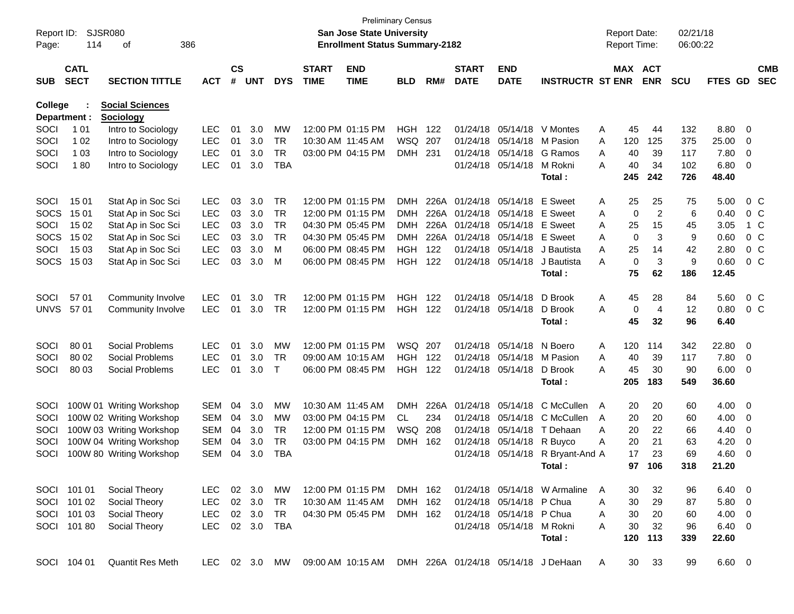| Report ID:     |              | SJSR080                  |            |               |            |            |                   | San Jose State University             | <b>Preliminary Census</b> |       |              |                          |                                     |   | <b>Report Date:</b> |                | 02/21/18   |               |                          |                |
|----------------|--------------|--------------------------|------------|---------------|------------|------------|-------------------|---------------------------------------|---------------------------|-------|--------------|--------------------------|-------------------------------------|---|---------------------|----------------|------------|---------------|--------------------------|----------------|
| Page:          | 114          | 386<br>оf                |            |               |            |            |                   | <b>Enrollment Status Summary-2182</b> |                           |       |              |                          |                                     |   | <b>Report Time:</b> |                | 06:00:22   |               |                          |                |
|                | <b>CATL</b>  |                          |            | $\mathsf{cs}$ |            |            | <b>START</b>      | <b>END</b>                            |                           |       | <b>START</b> | <b>END</b>               |                                     |   | MAX ACT             |                |            |               |                          | <b>CMB</b>     |
| <b>SUB</b>     | <b>SECT</b>  | <b>SECTION TITTLE</b>    | <b>ACT</b> | #             | <b>UNT</b> | <b>DYS</b> | <b>TIME</b>       | <b>TIME</b>                           | <b>BLD</b>                | RM#   | <b>DATE</b>  | <b>DATE</b>              | <b>INSTRUCTR ST ENR</b>             |   |                     | <b>ENR</b>     | <b>SCU</b> | FTES GD       |                          | <b>SEC</b>     |
| <b>College</b> |              | <b>Social Sciences</b>   |            |               |            |            |                   |                                       |                           |       |              |                          |                                     |   |                     |                |            |               |                          |                |
|                | Department : | <b>Sociology</b>         |            |               |            |            |                   |                                       |                           |       |              |                          |                                     |   |                     |                |            |               |                          |                |
| SOCI           | 1 0 1        | Intro to Sociology       | LEC        | 01            | 3.0        | MW         |                   | 12:00 PM 01:15 PM                     | <b>HGH</b>                | 122   | 01/24/18     | 05/14/18                 | V Montes                            | Α | 45                  | 44             | 132        | 8.80          | 0                        |                |
| SOCI           | 1 0 2        | Intro to Sociology       | <b>LEC</b> | 01            | 3.0        | <b>TR</b>  | 10:30 AM 11:45 AM |                                       | WSQ                       | 207   | 01/24/18     | 05/14/18                 | M Pasion                            | Α | 120                 | 125            | 375        | 25.00         | 0                        |                |
| SOCI           | 1 0 3        | Intro to Sociology       | <b>LEC</b> | 01            | 3.0        | <b>TR</b>  |                   | 03:00 PM 04:15 PM                     | <b>DMH</b>                | 231   | 01/24/18     | 05/14/18                 | G Ramos                             | Α | 40                  | 39             | 117        | 7.80          | 0                        |                |
| SOCI           | 180          | Intro to Sociology       | <b>LEC</b> | 01            | 3.0        | <b>TBA</b> |                   |                                       |                           |       |              | 01/24/18 05/14/18        | M Rokni                             | А | 40                  | 34             | 102        | 6.80          | 0                        |                |
|                |              |                          |            |               |            |            |                   |                                       |                           |       |              |                          | Total:                              |   | 245                 | 242            | 726        | 48.40         |                          |                |
| SOCI           | 15 01        | Stat Ap in Soc Sci       | <b>LEC</b> | 03            | 3.0        | <b>TR</b>  |                   | 12:00 PM 01:15 PM                     | DMH                       | 226A  | 01/24/18     | 05/14/18                 | E Sweet                             | Α | 25                  | 25             | 75         | 5.00          |                          | $0\,$ C        |
| <b>SOCS</b>    | 15 01        | Stat Ap in Soc Sci       | <b>LEC</b> | 03            | 3.0        | <b>TR</b>  |                   | 12:00 PM 01:15 PM                     | DMH                       | 226A  | 01/24/18     | 05/14/18                 | E Sweet                             | Α | 0                   | $\overline{2}$ | 6          | 0.40          |                          | $0\,$ C        |
| SOCI           | 15 02        | Stat Ap in Soc Sci       | LEC        | 03            | 3.0        | <b>TR</b>  |                   | 04:30 PM 05:45 PM                     | DMH                       | 226A  | 01/24/18     | 05/14/18                 | E Sweet                             | Α | 25                  | 15             | 45         | 3.05          |                          | 1 C            |
| <b>SOCS</b>    | 15 02        | Stat Ap in Soc Sci       | <b>LEC</b> | 03            | 3.0        | <b>TR</b>  |                   | 04:30 PM 05:45 PM                     | DMH                       | 226A  | 01/24/18     | 05/14/18                 | E Sweet                             | Α | 0                   | 3              | 9          | 0.60          |                          | 0 <sup>o</sup> |
| SOCI           | 15 03        | Stat Ap in Soc Sci       | <b>LEC</b> | 03            | 3.0        | M          |                   | 06:00 PM 08:45 PM                     | <b>HGH</b>                | 122   |              | 01/24/18 05/14/18        | J Bautista                          | Α | 25                  | 14             | 42         | 2.80          |                          | 0 <sup>C</sup> |
| <b>SOCS</b>    | 15 03        | Stat Ap in Soc Sci       | <b>LEC</b> | 03            | 3.0        | М          |                   | 06:00 PM 08:45 PM                     | <b>HGH</b>                | 122   |              | 01/24/18 05/14/18        | J Bautista                          | Α | 0                   | 3              | 9          | 0.60          |                          | 0 <sup>o</sup> |
|                |              |                          |            |               |            |            |                   |                                       |                           |       |              |                          | Total:                              |   | 75                  | 62             | 186        | 12.45         |                          |                |
| SOCI           | 57 01        | Community Involve        | <b>LEC</b> | 01            | 3.0        | <b>TR</b>  |                   | 12:00 PM 01:15 PM                     | <b>HGH</b>                | 122   |              | 01/24/18 05/14/18        | D Brook                             | Α | 45                  | 28             | 84         | 5.60          |                          | 0 <sup>C</sup> |
| <b>UNVS</b>    | 57 01        | Community Involve        | <b>LEC</b> | 01            | 3.0        | <b>TR</b>  |                   | 12:00 PM 01:15 PM                     | HGH                       | - 122 |              | 01/24/18 05/14/18        | D Brook                             | Α | 0                   | 4              | 12         | 0.80          |                          | $0\,$ C        |
|                |              |                          |            |               |            |            |                   |                                       |                           |       |              |                          | Total:                              |   | 45                  | 32             | 96         | 6.40          |                          |                |
| SOCI           | 80 01        | Social Problems          | <b>LEC</b> | 01            | 3.0        | <b>MW</b>  |                   | 12:00 PM 01:15 PM                     | WSQ 207                   |       | 01/24/18     | 05/14/18                 | N Boero                             | Α | 120                 | 114            | 342        | 22.80         | 0                        |                |
| SOCI           | 80 02        | Social Problems          | <b>LEC</b> | 01            | 3.0        | <b>TR</b>  |                   | 09:00 AM 10:15 AM                     | <b>HGH</b>                | 122   | 01/24/18     | 05/14/18                 | M Pasion                            | Α | 40                  | 39             | 117        | 7.80          | 0                        |                |
| SOCI           | 80 03        | Social Problems          | <b>LEC</b> | 01            | 3.0        | T          |                   | 06:00 PM 08:45 PM                     | HGH                       | 122   |              | 01/24/18 05/14/18        | D Brook                             | Α | 45                  | 30             | 90         | 6.00          | 0                        |                |
|                |              |                          |            |               |            |            |                   |                                       |                           |       |              |                          | Total:                              |   | 205                 | 183            | 549        | 36.60         |                          |                |
| SOCI           |              | 100W 01 Writing Workshop | <b>SEM</b> | 04            | 3.0        | MW         | 10:30 AM 11:45 AM |                                       | <b>DMH</b>                | 226A  | 01/24/18     | 05/14/18                 | C McCullen                          | A | 20                  | 20             | 60         | 4.00          | 0                        |                |
| SOCI           |              | 100W 02 Writing Workshop | <b>SEM</b> | 04            | 3.0        | MW         |                   | 03:00 PM 04:15 PM                     | CL                        | 234   | 01/24/18     | 05/14/18                 | C McCullen                          | A | 20                  | 20             | 60         | 4.00          | 0                        |                |
| SOCI           |              | 100W 03 Writing Workshop | <b>SEM</b> | 04            | 3.0        | <b>TR</b>  |                   | 12:00 PM 01:15 PM                     | WSQ                       | 208   | 01/24/18     | 05/14/18                 | T Dehaan                            | Α | 20                  | 22             | 66         | 4.40          | 0                        |                |
| SOCI           |              | 100W 04 Writing Workshop | <b>SEM</b> | 04            | 3.0        | <b>TR</b>  |                   | 03:00 PM 04:15 PM                     | <b>DMH</b>                | 162   | 01/24/18     | 05/14/18                 | R Buyco                             | Α | 20                  | 21             | 63         | 4.20          | 0                        |                |
| SOCI           |              | 100W 80 Writing Workshop | <b>SEM</b> | 04            | 3.0        | <b>TBA</b> |                   |                                       |                           |       |              | 01/24/18 05/14/18        | R Bryant-And A                      |   | 17                  | 23             | 69         | 4.60          | 0                        |                |
|                |              |                          |            |               |            |            |                   |                                       |                           |       |              |                          | Total:                              |   | 97                  | 106            | 318        | 21.20         |                          |                |
|                | SOCI 101 01  | Social Theory            | LEC        |               | 02 3.0     | MW         |                   | 12:00 PM 01:15 PM                     | DMH 162                   |       |              |                          | 01/24/18 05/14/18 W Armaline        | A | 30                  | 32             | 96         | 6.40          | $\overline{\phantom{0}}$ |                |
|                | SOCI 101 02  | Social Theory            | LEC        |               | 02 3.0     | TR         | 10:30 AM 11:45 AM |                                       | DMH 162                   |       |              | 01/24/18 05/14/18 P Chua |                                     | Α | 30                  | 29             | 87         | 5.80          | 0                        |                |
|                | SOCI 101 03  | Social Theory            | LEC        |               | 02 3.0     | TR         |                   | 04:30 PM 05:45 PM                     | DMH 162                   |       |              | 01/24/18 05/14/18 P Chua |                                     | A | 30                  | 20             | 60         | 4.00          | 0                        |                |
|                | SOCI 101 80  | Social Theory            | LEC        |               | 02 3.0     | TBA        |                   |                                       |                           |       |              | 01/24/18 05/14/18        | M Rokni                             | A | 30                  | 32             | 96         | 6.40 0        |                          |                |
|                |              |                          |            |               |            |            |                   |                                       |                           |       |              |                          | Total:                              |   | 120                 | 113            | 339        | 22.60         |                          |                |
|                | SOCI 104 01  | Quantit Res Meth         | LEC        |               | 02 3.0 MW  |            |                   | 09:00 AM 10:15 AM                     |                           |       |              |                          | DMH 226A 01/24/18 05/14/18 J DeHaan | A | 30                  | 33             | 99         | $6.60\quad 0$ |                          |                |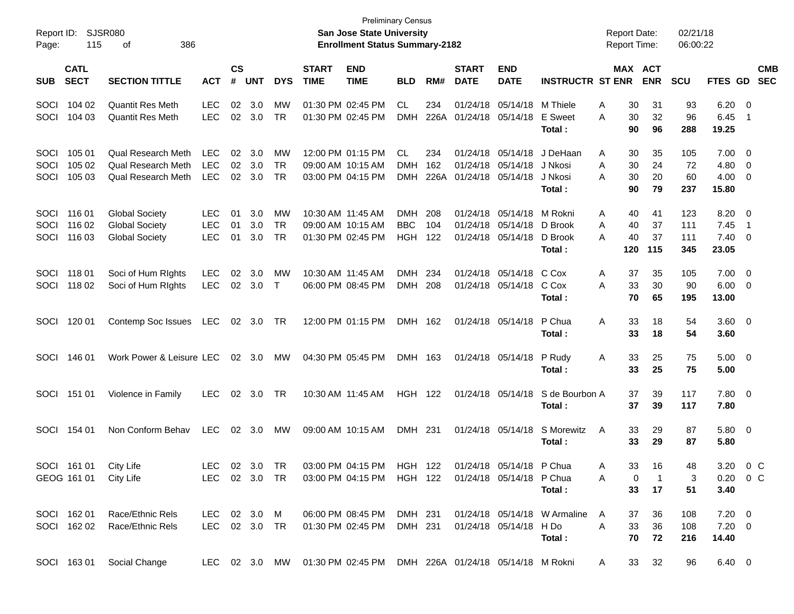| Report ID:<br>Page:  | 115                                  | <b>SJSR080</b><br>386<br>οf                                                         |                                        |                    |                      |                              |                             | <b>Preliminary Census</b><br><b>San Jose State University</b><br><b>Enrollment Status Summary-2182</b> |                                 |                    |                             |                                                             |                                                                                         | <b>Report Date:</b><br><b>Report Time:</b> |                            | 02/21/18<br>06:00:22     |                                     |                                                             |                          |
|----------------------|--------------------------------------|-------------------------------------------------------------------------------------|----------------------------------------|--------------------|----------------------|------------------------------|-----------------------------|--------------------------------------------------------------------------------------------------------|---------------------------------|--------------------|-----------------------------|-------------------------------------------------------------|-----------------------------------------------------------------------------------------|--------------------------------------------|----------------------------|--------------------------|-------------------------------------|-------------------------------------------------------------|--------------------------|
| <b>SUB</b>           | <b>CATL</b><br><b>SECT</b>           | <b>SECTION TITTLE</b>                                                               | <b>ACT</b>                             | $\mathsf{cs}$<br># | <b>UNT</b>           | <b>DYS</b>                   | <b>START</b><br><b>TIME</b> | <b>END</b><br><b>TIME</b>                                                                              | <b>BLD</b>                      | RM#                | <b>START</b><br><b>DATE</b> | <b>END</b><br><b>DATE</b>                                   | <b>INSTRUCTR ST ENR</b>                                                                 | MAX ACT                                    | <b>ENR</b>                 | <b>SCU</b>               | <b>FTES GD</b>                      |                                                             | <b>CMB</b><br><b>SEC</b> |
| SOCI<br>SOCI         | 104 02<br>104 03                     | <b>Quantit Res Meth</b><br><b>Quantit Res Meth</b>                                  | <b>LEC</b><br><b>LEC</b>               | 02<br>02           | 3.0<br>3.0           | МW<br><b>TR</b>              | 01:30 PM 02:45 PM           | 01:30 PM 02:45 PM                                                                                      | CL<br><b>DMH</b>                | 234<br>226A        |                             | 01/24/18 05/14/18<br>01/24/18 05/14/18                      | M Thiele<br>E Sweet<br>Total:                                                           | Α<br>30<br>Α<br>30<br>90                   | 31<br>32<br>96             | 93<br>96<br>288          | 6.20<br>6.45<br>19.25               | $\overline{\mathbf{0}}$<br>-1                               |                          |
| SOCI<br>SOCI<br>SOCI | 105 01<br>105 02<br>105 03           | <b>Qual Research Meth</b><br><b>Qual Research Meth</b><br><b>Qual Research Meth</b> | <b>LEC</b><br><b>LEC</b><br><b>LEC</b> | 02<br>02           | 3.0<br>3.0<br>02 3.0 | MW<br><b>TR</b><br><b>TR</b> |                             | 12:00 PM 01:15 PM<br>09:00 AM 10:15 AM<br>03:00 PM 04:15 PM                                            | CL<br><b>DMH</b><br><b>DMH</b>  | 234<br>162<br>226A | 01/24/18 05/14/18           | 01/24/18 05/14/18<br>01/24/18 05/14/18                      | J DeHaan<br>J Nkosi<br>J Nkosi<br>Total:                                                | A<br>30<br>Α<br>30<br>30<br>A<br>90        | 35<br>24<br>20<br>79       | 105<br>72<br>60<br>237   | 7.00<br>4.80<br>4.00<br>15.80       | $\overline{\mathbf{0}}$<br>$\overline{0}$<br>$\overline{0}$ |                          |
| SOCI<br>SOCI<br>SOCI | 116 01<br>116 02<br>116 03           | <b>Global Society</b><br><b>Global Society</b><br><b>Global Society</b>             | <b>LEC</b><br><b>LEC</b><br><b>LEC</b> | 01<br>01<br>01     | 3.0<br>3.0<br>3.0    | MW<br><b>TR</b><br><b>TR</b> | 10:30 AM 11:45 AM           | 09:00 AM 10:15 AM<br>01:30 PM 02:45 PM                                                                 | <b>DMH</b><br><b>BBC</b><br>HGH | 208<br>104<br>122  |                             | 01/24/18 05/14/18<br>01/24/18 05/14/18<br>01/24/18 05/14/18 | M Rokni<br>D Brook<br>D Brook<br>Total:                                                 | A<br>40<br>A<br>40<br>A<br>40<br>120       | 41<br>37<br>37<br>115      | 123<br>111<br>111<br>345 | 8.20<br>7.45<br>7.40<br>23.05       | $\overline{\mathbf{0}}$<br>-1<br>$\overline{0}$             |                          |
| SOCI<br>SOCI         | 118 01<br>118 02                     | Soci of Hum RIghts<br>Soci of Hum Rights                                            | <b>LEC</b><br><b>LEC</b>               | 02<br>02           | 3.0<br>3.0           | MW<br>$\top$                 | 10:30 AM 11:45 AM           | 06:00 PM 08:45 PM                                                                                      | DMH<br><b>DMH</b>               | 234<br>208         |                             | 01/24/18 05/14/18<br>01/24/18 05/14/18                      | C Cox<br>C Cox<br>Total:                                                                | A<br>37<br>Α<br>33<br>70                   | 35<br>30<br>65             | 105<br>90<br>195         | 7.00<br>6.00<br>13.00               | $\overline{0}$<br>$\overline{0}$                            |                          |
| SOCI                 | 120 01                               | Contemp Soc Issues                                                                  | LEC                                    | 02                 | 3.0                  | TR                           |                             | 12:00 PM 01:15 PM                                                                                      | DMH 162                         |                    |                             | 01/24/18 05/14/18                                           | P Chua<br>Total:                                                                        | Α<br>33<br>33                              | 18<br>18                   | 54<br>54                 | $3.60 \ 0$<br>3.60                  |                                                             |                          |
| SOCI                 | 146 01                               | Work Power & Leisure LEC                                                            |                                        |                    | $02 \quad 3.0$       | MW                           |                             | 04:30 PM 05:45 PM                                                                                      | DMH 163                         |                    |                             | 01/24/18 05/14/18                                           | P Rudy<br>Total:                                                                        | Α<br>33<br>33                              | 25<br>25                   | 75<br>75                 | $5.00 \t 0$<br>5.00                 |                                                             |                          |
| SOCI                 | 151 01                               | Violence in Family                                                                  | <b>LEC</b>                             |                    | 02 3.0               | TR                           |                             | 10:30 AM 11:45 AM                                                                                      | HGH 122                         |                    |                             | 01/24/18 05/14/18                                           | S de Bourbon A<br>Total:                                                                | 37<br>37                                   | 39<br>39                   | 117<br>117               | $7.80\ 0$<br>7.80                   |                                                             |                          |
| SOCI                 | 154 01                               | Non Conform Behav                                                                   | <b>LEC</b>                             | 02                 | 3.0                  | МW                           |                             | 09:00 AM 10:15 AM                                                                                      | DMH 231                         |                    |                             | 01/24/18 05/14/18                                           | S Morewitz<br>Total :                                                                   | A<br>33<br>33                              | 29<br>29                   | 87<br>87                 | $5.80\ 0$<br>5.80                   |                                                             |                          |
|                      | SOCI 161 01<br>GEOG 161 01 City Life | City Life                                                                           | LEC                                    |                    | 02 3.0 TR            |                              |                             | 03:00 PM 04:15 PM<br>LEC 02 3.0 TR 03:00 PM 04:15 PM HGH 122 01/24/18 05/14/18 P Chua                  | HGH 122                         |                    |                             | $01/24/18$ $05/14/18$                                       | P Chua<br>Total:                                                                        | 33.<br>A<br>A<br>0<br>33                   | 16<br>$\overline{1}$<br>17 | 48<br>3<br>51            | 3.20<br>$0.20 \t 0 C$<br>3.40       | 0 C                                                         |                          |
|                      | SOCI 162 01<br>SOCI 162 02           | Race/Ethnic Rels<br>Race/Ethnic Rels                                                |                                        |                    |                      |                              |                             | LEC 02 3.0 TR  01:30 PM 02:45 PM  DMH  231                                                             |                                 |                    |                             | 01/24/18 05/14/18 H Do                                      | LEC 02 3.0 M  06:00 PM 08:45 PM  DMH  231  01/24/18  05/14/18  W  Armaline  A<br>Total: | 37<br>$\mathsf{A}$<br>33<br>70             | 36<br>36<br>72             | 108<br>108<br>216        | $7.20 \t 0$<br>$7.20 \t 0$<br>14.40 |                                                             |                          |
|                      |                                      | SOCI 163 01 Social Change                                                           |                                        |                    |                      |                              |                             | LEC 02 3.0 MW 01:30 PM 02:45 PM DMH 226A 01/24/18 05/14/18 M Rokni                                     |                                 |                    |                             |                                                             |                                                                                         | $\mathsf{A}$                               | 33 32                      | 96                       | 6.40 0                              |                                                             |                          |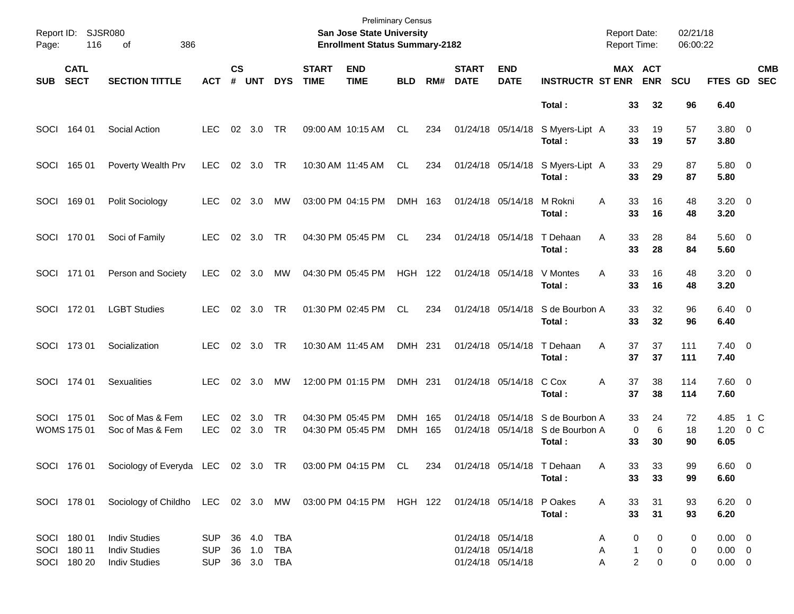| Page: | Report ID: SJSR080<br>116                 | 386<br>οf                                                                                          |                                         |                    |               |            |                             | <b>Preliminary Census</b><br>San Jose State University<br><b>Enrollment Status Summary-2182</b> |                    |     |                             |                                                             |                                                               | <b>Report Date:</b><br><b>Report Time:</b> |                                                    | 02/21/18<br>06:00:22   |                                              |            |                          |
|-------|-------------------------------------------|----------------------------------------------------------------------------------------------------|-----------------------------------------|--------------------|---------------|------------|-----------------------------|-------------------------------------------------------------------------------------------------|--------------------|-----|-----------------------------|-------------------------------------------------------------|---------------------------------------------------------------|--------------------------------------------|----------------------------------------------------|------------------------|----------------------------------------------|------------|--------------------------|
| SUB   | <b>CATL</b><br><b>SECT</b>                | <b>SECTION TITTLE</b>                                                                              | <b>ACT</b>                              | $\mathsf{cs}$<br># | <b>UNT</b>    | <b>DYS</b> | <b>START</b><br><b>TIME</b> | <b>END</b><br><b>TIME</b>                                                                       | <b>BLD</b>         | RM# | <b>START</b><br><b>DATE</b> | <b>END</b><br><b>DATE</b>                                   | <b>INSTRUCTR ST ENR</b>                                       |                                            | MAX ACT<br><b>ENR</b>                              | <b>SCU</b>             | <b>FTES GD</b>                               |            | <b>CMB</b><br><b>SEC</b> |
|       |                                           |                                                                                                    |                                         |                    |               |            |                             |                                                                                                 |                    |     |                             |                                                             | Total:                                                        | 33                                         | 32                                                 | 96                     | 6.40                                         |            |                          |
|       | SOCI 164 01                               | Social Action                                                                                      | LEC.                                    |                    | 02 3.0        | TR         | 09:00 AM 10:15 AM           |                                                                                                 | CL                 | 234 |                             | 01/24/18 05/14/18                                           | S Myers-Lipt A<br>Total:                                      |                                            | 19<br>33<br>33<br>19                               | 57<br>57               | 3.80 0<br>3.80                               |            |                          |
| SOCI  | 165 01                                    | Poverty Wealth Prv                                                                                 | LEC.                                    |                    | 02 3.0        | TR         |                             | 10:30 AM 11:45 AM                                                                               | CL                 | 234 |                             | 01/24/18 05/14/18                                           | S Myers-Lipt A<br>Total:                                      |                                            | 33<br>29<br>33<br>29                               | 87<br>87               | 5.80 0<br>5.80                               |            |                          |
| SOCI  | 169 01                                    | Polit Sociology                                                                                    | LEC.                                    |                    | 02 3.0        | МW         | 03:00 PM 04:15 PM           |                                                                                                 | DMH 163            |     | 01/24/18 05/14/18           |                                                             | M Rokni<br>Total :                                            | A                                          | 33<br>16<br>33<br>16                               | 48<br>48               | $3.20 \ 0$<br>3.20                           |            |                          |
|       | SOCI 170 01                               | Soci of Family                                                                                     | <b>LEC</b>                              |                    | 02 3.0        | TR         |                             | 04:30 PM 05:45 PM                                                                               | CL.                | 234 |                             | 01/24/18 05/14/18                                           | T Dehaan<br>Total:                                            | A<br>33                                    | 33<br>28<br>28                                     | 84<br>84               | 5.60 0<br>5.60                               |            |                          |
|       | SOCI 171 01                               | Person and Society                                                                                 | LEC.                                    |                    | 02 3.0        | MW         | 04:30 PM 05:45 PM           |                                                                                                 | <b>HGH 122</b>     |     |                             | 01/24/18 05/14/18                                           | V Montes<br>Total:                                            | A<br>33<br>33                              | 16<br>16                                           | 48<br>48               | $3.20 \ 0$<br>3.20                           |            |                          |
|       | SOCI 172 01                               | <b>LGBT Studies</b>                                                                                | LEC.                                    |                    | 02 3.0        | TR         |                             | 01:30 PM 02:45 PM                                                                               | CL.                | 234 |                             | 01/24/18 05/14/18                                           | S de Bourbon A<br>Total:                                      |                                            | 33<br>32<br>33<br>32                               | 96<br>96               | $6.40 \quad 0$<br>6.40                       |            |                          |
|       | SOCI 173 01                               | Socialization                                                                                      | <b>LEC</b>                              |                    | 02 3.0        | TR         |                             | 10:30 AM 11:45 AM                                                                               | DMH 231            |     |                             | 01/24/18 05/14/18                                           | T Dehaan<br>Total:                                            | Α<br>37<br>37                              | 37<br>37                                           | 111<br>111             | $7.40 \quad 0$<br>7.40                       |            |                          |
|       | SOCI 174 01                               | <b>Sexualities</b>                                                                                 | <b>LEC</b>                              |                    | 02 3.0        | MW         |                             | 12:00 PM 01:15 PM                                                                               | DMH 231            |     |                             | 01/24/18 05/14/18                                           | C Cox<br>Total:                                               | 37<br>Α<br>37                              | 38<br>38                                           | 114<br>114             | $7.60$ 0<br>7.60                             |            |                          |
|       | SOCI 175 01<br><b>WOMS 175 01</b>         | Soc of Mas & Fem<br>Soc of Mas & Fem                                                               | <b>LEC</b><br><b>LEC</b>                | 02                 | 3.0<br>02 3.0 | TR<br>TR   |                             | 04:30 PM 05:45 PM<br>04:30 PM 05:45 PM                                                          | DMH 165<br>DMH 165 |     |                             | 01/24/18 05/14/18                                           | 01/24/18 05/14/18 S de Bourbon A<br>S de Bourbon A<br>Total : |                                            | 33<br>24<br>0<br>6<br>33<br>30                     | 72<br>18<br>90         | 4.85<br>1.20<br>6.05                         | 1 C<br>0 C |                          |
|       | SOCI 176 01                               | Sociology of Everyda LEC 02 3.0 TR                                                                 |                                         |                    |               |            |                             | 03:00 PM 04:15 PM                                                                               | CL                 | 234 |                             |                                                             | 01/24/18 05/14/18 T Dehaan<br>Total:                          | A                                          | 33<br>33<br>33<br>33                               | 99<br>99               | $6.60 \quad 0$<br>6.60                       |            |                          |
|       |                                           | SOCI 178 01 Sociology of Childho LEC 02 3.0 MW 03:00 PM 04:15 PM HGH 122 01/24/18 05/14/18 P Oakes |                                         |                    |               |            |                             |                                                                                                 |                    |     |                             |                                                             | Total:                                                        | 33<br>A                                    | 31<br>33<br>31                                     | 93<br>93               | $6.20 \ 0$<br>6.20                           |            |                          |
|       | SOCI 180 01<br>SOCI 180 11<br>SOCI 180 20 | <b>Indiv Studies</b><br><b>Indiv Studies</b><br><b>Indiv Studies</b>                               | SUP 36 4.0 TBA<br>SUP<br>SUP 36 3.0 TBA |                    |               |            |                             |                                                                                                 |                    |     |                             | 01/24/18 05/14/18<br>01/24/18 05/14/18<br>01/24/18 05/14/18 |                                                               | A<br>A<br>A                                | 0<br>0<br>0<br>$\mathbf{1}$<br>$\overline{a}$<br>0 | 0<br>$\mathbf{0}$<br>0 | $0.00 \quad 0$<br>$0.00 \t 0$<br>$0.00 \t 0$ |            |                          |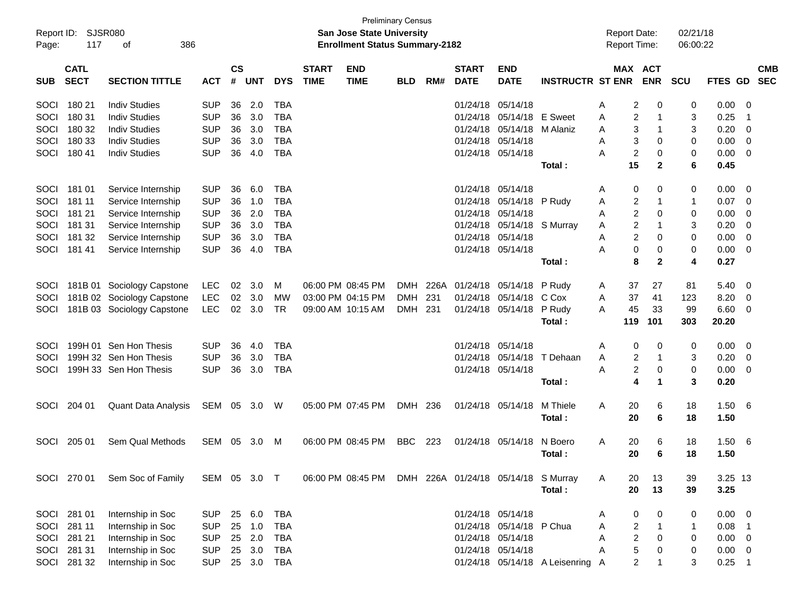| Report ID:<br>Page: | <b>SJSR080</b><br>117      | 386<br>оf                  |              |                    |            |            |                             | <b>Preliminary Census</b><br><b>San Jose State University</b><br><b>Enrollment Status Summary-2182</b> |            |     |                             |                           |                                  | <b>Report Date:</b><br><b>Report Time:</b> |                  |                       | 02/21/18<br>06:00:22 |                |                            |                          |
|---------------------|----------------------------|----------------------------|--------------|--------------------|------------|------------|-----------------------------|--------------------------------------------------------------------------------------------------------|------------|-----|-----------------------------|---------------------------|----------------------------------|--------------------------------------------|------------------|-----------------------|----------------------|----------------|----------------------------|--------------------------|
| <b>SUB</b>          | <b>CATL</b><br><b>SECT</b> | <b>SECTION TITTLE</b>      | ACT          | $\mathsf{cs}$<br># | <b>UNT</b> | <b>DYS</b> | <b>START</b><br><b>TIME</b> | <b>END</b><br><b>TIME</b>                                                                              | <b>BLD</b> | RM# | <b>START</b><br><b>DATE</b> | <b>END</b><br><b>DATE</b> | <b>INSTRUCTR ST ENR</b>          |                                            |                  | MAX ACT<br><b>ENR</b> | <b>SCU</b>           | <b>FTES GD</b> |                            | <b>CMB</b><br><b>SEC</b> |
| SOCI                | 180 21                     | <b>Indiv Studies</b>       | <b>SUP</b>   | 36                 | 2.0        | <b>TBA</b> |                             |                                                                                                        |            |     | 01/24/18                    | 05/14/18                  |                                  | A                                          | 2                | 0                     | 0                    | 0.00           | - 0                        |                          |
| SOCI                | 180 31                     | <b>Indiv Studies</b>       | <b>SUP</b>   | 36                 | 3.0        | <b>TBA</b> |                             |                                                                                                        |            |     | 01/24/18                    | 05/14/18                  | E Sweet                          | A                                          | 2                | $\mathbf 1$           | 3                    | 0.25           | - 1                        |                          |
| SOCI                | 180 32                     | <b>Indiv Studies</b>       | <b>SUP</b>   | 36                 | 3.0        | <b>TBA</b> |                             |                                                                                                        |            |     | 01/24/18                    | 05/14/18                  | M Alaniz                         | Α                                          | 3                | $\overline{1}$        | 3                    | 0.20           | - 0                        |                          |
| SOCI                | 180 33                     | <b>Indiv Studies</b>       | <b>SUP</b>   | 36                 | 3.0        | <b>TBA</b> |                             |                                                                                                        |            |     | 01/24/18                    | 05/14/18                  |                                  | A                                          | 3                | 0                     | 0                    | 0.00           | 0                          |                          |
| <b>SOCI</b>         | 180 41                     | <b>Indiv Studies</b>       | <b>SUP</b>   | 36                 | 4.0        | <b>TBA</b> |                             |                                                                                                        |            |     |                             | 01/24/18 05/14/18         |                                  | A                                          | $\overline{c}$   | 0                     | 0                    | 0.00           | - 0                        |                          |
|                     |                            |                            |              |                    |            |            |                             |                                                                                                        |            |     |                             |                           | Total:                           |                                            | 15               | $\mathbf{2}$          | 6                    | 0.45           |                            |                          |
| SOCI                | 181 01                     | Service Internship         | <b>SUP</b>   | 36                 | 6.0        | <b>TBA</b> |                             |                                                                                                        |            |     | 01/24/18                    | 05/14/18                  |                                  | A                                          | 0                | 0                     | 0                    | 0.00           | 0                          |                          |
| SOCI                | 181 11                     | Service Internship         | <b>SUP</b>   | 36                 | 1.0        | <b>TBA</b> |                             |                                                                                                        |            |     | 01/24/18                    | 05/14/18 P Rudy           |                                  | Α                                          | 2                | $\mathbf 1$           | 1                    | 0.07           | - 0                        |                          |
| SOCI                | 181 21                     | Service Internship         | <b>SUP</b>   | 36                 | 2.0        | <b>TBA</b> |                             |                                                                                                        |            |     | 01/24/18                    | 05/14/18                  |                                  | Α                                          | 2                | 0                     | 0                    | 0.00           | 0                          |                          |
| SOCI                | 181 31                     | Service Internship         | <b>SUP</b>   | 36                 | 3.0        | <b>TBA</b> |                             |                                                                                                        |            |     | 01/24/18                    | 05/14/18 S Murray         |                                  | A                                          | 2                | $\mathbf 1$           | 3                    | 0.20           | - 0                        |                          |
| SOCI                | 181 32                     | Service Internship         | <b>SUP</b>   | 36                 | 3.0        | <b>TBA</b> |                             |                                                                                                        |            |     | 01/24/18                    | 05/14/18                  |                                  | Α                                          | 2                | 0                     | 0                    | 0.00           | 0                          |                          |
| <b>SOCI</b>         | 181 41                     | Service Internship         | <b>SUP</b>   | 36                 | 4.0        | <b>TBA</b> |                             |                                                                                                        |            |     |                             | 01/24/18 05/14/18         |                                  | A                                          | 0                | 0                     | 0                    | 0.00           | 0                          |                          |
|                     |                            |                            |              |                    |            |            |                             |                                                                                                        |            |     |                             |                           | Total:                           |                                            | 8                | $\mathbf{2}$          | 4                    | 0.27           |                            |                          |
| <b>SOCI</b>         |                            | 181B 01 Sociology Capstone | <b>LEC</b>   | 02                 | 3.0        | M          |                             | 06:00 PM 08:45 PM                                                                                      | DMH        |     |                             | 226A 01/24/18 05/14/18    | P Rudy                           | A                                          | 37               | 27                    | 81                   | 5.40           | - 0                        |                          |
| SOCI                |                            | 181B 02 Sociology Capstone | <b>LEC</b>   | 02                 | 3.0        | МW         |                             | 03:00 PM 04:15 PM                                                                                      | <b>DMH</b> | 231 | 01/24/18                    | 05/14/18                  | C Cox                            | A                                          | 37               | 41                    | 123                  | 8.20           | - 0                        |                          |
| SOCI                |                            | 181B 03 Sociology Capstone | <b>LEC</b>   | $02\,$             | 3.0        | <b>TR</b>  |                             | 09:00 AM 10:15 AM                                                                                      | <b>DMH</b> | 231 |                             | 01/24/18 05/14/18         | P Rudy                           | A                                          | 45               | 33                    | 99                   | 6.60           | - 0                        |                          |
|                     |                            |                            |              |                    |            |            |                             |                                                                                                        |            |     |                             |                           | Total:                           |                                            | 119              | 101                   | 303                  | 20.20          |                            |                          |
| SOCI                |                            | 199H 01 Sen Hon Thesis     | <b>SUP</b>   | 36                 | 4.0        | <b>TBA</b> |                             |                                                                                                        |            |     |                             | 01/24/18 05/14/18         |                                  | A                                          | 0                | 0                     | 0                    | 0.00           | - 0                        |                          |
| SOCI                |                            | 199H 32 Sen Hon Thesis     | <b>SUP</b>   | 36                 | 3.0        | <b>TBA</b> |                             |                                                                                                        |            |     |                             | 01/24/18 05/14/18         | T Dehaan                         | A                                          | 2                | $\mathbf 1$           | 3                    | 0.20           | - 0                        |                          |
| SOCI                |                            | 199H 33 Sen Hon Thesis     | <b>SUP</b>   | 36                 | 3.0        | <b>TBA</b> |                             |                                                                                                        |            |     |                             | 01/24/18 05/14/18         |                                  | A                                          | 2                | 0                     | 0                    | 0.00           | - 0                        |                          |
|                     |                            |                            |              |                    |            |            |                             |                                                                                                        |            |     |                             |                           | Total:                           |                                            | 4                | 1                     | 3                    | 0.20           |                            |                          |
| SOCI                | 204 01                     | Quant Data Analysis        | SEM 05 3.0   |                    |            | - W        |                             | 05:00 PM 07:45 PM                                                                                      | DMH 236    |     |                             | 01/24/18 05/14/18         | M Thiele                         | A                                          | 20               | 6                     | 18                   | 1.50           | - 6                        |                          |
|                     |                            |                            |              |                    |            |            |                             |                                                                                                        |            |     |                             |                           | Total:                           |                                            | 20               | 6                     | 18                   | 1.50           |                            |                          |
| <b>SOCI</b>         | 205 01                     | Sem Qual Methods           | SEM          | 05                 | 3.0        | M          |                             | 06:00 PM 08:45 PM                                                                                      | <b>BBC</b> | 223 |                             | 01/24/18 05/14/18         | N Boero                          | A                                          | 20               | 6                     | 18                   | 1.50           | - 6                        |                          |
|                     |                            |                            |              |                    |            |            |                             |                                                                                                        |            |     |                             |                           | Total:                           |                                            | 20               | 6                     | 18                   | 1.50           |                            |                          |
|                     | SOCI 270 01                | Sem Soc of Family          | SEM 05 3.0 T |                    |            |            |                             | 06:00 PM 08:45 PM DMH 226A 01/24/18 05/14/18 S Murray                                                  |            |     |                             |                           |                                  | A                                          | 20               | 13                    | 39                   | 3.25 13        |                            |                          |
|                     |                            |                            |              |                    |            |            |                             |                                                                                                        |            |     |                             |                           | Total:                           |                                            | 20               | 13                    | 39                   | 3.25           |                            |                          |
|                     | SOCI 281 01                | Internship in Soc          | <b>SUP</b>   |                    | 25 6.0     | <b>TBA</b> |                             |                                                                                                        |            |     |                             | 01/24/18 05/14/18         |                                  | A                                          | 0                | 0                     | 0                    | $0.00 \t 0$    |                            |                          |
|                     | SOCI 281 11                | Internship in Soc          | <b>SUP</b>   |                    | 25 1.0     | <b>TBA</b> |                             |                                                                                                        |            |     |                             | 01/24/18 05/14/18 P Chua  |                                  | A                                          | $\overline{c}$   | $\overline{1}$        | 1                    | 0.08           | - 1                        |                          |
|                     | SOCI 281 21                | Internship in Soc          | <b>SUP</b>   |                    | 25 2.0     | <b>TBA</b> |                             |                                                                                                        |            |     |                             | 01/24/18 05/14/18         |                                  | Α                                          | $\boldsymbol{2}$ | 0                     | 0                    | 0.00           | $\overline{\phantom{0}}$   |                          |
|                     | SOCI 281 31                | Internship in Soc          | <b>SUP</b>   |                    | 25 3.0     | <b>TBA</b> |                             |                                                                                                        |            |     |                             | 01/24/18 05/14/18         |                                  | A                                          | 5                | 0                     | 0                    | 0.00           | $\overline{\phantom{0}}$   |                          |
|                     | SOCI 281 32                | Internship in Soc          | <b>SUP</b>   |                    | 25 3.0     | TBA        |                             |                                                                                                        |            |     |                             |                           | 01/24/18 05/14/18 A Leisenring A |                                            | $\overline{2}$   | $\mathbf{1}$          | 3                    | 0.25           | $\overline{\phantom{0}}$ 1 |                          |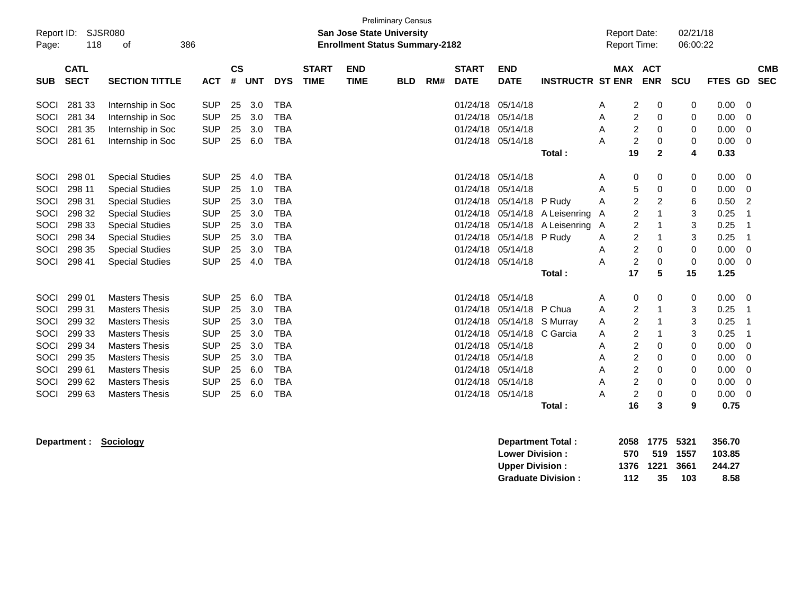| <b>Preliminary Census</b><br>Report ID:<br><b>SJSR080</b><br><b>San Jose State University</b><br>118<br>386<br><b>Enrollment Status Summary-2182</b><br>οf<br>Page: |                                                                                                  |                        |            |                |            |            |                             |                           |            |     |                             |                           |                         | <b>Report Date:</b><br>Report Time: |                         |                | 02/21/18<br>06:00:22 |         |                          |
|---------------------------------------------------------------------------------------------------------------------------------------------------------------------|--------------------------------------------------------------------------------------------------|------------------------|------------|----------------|------------|------------|-----------------------------|---------------------------|------------|-----|-----------------------------|---------------------------|-------------------------|-------------------------------------|-------------------------|----------------|----------------------|---------|--------------------------|
| <b>SUB</b>                                                                                                                                                          | <b>CATL</b><br><b>SECT</b>                                                                       | <b>SECTION TITTLE</b>  | <b>ACT</b> | <b>CS</b><br># | <b>UNT</b> | <b>DYS</b> | <b>START</b><br><b>TIME</b> | <b>END</b><br><b>TIME</b> | <b>BLD</b> | RM# | <b>START</b><br><b>DATE</b> | <b>END</b><br><b>DATE</b> | <b>INSTRUCTR ST ENR</b> |                                     | MAX ACT<br><b>ENR</b>   |                | <b>SCU</b>           | FTES GD | <b>CMB</b><br><b>SEC</b> |
| SOCI                                                                                                                                                                | 281 33                                                                                           | Internship in Soc      | <b>SUP</b> | 25             | 3.0        | <b>TBA</b> |                             |                           |            |     | 01/24/18                    | 05/14/18                  |                         | Α                                   | 2                       | 0              | 0                    | 0.00    | 0                        |
| SOCI                                                                                                                                                                | 281 34                                                                                           | Internship in Soc      | <b>SUP</b> | 25             | 3.0        | <b>TBA</b> |                             |                           |            |     | 01/24/18                    | 05/14/18                  |                         | Α                                   | $\overline{\mathbf{c}}$ | 0              | 0                    | 0.00    | $\Omega$                 |
| SOCI                                                                                                                                                                | 281 35                                                                                           | Internship in Soc      | <b>SUP</b> | 25             | 3.0        | <b>TBA</b> |                             |                           |            |     | 01/24/18                    | 05/14/18                  |                         | Α                                   | $\overline{2}$          | 0              | 0                    | 0.00    | 0                        |
| SOCI                                                                                                                                                                | 281 61                                                                                           | Internship in Soc      | <b>SUP</b> | 25             | 6.0        | <b>TBA</b> |                             |                           |            |     | 01/24/18                    | 05/14/18                  |                         | А                                   | $\overline{2}$          | 0              | 0                    | 0.00    | 0                        |
|                                                                                                                                                                     |                                                                                                  |                        |            |                |            |            |                             |                           |            |     |                             |                           | Total:                  |                                     | 19                      | $\mathbf{2}$   | 4                    | 0.33    |                          |
| SOCI                                                                                                                                                                | 298 01                                                                                           | <b>Special Studies</b> | <b>SUP</b> | 25             | 4.0        | <b>TBA</b> |                             |                           |            |     | 01/24/18                    | 05/14/18                  |                         | A                                   | 0                       | 0              | 0                    | 0.00    | 0                        |
| SOCI                                                                                                                                                                | 298 11                                                                                           | <b>Special Studies</b> | <b>SUP</b> | 25             | 1.0        | <b>TBA</b> |                             |                           |            |     | 01/24/18                    | 05/14/18                  |                         | Α                                   | 5                       | 0              | 0                    | 0.00    | 0                        |
| SOCI                                                                                                                                                                | 298 31                                                                                           | <b>Special Studies</b> | <b>SUP</b> | 25             | 3.0        | <b>TBA</b> |                             |                           |            |     | 01/24/18                    | 05/14/18 P Rudy           |                         | Α                                   | $\overline{c}$          | $\overline{c}$ | 6                    | 0.50    | 2                        |
| SOCI                                                                                                                                                                | 298 32                                                                                           | <b>Special Studies</b> | <b>SUP</b> | 25             | 3.0        | <b>TBA</b> |                             |                           |            |     | 01/24/18                    | 05/14/18                  | A Leisenring            | $\overline{\mathsf{A}}$             | $\overline{2}$          |                | 3                    | 0.25    | -1                       |
| SOCI                                                                                                                                                                | 298 33                                                                                           | <b>Special Studies</b> | <b>SUP</b> | 25             | 3.0        | <b>TBA</b> |                             |                           |            |     | 01/24/18                    | 05/14/18                  | A Leisenring            | A                                   | 2                       |                | 3                    | 0.25    | -1                       |
| SOCI                                                                                                                                                                | 298 34                                                                                           | <b>Special Studies</b> | <b>SUP</b> | 25             | 3.0        | <b>TBA</b> |                             |                           |            |     | 01/24/18                    | 05/14/18                  | P Rudy                  | Α                                   | 2                       |                | 3                    | 0.25    | -1                       |
| SOCI                                                                                                                                                                | 298 35                                                                                           | <b>Special Studies</b> | <b>SUP</b> | 25             | 3.0        | <b>TBA</b> |                             |                           |            |     | 01/24/18                    | 05/14/18                  |                         | Α                                   | $\overline{c}$          | 0              | $\mathbf 0$          | 0.00    | 0                        |
| SOCI                                                                                                                                                                | 298 41                                                                                           | <b>Special Studies</b> | <b>SUP</b> | 25             | 4.0        | <b>TBA</b> |                             |                           |            |     | 01/24/18 05/14/18           |                           |                         | A                                   | $\overline{2}$          | $\Omega$       | $\Omega$             | 0.00    | $\Omega$                 |
|                                                                                                                                                                     |                                                                                                  |                        |            |                |            |            |                             |                           |            |     |                             |                           | Total:                  |                                     | 17                      | 5              | 15                   | 1.25    |                          |
| SOCI                                                                                                                                                                | 299 01                                                                                           | <b>Masters Thesis</b>  | <b>SUP</b> | 25             | 6.0        | <b>TBA</b> |                             |                           |            |     | 01/24/18                    | 05/14/18                  |                         | A                                   | 0                       | 0              | 0                    | 0.00    | 0                        |
| SOCI                                                                                                                                                                | 299 31                                                                                           | <b>Masters Thesis</b>  | <b>SUP</b> | 25             | 3.0        | <b>TBA</b> |                             |                           |            |     | 01/24/18                    | 05/14/18                  | P Chua                  | Α                                   | $\overline{c}$          |                | 3                    | 0.25    |                          |
| SOCI                                                                                                                                                                | 299 32                                                                                           | <b>Masters Thesis</b>  | <b>SUP</b> | 25             | 3.0        | <b>TBA</b> |                             |                           |            |     | 01/24/18                    | 05/14/18 S Murray         |                         | A                                   | $\overline{\mathbf{c}}$ |                | 3                    | 0.25    |                          |
| SOCI                                                                                                                                                                | 299 33                                                                                           | <b>Masters Thesis</b>  | <b>SUP</b> | 25             | 3.0        | <b>TBA</b> |                             |                           |            |     | 01/24/18                    | 05/14/18 C Garcia         |                         | Α                                   | $\overline{c}$          |                | 3                    | 0.25    | -1                       |
| SOCI                                                                                                                                                                | 299 34                                                                                           | <b>Masters Thesis</b>  | <b>SUP</b> | 25             | 3.0        | <b>TBA</b> |                             |                           |            |     | 01/24/18                    | 05/14/18                  |                         | Α                                   | $\overline{c}$          | 0              | 0                    | 0.00    | 0                        |
| SOCI                                                                                                                                                                | 299 35                                                                                           | <b>Masters Thesis</b>  | <b>SUP</b> | 25             | 3.0        | <b>TBA</b> |                             |                           |            |     | 01/24/18                    | 05/14/18                  |                         | Α                                   | $\overline{c}$          | 0              | 0                    | 0.00    | 0                        |
| SOCI                                                                                                                                                                | 299 61<br><b>Masters Thesis</b><br><b>SUP</b><br>25<br><b>TBA</b><br>01/24/18<br>05/14/18<br>6.0 |                        |            |                |            |            |                             |                           |            |     |                             |                           | Α                       | $\overline{\mathbf{c}}$             | 0                       | 0              | 0.00                 | 0       |                          |
| SOCI                                                                                                                                                                | 299 62                                                                                           | <b>Masters Thesis</b>  | <b>SUP</b> | 25             | 6.0        | <b>TBA</b> |                             |                           |            |     | 01/24/18                    | 05/14/18                  |                         | Α                                   | 2                       | 0              | 0                    | 0.00    | 0                        |
| SOCI                                                                                                                                                                | 299 63                                                                                           | <b>Masters Thesis</b>  | <b>SUP</b> | 25             | 6.0        | <b>TBA</b> |                             |                           |            |     | 01/24/18 05/14/18           |                           |                         | A                                   | 2                       | $\mathbf 0$    | 0                    | 0.00    | $\Omega$                 |
|                                                                                                                                                                     |                                                                                                  |                        |            |                |            |            |                             |                           |            |     |                             |                           | Total:                  |                                     | 16                      | 3              | 9                    | 0.75    |                          |

**Department : Sociology Department Total : 2058 1775 5321 356.70 Lower Division : 570 519 1557 103.85 Upper Division : 1376 1221 3661 244.27 Graduate Division : 112 35 103 8.58**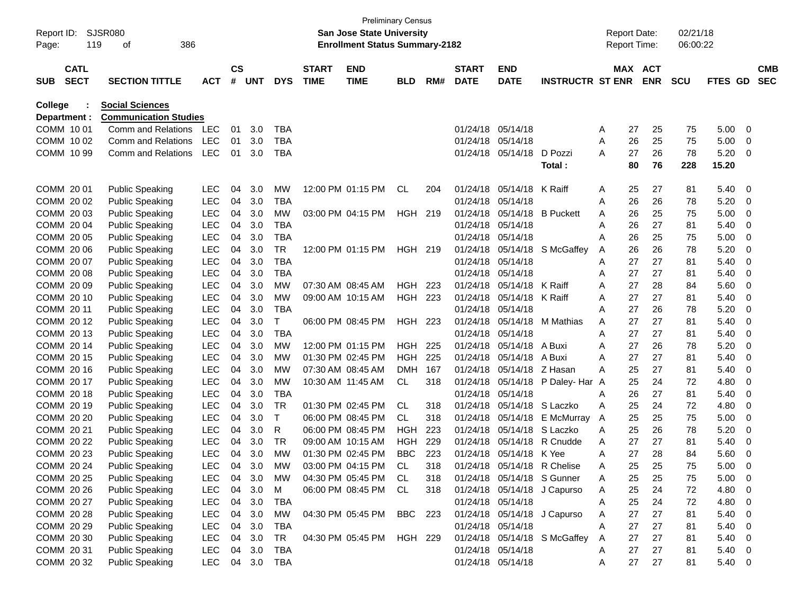| Report ID:     |                            | SJSR080                      |            |                    |            |            |                             | <b>Preliminary Census</b><br>San Jose State University |                |     |                             |                             |                             |   | <b>Report Date:</b> |                          | 02/21/18   |         |             |                          |
|----------------|----------------------------|------------------------------|------------|--------------------|------------|------------|-----------------------------|--------------------------------------------------------|----------------|-----|-----------------------------|-----------------------------|-----------------------------|---|---------------------|--------------------------|------------|---------|-------------|--------------------------|
| Page:          | 119                        | 386<br>οf                    |            |                    |            |            |                             | <b>Enrollment Status Summary-2182</b>                  |                |     |                             |                             |                             |   | <b>Report Time:</b> |                          | 06:00:22   |         |             |                          |
| <b>SUB</b>     | <b>CATL</b><br><b>SECT</b> | <b>SECTION TITTLE</b>        | <b>ACT</b> | $\mathsf{cs}$<br># | <b>UNT</b> | <b>DYS</b> | <b>START</b><br><b>TIME</b> | <b>END</b><br><b>TIME</b>                              | <b>BLD</b>     | RM# | <b>START</b><br><b>DATE</b> | <b>END</b><br><b>DATE</b>   | <b>INSTRUCTR ST ENR</b>     |   | <b>MAX</b>          | <b>ACT</b><br><b>ENR</b> | <b>SCU</b> | FTES GD |             | <b>CMB</b><br><b>SEC</b> |
| <b>College</b> |                            | <b>Social Sciences</b>       |            |                    |            |            |                             |                                                        |                |     |                             |                             |                             |   |                     |                          |            |         |             |                          |
| Department :   |                            | <b>Communication Studies</b> |            |                    |            |            |                             |                                                        |                |     |                             |                             |                             |   |                     |                          |            |         |             |                          |
| COMM 10 01     |                            | Comm and Relations           | LEC        | 01                 | 3.0        | <b>TBA</b> |                             |                                                        |                |     | 01/24/18                    | 05/14/18                    |                             | A | 27                  | 25                       | 75         | 5.00    | 0           |                          |
| COMM 1002      |                            | Comm and Relations           | <b>LEC</b> | 01                 | 3.0        | <b>TBA</b> |                             |                                                        |                |     | 01/24/18                    | 05/14/18                    |                             | A | 26                  | 25                       | 75         | 5.00    | 0           |                          |
| COMM 10 99     |                            | Comm and Relations           | <b>LEC</b> | 01                 | 3.0        | <b>TBA</b> |                             |                                                        |                |     | 01/24/18                    | 05/14/18                    | D Pozzi                     | A | 27                  | 26                       | 78         | 5.20    | 0           |                          |
|                |                            |                              |            |                    |            |            |                             |                                                        |                |     |                             |                             | Total:                      |   | 80                  | 76                       | 228        | 15.20   |             |                          |
| COMM 20 01     |                            | <b>Public Speaking</b>       | LEC        | 04                 | 3.0        | MW         |                             | 12:00 PM 01:15 PM                                      | CL.            | 204 | 01/24/18                    | 05/14/18                    | K Raiff                     | A | 25                  | 27                       | 81         | 5.40    | 0           |                          |
| COMM 20 02     |                            | <b>Public Speaking</b>       | <b>LEC</b> | 04                 | 3.0        | TBA        |                             |                                                        |                |     | 01/24/18                    | 05/14/18                    |                             | A | 26                  | 26                       | 78         | 5.20    | 0           |                          |
| COMM 2003      |                            | <b>Public Speaking</b>       | <b>LEC</b> | 04                 | 3.0        | MW         |                             | 03:00 PM 04:15 PM                                      | <b>HGH 219</b> |     | 01/24/18                    | 05/14/18                    | <b>B</b> Puckett            | A | 26                  | 25                       | 75         | 5.00    | 0           |                          |
| COMM 2004      |                            | <b>Public Speaking</b>       | <b>LEC</b> | 04                 | 3.0        | <b>TBA</b> |                             |                                                        |                |     | 01/24/18                    | 05/14/18                    |                             | A | 26                  | 27                       | 81         | 5.40    | 0           |                          |
| COMM 20 05     |                            | <b>Public Speaking</b>       | <b>LEC</b> | 04                 | 3.0        | TBA        |                             |                                                        |                |     | 01/24/18                    | 05/14/18                    |                             | Α | 26                  | 25                       | 75         | 5.00    | 0           |                          |
| COMM 20 06     |                            | <b>Public Speaking</b>       | <b>LEC</b> | 04                 | 3.0        | <b>TR</b>  |                             | 12:00 PM 01:15 PM                                      | HGH 219        |     | 01/24/18                    | 05/14/18                    | S McGaffey                  | A | 26                  | 26                       | 78         | 5.20    | 0           |                          |
| COMM 20 07     |                            | <b>Public Speaking</b>       | <b>LEC</b> | 04                 | 3.0        | <b>TBA</b> |                             |                                                        |                |     | 01/24/18                    | 05/14/18                    |                             | A | 27                  | 27                       | 81         | 5.40    | 0           |                          |
| COMM 2008      |                            | <b>Public Speaking</b>       | <b>LEC</b> | 04                 | 3.0        | <b>TBA</b> |                             |                                                        |                |     | 01/24/18                    | 05/14/18                    |                             | A | 27                  | 27                       | 81         | 5.40    | 0           |                          |
| COMM 20 09     |                            | <b>Public Speaking</b>       | <b>LEC</b> | 04                 | 3.0        | <b>MW</b>  |                             | 07:30 AM 08:45 AM                                      | HGH            | 223 | 01/24/18                    | 05/14/18                    | K Raiff                     | Α | 27                  | 28                       | 84         | 5.60    | 0           |                          |
| COMM 20 10     |                            | <b>Public Speaking</b>       | <b>LEC</b> | 04                 | 3.0        | <b>MW</b>  |                             | 09:00 AM 10:15 AM                                      | <b>HGH 223</b> |     | 01/24/18                    | 05/14/18                    | K Raiff                     | A | 27                  | 27                       | 81         | 5.40    | 0           |                          |
| COMM 20 11     |                            | <b>Public Speaking</b>       | <b>LEC</b> | 04                 | 3.0        | <b>TBA</b> |                             |                                                        |                |     | 01/24/18                    | 05/14/18                    |                             | Α | 27                  | 26                       | 78         | 5.20    | 0           |                          |
| COMM 20 12     |                            | <b>Public Speaking</b>       | <b>LEC</b> | 04                 | 3.0        | T          |                             | 06:00 PM 08:45 PM                                      | HGH 223        |     | 01/24/18                    | 05/14/18                    | M Mathias                   | Α | 27                  | 27                       | 81         | 5.40    | 0           |                          |
| COMM 20 13     |                            | <b>Public Speaking</b>       | <b>LEC</b> | 04                 | 3.0        | <b>TBA</b> |                             |                                                        |                |     | 01/24/18                    | 05/14/18                    |                             | A | 27                  | 27                       | 81         | 5.40    | 0           |                          |
| COMM 2014      |                            | <b>Public Speaking</b>       | <b>LEC</b> | 04                 | 3.0        | <b>MW</b>  |                             | 12:00 PM 01:15 PM                                      | HGH            | 225 | 01/24/18                    | 05/14/18                    | A Buxi                      | A | 27                  | 26                       | 78         | 5.20    | 0           |                          |
| COMM 2015      |                            | <b>Public Speaking</b>       | <b>LEC</b> | 04                 | 3.0        | MW         |                             | 01:30 PM 02:45 PM                                      | <b>HGH</b>     | 225 | 01/24/18                    | 05/14/18                    | A Buxi                      | Α | 27                  | 27                       | 81         | 5.40    | 0           |                          |
| COMM 2016      |                            | <b>Public Speaking</b>       | <b>LEC</b> | 04                 | 3.0        | MW         |                             | 07:30 AM 08:45 AM                                      | <b>DMH</b>     | 167 | 01/24/18                    | 05/14/18                    | Z Hasan                     | Α | 25                  | 27                       | 81         | 5.40    | 0           |                          |
| COMM 20 17     |                            | <b>Public Speaking</b>       | <b>LEC</b> | 04                 | 3.0        | <b>MW</b>  |                             | 10:30 AM 11:45 AM                                      | CL             | 318 | 01/24/18                    | 05/14/18                    | P Daley- Har A              |   | 25                  | 24                       | 72         | 4.80    | 0           |                          |
| COMM 2018      |                            | <b>Public Speaking</b>       | <b>LEC</b> | 04                 | 3.0        | <b>TBA</b> |                             |                                                        |                |     | 01/24/18                    | 05/14/18                    |                             | A | 26                  | 27                       | 81         | 5.40    | 0           |                          |
| COMM 2019      |                            | <b>Public Speaking</b>       | <b>LEC</b> | 04                 | 3.0        | <b>TR</b>  |                             | 01:30 PM 02:45 PM                                      | CL             | 318 | 01/24/18                    | 05/14/18                    | S Laczko                    | Α | 25                  | 24                       | 72         | 4.80    | 0           |                          |
| COMM 20 20     |                            | <b>Public Speaking</b>       | <b>LEC</b> | 04                 | 3.0        | T          |                             | 06:00 PM 08:45 PM                                      | CL             | 318 | 01/24/18                    | 05/14/18                    | E McMurray                  | A | 25                  | 25                       | 75         | 5.00    | 0           |                          |
| COMM 20 21     |                            | <b>Public Speaking</b>       | <b>LEC</b> | 04                 | 3.0        | R          |                             | 06:00 PM 08:45 PM                                      | HGH            | 223 | 01/24/18                    | 05/14/18                    | S Laczko                    | Α | 25                  | 26                       | 78         | 5.20    | 0           |                          |
| COMM 20 22     |                            | <b>Public Speaking</b>       | <b>LEC</b> | 04                 | 3.0        | TR         |                             | 09:00 AM 10:15 AM                                      | HGH            | 229 | 01/24/18                    | 05/14/18                    | R Cnudde                    | Α | 27                  | 27                       | 81         | 5.40    | 0           |                          |
| COMM 20 23     |                            | <b>Public Speaking</b>       | <b>LEC</b> | 04                 | 3.0        | <b>MW</b>  |                             | 01:30 PM 02:45 PM                                      | <b>BBC</b>     | 223 | 01/24/18                    | 05/14/18 K Yee              |                             | A | 27                  | 28                       | 84         | 5.60    | 0           |                          |
| COMM 20 24     |                            | <b>Public Speaking</b>       | LEC        | 04                 | 3.0        | <b>MW</b>  |                             | 03:00 PM 04:15 PM                                      | <b>CL</b>      | 318 |                             | 01/24/18 05/14/18 R Chelise |                             | Α | 25                  | 25                       | 75         | 5.00    | $\mathbf 0$ |                          |
| COMM 20 25     |                            | <b>Public Speaking</b>       | <b>LEC</b> | 04                 | 3.0        | МW         |                             | 04:30 PM 05:45 PM                                      | CL.            | 318 |                             | 01/24/18 05/14/18 S Gunner  |                             |   | 25                  | 25                       | 75         | 5.00    | 0           |                          |
| COMM 20 26     |                            | <b>Public Speaking</b>       | <b>LEC</b> | 04                 | 3.0        | M          |                             | 06:00 PM 08:45 PM                                      | CL             | 318 |                             |                             | 01/24/18 05/14/18 J Capurso | Α | 25                  | 24                       | 72         | 4.80    | 0           |                          |
| COMM 20 27     |                            | <b>Public Speaking</b>       | LEC        | 04                 | 3.0        | <b>TBA</b> |                             |                                                        |                |     |                             | 01/24/18 05/14/18           |                             | A | 25                  | 24                       | 72         | 4.80    | 0           |                          |
| COMM 20 28     |                            | <b>Public Speaking</b>       | LEC        | 04                 | 3.0        | <b>MW</b>  |                             | 04:30 PM 05:45 PM                                      | <b>BBC</b>     | 223 |                             | 01/24/18 05/14/18           | J Capurso                   | A | 27                  | 27                       | 81         | 5.40    | 0           |                          |
| COMM 20 29     |                            | <b>Public Speaking</b>       | LEC        | 04                 | 3.0        | <b>TBA</b> |                             |                                                        |                |     |                             | 01/24/18 05/14/18           |                             | Α | 27                  | 27                       | 81         | 5.40    | 0           |                          |
| COMM 20 30     |                            | <b>Public Speaking</b>       | LEC        | 04                 | 3.0        | TR         |                             | 04:30 PM 05:45 PM                                      | HGH 229        |     |                             | 01/24/18 05/14/18           | S McGaffey                  | A | 27                  | 27                       | 81         | 5.40    | 0           |                          |
| COMM 20 31     |                            | <b>Public Speaking</b>       | <b>LEC</b> | 04                 | 3.0        | <b>TBA</b> |                             |                                                        |                |     |                             | 01/24/18 05/14/18           |                             | Α | 27                  | 27                       | 81         | 5.40    | 0           |                          |
| COMM 20 32     |                            | <b>Public Speaking</b>       | LEC        |                    | 04 3.0     | <b>TBA</b> |                             |                                                        |                |     |                             | 01/24/18 05/14/18           |                             | Α | 27                  | 27                       | 81         | 5.40    | 0           |                          |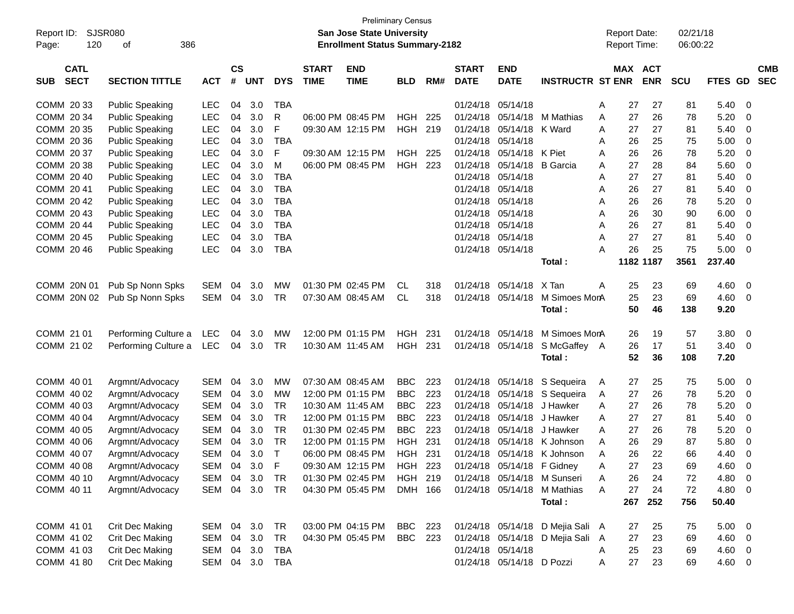| Report ID:<br>120<br>Page:               | SJSR080<br>386<br>οf                             |                          |                |            |                          |                             | <b>Preliminary Census</b><br>San Jose State University<br><b>Enrollment Status Summary-2182</b> |                |     |                             |                                                |                                  |        | <b>Report Date:</b><br><b>Report Time:</b> |            | 02/21/18<br>06:00:22 |              |                          |                          |
|------------------------------------------|--------------------------------------------------|--------------------------|----------------|------------|--------------------------|-----------------------------|-------------------------------------------------------------------------------------------------|----------------|-----|-----------------------------|------------------------------------------------|----------------------------------|--------|--------------------------------------------|------------|----------------------|--------------|--------------------------|--------------------------|
| <b>CATL</b><br><b>SECT</b><br><b>SUB</b> | <b>SECTION TITTLE</b>                            | <b>ACT</b>               | <b>CS</b><br># | <b>UNT</b> | <b>DYS</b>               | <b>START</b><br><b>TIME</b> | <b>END</b><br><b>TIME</b>                                                                       | <b>BLD</b>     | RM# | <b>START</b><br><b>DATE</b> | <b>END</b><br><b>DATE</b>                      | <b>INSTRUCTR ST ENR</b>          |        | MAX ACT                                    | <b>ENR</b> | <b>SCU</b>           | FTES GD      |                          | <b>CMB</b><br><b>SEC</b> |
| COMM 20 33                               | <b>Public Speaking</b>                           | <b>LEC</b>               | 04             | 3.0        | <b>TBA</b>               |                             |                                                                                                 |                |     | 01/24/18                    | 05/14/18                                       |                                  | A      | 27                                         | 27         | 81                   | 5.40         | - 0                      |                          |
| COMM 20 34                               | <b>Public Speaking</b>                           | <b>LEC</b>               | 04             | 3.0        | R                        |                             | 06:00 PM 08:45 PM                                                                               | <b>HGH</b>     | 225 | 01/24/18                    | 05/14/18                                       | M Mathias                        | A      | 27                                         | 26         | 78                   | 5.20         | 0                        |                          |
| COMM 20 35                               | <b>Public Speaking</b>                           | <b>LEC</b>               | 04             | 3.0        | F                        |                             | 09:30 AM 12:15 PM                                                                               | HGH            | 219 | 01/24/18                    | 05/14/18                                       | K Ward                           | A      | 27                                         | 27         | 81                   | 5.40         | 0                        |                          |
| COMM 20 36                               | <b>Public Speaking</b>                           | <b>LEC</b>               | 04             | 3.0        | <b>TBA</b>               |                             |                                                                                                 |                |     | 01/24/18                    | 05/14/18                                       |                                  | A      | 26                                         | 25         | 75                   | 5.00         | 0                        |                          |
| COMM 20 37                               | <b>Public Speaking</b>                           | <b>LEC</b>               | 04             | 3.0        | F                        |                             | 09:30 AM 12:15 PM                                                                               | HGH            | 225 | 01/24/18                    | 05/14/18                                       | K Piet                           | A      | 26                                         | 26         | 78                   | 5.20         | 0                        |                          |
| COMM 20 38                               | <b>Public Speaking</b>                           | <b>LEC</b>               | 04             | 3.0        | M                        |                             | 06:00 PM 08:45 PM                                                                               | HGH            | 223 | 01/24/18                    | 05/14/18                                       | <b>B</b> Garcia                  | A      | 27                                         | 28         | 84                   | 5.60         | 0                        |                          |
| COMM 20 40                               | <b>Public Speaking</b>                           | <b>LEC</b>               | 04             | 3.0        | <b>TBA</b>               |                             |                                                                                                 |                |     | 01/24/18                    | 05/14/18                                       |                                  | A      | 27                                         | 27         | 81                   | 5.40         | 0                        |                          |
| COMM 20 41                               | <b>Public Speaking</b>                           | <b>LEC</b>               | 04             | 3.0        | <b>TBA</b>               |                             |                                                                                                 |                |     | 01/24/18                    | 05/14/18                                       |                                  | A      | 26                                         | 27         | 81                   | 5.40         | 0                        |                          |
| COMM 20 42                               | <b>Public Speaking</b>                           | <b>LEC</b>               | 04             | 3.0        | <b>TBA</b>               |                             |                                                                                                 |                |     | 01/24/18<br>01/24/18        | 05/14/18                                       |                                  | A      | 26                                         | 26         | 78                   | 5.20         | 0                        |                          |
| COMM 20 43<br>COMM 20 44                 | <b>Public Speaking</b>                           | <b>LEC</b>               | 04             | 3.0<br>3.0 | <b>TBA</b><br><b>TBA</b> |                             |                                                                                                 |                |     | 01/24/18                    | 05/14/18<br>05/14/18                           |                                  | A      | 26                                         | 30<br>27   | 90                   | 6.00         | 0                        |                          |
| COMM 20 45                               | <b>Public Speaking</b><br><b>Public Speaking</b> | <b>LEC</b><br><b>LEC</b> | 04<br>04       | 3.0        | <b>TBA</b>               |                             |                                                                                                 |                |     | 01/24/18                    | 05/14/18                                       |                                  | A<br>Α | 26<br>27                                   | 27         | 81<br>81             | 5.40<br>5.40 | 0<br>0                   |                          |
| COMM 20 46                               | <b>Public Speaking</b>                           | <b>LEC</b>               | 04             | 3.0        | <b>TBA</b>               |                             |                                                                                                 |                |     | 01/24/18                    | 05/14/18                                       |                                  | Α      | 26                                         | 25         | 75                   | 5.00         | $\Omega$                 |                          |
|                                          |                                                  |                          |                |            |                          |                             |                                                                                                 |                |     |                             |                                                | Total:                           |        | 1182 1187                                  |            | 3561                 | 237.40       |                          |                          |
|                                          |                                                  |                          |                |            |                          |                             |                                                                                                 |                |     |                             |                                                |                                  |        |                                            |            |                      |              |                          |                          |
| COMM 20N 01                              | Pub Sp Nonn Spks                                 | <b>SEM</b>               | 04             | 3.0        | MW                       |                             | 01:30 PM 02:45 PM                                                                               | CL.            | 318 | 01/24/18                    | 05/14/18                                       | X Tan                            | A      | 25                                         | 23         | 69                   | 4.60         | - 0                      |                          |
| COMM 20N 02                              | Pub Sp Nonn Spks                                 | <b>SEM</b>               | 04             | 3.0        | <b>TR</b>                |                             | 07:30 AM 08:45 AM                                                                               | <b>CL</b>      | 318 | 01/24/18                    | 05/14/18                                       | M Simoes MorA                    |        | 25                                         | 23         | 69                   | 4.60         | - 0                      |                          |
|                                          |                                                  |                          |                |            |                          |                             |                                                                                                 |                |     |                             |                                                | Total:                           |        | 50                                         | 46         | 138                  | 9.20         |                          |                          |
|                                          |                                                  |                          |                |            |                          |                             |                                                                                                 |                |     |                             |                                                |                                  |        |                                            |            |                      |              |                          |                          |
| COMM 21 01                               | Performing Culture a                             | LEC                      | 04             | 3.0        | MW                       |                             | 12:00 PM 01:15 PM                                                                               | HGH            | 231 | 01/24/18                    | 05/14/18                                       | M Simoes MorA                    |        | 26                                         | 19         | 57                   | 3.80         | - 0                      |                          |
| COMM 21 02                               | Performing Culture a                             | LEC                      | 04             | 3.0        | <b>TR</b>                |                             | 10:30 AM 11:45 AM                                                                               | <b>HGH 231</b> |     | 01/24/18                    | 05/14/18                                       | S McGaffey A                     |        | 26                                         | 17         | 51                   | 3.40         | - 0                      |                          |
|                                          |                                                  |                          |                |            |                          |                             |                                                                                                 |                |     |                             |                                                | Total:                           |        | 52                                         | 36         | 108                  | 7.20         |                          |                          |
| COMM 40 01                               | Argmnt/Advocacy                                  | <b>SEM</b>               | 04             | 3.0        | МW                       |                             | 07:30 AM 08:45 AM                                                                               | <b>BBC</b>     | 223 | 01/24/18                    | 05/14/18                                       | S Sequeira                       | A      | 27                                         | 25         | 75                   | 5.00         | 0                        |                          |
| COMM 40 02                               | Argmnt/Advocacy                                  | <b>SEM</b>               | 04             | 3.0        | МW                       |                             | 12:00 PM 01:15 PM                                                                               | <b>BBC</b>     | 223 | 01/24/18                    | 05/14/18                                       | S Sequeira                       | A      | 27                                         | 26         | 78                   | 5.20         | 0                        |                          |
| COMM 40 03                               | Argmnt/Advocacy                                  | <b>SEM</b>               | 04             | 3.0        | <b>TR</b>                |                             | 10:30 AM 11:45 AM                                                                               | <b>BBC</b>     | 223 | 01/24/18                    | 05/14/18                                       | J Hawker                         | A      | 27                                         | 26         | 78                   | 5.20         | 0                        |                          |
| COMM 40 04                               | Argmnt/Advocacy                                  | <b>SEM</b>               | 04             | 3.0        | <b>TR</b>                |                             | 12:00 PM 01:15 PM                                                                               | <b>BBC</b>     | 223 | 01/24/18                    | 05/14/18                                       | J Hawker                         | A      | 27                                         | 27         | 81                   | 5.40         | 0                        |                          |
| COMM 40 05                               | Argmnt/Advocacy                                  | <b>SEM</b>               | 04             | 3.0        | <b>TR</b>                |                             | 01:30 PM 02:45 PM                                                                               | <b>BBC</b>     | 223 | 01/24/18                    | 05/14/18                                       | J Hawker                         | A      | 27                                         | 26         | 78                   | 5.20         | 0                        |                          |
| COMM 40 06                               | Argmnt/Advocacy                                  | <b>SEM</b>               | 04             | 3.0        | <b>TR</b>                |                             | 12:00 PM 01:15 PM                                                                               | <b>HGH</b>     | 231 | 01/24/18                    | 05/14/18                                       | K Johnson                        | A      | 26                                         | 29         | 87                   | 5.80         | 0                        |                          |
| COMM 40 07                               | Argmnt/Advocacy                                  | <b>SEM</b>               | 04             | 3.0        | $\top$                   |                             | 06:00 PM 08:45 PM                                                                               | HGH            | 231 | 01/24/18                    |                                                | 05/14/18 K Johnson               | A      | 26                                         | 22         | 66                   | 4.40         | 0                        |                          |
| COMM 40 08                               | Argmnt/Advocacy                                  | SEM                      | 04             | 3.0        | F                        |                             | 09:30 AM 12:15 PM                                                                               | HGH 223        |     |                             | 01/24/18 05/14/18 F Gidney                     |                                  | A      | 27                                         | 23         | 69                   | 4.60         | $\overline{0}$           |                          |
| COMM 40 10                               | Argmnt/Advocacy                                  | <b>SEM</b>               | 04             | 3.0        | TR                       |                             | 01:30 PM 02:45 PM                                                                               | HGH 219        |     |                             |                                                | 01/24/18 05/14/18 M Sunseri      | Α      | 26                                         | 24         | 72                   | 4.80         | - 0                      |                          |
| COMM 40 11                               | Argmnt/Advocacy                                  | SEM                      |                | 04 3.0     | TR                       |                             | 04:30 PM 05:45 PM                                                                               | DMH 166        |     |                             |                                                | 01/24/18 05/14/18 M Mathias      | Α      | 27                                         | 24         | 72                   | 4.80         | $\overline{\mathbf{0}}$  |                          |
|                                          |                                                  |                          |                |            |                          |                             |                                                                                                 |                |     |                             |                                                | Total:                           |        | 267                                        | 252        | 756                  | 50.40        |                          |                          |
|                                          |                                                  |                          |                |            |                          |                             |                                                                                                 |                |     |                             |                                                |                                  |        |                                            |            |                      |              |                          |                          |
| COMM 41 01                               | Crit Dec Making                                  | SEM                      | 04             | 3.0        | <b>TR</b>                |                             | 03:00 PM 04:15 PM                                                                               | BBC            | 223 |                             |                                                | 01/24/18 05/14/18 D Mejia Sali A |        | 27                                         | 25         | 75                   | 5.00         | $\overline{\phantom{0}}$ |                          |
| COMM 41 02<br>COMM 41 03                 | Crit Dec Making                                  | <b>SEM</b>               | 04             | 3.0        | <b>TR</b>                |                             | 04:30 PM 05:45 PM                                                                               | <b>BBC</b> 223 |     |                             |                                                | 01/24/18 05/14/18 D Mejia Sali A |        | 27                                         | 23         | 69                   | 4.60         | - 0                      |                          |
|                                          | Crit Dec Making                                  | SEM                      |                | 04 3.0     | TBA                      |                             |                                                                                                 |                |     |                             | 01/24/18 05/14/18<br>01/24/18 05/14/18 D Pozzi |                                  | A      | 25                                         | 23         | 69                   | 4.60         | $\overline{\mathbf{0}}$  |                          |
| COMM 41 80                               | <b>Crit Dec Making</b>                           | SEM                      |                |            | 04 3.0 TBA               |                             |                                                                                                 |                |     |                             |                                                |                                  | A      | 27                                         | 23         | 69                   | 4.60 0       |                          |                          |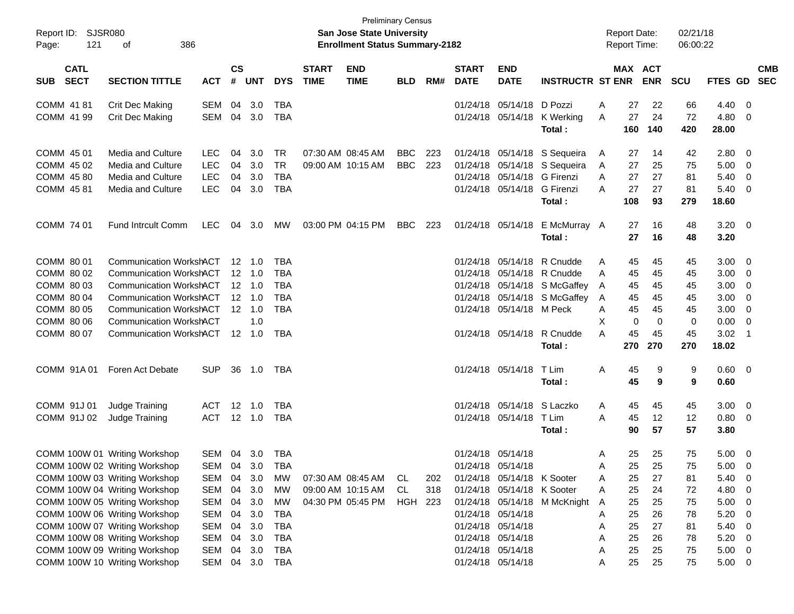| Report ID:<br>121<br>Page:                                                                     | SJSR080<br>386<br>οf                                                                                                                                                                                                                                                                                  |                                                                    |                      |                                                                                               |                                                                           |                             | <b>San Jose State University</b><br><b>Enrollment Status Summary-2182</b> | <b>Preliminary Census</b> |                   |                             |                                                                                                                                                                                        |                                                                                                                                                                  | <b>Report Date:</b><br><b>Report Time:</b> |                                                                                                          | 02/21/18<br>06:00:22                               |                                                                                    |                                                                                             |                                                                                |
|------------------------------------------------------------------------------------------------|-------------------------------------------------------------------------------------------------------------------------------------------------------------------------------------------------------------------------------------------------------------------------------------------------------|--------------------------------------------------------------------|----------------------|-----------------------------------------------------------------------------------------------|---------------------------------------------------------------------------|-----------------------------|---------------------------------------------------------------------------|---------------------------|-------------------|-----------------------------|----------------------------------------------------------------------------------------------------------------------------------------------------------------------------------------|------------------------------------------------------------------------------------------------------------------------------------------------------------------|--------------------------------------------|----------------------------------------------------------------------------------------------------------|----------------------------------------------------|------------------------------------------------------------------------------------|---------------------------------------------------------------------------------------------|--------------------------------------------------------------------------------|
| <b>CATL</b><br><b>SECT</b><br><b>SUB</b>                                                       | <b>SECTION TITTLE</b>                                                                                                                                                                                                                                                                                 | <b>ACT</b>                                                         | $\mathsf{cs}$<br>#   | <b>UNT</b>                                                                                    | <b>DYS</b>                                                                | <b>START</b><br><b>TIME</b> | <b>END</b><br><b>TIME</b>                                                 | <b>BLD</b>                | RM#               | <b>START</b><br><b>DATE</b> | <b>END</b><br><b>DATE</b>                                                                                                                                                              | <b>INSTRUCTR ST ENR</b>                                                                                                                                          |                                            | MAX ACT<br><b>ENR</b>                                                                                    | <b>SCU</b>                                         | FTES GD SEC                                                                        |                                                                                             | <b>CMB</b>                                                                     |
| COMM 41 81<br>COMM 41 99                                                                       | <b>Crit Dec Making</b><br>Crit Dec Making                                                                                                                                                                                                                                                             | SEM<br>SEM                                                         | 04<br>04             | 3.0<br>3.0                                                                                    | TBA<br><b>TBA</b>                                                         |                             |                                                                           |                           |                   |                             | 01/24/18 05/14/18 D Pozzi                                                                                                                                                              | 01/24/18 05/14/18 K Werking<br>Total:                                                                                                                            | Α<br>A<br>160                              | 27<br>22<br>27<br>24<br>140                                                                              | 66<br>72<br>420                                    | 4.40<br>4.80<br>28.00                                                              | - 0<br>- 0                                                                                  |                                                                                |
| COMM 45 01<br>COMM 45 02<br>COMM 45 80<br>COMM 45 81                                           | <b>Media and Culture</b><br><b>Media and Culture</b><br>Media and Culture<br>Media and Culture                                                                                                                                                                                                        | <b>LEC</b><br><b>LEC</b><br>LEC<br><b>LEC</b>                      | 04<br>04<br>04<br>04 | 3.0<br>3.0<br>3.0<br>3.0                                                                      | <b>TR</b><br><b>TR</b><br><b>TBA</b><br><b>TBA</b>                        |                             | 07:30 AM 08:45 AM<br>09:00 AM 10:15 AM                                    | <b>BBC</b><br><b>BBC</b>  | 223<br>223        |                             | 01/24/18 05/14/18<br>01/24/18 05/14/18                                                                                                                                                 | 01/24/18 05/14/18 S Sequeira<br>01/24/18 05/14/18 S Sequeira<br>G Firenzi<br>G Firenzi<br>Total:                                                                 | A<br>A<br>A<br>А<br>108                    | 27<br>14<br>27<br>25<br>27<br>27<br>27<br>27<br>93                                                       | 42<br>75<br>81<br>81<br>279                        | 2.80<br>5.00<br>5.40<br>5.40<br>18.60                                              | - 0<br>$\overline{\mathbf{0}}$<br>0<br>$\overline{\mathbf{0}}$                              |                                                                                |
| COMM 74 01                                                                                     | <b>Fund Intrcult Comm</b>                                                                                                                                                                                                                                                                             | <b>LEC</b>                                                         | 04                   | 3.0                                                                                           | MW                                                                        |                             | 03:00 PM 04:15 PM                                                         | <b>BBC</b>                | 223               |                             | 01/24/18 05/14/18                                                                                                                                                                      | E McMurray A<br>Total:                                                                                                                                           |                                            | 27<br>16<br>27<br>16                                                                                     | 48<br>48                                           | $3.20 \ 0$<br>3.20                                                                 |                                                                                             |                                                                                |
| COMM 80 01<br>COMM 80 02<br>COMM 80 03<br>COMM 80 04<br>COMM 80 05<br>COMM 80 06<br>COMM 80 07 | Communication WorkshACT<br><b>Communication WorkshACT</b><br>Communication WorkshACT<br><b>Communication WorkshACT</b><br><b>Communication WorkshACT</b><br><b>Communication WorkshACT</b><br>Communication WorkshACT 12 1.0                                                                          |                                                                    |                      | $12 \quad 1.0$<br>$12 \quad 1.0$<br>$12 \quad 1.0$<br>$12 \quad 1.0$<br>$12 \quad 1.0$<br>1.0 | TBA<br><b>TBA</b><br><b>TBA</b><br><b>TBA</b><br><b>TBA</b><br><b>TBA</b> |                             |                                                                           |                           |                   |                             | 01/24/18 05/14/18 M Peck                                                                                                                                                               | 01/24/18 05/14/18 R Cnudde<br>01/24/18 05/14/18 R Cnudde<br>01/24/18 05/14/18 S McGaffey<br>01/24/18 05/14/18 S McGaffey<br>01/24/18 05/14/18 R Cnudde<br>Total: | A<br>A<br>A<br>A<br>Α<br>X<br>А<br>270     | 45<br>45<br>45<br>45<br>45<br>45<br>45<br>45<br>45<br>45<br>0<br>$\mathbf 0$<br>45<br>45<br>270          | 45<br>45<br>45<br>45<br>45<br>0<br>45<br>270       | 3.00<br>3.00<br>3.00<br>3.00<br>3.00<br>0.00<br>3.02<br>18.02                      | $\overline{\mathbf{0}}$<br>$\overline{\mathbf{0}}$<br>0<br>0<br>0<br>- 0<br>$\overline{1}$  |                                                                                |
| COMM 91A01                                                                                     | Foren Act Debate                                                                                                                                                                                                                                                                                      | SUP.                                                               | 36                   | 1.0                                                                                           | TBA                                                                       |                             |                                                                           |                           |                   |                             | 01/24/18 05/14/18                                                                                                                                                                      | T Lim<br>Total:                                                                                                                                                  | Α                                          | 45<br>9<br>45<br>9                                                                                       | 9<br>9                                             | 0.60 0<br>0.60                                                                     |                                                                                             |                                                                                |
| COMM 91J 01<br>COMM 91J 02                                                                     | Judge Training<br>Judge Training                                                                                                                                                                                                                                                                      | <b>ACT</b><br><b>ACT</b>                                           | $12 \overline{ }$    | 1.0<br>12 1.0                                                                                 | <b>TBA</b><br><b>TBA</b>                                                  |                             |                                                                           |                           |                   |                             | 01/24/18 05/14/18 S Laczko<br>01/24/18 05/14/18                                                                                                                                        | T Lim<br>Total:                                                                                                                                                  | A<br>A                                     | 45<br>45<br>45<br>12<br>57<br>90                                                                         | 45<br>12<br>57                                     | 3.00<br>0.80<br>3.80                                                               | $\overline{\mathbf{0}}$                                                                     |                                                                                |
|                                                                                                | COMM 100W 01 Writing Workshop<br>COMM 100W 02 Writing Workshop<br>COMM 100W 03 Writing Workshop<br>COMM 100W 04 Writing Workshop<br>COMM 100W 05 Writing Workshop<br>COMM 100W 06 Writing Workshop<br>COMM 100W 07 Writing Workshop<br>COMM 100W 08 Writing Workshop<br>COMM 100W 09 Writing Workshop | SEM<br>SEM<br>SEM<br><b>SEM</b><br>SEM<br>SEM<br>SEM<br>SEM<br>SEM | 04<br>04             | 04 3.0<br>3.0<br>3.0<br>04 3.0<br>04 3.0<br>04 3.0<br>04 3.0<br>04 3.0<br>04 3.0              | TBA<br>TBA<br>МW<br>MW<br>MW<br>TBA<br>TBA<br>TBA<br>TBA                  |                             | 07:30 AM 08:45 AM<br>09:00 AM 10:15 AM<br>04:30 PM 05:45 PM               | CL.<br>CL<br>HGH          | 202<br>318<br>223 |                             | 01/24/18 05/14/18<br>01/24/18 05/14/18<br>01/24/18 05/14/18 K Sooter<br>01/24/18 05/14/18 K Sooter<br>01/24/18 05/14/18<br>01/24/18 05/14/18<br>01/24/18 05/14/18<br>01/24/18 05/14/18 | 01/24/18 05/14/18 M McKnight                                                                                                                                     | A<br>A<br>A<br>A<br>A<br>A<br>A<br>Α<br>A  | 25<br>25<br>25<br>25<br>25<br>27<br>25<br>24<br>25<br>25<br>26<br>25<br>25<br>27<br>25<br>26<br>25<br>25 | 75<br>75<br>81<br>72<br>75<br>78<br>81<br>78<br>75 | $5.00 \t 0$<br>5.00<br>5.40<br>4.80<br>5.00<br>5.20<br>5.40<br>5.20<br>$5.00 \t 0$ | $\overline{\mathbf{0}}$<br>- 0<br>- 0<br>$\overline{\mathbf{0}}$<br>$\overline{\mathbf{0}}$ |                                                                                |
|                                                                                                | COMM 100W 10 Writing Workshop                                                                                                                                                                                                                                                                         | SEM                                                                |                      | 04 3.0                                                                                        | TBA                                                                       |                             |                                                                           |                           |                   |                             | 01/24/18 05/14/18                                                                                                                                                                      |                                                                                                                                                                  | Α                                          | 25<br>25                                                                                                 | 75                                                 | $5.00 \t 0$                                                                        |                                                                                             | $\overline{\mathbf{0}}$<br>$\overline{\mathbf{0}}$<br>$\overline{\phantom{0}}$ |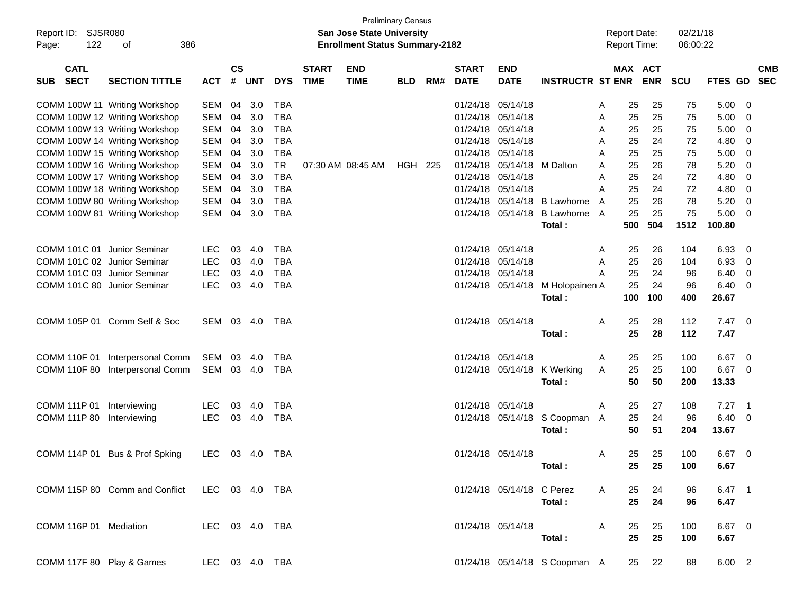| <b>SJSR080</b><br>Report ID:<br>122<br>Page: | 386<br>of                      |                |                    |            |            |                             | <b>Preliminary Census</b><br><b>San Jose State University</b><br><b>Enrollment Status Summary-2182</b> |                |     |                             |                           |                                  |   | <b>Report Date:</b><br><b>Report Time:</b> |            | 02/21/18<br>06:00:22 |                |                |                          |
|----------------------------------------------|--------------------------------|----------------|--------------------|------------|------------|-----------------------------|--------------------------------------------------------------------------------------------------------|----------------|-----|-----------------------------|---------------------------|----------------------------------|---|--------------------------------------------|------------|----------------------|----------------|----------------|--------------------------|
| <b>CATL</b><br><b>SECT</b><br><b>SUB</b>     | <b>SECTION TITTLE</b>          | <b>ACT</b>     | $\mathsf{cs}$<br># | <b>UNT</b> | <b>DYS</b> | <b>START</b><br><b>TIME</b> | <b>END</b><br><b>TIME</b>                                                                              | <b>BLD</b>     | RM# | <b>START</b><br><b>DATE</b> | <b>END</b><br><b>DATE</b> | <b>INSTRUCTR ST ENR</b>          |   | MAX ACT                                    | <b>ENR</b> | <b>SCU</b>           | <b>FTES GD</b> |                | <b>CMB</b><br><b>SEC</b> |
|                                              | COMM 100W 11 Writing Workshop  | SEM            | 04                 | 3.0        | <b>TBA</b> |                             |                                                                                                        |                |     | 01/24/18                    | 05/14/18                  |                                  | A | 25                                         | 25         | 75                   | 5.00           | 0              |                          |
|                                              | COMM 100W 12 Writing Workshop  | SEM            | 04                 | 3.0        | <b>TBA</b> |                             |                                                                                                        |                |     | 01/24/18                    | 05/14/18                  |                                  | A | 25                                         | 25         | 75                   | 5.00           | 0              |                          |
|                                              | COMM 100W 13 Writing Workshop  | <b>SEM</b>     | 04                 | 3.0        | <b>TBA</b> |                             |                                                                                                        |                |     | 01/24/18                    | 05/14/18                  |                                  | A | 25                                         | 25         | 75                   | 5.00           | 0              |                          |
|                                              | COMM 100W 14 Writing Workshop  | <b>SEM</b>     | 04                 | 3.0        | <b>TBA</b> |                             |                                                                                                        |                |     | 01/24/18                    | 05/14/18                  |                                  | A | 25                                         | 24         | 72                   | 4.80           | 0              |                          |
|                                              | COMM 100W 15 Writing Workshop  | <b>SEM</b>     | 04                 | 3.0        | <b>TBA</b> |                             |                                                                                                        |                |     | 01/24/18                    | 05/14/18                  |                                  | A | 25                                         | 25         | 75                   | 5.00           | 0              |                          |
|                                              | COMM 100W 16 Writing Workshop  | <b>SEM</b>     | 04                 | 3.0        | <b>TR</b>  |                             | 07:30 AM 08:45 AM                                                                                      | <b>HGH 225</b> |     | 01/24/18                    | 05/14/18                  | M Dalton                         | A | 25                                         | 26         | 78                   | 5.20           | 0              |                          |
|                                              | COMM 100W 17 Writing Workshop  | <b>SEM</b>     | 04                 | 3.0        | <b>TBA</b> |                             |                                                                                                        |                |     | 01/24/18                    | 05/14/18                  |                                  | A | 25                                         | 24         | 72                   | 4.80           | 0              |                          |
|                                              | COMM 100W 18 Writing Workshop  | <b>SEM</b>     | 04                 | 3.0        | <b>TBA</b> |                             |                                                                                                        |                |     | 01/24/18                    | 05/14/18                  |                                  | A | 25                                         | 24         | 72                   | 4.80           | 0              |                          |
|                                              | COMM 100W 80 Writing Workshop  | <b>SEM</b>     | 04                 | 3.0        | <b>TBA</b> |                             |                                                                                                        |                |     | 01/24/18                    | 05/14/18                  | <b>B</b> Lawhorne                | A | 25                                         | 26         | 78                   | 5.20           | 0              |                          |
|                                              | COMM 100W 81 Writing Workshop  | SEM            | 04                 | 3.0        | <b>TBA</b> |                             |                                                                                                        |                |     |                             | 01/24/18 05/14/18         | <b>B Lawhorne</b>                | A | 25                                         | 25         | 75                   | 5.00           | 0              |                          |
|                                              |                                |                |                    |            |            |                             |                                                                                                        |                |     |                             |                           | Total:                           |   | 500                                        | 504        | 1512                 | 100.80         |                |                          |
|                                              |                                |                |                    |            |            |                             |                                                                                                        |                |     |                             |                           |                                  |   |                                            |            |                      |                |                |                          |
| COMM 101C 01 Junior Seminar                  |                                | <b>LEC</b>     | 03                 | 4.0        | <b>TBA</b> |                             |                                                                                                        |                |     |                             | 01/24/18 05/14/18         |                                  | A | 25                                         | 26         | 104                  | 6.93           | 0              |                          |
| COMM 101C 02 Junior Seminar                  |                                | <b>LEC</b>     | 03                 | 4.0        | <b>TBA</b> |                             |                                                                                                        |                |     | 01/24/18                    | 05/14/18                  |                                  | A | 25                                         | 26         | 104                  | 6.93           | 0              |                          |
| COMM 101C 03 Junior Seminar                  |                                | <b>LEC</b>     | 03                 | 4.0        | <b>TBA</b> |                             |                                                                                                        |                |     | 01/24/18                    | 05/14/18                  |                                  | A | 25                                         | 24         | 96                   | 6.40           | 0              |                          |
| COMM 101C 80 Junior Seminar                  |                                | <b>LEC</b>     | 03                 | 4.0        | <b>TBA</b> |                             |                                                                                                        |                |     |                             |                           | 01/24/18 05/14/18 M Holopainen A |   | 25                                         | 24         | 96                   | 6.40           | 0              |                          |
|                                              |                                |                |                    |            |            |                             |                                                                                                        |                |     |                             |                           | Total:                           |   | 100                                        | 100        | 400                  | 26.67          |                |                          |
|                                              |                                |                |                    |            |            |                             |                                                                                                        |                |     |                             |                           |                                  |   |                                            |            |                      |                |                |                          |
|                                              | COMM 105P 01 Comm Self & Soc   | SEM 03 4.0     |                    |            | TBA        |                             |                                                                                                        |                |     |                             | 01/24/18 05/14/18         |                                  | A | 25                                         | 28         | 112                  | 7.47           | - 0            |                          |
|                                              |                                |                |                    |            |            |                             |                                                                                                        |                |     |                             |                           | Total:                           |   | 25                                         | 28         | 112                  | 7.47           |                |                          |
|                                              |                                |                |                    |            |            |                             |                                                                                                        |                |     |                             |                           |                                  |   |                                            |            |                      |                |                |                          |
| COMM 110F 01                                 | Interpersonal Comm             | SEM            | 03                 | 4.0        | <b>TBA</b> |                             |                                                                                                        |                |     |                             | 01/24/18 05/14/18         |                                  | A | 25                                         | 25         | 100                  | 6.67           | 0              |                          |
| <b>COMM 110F 80</b>                          | Interpersonal Comm             | SEM            |                    | 03 4.0     | <b>TBA</b> |                             |                                                                                                        |                |     |                             |                           | 01/24/18 05/14/18 K Werking      | A | 25                                         | 25         | 100                  | 6.67           | 0              |                          |
|                                              |                                |                |                    |            |            |                             |                                                                                                        |                |     |                             |                           | Total:                           |   | 50                                         | 50         | 200                  | 13.33          |                |                          |
| COMM 111P 01                                 | Interviewing                   | <b>LEC</b>     | 03                 | 4.0        | <b>TBA</b> |                             |                                                                                                        |                |     | 01/24/18                    | 05/14/18                  |                                  | A | 25                                         | 27         | 108                  | 7.27           | $\overline{1}$ |                          |
| COMM 111P 80                                 | Interviewing                   | <b>LEC</b>     | 03                 | 4.0        | <b>TBA</b> |                             |                                                                                                        |                |     |                             |                           | 01/24/18 05/14/18 S Coopman      | A | 25                                         | 24         | 96                   | 6.40           | 0              |                          |
|                                              |                                |                |                    |            |            |                             |                                                                                                        |                |     |                             |                           | Total:                           |   | 50                                         | 51         | 204                  | 13.67          |                |                          |
|                                              |                                |                |                    |            |            |                             |                                                                                                        |                |     |                             |                           |                                  |   |                                            |            |                      |                |                |                          |
|                                              | COMM 114P 01 Bus & Prof Spking | <b>LEC</b>     |                    | 03 4.0     | TBA        |                             |                                                                                                        |                |     |                             | 01/24/18 05/14/18         |                                  | A | 25                                         | 25         | 100                  | 6.67           | $\overline{0}$ |                          |
|                                              |                                |                |                    |            |            |                             |                                                                                                        |                |     |                             |                           | Total:                           |   |                                            | 25 25      | 100                  | 6.67           |                |                          |
|                                              |                                |                |                    |            |            |                             |                                                                                                        |                |     |                             |                           |                                  |   |                                            |            |                      |                |                |                          |
|                                              | COMM 115P 80 Comm and Conflict | LEC 03 4.0 TBA |                    |            |            |                             |                                                                                                        |                |     |                             | 01/24/18 05/14/18 C Perez |                                  | A | 25                                         | 24         | 96                   | 6.47 1         |                |                          |
|                                              |                                |                |                    |            |            |                             |                                                                                                        |                |     |                             |                           | Total:                           |   | 25                                         | 24         | 96                   | 6.47           |                |                          |
|                                              |                                |                |                    |            |            |                             |                                                                                                        |                |     |                             |                           |                                  |   |                                            |            |                      |                |                |                          |
| COMM 116P 01 Mediation                       |                                | LEC 03 4.0 TBA |                    |            |            |                             |                                                                                                        |                |     |                             | 01/24/18 05/14/18         |                                  | A | 25                                         | 25         | 100                  | 6.67 0         |                |                          |
|                                              |                                |                |                    |            |            |                             |                                                                                                        |                |     |                             |                           | Total:                           |   | 25                                         | 25         | 100                  | 6.67           |                |                          |
|                                              |                                |                |                    |            |            |                             |                                                                                                        |                |     |                             |                           |                                  |   |                                            |            |                      |                |                |                          |
| COMM 117F 80 Play & Games                    |                                | LEC 03 4.0 TBA |                    |            |            |                             |                                                                                                        |                |     |                             |                           | 01/24/18 05/14/18 S Coopman A    |   | 25                                         | 22         | 88                   | $6.00$ 2       |                |                          |
|                                              |                                |                |                    |            |            |                             |                                                                                                        |                |     |                             |                           |                                  |   |                                            |            |                      |                |                |                          |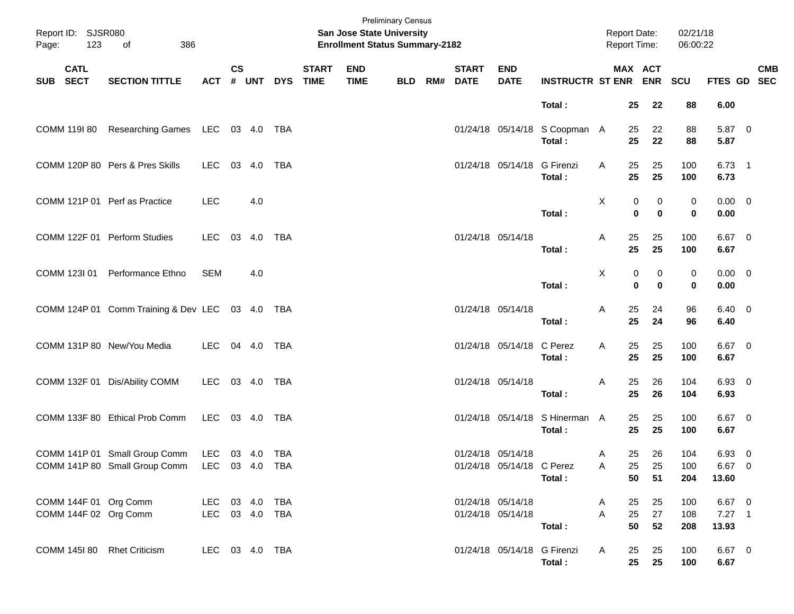| Page:    | Report ID: SJSR080<br>123 | of<br>386                                                                                    |                                  |               |              |            |                             | San Jose State University<br><b>Enrollment Status Summary-2182</b> | <b>Preliminary Census</b> |     |                             |                                                |                                          | Report Date:<br>Report Time: |                                   | 02/21/18<br>06:00:22 |                             |                           |
|----------|---------------------------|----------------------------------------------------------------------------------------------|----------------------------------|---------------|--------------|------------|-----------------------------|--------------------------------------------------------------------|---------------------------|-----|-----------------------------|------------------------------------------------|------------------------------------------|------------------------------|-----------------------------------|----------------------|-----------------------------|---------------------------|
| SUB SECT | <b>CATL</b>               | <b>SECTION TITTLE</b>                                                                        | <b>ACT</b>                       | $\mathsf{cs}$ | # UNT        | <b>DYS</b> | <b>START</b><br><b>TIME</b> | <b>END</b><br><b>TIME</b>                                          | <b>BLD</b>                | RM# | <b>START</b><br><b>DATE</b> | <b>END</b><br><b>DATE</b>                      | <b>INSTRUCTR ST ENR ENR</b>              |                              | MAX ACT                           | SCU                  |                             | <b>CMB</b><br>FTES GD SEC |
|          |                           |                                                                                              |                                  |               |              |            |                             |                                                                    |                           |     |                             |                                                | Total:                                   | 25                           | 22                                | 88                   | 6.00                        |                           |
|          | COMM 119I 80              | Researching Games LEC 03 4.0 TBA                                                             |                                  |               |              |            |                             |                                                                    |                           |     |                             |                                                | 01/24/18 05/14/18 S Coopman A<br>Total:  | 25<br>25                     | 22<br>22                          | 88<br>88             | 5.87 0<br>5.87              |                           |
|          |                           | COMM 120P 80 Pers & Pres Skills                                                              | LEC                              |               | 03 4.0       | <b>TBA</b> |                             |                                                                    |                           |     |                             | 01/24/18 05/14/18 G Firenzi                    | Total:                                   | 25<br>A<br>25                | 25<br>25                          | 100<br>100           | $6.73$ 1<br>6.73            |                           |
|          |                           | COMM 121P 01 Perf as Practice                                                                | <b>LEC</b>                       |               | 4.0          |            |                             |                                                                    |                           |     |                             |                                                | Total:                                   | X                            | 0<br>0<br>$\mathbf 0$<br>$\bf{0}$ | 0<br>0               | $0.00 \t 0$<br>0.00         |                           |
|          |                           | COMM 122F 01 Perform Studies                                                                 | LEC                              |               | 03  4.0  TBA |            |                             |                                                                    |                           |     | 01/24/18 05/14/18           |                                                | Total:                                   | 25<br>Α<br>25                | 25<br>25                          | 100<br>100           | $6.67$ 0<br>6.67            |                           |
|          | COMM 123I 01              | Performance Ethno                                                                            | <b>SEM</b>                       |               | 4.0          |            |                             |                                                                    |                           |     |                             |                                                | Total:                                   | X                            | 0<br>0<br>$\mathbf 0$<br>$\bf{0}$ | 0<br>0               | $0.00 \t 0$<br>0.00         |                           |
|          |                           | COMM 124P 01 Comm Training & Dev LEC 03 4.0 TBA                                              |                                  |               |              |            |                             |                                                                    |                           |     |                             | 01/24/18 05/14/18                              | Total:                                   | 25<br>A<br>25                | 24<br>24                          | 96<br>96             | $6.40 \quad 0$<br>6.40      |                           |
|          |                           | COMM 131P 80 New/You Media                                                                   | LEC                              |               | 04 4.0       | TBA        |                             |                                                                    |                           |     |                             | 01/24/18 05/14/18 C Perez                      | Total:                                   | 25<br>A<br>25                | 25<br>25                          | 100<br>100           | $6.67$ 0<br>6.67            |                           |
|          |                           | COMM 132F 01 Dis/Ability COMM                                                                | LEC                              |               |              |            |                             |                                                                    |                           |     |                             | 01/24/18 05/14/18                              | Total:                                   | 25<br>A<br>25                | 26<br>26                          | 104<br>104           | 6.93 0<br>6.93              |                           |
|          |                           | COMM 133F 80 Ethical Prob Comm                                                               | LEC 03 4.0 TBA                   |               |              |            |                             |                                                                    |                           |     |                             |                                                | 01/24/18 05/14/18 S Hinerman A<br>Total: | 25<br>25                     | 25<br>25                          | 100<br>100           | $6.67$ 0<br>6.67            |                           |
|          |                           | COMM 141P 01 Small Group Comm LEC 03 4.0 TBA<br>COMM 141P 80 Small Group Comm LEC 03 4.0 TBA |                                  |               |              |            |                             |                                                                    |                           |     |                             | 01/24/18 05/14/18<br>01/24/18 05/14/18 C Perez | Total:                                   | 25<br>A<br>A<br>25           | 26<br>25<br>51<br>50              | 104<br>100<br>204    | 6.93 0<br>6.67 0<br>13.60   |                           |
|          |                           | COMM 144F 01 Org Comm<br>COMM 144F 02 Org Comm                                               | LEC 03 4.0 TBA<br>LEC 03 4.0 TBA |               |              |            |                             |                                                                    |                           |     |                             | 01/24/18 05/14/18<br>01/24/18 05/14/18         | Total:                                   | 25<br>A<br>A<br>25<br>50     | 25<br>27<br>52                    | 100<br>108<br>208    | 6.67 0<br>$7.27$ 1<br>13.93 |                           |
|          | COMM 145I 80              | <b>Rhet Criticism</b>                                                                        | LEC 03 4.0 TBA                   |               |              |            |                             |                                                                    |                           |     |                             | 01/24/18 05/14/18 G Firenzi                    | Total:                                   | 25<br>A                      | 25<br>25<br>25                    | 100<br>100           | 6.67 0<br>6.67              |                           |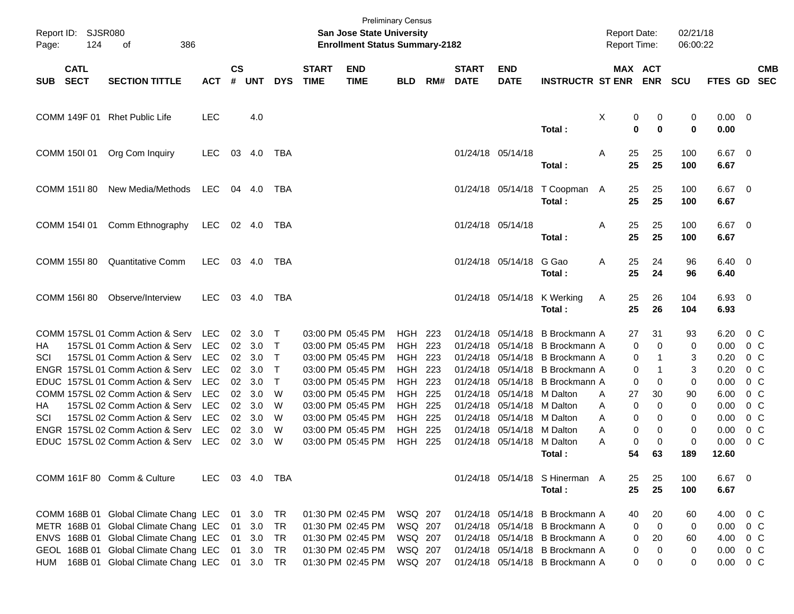| Page:      | Report ID: SJSR080<br>124  | 386<br>of                             |                |                |        |              |                             | <b>Preliminary Census</b><br><b>San Jose State University</b><br><b>Enrollment Status Summary-2182</b> |                |     |                             |                           |                                         | <b>Report Date:</b><br>Report Time: |                                   | 02/21/18<br>06:00:22 |                        |                |            |
|------------|----------------------------|---------------------------------------|----------------|----------------|--------|--------------|-----------------------------|--------------------------------------------------------------------------------------------------------|----------------|-----|-----------------------------|---------------------------|-----------------------------------------|-------------------------------------|-----------------------------------|----------------------|------------------------|----------------|------------|
| <b>SUB</b> | <b>CATL</b><br><b>SECT</b> | <b>SECTION TITTLE</b>                 | <b>ACT</b>     | <b>CS</b><br># | UNT    | <b>DYS</b>   | <b>START</b><br><b>TIME</b> | <b>END</b><br><b>TIME</b>                                                                              | <b>BLD</b>     | RM# | <b>START</b><br><b>DATE</b> | <b>END</b><br><b>DATE</b> | <b>INSTRUCTR ST ENR</b>                 |                                     | MAX ACT<br><b>ENR</b>             | <b>SCU</b>           | FTES GD SEC            |                | <b>CMB</b> |
|            |                            | COMM 149F 01 Rhet Public Life         | <b>LEC</b>     |                | 4.0    |              |                             |                                                                                                        |                |     |                             |                           | Total:                                  | Χ                                   | 0<br>0<br>$\mathbf 0$<br>$\bf{0}$ | 0<br>$\mathbf 0$     | $0.00 \t 0$<br>0.00    |                |            |
|            | COMM 150I 01               | Org Com Inquiry                       | <b>LEC</b>     | 03             | 4.0    | TBA          |                             |                                                                                                        |                |     | 01/24/18 05/14/18           |                           | Total:                                  | 25<br>A<br>25                       | 25<br>25                          | 100<br>100           | $6.67$ 0<br>6.67       |                |            |
|            | COMM 151I 80               | New Media/Methods                     | <b>LEC</b>     |                | 04 4.0 | TBA          |                             |                                                                                                        |                |     |                             |                           | 01/24/18 05/14/18 T Coopman A<br>Total: | 25<br>25                            | 25<br>25                          | 100<br>100           | $6.67$ 0<br>6.67       |                |            |
|            | COMM 154I 01               | Comm Ethnography                      | <b>LEC</b>     |                | 02 4.0 | TBA          |                             |                                                                                                        |                |     | 01/24/18 05/14/18           |                           | Total:                                  | 25<br>A<br>25                       | 25<br>25                          | 100<br>100           | $6.67$ 0<br>6.67       |                |            |
|            | COMM 155I 80               | <b>Quantitative Comm</b>              | <b>LEC</b>     |                | 03 4.0 | TBA          |                             |                                                                                                        |                |     |                             | 01/24/18 05/14/18         | G Gao<br>Total:                         | 25<br>A<br>25                       | 24<br>24                          | 96<br>96             | $6.40 \quad 0$<br>6.40 |                |            |
|            | COMM 156I 80               | Observe/Interview                     | <b>LEC</b>     |                | 03 4.0 | TBA          |                             |                                                                                                        |                |     |                             | 01/24/18 05/14/18         | K Werking<br>Total:                     | 25<br>A<br>25                       | 26<br>26                          | 104<br>104           | 6.93 0<br>6.93         |                |            |
|            |                            | COMM 157SL 01 Comm Action & Serv      | <b>LEC</b>     | 02             | 3.0    | $\top$       |                             | 03:00 PM 05:45 PM                                                                                      | <b>HGH 223</b> |     | 01/24/18                    | 05/14/18                  | B Brockmann A                           | 27                                  | 31                                | 93                   | 6.20                   | $0\,$ C        |            |
| HA         |                            | 157SL 01 Comm Action & Serv           | <b>LEC</b>     | 02             | 3.0    | Т            |                             | 03:00 PM 05:45 PM                                                                                      | <b>HGH 223</b> |     | 01/24/18                    | 05/14/18                  | B Brockmann A                           |                                     | $\mathbf 0$<br>0                  | 0                    | 0.00                   | 0 <sup>o</sup> |            |
| SCI        |                            | 157SL 01 Comm Action & Serv           | <b>LEC</b>     | 02             | 3.0    | $\mathsf T$  |                             | 03:00 PM 05:45 PM                                                                                      | <b>HGH 223</b> |     | 01/24/18                    | 05/14/18                  | B Brockmann A                           |                                     | 0<br>$\mathbf 1$                  | 3                    | 0.20                   | 0 <sup>o</sup> |            |
|            |                            | ENGR 157SL 01 Comm Action & Serv      | <b>LEC</b>     | 02             | 3.0    | $\mathsf T$  |                             | 03:00 PM 05:45 PM                                                                                      | <b>HGH 223</b> |     | 01/24/18                    | 05/14/18                  | B Brockmann A                           |                                     | 0<br>-1                           | 3                    | 0.20                   | 0 <sup>o</sup> |            |
|            |                            | EDUC 157SL 01 Comm Action & Serv      | <b>LEC</b>     | 02             | 3.0    | $\mathsf{T}$ |                             | 03:00 PM 05:45 PM                                                                                      | <b>HGH 223</b> |     | 01/24/18                    | 05/14/18                  | B Brockmann A                           |                                     | 0<br>0                            | 0                    | 0.00                   | 0 <sup>o</sup> |            |
|            |                            | COMM 157SL 02 Comm Action & Serv      | <b>LEC</b>     | 02             | 3.0    | W            |                             | 03:00 PM 05:45 PM                                                                                      | <b>HGH 225</b> |     | 01/24/18                    | 05/14/18                  | M Dalton                                | 27<br>A                             | 30                                | 90                   | 6.00                   | 0 <sup>o</sup> |            |
| HA.        |                            | 157SL 02 Comm Action & Serv           | <b>LEC</b>     | 02             | 3.0    | W            |                             | 03:00 PM 05:45 PM                                                                                      | <b>HGH 225</b> |     | 01/24/18                    | 05/14/18                  | M Dalton                                | A                                   | 0<br>0                            | 0                    | 0.00                   | 0 <sup>o</sup> |            |
| SCI        |                            | 157SL 02 Comm Action & Serv           | <b>LEC</b>     | 02             | 3.0    | W            |                             | 03:00 PM 05:45 PM                                                                                      | <b>HGH 225</b> |     | 01/24/18                    | 05/14/18                  | M Dalton                                | A                                   | 0<br>0                            | 0                    | 0.00                   | 0 <sup>o</sup> |            |
|            |                            | ENGR 157SL 02 Comm Action & Serv      | <b>LEC</b>     | 02             | 3.0    | W            |                             | 03:00 PM 05:45 PM                                                                                      | HGH            | 225 | 01/24/18                    | 05/14/18                  | M Dalton                                | Α                                   | 0<br>0                            | 0                    | 0.00                   | 0 <sup>o</sup> |            |
|            |                            | EDUC 157SL 02 Comm Action & Serv      | <b>LEC</b>     | 02             | 3.0    | W            |                             | 03:00 PM 05:45 PM                                                                                      | <b>HGH 225</b> |     |                             | 01/24/18 05/14/18         | M Dalton                                | Α                                   | 0<br>0                            | 0                    | 0.00                   | 0 <sup>o</sup> |            |
|            |                            |                                       |                |                |        |              |                             |                                                                                                        |                |     |                             |                           | Total :                                 | 54                                  | 63                                | 189                  | 12.60                  |                |            |
|            |                            | COMM 161F 80 Comm & Culture           | LEC 03 4.0 TBA |                |        |              |                             |                                                                                                        |                |     |                             |                           | 01/24/18 05/14/18 S Hinerman A          | 25                                  | 25                                | 100                  | 6.67 0                 |                |            |
|            |                            |                                       |                |                |        |              |                             |                                                                                                        |                |     |                             |                           | Total:                                  | 25                                  | 25                                | 100                  | 6.67                   |                |            |
|            |                            |                                       |                |                |        |              |                             |                                                                                                        |                |     |                             |                           |                                         |                                     |                                   |                      |                        |                |            |
|            |                            | COMM 168B 01 Global Climate Chang LEC |                | 01             | 3.0    | TR           |                             | 01:30 PM 02:45 PM                                                                                      | WSQ 207        |     |                             |                           | 01/24/18 05/14/18 B Brockmann A         | 40                                  | 20                                | 60                   | 4.00                   | $0\,C$         |            |
|            |                            | METR 168B 01 Global Climate Chang LEC |                | 01             | 3.0    | <b>TR</b>    |                             | 01:30 PM 02:45 PM                                                                                      | WSQ 207        |     |                             |                           | 01/24/18 05/14/18 B Brockmann A         |                                     | $\mathbf 0$<br>0                  | 0                    | 0.00                   | $0\,$ C        |            |
|            |                            | ENVS 168B 01 Global Climate Chang LEC |                | 01             | 3.0    | <b>TR</b>    |                             | 01:30 PM 02:45 PM                                                                                      | WSQ 207        |     |                             |                           | 01/24/18 05/14/18 B Brockmann A         |                                     | 20<br>0                           | 60                   | 4.00                   | $0\,$ C        |            |
|            |                            | GEOL 168B 01 Global Climate Chang LEC |                | 01             | 3.0    | <b>TR</b>    |                             | 01:30 PM 02:45 PM                                                                                      | WSQ 207        |     |                             |                           | 01/24/18 05/14/18 B Brockmann A         |                                     | 0<br>0                            | 0                    | 0.00                   | $0\,C$         |            |
| HUM        |                            | 168B 01 Global Climate Chang LEC      |                |                | 01 3.0 | TR           |                             | 01:30 PM 02:45 PM                                                                                      | WSQ 207        |     |                             |                           | 01/24/18 05/14/18 B Brockmann A         |                                     | 0<br>0                            | 0                    | 0.00                   | $0\,C$         |            |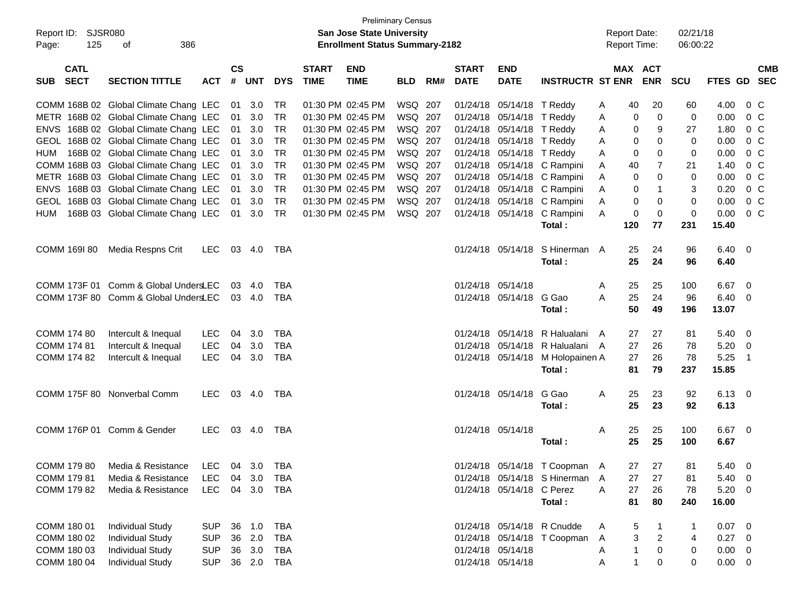| Report ID: SJSR080<br>125<br>Page:       | 386<br>оf                                     |            |                    |            |            |                             | San Jose State University<br><b>Enrollment Status Summary-2182</b> | <b>Preliminary Census</b> |     |                             |                           |                                  |   |              | <b>Report Date:</b><br><b>Report Time:</b> | 02/21/18<br>06:00:22 |                |                            |                |
|------------------------------------------|-----------------------------------------------|------------|--------------------|------------|------------|-----------------------------|--------------------------------------------------------------------|---------------------------|-----|-----------------------------|---------------------------|----------------------------------|---|--------------|--------------------------------------------|----------------------|----------------|----------------------------|----------------|
| <b>CATL</b><br><b>SECT</b><br><b>SUB</b> | <b>SECTION TITTLE</b>                         | <b>ACT</b> | $\mathsf{cs}$<br># | <b>UNT</b> | <b>DYS</b> | <b>START</b><br><b>TIME</b> | <b>END</b><br><b>TIME</b>                                          | <b>BLD</b>                | RM# | <b>START</b><br><b>DATE</b> | <b>END</b><br><b>DATE</b> | <b>INSTRUCTR ST ENR</b>          |   |              | MAX ACT<br><b>ENR</b>                      | <b>SCU</b>           | FTES GD SEC    |                            | <b>CMB</b>     |
|                                          | COMM 168B 02 Global Climate Chang LEC         |            | 01                 | 3.0        | <b>TR</b>  |                             | 01:30 PM 02:45 PM                                                  | WSQ 207                   |     |                             | 01/24/18 05/14/18 T Reddy |                                  | A | 40           | 20                                         | 60                   | 4.00           |                            | $0\,C$         |
|                                          | METR 168B 02 Global Climate Chang LEC         |            | 01                 | 3.0        | <b>TR</b>  |                             | 01:30 PM 02:45 PM                                                  | WSQ 207                   |     |                             | 01/24/18 05/14/18 T Reddy |                                  | A | 0            | 0                                          | 0                    | 0.00           |                            | 0 <sup>C</sup> |
|                                          | ENVS 168B 02 Global Climate Chang LEC         |            | 01                 | 3.0        | <b>TR</b>  |                             | 01:30 PM 02:45 PM                                                  | WSQ 207                   |     |                             | 01/24/18 05/14/18 T Reddy |                                  | A | 0            | 9                                          | 27                   | 1.80           |                            | 0 <sup>C</sup> |
|                                          | GEOL 168B 02 Global Climate Chang LEC         |            | 01                 | 3.0        | <b>TR</b>  |                             | 01:30 PM 02:45 PM                                                  | WSQ 207                   |     |                             | 01/24/18 05/14/18 T Reddy |                                  | A | 0            | 0                                          | 0                    | 0.00           |                            | 0 <sup>C</sup> |
|                                          | HUM 168B 02 Global Climate Chang LEC          |            | 01                 | 3.0        | <b>TR</b>  |                             | 01:30 PM 02:45 PM                                                  | WSQ 207                   |     |                             | 01/24/18 05/14/18 T Reddy |                                  | A | 0            | 0                                          | 0                    | 0.00           |                            | 0 <sup>C</sup> |
|                                          | COMM 168B 03 Global Climate Chang LEC         |            | 01                 | 3.0        | <b>TR</b>  |                             | 01:30 PM 02:45 PM                                                  | WSQ 207                   |     |                             |                           | 01/24/18 05/14/18 C Rampini      | A | 40           | 7                                          | 21                   | 1.40           |                            | 0 <sup>C</sup> |
|                                          | METR 168B 03 Global Climate Chang LEC         |            | 01                 | 3.0        | <b>TR</b>  |                             | 01:30 PM 02:45 PM                                                  | WSQ 207                   |     |                             |                           | 01/24/18 05/14/18 C Rampini      | A | 0            | 0                                          | 0                    | 0.00           |                            | 0 <sup>C</sup> |
|                                          | ENVS 168B 03 Global Climate Chang LEC         |            | 01                 | 3.0        | <b>TR</b>  |                             | 01:30 PM 02:45 PM                                                  | WSQ 207                   |     |                             |                           | 01/24/18 05/14/18 C Rampini      | A | 0            | $\mathbf{1}$                               | 3                    | 0.20           |                            | 0 <sup>C</sup> |
|                                          | GEOL 168B 03 Global Climate Chang LEC         |            | 01                 | 3.0        | <b>TR</b>  |                             | 01:30 PM 02:45 PM                                                  | WSQ 207                   |     |                             |                           | 01/24/18 05/14/18 C Rampini      | Α | 0            | 0                                          | 0                    | 0.00           |                            | 0 <sup>C</sup> |
| HUM                                      | 168B 03 Global Climate Chang LEC              |            | 01                 | 3.0        | <b>TR</b>  |                             | 01:30 PM 02:45 PM                                                  | WSQ 207                   |     |                             |                           | 01/24/18 05/14/18 C Rampini      | A | 0            | 0                                          | $\mathbf 0$          | 0.00           |                            | 0 C            |
|                                          |                                               |            |                    |            |            |                             |                                                                    |                           |     |                             |                           | Total:                           |   | 120          | 77                                         | 231                  | 15.40          |                            |                |
| COMM 169I 80                             | Media Respns Crit                             | LEC.       |                    | 03 4.0     | TBA        |                             |                                                                    |                           |     |                             |                           | 01/24/18 05/14/18 S Hinerman A   |   | 25           | 24                                         | 96                   | $6.40 \quad 0$ |                            |                |
|                                          |                                               |            |                    |            |            |                             |                                                                    |                           |     |                             |                           | Total:                           |   | 25           | 24                                         | 96                   | 6.40           |                            |                |
|                                          | COMM 173F 01 Comm & Global UndersLEC          |            | 03                 | 4.0        | <b>TBA</b> |                             |                                                                    |                           |     |                             | 01/24/18 05/14/18         |                                  | Α | 25           | 25                                         | 100                  | 6.67           | $\overline{\phantom{0}}$   |                |
|                                          | COMM 173F 80 Comm & Global UndersLEC          |            |                    | 03 4.0     | <b>TBA</b> |                             |                                                                    |                           |     |                             | 01/24/18 05/14/18 G Gao   |                                  | A | 25           | 24                                         | 96                   | $6.40 \quad 0$ |                            |                |
|                                          |                                               |            |                    |            |            |                             |                                                                    |                           |     |                             |                           | Total:                           |   | 50           | 49                                         | 196                  | 13.07          |                            |                |
| COMM 174 80                              | Intercult & Inequal                           | <b>LEC</b> | 04                 | 3.0        | <b>TBA</b> |                             |                                                                    |                           |     |                             |                           | 01/24/18 05/14/18 R Halualani    | A | 27           | 27                                         | 81                   | $5.40 \ 0$     |                            |                |
| COMM 174 81                              | Intercult & Inequal                           | <b>LEC</b> | 04                 | 3.0        | <b>TBA</b> |                             |                                                                    |                           |     |                             |                           | 01/24/18 05/14/18 R Halualani A  |   | 27           | 26                                         | 78                   | $5.20 \ 0$     |                            |                |
| COMM 174 82                              | Intercult & Inequal                           | <b>LEC</b> | 04                 | 3.0        | <b>TBA</b> |                             |                                                                    |                           |     |                             |                           | 01/24/18 05/14/18 M Holopainen A |   | 27           | 26                                         | 78                   | 5.25           | $\overline{\phantom{0}}$ 1 |                |
|                                          |                                               |            |                    |            |            |                             |                                                                    |                           |     |                             |                           | Total:                           |   | 81           | 79                                         | 237                  | 15.85          |                            |                |
|                                          | COMM 175F 80 Nonverbal Comm                   | LEC.       |                    | 03 4.0     | TBA        |                             |                                                                    |                           |     |                             | 01/24/18 05/14/18         | G Gao                            | A | 25           | 23                                         | 92                   | $6.13 \quad 0$ |                            |                |
|                                          |                                               |            |                    |            |            |                             |                                                                    |                           |     |                             |                           | Total:                           |   | 25           | 23                                         | 92                   | 6.13           |                            |                |
|                                          | COMM 176P 01 Comm & Gender                    | LEC.       |                    | 03 4.0     | TBA        |                             |                                                                    |                           |     |                             | 01/24/18 05/14/18         |                                  | Α | 25           | 25                                         | 100                  | $6.67$ 0       |                            |                |
|                                          |                                               |            |                    |            |            |                             |                                                                    |                           |     |                             |                           | Total:                           |   | 25           | 25                                         | 100                  | 6.67           |                            |                |
|                                          | COMM 179 80 Media & Resistance LEC 04 3.0 TBA |            |                    |            |            |                             |                                                                    |                           |     |                             |                           | 01/24/18 05/14/18 T Coopman A    |   | 27           | 27                                         | 81                   | 5.40 0         |                            |                |
| COMM 179 81                              | Media & Resistance                            | LEC.       |                    |            | 04 3.0 TBA |                             |                                                                    |                           |     |                             |                           | 01/24/18 05/14/18 S Hinerman A   |   | 27           | 27                                         | 81                   | $5.40 \quad 0$ |                            |                |
| COMM 179 82                              | Media & Resistance                            | <b>LEC</b> |                    |            | 04 3.0 TBA |                             |                                                                    |                           |     |                             | 01/24/18 05/14/18 C Perez |                                  | Α | 27           | 26                                         | 78                   | $5.20 \ 0$     |                            |                |
|                                          |                                               |            |                    |            |            |                             |                                                                    |                           |     |                             |                           | Total:                           |   | 81           | 80                                         | 240                  | 16.00          |                            |                |
| COMM 180 01                              | <b>Individual Study</b>                       | <b>SUP</b> |                    | 36 1.0     | TBA        |                             |                                                                    |                           |     |                             |                           | 01/24/18 05/14/18 R Cnudde       | A | 5            |                                            | 1                    | $0.07 \quad 0$ |                            |                |
| COMM 180 02                              | <b>Individual Study</b>                       | <b>SUP</b> | 36                 | 2.0        | TBA        |                             |                                                                    |                           |     |                             |                           | 01/24/18 05/14/18 T Coopman      | A | 3            | $\overline{c}$                             | 4                    | $0.27$ 0       |                            |                |
| COMM 180 03                              | <b>Individual Study</b>                       | <b>SUP</b> |                    | 36 3.0     | TBA        |                             |                                                                    |                           |     |                             | 01/24/18 05/14/18         |                                  | A | 1            | 0                                          | 0                    | $0.00 \t 0$    |                            |                |
| COMM 180 04                              | <b>Individual Study</b>                       | <b>SUP</b> |                    |            | 36 2.0 TBA |                             |                                                                    |                           |     |                             | 01/24/18 05/14/18         |                                  | Α | $\mathbf{1}$ | 0                                          | 0                    | $0.00 \t 0$    |                            |                |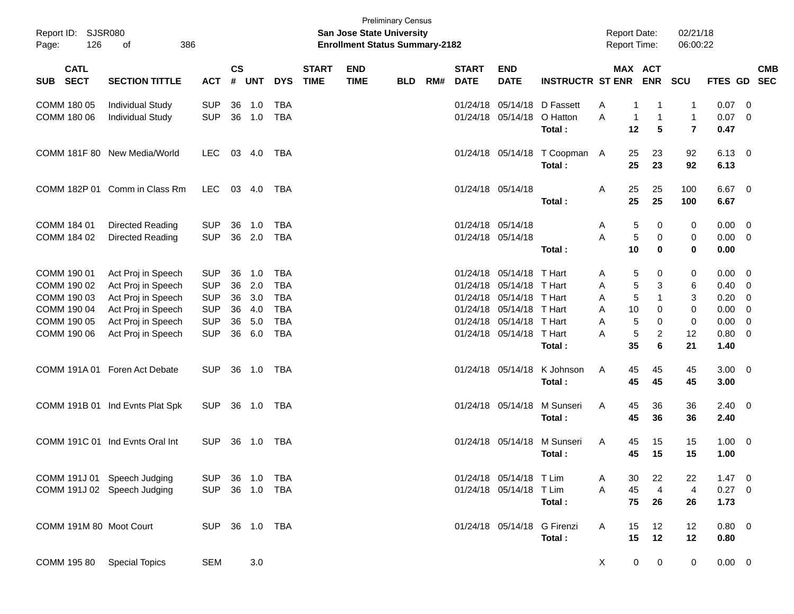| Page:       | Report ID: SJSR080<br>126  | 386<br>of                       |            |           |              |            |                             | San Jose State University<br><b>Enrollment Status Summary-2182</b> | <b>Preliminary Census</b> |     |                             |                           |                         | <b>Report Date:</b><br>Report Time: |                              | 02/21/18<br>06:00:22                    |                |                          |                          |
|-------------|----------------------------|---------------------------------|------------|-----------|--------------|------------|-----------------------------|--------------------------------------------------------------------|---------------------------|-----|-----------------------------|---------------------------|-------------------------|-------------------------------------|------------------------------|-----------------------------------------|----------------|--------------------------|--------------------------|
| <b>SUB</b>  | <b>CATL</b><br><b>SECT</b> | <b>SECTION TITTLE</b>           | <b>ACT</b> | <b>CS</b> | # UNT        | <b>DYS</b> | <b>START</b><br><b>TIME</b> | <b>END</b><br><b>TIME</b>                                          | <b>BLD</b>                | RM# | <b>START</b><br><b>DATE</b> | <b>END</b><br><b>DATE</b> | <b>INSTRUCTR ST ENR</b> |                                     | MAX ACT<br><b>ENR</b>        | SCU                                     | <b>FTES GD</b> |                          | <b>CMB</b><br><b>SEC</b> |
|             | COMM 180 05                | <b>Individual Study</b>         | <b>SUP</b> | 36        | 1.0          | <b>TBA</b> |                             |                                                                    |                           |     | 01/24/18                    | 05/14/18                  | D Fassett               | Α                                   | 1<br>-1                      | 1                                       | 0.07           | 0                        |                          |
|             | COMM 180 06                | <b>Individual Study</b>         | <b>SUP</b> | 36        | 1.0          | <b>TBA</b> |                             |                                                                    |                           |     |                             | 01/24/18 05/14/18         | O Hatton<br>Total:      | A<br>12                             | $\mathbf{1}$<br>1<br>5       | $\mathbf{1}$<br>$\overline{\mathbf{r}}$ | 0.07<br>0.47   | 0                        |                          |
|             |                            | COMM 181F 80 New Media/World    | <b>LEC</b> | 03        | 4.0          | TBA        |                             |                                                                    |                           |     |                             | 01/24/18 05/14/18         | T Coopman A<br>Total:   | 25<br>25                            | 23<br>23                     | 92<br>92                                | 6.13<br>6.13   | $\overline{\phantom{0}}$ |                          |
|             |                            | COMM 182P 01 Comm in Class Rm   | <b>LEC</b> |           | 03 4.0       | TBA        |                             |                                                                    |                           |     |                             | 01/24/18 05/14/18         | Total:                  | 25<br>Α<br>25                       | 25<br>25                     | 100<br>100                              | 6.67<br>6.67   | - 0                      |                          |
| COMM 184 01 |                            | <b>Directed Reading</b>         | <b>SUP</b> | 36        | 1.0          | <b>TBA</b> |                             |                                                                    |                           |     |                             | 01/24/18 05/14/18         |                         | A                                   | 0<br>5                       | 0                                       | 0.00           | 0                        |                          |
|             | COMM 184 02                | <b>Directed Reading</b>         | <b>SUP</b> | 36        | 2.0          | <b>TBA</b> |                             |                                                                    |                           |     | 01/24/18 05/14/18           |                           |                         | A                                   | $\sqrt{5}$<br>$\pmb{0}$      | 0                                       | 0.00           | 0                        |                          |
|             |                            |                                 |            |           |              |            |                             |                                                                    |                           |     |                             |                           | Total:                  | 10                                  | $\mathbf 0$                  | $\bf{0}$                                | 0.00           |                          |                          |
|             | COMM 190 01                | Act Proj in Speech              | <b>SUP</b> | 36        | 1.0          | <b>TBA</b> |                             |                                                                    |                           |     | 01/24/18                    | 05/14/18 T Hart           |                         | A                                   | 0<br>5                       | 0                                       | 0.00           | 0                        |                          |
|             | COMM 190 02                | Act Proj in Speech              | <b>SUP</b> | 36        | 2.0          | <b>TBA</b> |                             |                                                                    |                           |     | 01/24/18                    | 05/14/18 T Hart           |                         | Α                                   | $\sqrt{5}$<br>3              | 6                                       | 0.40           | 0                        |                          |
|             | COMM 190 03                | Act Proj in Speech              | <b>SUP</b> | 36        | 3.0          | <b>TBA</b> |                             |                                                                    |                           |     |                             | 01/24/18 05/14/18 T Hart  |                         | Α                                   | $\sqrt{5}$<br>$\mathbf{1}$   | 3                                       | 0.20           | 0                        |                          |
|             | COMM 190 04                | Act Proj in Speech              | <b>SUP</b> | 36        | 4.0          | <b>TBA</b> |                             |                                                                    |                           |     |                             | 01/24/18 05/14/18 T Hart  |                         | Α<br>10                             | 0                            | 0                                       | 0.00           | 0                        |                          |
|             | COMM 190 05                | Act Proj in Speech              | <b>SUP</b> | 36        | 5.0          | <b>TBA</b> |                             |                                                                    |                           |     |                             | 01/24/18 05/14/18 T Hart  |                         | Α                                   | 5<br>0                       | 0                                       | 0.00           | 0                        |                          |
|             | COMM 190 06                | Act Proj in Speech              | <b>SUP</b> | 36        | 6.0          | <b>TBA</b> |                             |                                                                    |                           |     |                             | 01/24/18 05/14/18 T Hart  |                         | A                                   | $\sqrt{5}$<br>$\overline{c}$ | 12                                      | 0.80           | 0                        |                          |
|             |                            |                                 |            |           |              |            |                             |                                                                    |                           |     |                             |                           | Total:                  | 35                                  | 6                            | 21                                      | 1.40           |                          |                          |
|             | COMM 191A 01               | Foren Act Debate                | <b>SUP</b> | 36        | 1.0          | TBA        |                             |                                                                    |                           |     |                             | 01/24/18 05/14/18         | K Johnson               | 45<br>Α                             | 45                           | 45                                      | 3.00           | $\overline{\mathbf{0}}$  |                          |
|             |                            |                                 |            |           |              |            |                             |                                                                    |                           |     |                             |                           | Total:                  | 45                                  | 45                           | 45                                      | 3.00           |                          |                          |
|             |                            | COMM 191B 01 Ind Evnts Plat Spk | <b>SUP</b> | 36        | 1.0          | TBA        |                             |                                                                    |                           |     |                             | 01/24/18 05/14/18         | M Sunseri               | A<br>45                             | 36                           | 36                                      | 2.40           | - 0                      |                          |
|             |                            |                                 |            |           |              |            |                             |                                                                    |                           |     |                             |                           | Total:                  | 45                                  | 36                           | 36                                      | 2.40           |                          |                          |
|             |                            | COMM 191C 01 Ind Evnts Oral Int | <b>SUP</b> | 36        | 1.0          | TBA        |                             |                                                                    |                           |     |                             | 01/24/18 05/14/18         | M Sunseri               | A<br>45                             | 15                           | 15                                      | 1.00           | 0                        |                          |
|             |                            |                                 |            |           |              |            |                             |                                                                    |                           |     |                             |                           | Total:                  | 45                                  | 15                           | 15                                      | 1.00           |                          |                          |
|             |                            | COMM 191J 01 Speech Judging     | <b>SUP</b> |           | 36 1.0       | TBA        |                             |                                                                    |                           |     |                             | 01/24/18 05/14/18 T Lim   |                         | 30<br>A                             | 22                           | 22                                      | 1.47           | - 0                      |                          |
|             |                            | COMM 191J 02 Speech Judging     | <b>SUP</b> |           | 36 1.0       | TBA        |                             |                                                                    |                           |     |                             | 01/24/18 05/14/18 T Lim   |                         | Α<br>45                             | $\overline{4}$               | $\overline{4}$                          | 0.27           | - 0                      |                          |
|             |                            |                                 |            |           |              |            |                             |                                                                    |                           |     |                             |                           | Total:                  | 75                                  | 26                           | 26                                      | 1.73           |                          |                          |
|             |                            | COMM 191M 80 Moot Court         | <b>SUP</b> |           | 36  1.0  TBA |            |                             |                                                                    |                           |     |                             | 01/24/18 05/14/18         | G Firenzi               | 15<br>A                             | 12                           | 12                                      | 0.80 0         |                          |                          |
|             |                            |                                 |            |           |              |            |                             |                                                                    |                           |     |                             |                           | Total:                  | 15                                  | 12                           | 12                                      | 0.80           |                          |                          |
|             | COMM 195 80                | <b>Special Topics</b>           | <b>SEM</b> |           | 3.0          |            |                             |                                                                    |                           |     |                             |                           |                         | X                                   | 0<br>$\pmb{0}$               | 0                                       | $0.00 \t 0$    |                          |                          |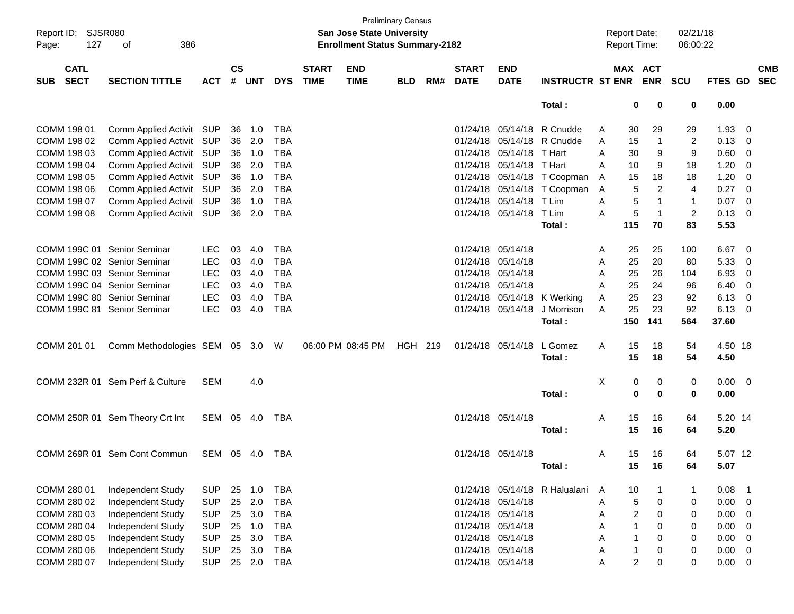| Report ID: SJSR080<br>Page:<br>127       | 386<br>оf                       |            |                    |            |            |                             | <b>San Jose State University</b><br><b>Enrollment Status Summary-2182</b> | <b>Preliminary Census</b> |     |                             |                           |                             |   | <b>Report Date:</b><br><b>Report Time:</b> |                | 02/21/18<br>06:00:22 |             |                |                          |
|------------------------------------------|---------------------------------|------------|--------------------|------------|------------|-----------------------------|---------------------------------------------------------------------------|---------------------------|-----|-----------------------------|---------------------------|-----------------------------|---|--------------------------------------------|----------------|----------------------|-------------|----------------|--------------------------|
| <b>CATL</b><br><b>SECT</b><br><b>SUB</b> | <b>SECTION TITTLE</b>           | <b>ACT</b> | $\mathsf{cs}$<br># | <b>UNT</b> | <b>DYS</b> | <b>START</b><br><b>TIME</b> | <b>END</b><br><b>TIME</b>                                                 | <b>BLD</b>                | RM# | <b>START</b><br><b>DATE</b> | <b>END</b><br><b>DATE</b> | <b>INSTRUCTR ST ENR</b>     |   | MAX ACT                                    | <b>ENR SCU</b> |                      | FTES GD     |                | <b>CMB</b><br><b>SEC</b> |
|                                          |                                 |            |                    |            |            |                             |                                                                           |                           |     |                             |                           | Total:                      |   | 0                                          | 0              | 0                    | 0.00        |                |                          |
| COMM 198 01                              | Comm Applied Activit SUP        |            | 36                 | 1.0        | <b>TBA</b> |                             |                                                                           |                           |     | 01/24/18                    |                           | 05/14/18 R Cnudde           | A | 30                                         | 29             | 29                   | 1.93        | - 0            |                          |
| COMM 198 02                              | Comm Applied Activit SUP        |            | 36                 | 2.0        | <b>TBA</b> |                             |                                                                           |                           |     | 01/24/18                    |                           | 05/14/18 R Cnudde           | A | 15                                         | $\overline{1}$ | 2                    | 0.13        | - 0            |                          |
| COMM 198 03                              | Comm Applied Activit SUP        |            | 36                 | 1.0        | <b>TBA</b> |                             |                                                                           |                           |     | 01/24/18                    | 05/14/18                  | T Hart                      | A | 30                                         | 9              | 9                    | 0.60        | 0              |                          |
| COMM 198 04                              | Comm Applied Activit SUP        |            | 36                 | 2.0        | <b>TBA</b> |                             |                                                                           |                           |     | 01/24/18                    | 05/14/18 T Hart           |                             | A | 10                                         | 9              | 18                   | 1.20        | 0              |                          |
| COMM 198 05                              | Comm Applied Activit SUP        |            | 36                 | 1.0        | <b>TBA</b> |                             |                                                                           |                           |     | 01/24/18                    |                           | 05/14/18 T Coopman          | A | 15                                         | 18             | 18                   | 1.20        | 0              |                          |
| COMM 198 06                              | Comm Applied Activit SUP        |            | 36                 | 2.0        | <b>TBA</b> |                             |                                                                           |                           |     | 01/24/18                    |                           | 05/14/18 T Coopman          | Α | 5                                          | $\overline{c}$ | $\overline{4}$       | 0.27        | - 0            |                          |
| COMM 198 07                              | Comm Applied Activit SUP        |            | 36                 | 1.0        | <b>TBA</b> |                             |                                                                           |                           |     | 01/24/18                    | 05/14/18                  | T Lim                       | A | 5                                          | $\mathbf{1}$   | $\mathbf{1}$         | 0.07        | - 0            |                          |
| COMM 198 08                              | Comm Applied Activit SUP        |            |                    | 36 2.0     | <b>TBA</b> |                             |                                                                           |                           |     |                             | 01/24/18 05/14/18 T Lim   |                             | A | 5                                          | $\mathbf{1}$   | 2                    | 0.13        | - 0            |                          |
|                                          |                                 |            |                    |            |            |                             |                                                                           |                           |     |                             |                           | Total:                      |   | 115                                        | 70             | 83                   | 5.53        |                |                          |
| COMM 199C 01 Senior Seminar              |                                 |            |                    |            |            |                             |                                                                           |                           |     |                             |                           |                             |   |                                            |                |                      |             |                |                          |
|                                          |                                 | LEC.       | 03                 | 4.0        | TBA        |                             |                                                                           |                           |     |                             | 01/24/18 05/14/18         |                             | A | 25                                         | 25             | 100                  | 6.67        | - 0            |                          |
| COMM 199C 02 Senior Seminar              |                                 | <b>LEC</b> | 03                 | 4.0        | <b>TBA</b> |                             |                                                                           |                           |     | 01/24/18                    | 05/14/18                  |                             | A | 25                                         | 20             | 80                   | 5.33        | 0              |                          |
| COMM 199C 03 Senior Seminar              |                                 | <b>LEC</b> | 03                 | 4.0        | <b>TBA</b> |                             |                                                                           |                           |     | 01/24/18                    | 05/14/18                  |                             | A | 25                                         | 26             | 104                  | 6.93        | 0              |                          |
| COMM 199C 04 Senior Seminar              |                                 | <b>LEC</b> | 03                 | 4.0        | <b>TBA</b> |                             |                                                                           |                           |     |                             | 01/24/18 05/14/18         |                             | A | 25                                         | 24             | 96                   | 6.40        | 0              |                          |
| COMM 199C 80 Senior Seminar              |                                 | <b>LEC</b> | 03                 | 4.0        | <b>TBA</b> |                             |                                                                           |                           |     |                             |                           | 01/24/18 05/14/18 K Werking | A | 25                                         | 23             | 92                   | 6.13        | 0              |                          |
| COMM 199C 81 Senior Seminar              |                                 | <b>LEC</b> | 03                 | 4.0        | <b>TBA</b> |                             |                                                                           |                           |     |                             | 01/24/18 05/14/18         | J Morrison                  | A | 25                                         | 23             | 92                   | 6.13        | - 0            |                          |
|                                          |                                 |            |                    |            |            |                             |                                                                           |                           |     |                             |                           | Total:                      |   | 150                                        | 141            | 564                  | 37.60       |                |                          |
| COMM 201 01                              | Comm Methodologies SEM 05 3.0 W |            |                    |            |            |                             | 06:00 PM 08:45 PM                                                         | HGH 219                   |     |                             | 01/24/18 05/14/18         | L Gomez                     | A | 15                                         | 18             | 54                   | 4.50 18     |                |                          |
|                                          |                                 |            |                    |            |            |                             |                                                                           |                           |     |                             |                           | Total:                      |   | 15                                         | 18             | 54                   | 4.50        |                |                          |
|                                          |                                 |            |                    |            |            |                             |                                                                           |                           |     |                             |                           |                             |   |                                            |                |                      |             |                |                          |
|                                          | COMM 232R 01 Sem Perf & Culture | <b>SEM</b> |                    | 4.0        |            |                             |                                                                           |                           |     |                             |                           |                             | X | 0                                          | 0              | 0                    | $0.00 \t 0$ |                |                          |
|                                          |                                 |            |                    |            |            |                             |                                                                           |                           |     |                             |                           | Total:                      |   | 0                                          | $\mathbf 0$    | 0                    | 0.00        |                |                          |
|                                          | COMM 250R 01 Sem Theory Crt Int | SEM 05 4.0 |                    |            | TBA        |                             |                                                                           |                           |     |                             | 01/24/18 05/14/18         |                             | A | 15                                         | 16             | 64                   | 5.20 14     |                |                          |
|                                          |                                 |            |                    |            |            |                             |                                                                           |                           |     |                             |                           | Total:                      |   | 15                                         | 16             | 64                   | 5.20        |                |                          |
|                                          |                                 |            |                    |            |            |                             |                                                                           |                           |     |                             |                           |                             |   |                                            |                |                      |             |                |                          |
|                                          | COMM 269R 01 Sem Cont Commun    | SEM 05 4.0 |                    |            | TBA        |                             |                                                                           |                           |     |                             | 01/24/18 05/14/18         |                             | A | 15                                         | 16             | 64                   | 5.07 12     |                |                          |
|                                          |                                 |            |                    |            |            |                             |                                                                           |                           |     |                             |                           | Total:                      |   | 15                                         | 16             | 64                   | 5.07        |                |                          |
|                                          |                                 |            |                    |            |            |                             |                                                                           |                           |     |                             |                           |                             |   |                                            |                |                      |             |                |                          |
| COMM 280 01                              | Independent Study               | <b>SUP</b> | 25                 | 1.0        | <b>TBA</b> |                             |                                                                           |                           |     |                             | 01/24/18 05/14/18         | R Halualani                 | A | 10                                         | $\mathbf 1$    | 1                    | 0.08        | - 1            |                          |
| COMM 280 02                              | Independent Study               | <b>SUP</b> | 25                 | 2.0        | <b>TBA</b> |                             |                                                                           |                           |     | 01/24/18                    | 05/14/18                  |                             | Α | 5                                          | 0              | 0                    | 0.00        | $\overline{0}$ |                          |
| COMM 280 03                              | Independent Study               | <b>SUP</b> | 25                 | 3.0        | <b>TBA</b> |                             |                                                                           |                           |     |                             | 01/24/18 05/14/18         |                             | Α | 2                                          | 0              | 0                    | 0.00        | 0              |                          |
| COMM 280 04                              | Independent Study               | <b>SUP</b> | 25                 | 1.0        | <b>TBA</b> |                             |                                                                           |                           |     |                             | 01/24/18 05/14/18         |                             | Α | 1                                          | 0              | 0                    | 0.00        | 0              |                          |
| COMM 280 05                              | Independent Study               | <b>SUP</b> | 25                 | 3.0        | <b>TBA</b> |                             |                                                                           |                           |     |                             | 01/24/18 05/14/18         |                             | Α | 1                                          | 0              | 0                    | 0.00        | 0              |                          |
| COMM 280 06                              | Independent Study               | <b>SUP</b> | 25                 | 3.0        | <b>TBA</b> |                             |                                                                           |                           |     |                             | 01/24/18 05/14/18         |                             | A |                                            | 0              | 0                    | 0.00        | 0              |                          |
| COMM 280 07                              | Independent Study               | <b>SUP</b> | 25                 | 2.0        | <b>TBA</b> |                             |                                                                           |                           |     |                             | 01/24/18 05/14/18         |                             | Α | 2                                          | 0              | 0                    | 0.00        | 0              |                          |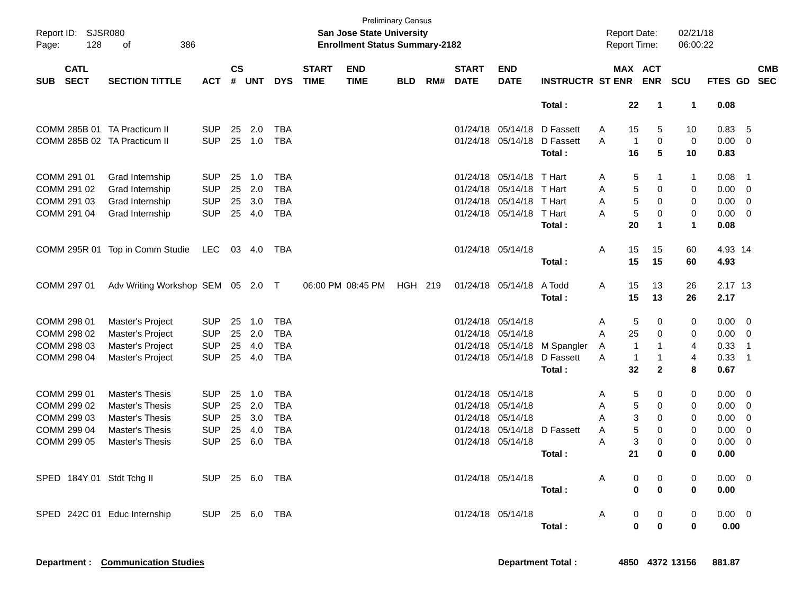| Page:      | Report ID: SJSR080<br>128  | 386<br>оf                         |            |               |        |            |                             | San Jose State University<br><b>Enrollment Status Summary-2182</b> | <b>Preliminary Census</b> |     |                             |                           |                              | Report Date:<br>Report Time: |                                  | 02/21/18<br>06:00:22 |                |                            |            |
|------------|----------------------------|-----------------------------------|------------|---------------|--------|------------|-----------------------------|--------------------------------------------------------------------|---------------------------|-----|-----------------------------|---------------------------|------------------------------|------------------------------|----------------------------------|----------------------|----------------|----------------------------|------------|
| <b>SUB</b> | <b>CATL</b><br><b>SECT</b> | <b>SECTION TITTLE</b>             | <b>ACT</b> | $\mathsf{cs}$ | # UNT  | <b>DYS</b> | <b>START</b><br><b>TIME</b> | <b>END</b><br><b>TIME</b>                                          | <b>BLD</b>                | RM# | <b>START</b><br><b>DATE</b> | <b>END</b><br><b>DATE</b> | <b>INSTRUCTR ST ENR</b>      |                              | MAX ACT<br><b>ENR</b>            | <b>SCU</b>           | FTES GD SEC    |                            | <b>CMB</b> |
|            |                            |                                   |            |               |        |            |                             |                                                                    |                           |     |                             |                           | Total:                       | 22                           | $\mathbf 1$                      | 1                    | 0.08           |                            |            |
|            |                            | COMM 285B 01 TA Practicum II      | <b>SUP</b> | 25            | 2.0    | <b>TBA</b> |                             |                                                                    |                           |     |                             | 01/24/18 05/14/18         | D Fassett                    | 15<br>A                      | 5                                | 10                   | 0.83           | - 5                        |            |
|            |                            | COMM 285B 02 TA Practicum II      | <b>SUP</b> | 25            | 1.0    | <b>TBA</b> |                             |                                                                    |                           |     |                             | 01/24/18 05/14/18         | D Fassett<br>Total:          | A<br>16                      | $\mathbf{1}$<br>$\mathbf 0$<br>5 | $\mathbf 0$<br>10    | 0.00<br>0.83   | $\mathbf 0$                |            |
|            | COMM 291 01                | Grad Internship                   | <b>SUP</b> | 25            | 1.0    | <b>TBA</b> |                             |                                                                    |                           |     |                             | 01/24/18 05/14/18 T Hart  |                              | A                            | 5<br>1                           | $\mathbf 1$          | 0.08           | - 1                        |            |
|            | COMM 291 02                | Grad Internship                   | <b>SUP</b> | 25            | 2.0    | <b>TBA</b> |                             |                                                                    |                           |     |                             | 01/24/18 05/14/18 T Hart  |                              | A                            | 5<br>$\mathbf 0$                 | $\mathbf 0$          | 0.00           | $\overline{0}$             |            |
|            | COMM 291 03                | Grad Internship                   | <b>SUP</b> | 25            | 3.0    | <b>TBA</b> |                             |                                                                    |                           |     |                             | 01/24/18 05/14/18 T Hart  |                              | A                            | 5<br>$\mathbf 0$                 | 0                    | 0.00           | $\overline{\phantom{0}}$   |            |
|            | COMM 291 04                | Grad Internship                   | <b>SUP</b> | 25            | 4.0    | <b>TBA</b> |                             |                                                                    |                           |     |                             | 01/24/18 05/14/18 T Hart  |                              | A                            | 5<br>$\mathbf 0$                 | $\mathbf 0$          | 0.00           | $\overline{\mathbf{0}}$    |            |
|            |                            |                                   |            |               |        |            |                             |                                                                    |                           |     |                             |                           | Total:                       | 20                           | 1                                | $\mathbf{1}$         | 0.08           |                            |            |
|            |                            | COMM 295R 01 Top in Comm Studie   | LEC        |               | 03 4.0 | TBA        |                             |                                                                    |                           |     |                             | 01/24/18 05/14/18         |                              | A<br>15                      | 15                               | 60                   | 4.93 14        |                            |            |
|            |                            |                                   |            |               |        |            |                             |                                                                    |                           |     |                             |                           | Total:                       | 15                           | 15                               | 60                   | 4.93           |                            |            |
|            | COMM 297 01                | Adv Writing Workshop SEM 05 2.0 T |            |               |        |            |                             | 06:00 PM 08:45 PM                                                  | <b>HGH 219</b>            |     |                             | 01/24/18 05/14/18         | A Todd                       | 15<br>A                      | 13                               | 26                   | 2.17 13        |                            |            |
|            |                            |                                   |            |               |        |            |                             |                                                                    |                           |     |                             |                           | Total:                       | 15                           | 13                               | 26                   | 2.17           |                            |            |
|            | COMM 298 01                | Master's Project                  | <b>SUP</b> | 25            | 1.0    | <b>TBA</b> |                             |                                                                    |                           |     | 01/24/18 05/14/18           |                           |                              | A                            | 5<br>$\mathbf 0$                 | 0                    | 0.00           | $\overline{\phantom{0}}$   |            |
|            | COMM 298 02                | Master's Project                  | <b>SUP</b> | 25            | 2.0    | <b>TBA</b> |                             |                                                                    |                           |     | 01/24/18 05/14/18           |                           |                              | 25<br>A                      | $\mathbf 0$                      | 0                    | 0.00           | $\overline{\mathbf{0}}$    |            |
|            | COMM 298 03                | Master's Project                  | <b>SUP</b> | 25            | 4.0    | <b>TBA</b> |                             |                                                                    |                           |     |                             |                           | 01/24/18 05/14/18 M Spangler | A                            | $\mathbf{1}$<br>1                | $\overline{4}$       | 0.33           | $\overline{1}$             |            |
|            | COMM 298 04                | Master's Project                  | <b>SUP</b> | 25            | 4.0    | <b>TBA</b> |                             |                                                                    |                           |     |                             |                           | 01/24/18 05/14/18 D Fassett  | A                            | $\mathbf{1}$<br>$\mathbf{1}$     | 4                    | 0.33           | $\overline{\phantom{0}}$ 1 |            |
|            |                            |                                   |            |               |        |            |                             |                                                                    |                           |     |                             |                           | Total:                       | 32                           | $\mathbf{2}$                     | 8                    | 0.67           |                            |            |
|            | COMM 299 01                | <b>Master's Thesis</b>            | <b>SUP</b> | 25            | 1.0    | <b>TBA</b> |                             |                                                                    |                           |     | 01/24/18 05/14/18           |                           |                              | Α                            | $\sqrt{5}$<br>0                  | 0                    | 0.00           | $\overline{\phantom{0}}$   |            |
|            | COMM 299 02                | <b>Master's Thesis</b>            | <b>SUP</b> | 25            | 2.0    | <b>TBA</b> |                             |                                                                    |                           |     | 01/24/18 05/14/18           |                           |                              | A                            | 5<br>$\mathbf 0$                 | $\mathbf 0$          | 0.00           | 0                          |            |
|            | COMM 299 03                | <b>Master's Thesis</b>            | <b>SUP</b> | 25            | 3.0    | <b>TBA</b> |                             |                                                                    |                           |     | 01/24/18 05/14/18           |                           |                              | А                            | 3<br>$\Omega$                    | 0                    | 0.00           | $\overline{\mathbf{0}}$    |            |
|            | COMM 299 04                | <b>Master's Thesis</b>            | <b>SUP</b> | 25            | 4.0    | <b>TBA</b> |                             |                                                                    |                           |     |                             | 01/24/18 05/14/18         | D Fassett                    | A                            | 5<br>$\mathbf 0$                 | 0                    | 0.00           | $\mathbf 0$                |            |
|            | COMM 299 05                | <b>Master's Thesis</b>            | <b>SUP</b> | 25            | 6.0    | TBA        |                             |                                                                    |                           |     |                             | 01/24/18 05/14/18         |                              | A                            | 3<br>$\mathbf 0$                 | 0                    | 0.00           | $\overline{\phantom{0}}$   |            |
|            |                            |                                   |            |               |        |            |                             |                                                                    |                           |     |                             |                           | Total:                       | 21                           | 0                                | 0                    | 0.00           |                            |            |
|            |                            | SPED 184Y 01 Stdt Tchg II         | <b>SUP</b> | 25            | 6.0    | TBA        |                             |                                                                    |                           |     | 01/24/18 05/14/18           |                           |                              | A                            | $\mathbf 0$<br>$\mathbf 0$       | 0                    | $0.00 \quad 0$ |                            |            |
|            |                            |                                   |            |               |        |            |                             |                                                                    |                           |     |                             |                           | Total:                       |                              | $\bf{0}$<br>0                    | $\mathbf 0$          | 0.00           |                            |            |
|            |                            | SPED 242C 01 Educ Internship      | <b>SUP</b> | 25            | 6.0    | TBA        |                             |                                                                    |                           |     |                             | 01/24/18 05/14/18         |                              | A                            | 0<br>0                           | 0                    | 0.00           | $\overline{\mathbf{0}}$    |            |
|            |                            |                                   |            |               |        |            |                             |                                                                    |                           |     |                             |                           | Total:                       |                              | $\mathbf{0}$<br>$\bf{0}$         | $\bf{0}$             | 0.00           |                            |            |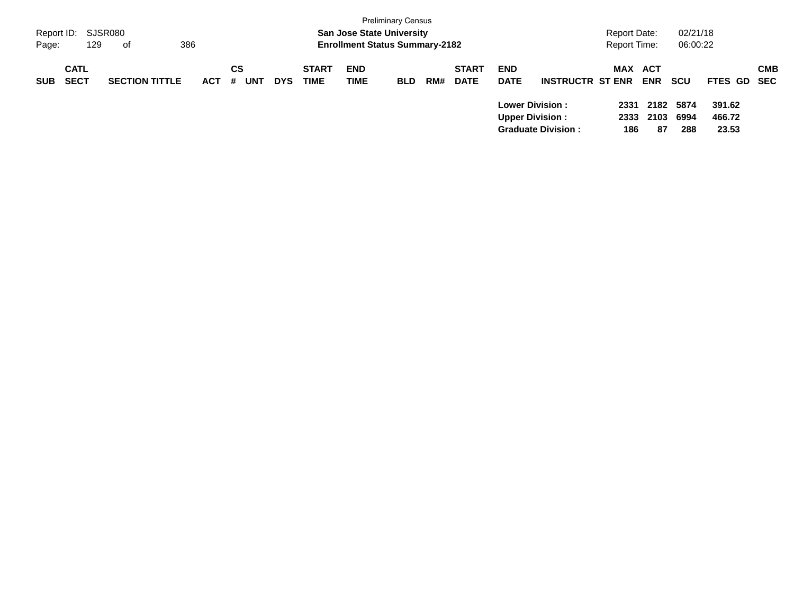| Page:      | Report ID: SJSR080<br>129  | 386<br>of             |            |                              |            |                             | <b>San Jose State University</b><br><b>Enrollment Status Summary-2182</b> | <b>Preliminary Census</b> |     |                             |                                                   |                           | Report Date:<br><b>Report Time:</b> |            | 02/21/18<br>06:00:22     |                           |            |
|------------|----------------------------|-----------------------|------------|------------------------------|------------|-----------------------------|---------------------------------------------------------------------------|---------------------------|-----|-----------------------------|---------------------------------------------------|---------------------------|-------------------------------------|------------|--------------------------|---------------------------|------------|
| <b>SUB</b> | <b>CATL</b><br><b>SECT</b> | <b>SECTION TITTLE</b> | <b>ACT</b> | <b>CS</b><br><b>UNT</b><br># | <b>DYS</b> | <b>START</b><br><b>TIME</b> | <b>END</b><br><b>TIME</b>                                                 | <b>BLD</b>                | RM# | <b>START</b><br><b>DATE</b> | <b>END</b><br><b>DATE</b>                         | <b>INSTRUCTR ST ENR</b>   | MAX ACT                             | <b>ENR</b> | scu                      | FTES GD SEC               | <b>CMB</b> |
|            |                            |                       |            |                              |            |                             |                                                                           |                           |     |                             | <b>Lower Division :</b><br><b>Upper Division:</b> | <b>Graduate Division:</b> | 2331<br>2333<br>186                 | 2103<br>87 | 2182 5874<br>6994<br>288 | 391.62<br>466.72<br>23.53 |            |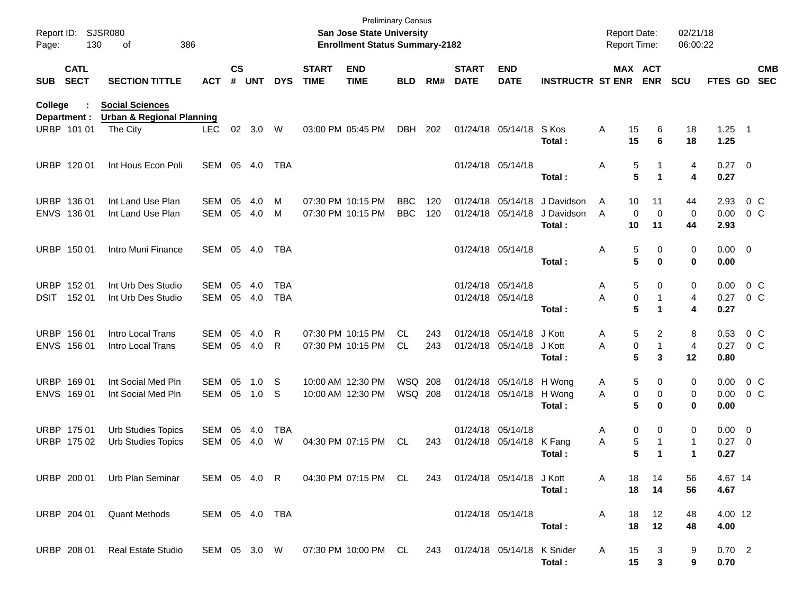| Report ID:<br>Page: | 130                        | <b>SJSR080</b><br>386<br>of                                    |                   |                    |            |                          |                             | <b>San Jose State University</b><br><b>Enrollment Status Summary-2182</b> | <b>Preliminary Census</b> |            |                              |                                               |                                    | <b>Report Date:</b><br><b>Report Time:</b> |                                          | 02/21/18<br>06:00:22   |                             |                          |                                  |
|---------------------|----------------------------|----------------------------------------------------------------|-------------------|--------------------|------------|--------------------------|-----------------------------|---------------------------------------------------------------------------|---------------------------|------------|------------------------------|-----------------------------------------------|------------------------------------|--------------------------------------------|------------------------------------------|------------------------|-----------------------------|--------------------------|----------------------------------|
| <b>SUB</b>          | <b>CATL</b><br><b>SECT</b> | <b>SECTION TITTLE</b>                                          | <b>ACT</b>        | $\mathsf{cs}$<br># | <b>UNT</b> | <b>DYS</b>               | <b>START</b><br><b>TIME</b> | <b>END</b><br><b>TIME</b>                                                 | <b>BLD</b>                | RM#        | <b>START</b><br><b>DATE</b>  | <b>END</b><br><b>DATE</b>                     | <b>INSTRUCTR ST ENR</b>            |                                            | MAX ACT<br><b>ENR</b>                    | <b>SCU</b>             | <b>FTES GD</b>              |                          | <b>CMB</b><br><b>SEC</b>         |
| College             | Department :               | <b>Social Sciences</b><br><b>Urban &amp; Regional Planning</b> |                   |                    |            |                          |                             |                                                                           |                           |            |                              |                                               |                                    |                                            |                                          |                        |                             |                          |                                  |
|                     | URBP 101 01                | The City                                                       | <b>LEC</b>        | 02                 | 3.0        | W                        |                             | 03:00 PM 05:45 PM                                                         | DBH                       | 202        |                              | 01/24/18 05/14/18                             | S Kos<br>Total:                    | Α                                          | 15<br>6<br>15<br>6                       | 18<br>18               | $1.25$ 1<br>1.25            |                          |                                  |
|                     | URBP 120 01                | Int Hous Econ Poli                                             | SEM               | 05                 | 4.0        | TBA                      |                             |                                                                           |                           |            |                              | 01/24/18 05/14/18                             | Total:                             | Α                                          | 5<br>5<br>1                              | 4<br>4                 | $0.27$ 0<br>0.27            |                          |                                  |
| <b>URBP</b>         | 136 01<br>ENVS 136 01      | Int Land Use Plan<br>Int Land Use Plan                         | SEM<br>SEM        | 05<br>05           | 4.0<br>4.0 | м<br>м                   |                             | 07:30 PM 10:15 PM<br>07:30 PM 10:15 PM                                    | <b>BBC</b><br><b>BBC</b>  | 120<br>120 |                              | 01/24/18 05/14/18<br>01/24/18 05/14/18        | J Davidson<br>J Davidson<br>Total: | A<br>A                                     | 10<br>11<br>0<br>$\mathbf 0$<br>10<br>11 | 44<br>0<br>44          | 2.93<br>0.00<br>2.93        |                          | 0 <sup>o</sup><br>0 <sup>o</sup> |
|                     | URBP 150 01                | Intro Muni Finance                                             | SEM               | 05                 | 4.0        | TBA                      |                             |                                                                           |                           |            |                              | 01/24/18 05/14/18                             | Total:                             | Α                                          | 5<br>0<br>5<br>0                         | 0<br>0                 | $0.00 \t 0$<br>0.00         |                          |                                  |
| <b>URBP</b><br>DSIT | 152 01<br>15201            | Int Urb Des Studio<br>Int Urb Des Studio                       | <b>SEM</b><br>SEM | 05<br>05           | 4.0<br>4.0 | <b>TBA</b><br><b>TBA</b> |                             |                                                                           |                           |            |                              | 01/24/18 05/14/18<br>01/24/18 05/14/18        | Total:                             | Α<br>Α                                     | 5<br>0<br>0<br>-1<br>5<br>1              | 0<br>4<br>4            | 0.00<br>0.27<br>0.27        |                          | 0 <sup>o</sup><br>$0\,C$         |
|                     | URBP 156 01<br>ENVS 156 01 | Intro Local Trans<br>Intro Local Trans                         | <b>SEM</b><br>SEM | 05<br>05           | 4.0<br>4.0 | R<br>R                   |                             | 07:30 PM 10:15 PM<br>07:30 PM 10:15 PM                                    | CL.<br><b>CL</b>          | 243<br>243 |                              | 01/24/18 05/14/18<br>01/24/18 05/14/18        | J Kott<br>J Kott<br>Total:         | A<br>Α                                     | 5<br>2<br>0<br>-1<br>5<br>3              | 8<br>4<br>12           | 0.53<br>0.27<br>0.80        |                          | 0 <sup>o</sup><br>0 <sup>o</sup> |
| <b>URBP</b>         | 169 01<br>ENVS 169 01      | Int Social Med Pln<br>Int Social Med Pln                       | SEM<br>SEM        | 05<br>05           | 1.0<br>1.0 | -S<br>-S                 |                             | 10:00 AM 12:30 PM<br>10:00 AM 12:30 PM                                    | WSQ 208<br><b>WSQ 208</b> |            |                              | 01/24/18 05/14/18 H Wong<br>01/24/18 05/14/18 | H Wong<br>Total:                   | A<br>A                                     | 5<br>0<br>0<br>0<br>5<br>0               | 0<br>0<br>0            | 0.00<br>0.00<br>0.00        |                          | 0 <sup>o</sup><br>0 <sup>o</sup> |
|                     | URBP 175 01<br>URBP 175 02 | <b>Urb Studies Topics</b><br><b>Urb Studies Topics</b>         | SEM<br>SEM        | 05<br>05           | 4.0<br>4.0 | TBA<br>W                 |                             | 04:30 PM 07:15 PM                                                         | <b>CL</b>                 | 243        |                              | 01/24/18 05/14/18<br>01/24/18 05/14/18        | K Fang<br>Total:                   | Α<br>Α                                     | 0<br>0<br>5<br>-1<br>5<br>1              | 0<br>$\mathbf{1}$<br>1 | $0.00 \t 0$<br>0.27<br>0.27 | $\overline{\phantom{0}}$ |                                  |
|                     |                            | URBP 200 01 Urb Plan Seminar                                   |                   |                    |            | SEM 05 4.0 R             |                             | 04:30 PM 07:15 PM CL                                                      |                           |            | 243 01/24/18 05/14/18 J Kott |                                               | Total:                             | A                                          | 18<br>14<br>18<br>14                     | 56<br>56               | 4.67 14<br>4.67             |                          |                                  |
|                     |                            | URBP 204 01 Quant Methods                                      | SEM 05 4.0 TBA    |                    |            |                          |                             |                                                                           |                           |            |                              | 01/24/18 05/14/18                             | Total:                             | A                                          | 12<br>18<br>18<br>12                     | 48<br>48               | 4.00 12<br>4.00             |                          |                                  |
|                     | URBP 208 01                | Real Estate Studio                                             |                   |                    |            |                          |                             | SEM 05 3.0 W 07:30 PM 10:00 PM CL 243 01/24/18 05/14/18 K Snider          |                           |            |                              |                                               | Total:                             | A                                          | 15<br>3<br>15<br>3                       | 9<br>9                 | 0.702<br>0.70               |                          |                                  |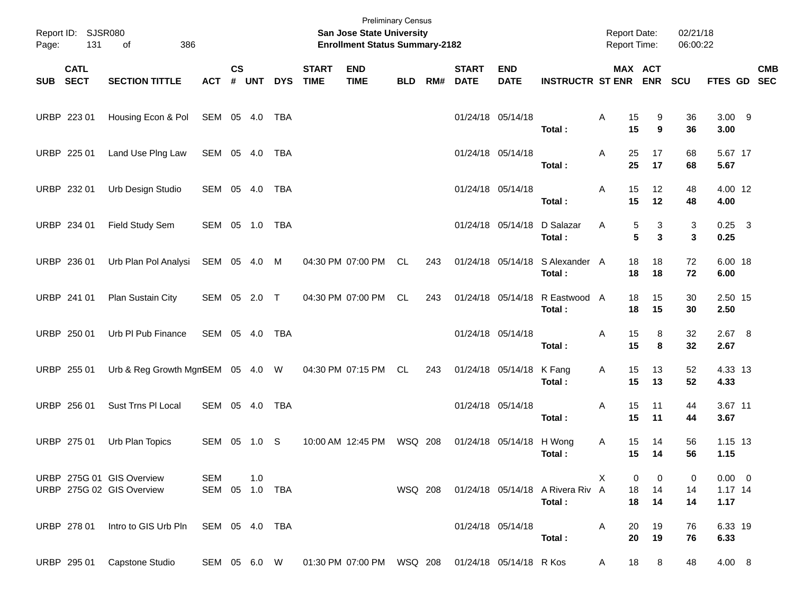| Page:    | Report ID: SJSR080<br>131 | 386<br>of                                              |                              |                |            |            |                             | San Jose State University<br><b>Enrollment Status Summary-2182</b> | <b>Preliminary Census</b> |     |                             |                           |                                            | <b>Report Date:</b><br>Report Time: |                  | 02/21/18<br>06:00:22 |                                  |                           |
|----------|---------------------------|--------------------------------------------------------|------------------------------|----------------|------------|------------|-----------------------------|--------------------------------------------------------------------|---------------------------|-----|-----------------------------|---------------------------|--------------------------------------------|-------------------------------------|------------------|----------------------|----------------------------------|---------------------------|
| SUB SECT | <b>CATL</b>               | <b>SECTION TITTLE</b>                                  | <b>ACT</b>                   | <b>CS</b><br># | <b>UNT</b> | <b>DYS</b> | <b>START</b><br><b>TIME</b> | <b>END</b><br><b>TIME</b>                                          | <b>BLD</b>                | RM# | <b>START</b><br><b>DATE</b> | <b>END</b><br><b>DATE</b> | <b>INSTRUCTR ST ENR ENR</b>                |                                     | MAX ACT          | SCU                  |                                  | <b>CMB</b><br>FTES GD SEC |
|          | URBP 223 01               | Housing Econ & Pol                                     | SEM 05 4.0                   |                |            | TBA        |                             |                                                                    |                           |     |                             | 01/24/18 05/14/18         | Total:                                     | 15<br>A<br>15                       | 9<br>9           | 36<br>36             | $3.00$ 9<br>3.00                 |                           |
|          | URBP 225 01               | Land Use PIng Law                                      | SEM 05 4.0                   |                |            | TBA        |                             |                                                                    |                           |     |                             | 01/24/18 05/14/18         | Total:                                     | 25<br>A<br>25                       | 17<br>17         | 68<br>68             | 5.67 17<br>5.67                  |                           |
|          | URBP 232 01               | Urb Design Studio                                      | SEM 05 4.0                   |                |            | TBA        |                             |                                                                    |                           |     |                             | 01/24/18 05/14/18         | Total:                                     | 15<br>A<br>15                       | 12<br>12         | 48<br>48             | 4.00 12<br>4.00                  |                           |
|          | URBP 234 01               | Field Study Sem                                        | SEM 05 1.0                   |                |            | TBA        |                             |                                                                    |                           |     |                             |                           | 01/24/18 05/14/18 D Salazar<br>Total:      | A                                   | 5<br>3<br>5<br>3 | 3<br>3               | $0.25$ 3<br>0.25                 |                           |
|          | URBP 236 01               | Urb Plan Pol Analysi                                   | SEM 05 4.0                   |                |            | M          |                             | 04:30 PM 07:00 PM                                                  | CL                        | 243 |                             |                           | 01/24/18 05/14/18 S Alexander A<br>Total:  | 18<br>18                            | 18<br>18         | 72<br>72             | 6.00 18<br>6.00                  |                           |
|          | URBP 241 01               | Plan Sustain City                                      | SEM 05 2.0 T                 |                |            |            |                             | 04:30 PM 07:00 PM                                                  | CL                        | 243 |                             |                           | 01/24/18 05/14/18 R Eastwood A<br>Total:   | 18<br>18                            | 15<br>15         | 30<br>30             | 2.50 15<br>2.50                  |                           |
|          | URBP 250 01               | Urb PI Pub Finance                                     | SEM 05 4.0                   |                |            | TBA        |                             |                                                                    |                           |     |                             | 01/24/18 05/14/18         | Total:                                     | 15<br>A<br>15                       | 8<br>8           | 32<br>32             | $2.67$ 8<br>2.67                 |                           |
|          | URBP 255 01               | Urb & Reg Growth MgmSEM 05 4.0 W                       |                              |                |            |            |                             | 04:30 PM 07:15 PM                                                  | CL                        | 243 |                             | 01/24/18 05/14/18 K Fang  | Total:                                     | 15<br>Α<br>15                       | 13<br>13         | 52<br>52             | 4.33 13<br>4.33                  |                           |
|          | URBP 256 01               | Sust Trns PI Local                                     | SEM 05 4.0                   |                |            | <b>TBA</b> |                             |                                                                    |                           |     |                             | 01/24/18 05/14/18         | Total:                                     | 15<br>A<br>15                       | 11<br>11         | 44<br>44             | 3.67 11<br>3.67                  |                           |
|          | URBP 275 01               | Urb Plan Topics                                        | SEM 05                       |                | 1.0        | -S         |                             | 10:00 AM 12:45 PM                                                  | WSQ 208                   |     |                             | 01/24/18 05/14/18         | H Wong<br>Total:                           | 15<br>A<br>15                       | 14<br>14         | 56<br>56             | 1.15 13<br>1.15                  |                           |
|          |                           | URBP 275G 01 GIS Overview<br>URBP 275G 02 GIS Overview | <b>SEM</b><br>SEM 05 1.0 TBA |                | 1.0        |            |                             |                                                                    | WSQ 208                   |     |                             |                           | 01/24/18 05/14/18 A Rivera Riv A<br>Total: | X.<br>0<br>18<br>18                 | 0<br>14<br>14    | 0<br>14<br>14        | $0.00 \t 0$<br>$1.17$ 14<br>1.17 |                           |
|          | URBP 278 01               | Intro to GIS Urb Pln                                   | SEM 05 4.0 TBA               |                |            |            |                             |                                                                    |                           |     |                             | 01/24/18 05/14/18         | Total:                                     | 20<br>A<br>20                       | 19<br>19         | 76<br>76             | 6.33 19<br>6.33                  |                           |
|          | URBP 295 01               | Capstone Studio                                        | SEM 05 6.0 W                 |                |            |            |                             | 01:30 PM 07:00 PM WSQ 208                                          |                           |     |                             | 01/24/18 05/14/18 R Kos   |                                            | 18<br>A                             | 8                | 48                   | 4.00 8                           |                           |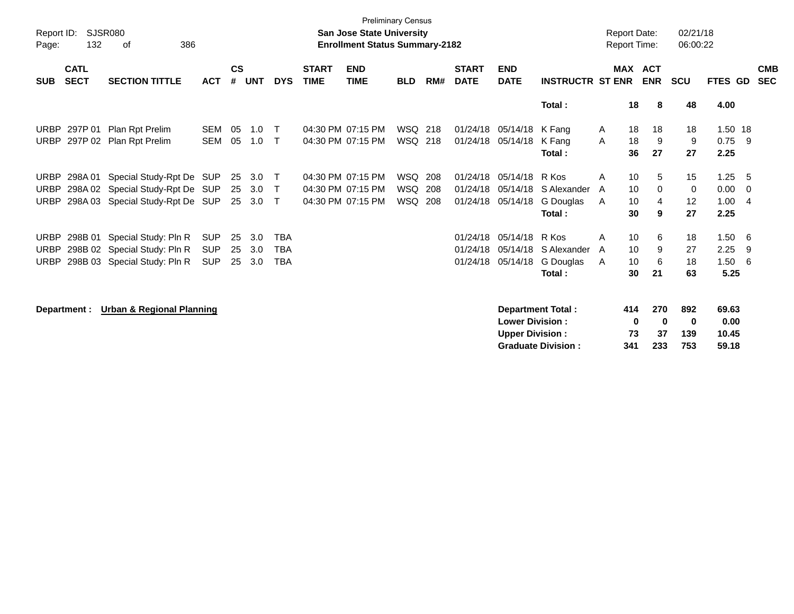| Report ID:  |                            | SJSR080                              |            |                    |            |              |                             | <b>Preliminary Census</b>                                                 |                |     |                             |                           |                           |                                            |                              | 02/21/18   |                  |                          |
|-------------|----------------------------|--------------------------------------|------------|--------------------|------------|--------------|-----------------------------|---------------------------------------------------------------------------|----------------|-----|-----------------------------|---------------------------|---------------------------|--------------------------------------------|------------------------------|------------|------------------|--------------------------|
| Page:       | 132                        | 386<br>οf                            |            |                    |            |              |                             | <b>San Jose State University</b><br><b>Enrollment Status Summary-2182</b> |                |     |                             |                           |                           | <b>Report Date:</b><br><b>Report Time:</b> |                              | 06:00:22   |                  |                          |
| <b>SUB</b>  | <b>CATL</b><br><b>SECT</b> | <b>SECTION TITTLE</b>                | <b>ACT</b> | $\mathsf{cs}$<br># | <b>UNT</b> | <b>DYS</b>   | <b>START</b><br><b>TIME</b> | <b>END</b><br><b>TIME</b>                                                 | <b>BLD</b>     | RM# | <b>START</b><br><b>DATE</b> | <b>END</b><br><b>DATE</b> | <b>INSTRUCTR ST ENR</b>   |                                            | <b>MAX ACT</b><br><b>ENR</b> | <b>SCU</b> | FTES GD          | <b>CMB</b><br><b>SEC</b> |
|             |                            |                                      |            |                    |            |              |                             |                                                                           |                |     |                             |                           | Total:                    | 18                                         | 8                            | 48         | 4.00             |                          |
| <b>URBP</b> | 297P 01                    | Plan Rpt Prelim                      | <b>SEM</b> | 05                 | 1.0        | $\top$       |                             | 04:30 PM 07:15 PM                                                         | WSQ 218        |     |                             | 01/24/18 05/14/18 K Fang  |                           | 18<br>A                                    | 18                           | 18         | 1.50 18          |                          |
| URBP        | 297P 02                    | Plan Rpt Prelim                      | <b>SEM</b> | 05                 | 1.0        | T            |                             | 04:30 PM 07:15 PM                                                         | WSQ 218        |     | 01/24/18                    | 05/14/18                  | K Fang<br>Total:          | 18<br>A<br>36                              | 9<br>27                      | 9<br>27    | $0.75$ 9<br>2.25 |                          |
| URBP        | 298A 01                    | Special Study-Rpt De SUP             |            | 25                 | 3.0        | $\top$       |                             | 04:30 PM 07:15 PM                                                         | WSQ 208        |     | 01/24/18                    | 05/14/18                  | R Kos                     | 10<br>A                                    | 5                            | 15         | 1.25             | - 5                      |
| <b>URBP</b> |                            | 298A 02 Special Study-Rpt De         | SUP        | 25                 | 3.0        | Τ            |                             | 04:30 PM 07:15 PM                                                         | WSQ            | 208 | 01/24/18                    | 05/14/18                  | S Alexander               | 10<br>A                                    | $\mathbf 0$                  | 0          | 0.00             | $\overline{0}$           |
| <b>URBP</b> |                            | 298A 03 Special Study-Rpt De SUP     |            | 25                 | 3.0        | $\mathsf{T}$ |                             | 04:30 PM 07:15 PM                                                         | <b>WSQ 208</b> |     |                             | 01/24/18 05/14/18         | G Douglas                 | 10<br>A                                    | 4                            | 12         | 1.00             | $\overline{4}$           |
|             |                            |                                      |            |                    |            |              |                             |                                                                           |                |     |                             |                           | Total:                    | 30                                         | 9                            | 27         | 2.25             |                          |
| <b>URBP</b> |                            | 298B 01 Special Study: Pln R         | <b>SUP</b> | 25                 | 3.0        | <b>TBA</b>   |                             |                                                                           |                |     | 01/24/18                    | 05/14/18                  | R Kos                     | 10<br>A                                    | 6                            | 18         | 1.50             | - 6                      |
| <b>URBP</b> |                            | 298B 02 Special Study: Pln R         | <b>SUP</b> | 25                 | 3.0        | <b>TBA</b>   |                             |                                                                           |                |     | 01/24/18                    | 05/14/18                  | S Alexander               | 10<br>A                                    | 9                            | 27         | 2.25             | -9                       |
| <b>URBP</b> |                            | 298B 03 Special Study: Pln R         | <b>SUP</b> | 25                 | 3.0        | <b>TBA</b>   |                             |                                                                           |                |     | 01/24/18                    | 05/14/18                  | G Douglas                 | 10<br>A                                    | 6                            | 18         | 1.50             | - 6                      |
|             |                            |                                      |            |                    |            |              |                             |                                                                           |                |     |                             |                           | Total:                    | 30                                         | 21                           | 63         | 5.25             |                          |
|             | Department :               | <b>Urban &amp; Regional Planning</b> |            |                    |            |              |                             |                                                                           |                |     |                             |                           | <b>Department Total:</b>  | 414                                        | 270                          | 892        | 69.63            |                          |
|             |                            |                                      |            |                    |            |              |                             |                                                                           |                |     |                             | <b>Lower Division:</b>    |                           |                                            | 0<br>$\bf{0}$                | 0          | 0.00             |                          |
|             |                            |                                      |            |                    |            |              |                             |                                                                           |                |     |                             | <b>Upper Division:</b>    |                           | 73                                         | 37                           | 139        | 10.45            |                          |
|             |                            |                                      |            |                    |            |              |                             |                                                                           |                |     |                             |                           | <b>Graduate Division:</b> | 341                                        | 233                          | 753        | 59.18            |                          |